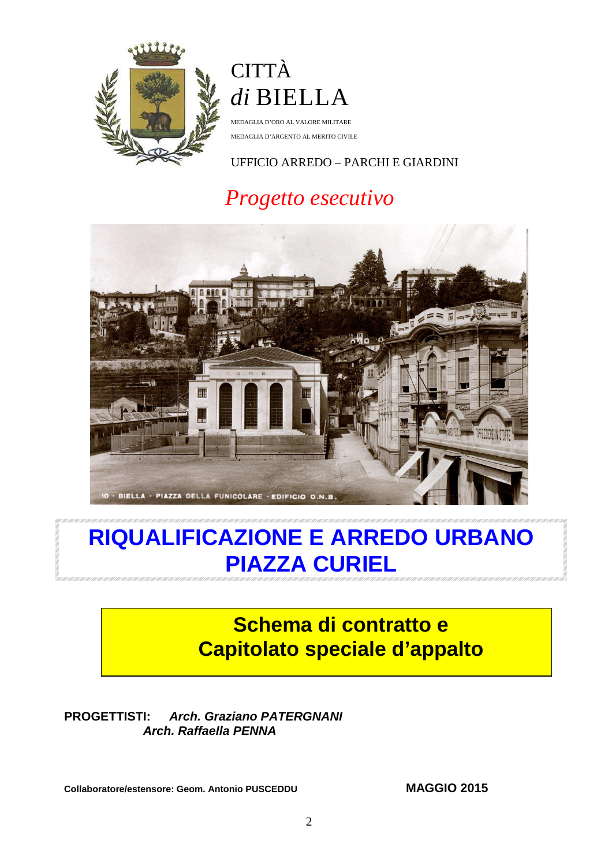

# **CITTÀ** *di* BIELLA

MEDAGLIA D'ORO AL VALORE MILITARE MEDAGLIA D'ARGENTO AL MERITO CIVILE

### UFFICIO ARREDO – PARCHI E GIARDINI

# *Progetto esecutivo*



# **RIQUALIFICAZIONE E ARREDO URBANO PIAZZA CURIEL**

# **Schema di contratto e Capitolato speciale d'appalto**

### **PROGETTISTI: Arch. Graziano PATERGNANI Arch. Raffaella PENNA**

**Collaboratore/estensore: Geom. Antonio PUSCEDDU MAGGIO 2015**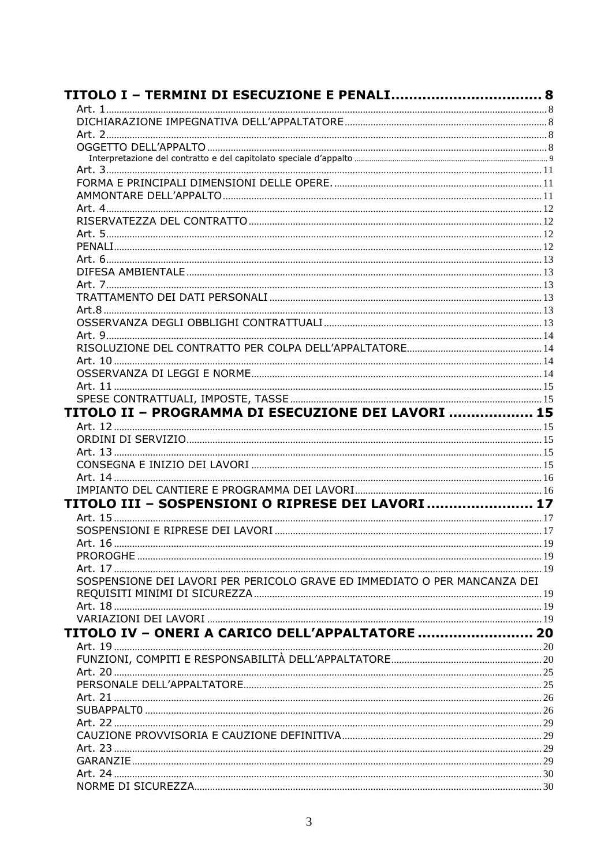| <b>TITOLO I – TERMINI DI ESECUZIONE E PENALI 8</b>                        |  |
|---------------------------------------------------------------------------|--|
|                                                                           |  |
|                                                                           |  |
|                                                                           |  |
|                                                                           |  |
|                                                                           |  |
|                                                                           |  |
|                                                                           |  |
|                                                                           |  |
|                                                                           |  |
|                                                                           |  |
|                                                                           |  |
|                                                                           |  |
|                                                                           |  |
|                                                                           |  |
|                                                                           |  |
|                                                                           |  |
|                                                                           |  |
|                                                                           |  |
|                                                                           |  |
|                                                                           |  |
|                                                                           |  |
|                                                                           |  |
| TITOLO II - PROGRAMMA DI ESECUZIONE DEI LAVORI  15                        |  |
|                                                                           |  |
|                                                                           |  |
|                                                                           |  |
|                                                                           |  |
|                                                                           |  |
|                                                                           |  |
| TITOLO III - SOSPENSIONI O RIPRESE DEI LAVORI  17                         |  |
|                                                                           |  |
|                                                                           |  |
|                                                                           |  |
|                                                                           |  |
|                                                                           |  |
| SOSPENSIONE DEI LAVORI PER PERICOLO GRAVE ED IMMEDIATO O PER MANCANZA DEI |  |
|                                                                           |  |
|                                                                           |  |
|                                                                           |  |
| TITOLO IV - ONERI A CARICO DELL'APPALTATORE  20                           |  |
|                                                                           |  |
|                                                                           |  |
|                                                                           |  |
|                                                                           |  |
|                                                                           |  |
|                                                                           |  |
|                                                                           |  |
|                                                                           |  |
|                                                                           |  |
|                                                                           |  |
|                                                                           |  |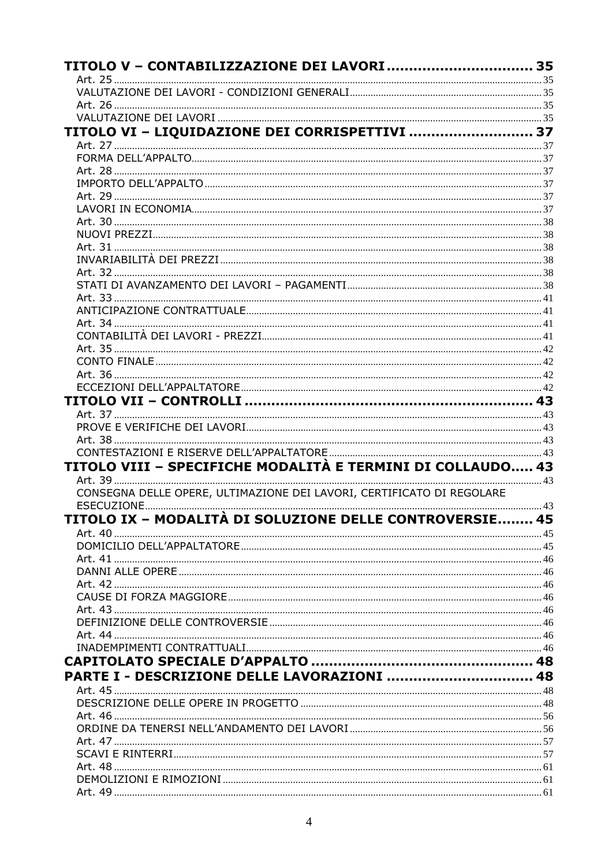| TITOLO V - CONTABILIZZAZIONE DEI LAVORI  35                           |  |
|-----------------------------------------------------------------------|--|
|                                                                       |  |
|                                                                       |  |
|                                                                       |  |
| TITOLO VI - LIQUIDAZIONE DEI CORRISPETTIVI  37                        |  |
|                                                                       |  |
|                                                                       |  |
|                                                                       |  |
|                                                                       |  |
|                                                                       |  |
|                                                                       |  |
|                                                                       |  |
|                                                                       |  |
|                                                                       |  |
|                                                                       |  |
|                                                                       |  |
|                                                                       |  |
|                                                                       |  |
|                                                                       |  |
|                                                                       |  |
|                                                                       |  |
|                                                                       |  |
|                                                                       |  |
|                                                                       |  |
|                                                                       |  |
|                                                                       |  |
|                                                                       |  |
|                                                                       |  |
|                                                                       |  |
| TITOLO VIII - SPECIFICHE MODALITÀ E TERMINI DI COLLAUDO 43            |  |
| CONSEGNA DELLE OPERE, ULTIMAZIONE DEI LAVORI, CERTIFICATO DI REGOLARE |  |
|                                                                       |  |
| TITOLO IX – MODALITÀ DI SOLUZIONE DELLE CONTROVERSIE 45               |  |
|                                                                       |  |
|                                                                       |  |
|                                                                       |  |
|                                                                       |  |
|                                                                       |  |
|                                                                       |  |
|                                                                       |  |
|                                                                       |  |
|                                                                       |  |
|                                                                       |  |
|                                                                       |  |
| PARTE I - DESCRIZIONE DELLE LAVORAZIONI  48                           |  |
|                                                                       |  |
|                                                                       |  |
|                                                                       |  |
|                                                                       |  |
|                                                                       |  |
|                                                                       |  |
|                                                                       |  |
|                                                                       |  |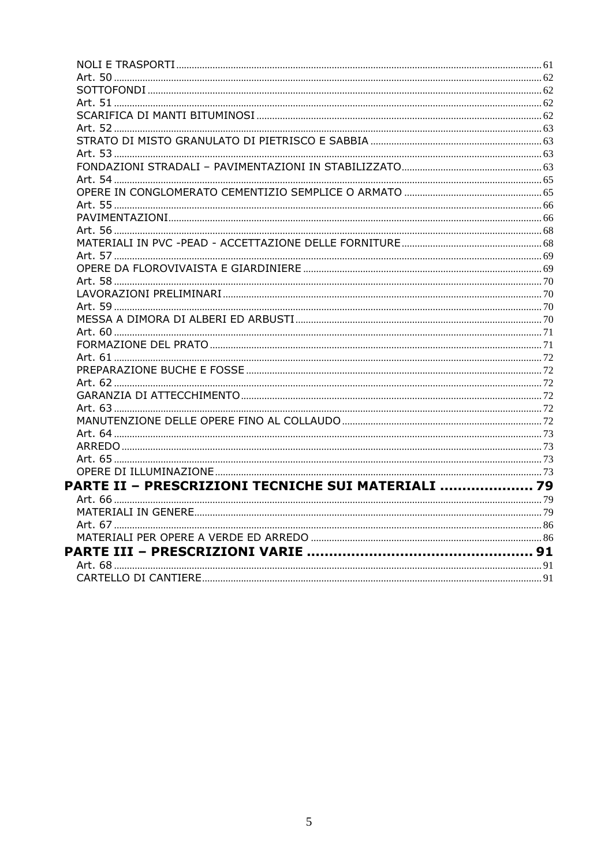| PARTE II - PRESCRIZIONI TECNICHE SUI MATERIALI  79 |  |
|----------------------------------------------------|--|
|                                                    |  |
|                                                    |  |
|                                                    |  |
|                                                    |  |
|                                                    |  |
|                                                    |  |
|                                                    |  |
|                                                    |  |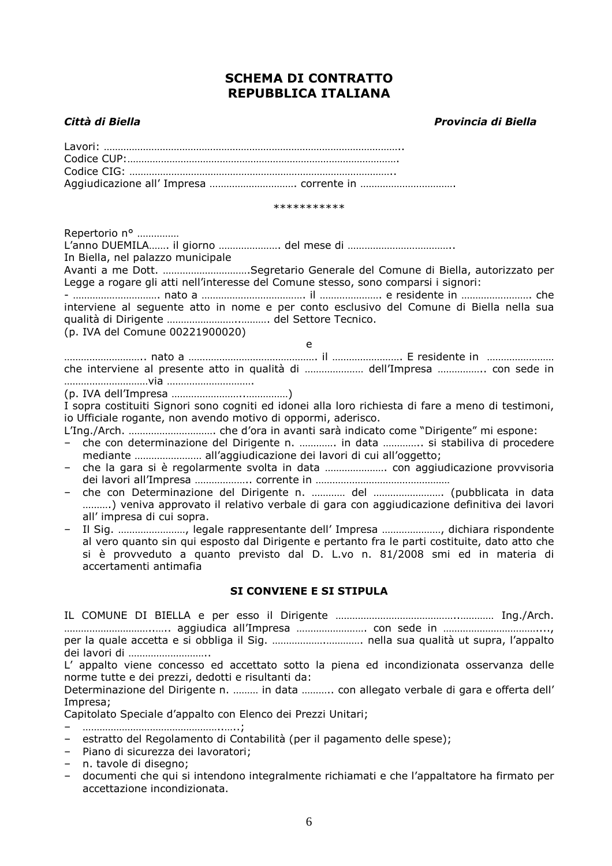### **SCHEMA DI CONTRATTO REPUBBLICA ITALIANA**

#### *Città di Biella Provincia di Biella*

\*\*\*\*\*\*\*\*\*\*\*

Repertorio n° …………… L'anno DUEMILA……. il giorno …………………. del mese di ……………………………….. In Biella, nel palazzo municipale Avanti a me Dott. ………………………….Segretario Generale del Comune di Biella, autorizzato per Legge a rogare gli atti nell'interesse del Comune stesso, sono comparsi i signori: - …………………………. nato a ………………………………. il …………………. e residente in ……………………. che interviene al seguente atto in nome e per conto esclusivo del Comune di Biella nella sua qualità di Dirigente ……………………..………. del Settore Tecnico. (p. IVA del Comune 00221900020) e ……………………….. nato a ………………………………………. il ……………………. E residente in …………………… che interviene al presente atto in qualità di ………………… dell'Impresa …………….. con sede in …………………………via …………………………. (p. IVA dell'Impresa ……………………..……………) I sopra costituiti Signori sono cogniti ed idonei alla loro richiesta di fare a meno di testimoni,

io Ufficiale rogante, non avendo motivo di oppormi, aderisco.

L'Ing./Arch. …………………………. che d'ora in avanti sarà indicato come "Dirigente" mi espone:

- che con determinazione del Dirigente n. …………. in data ………….. si stabiliva di procedere mediante …………………… all'aggiudicazione dei lavori di cui all'oggetto;
- che la gara si è regolarmente svolta in data …………………. con aggiudicazione provvisoria dei lavori all'Impresa ……………….. corrente in …………………………………………
- che con Determinazione del Dirigente n. ………… del ……………………. (pubblicata in data ……….) veniva approvato il relativo verbale di gara con aggiudicazione definitiva dei lavori all' impresa di cui sopra.
- Il Sig. ……………………, legale rappresentante dell' Impresa …………………, dichiara rispondente al vero quanto sin qui esposto dal Dirigente e pertanto fra le parti costituite, dato atto che si è provveduto a quanto previsto dal D. L.vo n. 81/2008 smi ed in materia di accertamenti antimafia

#### **SI CONVIENE E SI STIPULA**

IL COMUNE DI BIELLA e per esso il Dirigente ……………………………………..………… Ing./Arch. …………………………..….. aggiudica all'Impresa ……………………. con sede in ……………………………...., per la quale accetta e si obbliga il Sig. ……………….…………. nella sua qualità ut supra, l'appalto dei lavori di ………………………..

L' appalto viene concesso ed accettato sotto la piena ed incondizionata osservanza delle norme tutte e dei prezzi, dedotti e risultanti da:

Determinazione del Dirigente n. ……… in data ……….. con allegato verbale di gara e offerta dell' Impresa;

Capitolato Speciale d'appalto con Elenco dei Prezzi Unitari;

– …………………………………………..…..;

- estratto del Regolamento di Contabilità (per il pagamento delle spese);
- Piano di sicurezza dei lavoratori;
- n. tavole di disegno;
- documenti che qui si intendono integralmente richiamati e che l'appaltatore ha firmato per accettazione incondizionata.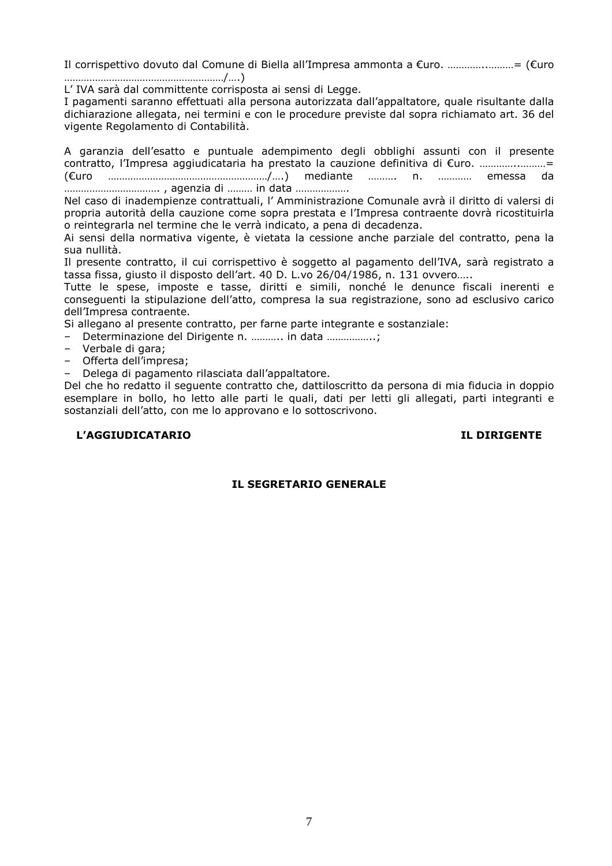Il corrispettivo dovuto dal Comune di Biella all'Impresa ammonta a €uro. …………..………= (€uro …………………………………………………/….)

L' IVA sarà dal committente corrisposta ai sensi di Legge.

I pagamenti saranno effettuati alla persona autorizzata dall'appaltatore, quale risultante dalla dichiarazione allegata, nei termini e con le procedure previste dal sopra richiamato art. 36 del vigente Regolamento di Contabilità.

A garanzia dell'esatto e puntuale adempimento degli obblighi assunti con il presente contratto, l'Impresa aggiudicataria ha prestato la cauzione definitiva di €uro. …………..………= (€uro …………………………………………………/….) mediante ………. n. ………… emessa da ……………………………. , agenzia di ……… in data ……………….

Nel caso di inadempienze contrattuali, l' Amministrazione Comunale avrà il diritto di valersi di propria autorità della cauzione come sopra prestata e l'Impresa contraente dovrà ricostituirla o reintegrarla nel termine che le verrà indicato, a pena di decadenza.

Ai sensi della normativa vigente, è vietata la cessione anche parziale del contratto, pena la sua nullità.

Il presente contratto, il cui corrispettivo è soggetto al pagamento dell'IVA, sarà registrato a tassa fissa, giusto il disposto dell'art. 40 D. L.vo 26/04/1986, n. 131 ovvero…..

Tutte le spese, imposte e tasse, diritti e simili, nonché le denunce fiscali inerenti e conseguenti la stipulazione dell'atto, compresa la sua registrazione, sono ad esclusivo carico dell'Impresa contraente.

Si allegano al presente contratto, per farne parte integrante e sostanziale:

– Determinazione del Dirigente n. ……….. in data ……………..;

- Verbale di gara;
- Offerta dell'impresa;

– Delega di pagamento rilasciata dall'appaltatore.

Del che ho redatto il seguente contratto che, dattiloscritto da persona di mia fiducia in doppio esemplare in bollo, ho letto alle parti le quali, dati per letti gli allegati, parti integranti e sostanziali dell'atto, con me lo approvano e lo sottoscrivono.

#### **L'AGGIUDICATARIO IL DIRIGENTE**

#### **IL SEGRETARIO GENERALE**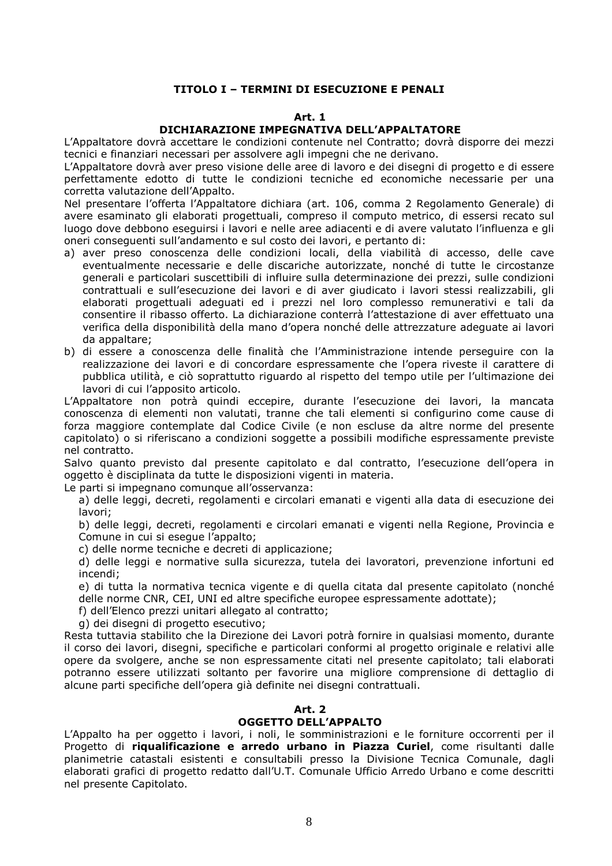#### **TITOLO I – TERMINI DI ESECUZIONE E PENALI**

#### **Art. 1**

#### **DICHIARAZIONE IMPEGNATIVA DELL'APPALTATORE**

L'Appaltatore dovrà accettare le condizioni contenute nel Contratto; dovrà disporre dei mezzi tecnici e finanziari necessari per assolvere agli impegni che ne derivano.

L'Appaltatore dovrà aver preso visione delle aree di lavoro e dei disegni di progetto e di essere perfettamente edotto di tutte le condizioni tecniche ed economiche necessarie per una corretta valutazione dell'Appalto.

Nel presentare l'offerta l'Appaltatore dichiara (art. 106, comma 2 Regolamento Generale) di avere esaminato gli elaborati progettuali, compreso il computo metrico, di essersi recato sul luogo dove debbono eseguirsi i lavori e nelle aree adiacenti e di avere valutato l'influenza e gli oneri conseguenti sull'andamento e sul costo dei lavori, e pertanto di:

- a) aver preso conoscenza delle condizioni locali, della viabilità di accesso, delle cave eventualmente necessarie e delle discariche autorizzate, nonché di tutte le circostanze generali e particolari suscettibili di influire sulla determinazione dei prezzi, sulle condizioni contrattuali e sull'esecuzione dei lavori e di aver giudicato i lavori stessi realizzabili, gli elaborati progettuali adeguati ed i prezzi nel loro complesso remunerativi e tali da consentire il ribasso offerto. La dichiarazione conterrà l'attestazione di aver effettuato una verifica della disponibilità della mano d'opera nonché delle attrezzature adeguate ai lavori da appaltare;
- b) di essere a conoscenza delle finalità che l'Amministrazione intende perseguire con la realizzazione dei lavori e di concordare espressamente che l'opera riveste il carattere di pubblica utilità, e ciò soprattutto riguardo al rispetto del tempo utile per l'ultimazione dei lavori di cui l'apposito articolo.

L'Appaltatore non potrà quindi eccepire, durante l'esecuzione dei lavori, la mancata conoscenza di elementi non valutati, tranne che tali elementi si configurino come cause di forza maggiore contemplate dal Codice Civile (e non escluse da altre norme del presente capitolato) o si riferiscano a condizioni soggette a possibili modifiche espressamente previste nel contratto.

Salvo quanto previsto dal presente capitolato e dal contratto, l'esecuzione dell'opera in oggetto è disciplinata da tutte le disposizioni vigenti in materia.

Le parti si impegnano comunque all'osservanza:

a) delle leggi, decreti, regolamenti e circolari emanati e vigenti alla data di esecuzione dei lavori;

b) delle leggi, decreti, regolamenti e circolari emanati e vigenti nella Regione, Provincia e Comune in cui si esegue l'appalto;

c) delle norme tecniche e decreti di applicazione;

d) delle leggi e normative sulla sicurezza, tutela dei lavoratori, prevenzione infortuni ed incendi;

e) di tutta la normativa tecnica vigente e di quella citata dal presente capitolato (nonché delle norme CNR, CEI, UNI ed altre specifiche europee espressamente adottate);

f) dell'Elenco prezzi unitari allegato al contratto;

g) dei disegni di progetto esecutivo;

Resta tuttavia stabilito che la Direzione dei Lavori potrà fornire in qualsiasi momento, durante il corso dei lavori, disegni, specifiche e particolari conformi al progetto originale e relativi alle opere da svolgere, anche se non espressamente citati nel presente capitolato; tali elaborati potranno essere utilizzati soltanto per favorire una migliore comprensione di dettaglio di alcune parti specifiche dell'opera già definite nei disegni contrattuali.

#### **Art. 2**

#### **OGGETTO DELL'APPALTO**

L'Appalto ha per oggetto i lavori, i noli, le somministrazioni e le forniture occorrenti per il Progetto di **riqualificazione e arredo urbano in Piazza Curiel**, come risultanti dalle planimetrie catastali esistenti e consultabili presso la Divisione Tecnica Comunale, dagli elaborati grafici di progetto redatto dall'U.T. Comunale Ufficio Arredo Urbano e come descritti nel presente Capitolato.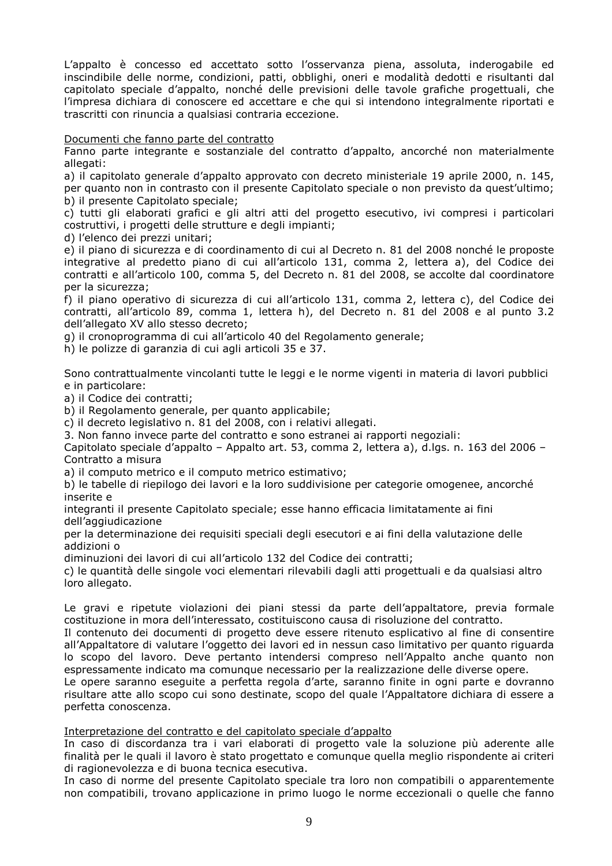L'appalto è concesso ed accettato sotto l'osservanza piena, assoluta, inderogabile ed inscindibile delle norme, condizioni, patti, obblighi, oneri e modalità dedotti e risultanti dal capitolato speciale d'appalto, nonché delle previsioni delle tavole grafiche progettuali, che l'impresa dichiara di conoscere ed accettare e che qui si intendono integralmente riportati e trascritti con rinuncia a qualsiasi contraria eccezione.

#### Documenti che fanno parte del contratto

Fanno parte integrante e sostanziale del contratto d'appalto, ancorché non materialmente allegati:

a) il capitolato generale d'appalto approvato con decreto ministeriale 19 aprile 2000, n. 145, per quanto non in contrasto con il presente Capitolato speciale o non previsto da quest'ultimo; b) il presente Capitolato speciale;

c) tutti gli elaborati grafici e gli altri atti del progetto esecutivo, ivi compresi i particolari costruttivi, i progetti delle strutture e degli impianti;

d) l'elenco dei prezzi unitari;

e) il piano di sicurezza e di coordinamento di cui al Decreto n. 81 del 2008 nonché le proposte integrative al predetto piano di cui all'articolo 131, comma 2, lettera a), del Codice dei contratti e all'articolo 100, comma 5, del Decreto n. 81 del 2008, se accolte dal coordinatore per la sicurezza;

f) il piano operativo di sicurezza di cui all'articolo 131, comma 2, lettera c), del Codice dei contratti, all'articolo 89, comma 1, lettera h), del Decreto n. 81 del 2008 e al punto 3.2 dell'allegato XV allo stesso decreto;

g) il cronoprogramma di cui all'articolo 40 del Regolamento generale;

h) le polizze di garanzia di cui agli articoli 35 e 37.

Sono contrattualmente vincolanti tutte le leggi e le norme vigenti in materia di lavori pubblici e in particolare:

a) il Codice dei contratti;

b) il Regolamento generale, per quanto applicabile;

c) il decreto legislativo n. 81 del 2008, con i relativi allegati.

3. Non fanno invece parte del contratto e sono estranei ai rapporti negoziali:

Capitolato speciale d'appalto – Appalto art. 53, comma 2, lettera a), d.lgs. n. 163 del 2006 – Contratto a misura

a) il computo metrico e il computo metrico estimativo;

b) le tabelle di riepilogo dei lavori e la loro suddivisione per categorie omogenee, ancorché inserite e

integranti il presente Capitolato speciale; esse hanno efficacia limitatamente ai fini dell'aggiudicazione

per la determinazione dei requisiti speciali degli esecutori e ai fini della valutazione delle addizioni o

diminuzioni dei lavori di cui all'articolo 132 del Codice dei contratti;

c) le quantità delle singole voci elementari rilevabili dagli atti progettuali e da qualsiasi altro loro allegato.

Le gravi e ripetute violazioni dei piani stessi da parte dell'appaltatore, previa formale costituzione in mora dell'interessato, costituiscono causa di risoluzione del contratto.

Il contenuto dei documenti di progetto deve essere ritenuto esplicativo al fine di consentire all'Appaltatore di valutare l'oggetto dei lavori ed in nessun caso limitativo per quanto riguarda lo scopo del lavoro. Deve pertanto intendersi compreso nell'Appalto anche quanto non espressamente indicato ma comunque necessario per la realizzazione delle diverse opere.

Le opere saranno eseguite a perfetta regola d'arte, saranno finite in ogni parte e dovranno risultare atte allo scopo cui sono destinate, scopo del quale l'Appaltatore dichiara di essere a perfetta conoscenza.

#### Interpretazione del contratto e del capitolato speciale d'appalto

In caso di discordanza tra i vari elaborati di progetto vale la soluzione più aderente alle finalità per le quali il lavoro è stato progettato e comunque quella meglio rispondente ai criteri di ragionevolezza e di buona tecnica esecutiva.

In caso di norme del presente Capitolato speciale tra loro non compatibili o apparentemente non compatibili, trovano applicazione in primo luogo le norme eccezionali o quelle che fanno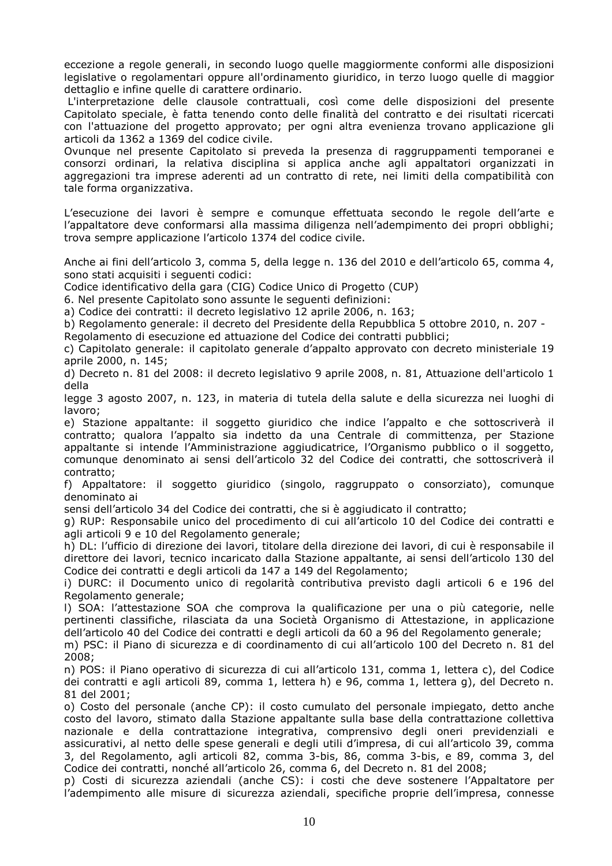eccezione a regole generali, in secondo luogo quelle maggiormente conformi alle disposizioni legislative o regolamentari oppure all'ordinamento giuridico, in terzo luogo quelle di maggior dettaglio e infine quelle di carattere ordinario.

 L'interpretazione delle clausole contrattuali, così come delle disposizioni del presente Capitolato speciale, è fatta tenendo conto delle finalità del contratto e dei risultati ricercati con l'attuazione del progetto approvato; per ogni altra evenienza trovano applicazione gli articoli da 1362 a 1369 del codice civile.

Ovunque nel presente Capitolato si preveda la presenza di raggruppamenti temporanei e consorzi ordinari, la relativa disciplina si applica anche agli appaltatori organizzati in aggregazioni tra imprese aderenti ad un contratto di rete, nei limiti della compatibilità con tale forma organizzativa.

L'esecuzione dei lavori è sempre e comunque effettuata secondo le regole dell'arte e l'appaltatore deve conformarsi alla massima diligenza nell'adempimento dei propri obblighi; trova sempre applicazione l'articolo 1374 del codice civile.

Anche ai fini dell'articolo 3, comma 5, della legge n. 136 del 2010 e dell'articolo 65, comma 4, sono stati acquisiti i seguenti codici:

Codice identificativo della gara (CIG) Codice Unico di Progetto (CUP)

6. Nel presente Capitolato sono assunte le seguenti definizioni:

a) Codice dei contratti: il decreto legislativo 12 aprile 2006, n. 163;

b) Regolamento generale: il decreto del Presidente della Repubblica 5 ottobre 2010, n. 207 - Regolamento di esecuzione ed attuazione del Codice dei contratti pubblici;

c) Capitolato generale: il capitolato generale d'appalto approvato con decreto ministeriale 19 aprile 2000, n. 145;

d) Decreto n. 81 del 2008: il decreto legislativo 9 aprile 2008, n. 81, Attuazione dell'articolo 1 della

legge 3 agosto 2007, n. 123, in materia di tutela della salute e della sicurezza nei luoghi di lavoro;

e) Stazione appaltante: il soggetto giuridico che indice l'appalto e che sottoscriverà il contratto; qualora l'appalto sia indetto da una Centrale di committenza, per Stazione appaltante si intende l'Amministrazione aggiudicatrice, l'Organismo pubblico o il soggetto, comunque denominato ai sensi dell'articolo 32 del Codice dei contratti, che sottoscriverà il contratto;

f) Appaltatore: il soggetto giuridico (singolo, raggruppato o consorziato), comunque denominato ai

sensi dell'articolo 34 del Codice dei contratti, che si è aggiudicato il contratto;

g) RUP: Responsabile unico del procedimento di cui all'articolo 10 del Codice dei contratti e agli articoli 9 e 10 del Regolamento generale;

h) DL: l'ufficio di direzione dei lavori, titolare della direzione dei lavori, di cui è responsabile il direttore dei lavori, tecnico incaricato dalla Stazione appaltante, ai sensi dell'articolo 130 del Codice dei contratti e degli articoli da 147 a 149 del Regolamento;

i) DURC: il Documento unico di regolarità contributiva previsto dagli articoli 6 e 196 del Regolamento generale;

l) SOA: l'attestazione SOA che comprova la qualificazione per una o più categorie, nelle pertinenti classifiche, rilasciata da una Società Organismo di Attestazione, in applicazione dell'articolo 40 del Codice dei contratti e degli articoli da 60 a 96 del Regolamento generale;

m) PSC: il Piano di sicurezza e di coordinamento di cui all'articolo 100 del Decreto n. 81 del 2008;

n) POS: il Piano operativo di sicurezza di cui all'articolo 131, comma 1, lettera c), del Codice dei contratti e agli articoli 89, comma 1, lettera h) e 96, comma 1, lettera g), del Decreto n. 81 del 2001;

o) Costo del personale (anche CP): il costo cumulato del personale impiegato, detto anche costo del lavoro, stimato dalla Stazione appaltante sulla base della contrattazione collettiva nazionale e della contrattazione integrativa, comprensivo degli oneri previdenziali e assicurativi, al netto delle spese generali e degli utili d'impresa, di cui all'articolo 39, comma 3, del Regolamento, agli articoli 82, comma 3-bis, 86, comma 3-bis, e 89, comma 3, del Codice dei contratti, nonché all'articolo 26, comma 6, del Decreto n. 81 del 2008;

p) Costi di sicurezza aziendali (anche CS): i costi che deve sostenere l'Appaltatore per l'adempimento alle misure di sicurezza aziendali, specifiche proprie dell'impresa, connesse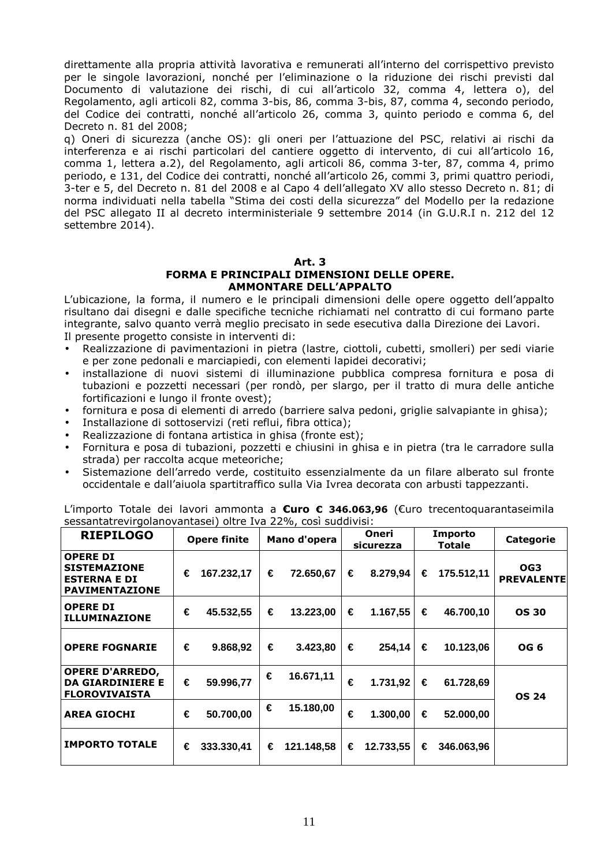direttamente alla propria attività lavorativa e remunerati all'interno del corrispettivo previsto per le singole lavorazioni, nonché per l'eliminazione o la riduzione dei rischi previsti dal Documento di valutazione dei rischi, di cui all'articolo 32, comma 4, lettera o), del Regolamento, agli articoli 82, comma 3-bis, 86, comma 3-bis, 87, comma 4, secondo periodo, del Codice dei contratti, nonché all'articolo 26, comma 3, quinto periodo e comma 6, del Decreto n. 81 del 2008;

q) Oneri di sicurezza (anche OS): gli oneri per l'attuazione del PSC, relativi ai rischi da interferenza e ai rischi particolari del cantiere oggetto di intervento, di cui all'articolo 16, comma 1, lettera a.2), del Regolamento, agli articoli 86, comma 3-ter, 87, comma 4, primo periodo, e 131, del Codice dei contratti, nonché all'articolo 26, commi 3, primi quattro periodi, 3-ter e 5, del Decreto n. 81 del 2008 e al Capo 4 dell'allegato XV allo stesso Decreto n. 81; di norma individuati nella tabella "Stima dei costi della sicurezza" del Modello per la redazione del PSC allegato II al decreto interministeriale 9 settembre 2014 (in G.U.R.I n. 212 del 12 settembre 2014).

#### **Art. 3 FORMA E PRINCIPALI DIMENSIONI DELLE OPERE. AMMONTARE DELL'APPALTO**

L'ubicazione, la forma, il numero e le principali dimensioni delle opere oggetto dell'appalto risultano dai disegni e dalle specifiche tecniche richiamati nel contratto di cui formano parte integrante, salvo quanto verrà meglio precisato in sede esecutiva dalla Direzione dei Lavori. Il presente progetto consiste in interventi di:

- Realizzazione di pavimentazioni in pietra (lastre, ciottoli, cubetti, smolleri) per sedi viarie e per zone pedonali e marciapiedi, con elementi lapidei decorativi;
- installazione di nuovi sistemi di illuminazione pubblica compresa fornitura e posa di tubazioni e pozzetti necessari (per rondò, per slargo, per il tratto di mura delle antiche fortificazioni e lungo il fronte ovest);
- fornitura e posa di elementi di arredo (barriere salva pedoni, griglie salvapiante in ghisa);
- Installazione di sottoservizi (reti reflui, fibra ottica);
- Realizzazione di fontana artistica in ghisa (fronte est);
- Fornitura e posa di tubazioni, pozzetti e chiusini in ghisa e in pietra (tra le carradore sulla strada) per raccolta acque meteoriche;
- Sistemazione dell'arredo verde, costituito essenzialmente da un filare alberato sul fronte occidentale e dall'aiuola spartitraffico sulla Via Ivrea decorata con arbusti tappezzanti.

| <b>RIEPILOGO</b>                                                                | <b>Opere finite</b> |            | Mano d'opera |            | Oneri<br>sicurezza |           | Importo<br>Totale |            | <b>Categorie</b>         |
|---------------------------------------------------------------------------------|---------------------|------------|--------------|------------|--------------------|-----------|-------------------|------------|--------------------------|
| <b>OPERE DI</b><br><b>SISTEMAZIONE</b><br><b>ESTERNA E DI</b><br>PAVIMENTAZIONE | €                   | 167.232,17 | €            | 72.650,67  | €                  | 8.279,94  | €                 | 175.512,11 | OG3<br><b>PREVALENTE</b> |
| <b>OPERE DI</b><br><b>ILLUMINAZIONE</b>                                         | €                   | 45.532,55  | €            | 13.223,00  | €                  | 1.167,55  | €                 | 46.700,10  | <b>OS 30</b>             |
| <b>OPERE FOGNARIE</b>                                                           | €                   | 9.868,92   | €            | 3.423,80   | €                  | 254.14    | €                 | 10.123,06  | OG 6                     |
| <b>OPERE D'ARREDO,</b><br><b>DA GIARDINIERE E</b><br><b>FLOROVIVAISTA</b>       | €                   | 59.996,77  | €            | 16.671,11  | €                  | 1.731,92  | €                 | 61.728,69  | <b>OS 24</b>             |
| <b>AREA GIOCHI</b>                                                              | €                   | 50.700,00  | €            | 15.180,00  | €                  | 1.300,00  | €                 | 52.000,00  |                          |
| <b>IMPORTO TOTALE</b>                                                           | €                   | 333.330,41 | €            | 121.148.58 | €                  | 12.733.55 | €                 | 346.063.96 |                          |

L'importo Totale dei lavori ammonta a **€uro € 346.063,96** (€uro trecentoquarantaseimila sessantatrevirgolanovantasei) oltre Iva 22%, così suddivisi: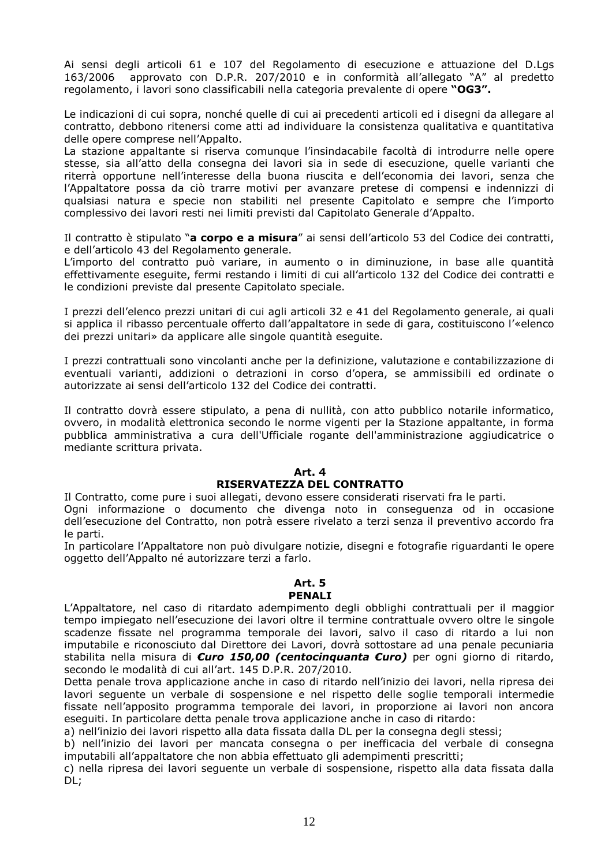Ai sensi degli articoli 61 e 107 del Regolamento di esecuzione e attuazione del D.Lgs 163/2006 approvato con D.P.R. 207/2010 e in conformità all'allegato "A" al predetto regolamento, i lavori sono classificabili nella categoria prevalente di opere **"OG3".** 

Le indicazioni di cui sopra, nonché quelle di cui ai precedenti articoli ed i disegni da allegare al contratto, debbono ritenersi come atti ad individuare la consistenza qualitativa e quantitativa delle opere comprese nell'Appalto.

La stazione appaltante si riserva comunque l'insindacabile facoltà di introdurre nelle opere stesse, sia all'atto della consegna dei lavori sia in sede di esecuzione, quelle varianti che riterrà opportune nell'interesse della buona riuscita e dell'economia dei lavori, senza che l'Appaltatore possa da ciò trarre motivi per avanzare pretese di compensi e indennizzi di qualsiasi natura e specie non stabiliti nel presente Capitolato e sempre che l'importo complessivo dei lavori resti nei limiti previsti dal Capitolato Generale d'Appalto.

Il contratto è stipulato "**a corpo e a misura**" ai sensi dell'articolo 53 del Codice dei contratti, e dell'articolo 43 del Regolamento generale.

L'importo del contratto può variare, in aumento o in diminuzione, in base alle quantità effettivamente eseguite, fermi restando i limiti di cui all'articolo 132 del Codice dei contratti e le condizioni previste dal presente Capitolato speciale.

I prezzi dell'elenco prezzi unitari di cui agli articoli 32 e 41 del Regolamento generale, ai quali si applica il ribasso percentuale offerto dall'appaltatore in sede di gara, costituiscono l'«elenco dei prezzi unitari» da applicare alle singole quantità eseguite.

I prezzi contrattuali sono vincolanti anche per la definizione, valutazione e contabilizzazione di eventuali varianti, addizioni o detrazioni in corso d'opera, se ammissibili ed ordinate o autorizzate ai sensi dell'articolo 132 del Codice dei contratti.

Il contratto dovrà essere stipulato, a pena di nullità, con atto pubblico notarile informatico, ovvero, in modalità elettronica secondo le norme vigenti per la Stazione appaltante, in forma pubblica amministrativa a cura dell'Ufficiale rogante dell'amministrazione aggiudicatrice o mediante scrittura privata.

#### **Art. 4 RISERVATEZZA DEL CONTRATTO**

Il Contratto, come pure i suoi allegati, devono essere considerati riservati fra le parti.

Ogni informazione o documento che divenga noto in conseguenza od in occasione dell'esecuzione del Contratto, non potrà essere rivelato a terzi senza il preventivo accordo fra le parti.

In particolare l'Appaltatore non può divulgare notizie, disegni e fotografie riguardanti le opere oggetto dell'Appalto né autorizzare terzi a farlo.

### **Art. 5**

#### **PENALI**

L'Appaltatore, nel caso di ritardato adempimento degli obblighi contrattuali per il maggior tempo impiegato nell'esecuzione dei lavori oltre il termine contrattuale ovvero oltre le singole scadenze fissate nel programma temporale dei lavori, salvo il caso di ritardo a lui non imputabile e riconosciuto dal Direttore dei Lavori, dovrà sottostare ad una penale pecuniaria stabilita nella misura di *€uro 150,00 (centocinquanta €uro)* per ogni giorno di ritardo, secondo le modalità di cui all'art. 145 D.P.R. 207/2010.

Detta penale trova applicazione anche in caso di ritardo nell'inizio dei lavori, nella ripresa dei lavori seguente un verbale di sospensione e nel rispetto delle soglie temporali intermedie fissate nell'apposito programma temporale dei lavori, in proporzione ai lavori non ancora eseguiti. In particolare detta penale trova applicazione anche in caso di ritardo:

a) nell'inizio dei lavori rispetto alla data fissata dalla DL per la consegna degli stessi;

b) nell'inizio dei lavori per mancata consegna o per inefficacia del verbale di consegna imputabili all'appaltatore che non abbia effettuato gli adempimenti prescritti;

c) nella ripresa dei lavori seguente un verbale di sospensione, rispetto alla data fissata dalla DL;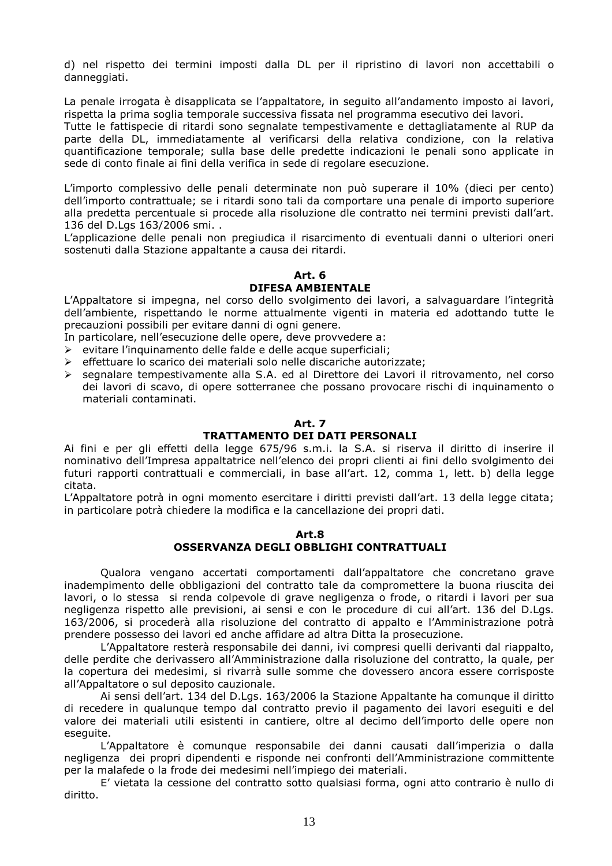d) nel rispetto dei termini imposti dalla DL per il ripristino di lavori non accettabili o danneggiati.

La penale irrogata è disapplicata se l'appaltatore, in seguito all'andamento imposto ai lavori, rispetta la prima soglia temporale successiva fissata nel programma esecutivo dei lavori.

Tutte le fattispecie di ritardi sono segnalate tempestivamente e dettagliatamente al RUP da parte della DL, immediatamente al verificarsi della relativa condizione, con la relativa quantificazione temporale; sulla base delle predette indicazioni le penali sono applicate in sede di conto finale ai fini della verifica in sede di regolare esecuzione.

L'importo complessivo delle penali determinate non può superare il 10% (dieci per cento) dell'importo contrattuale; se i ritardi sono tali da comportare una penale di importo superiore alla predetta percentuale si procede alla risoluzione dle contratto nei termini previsti dall'art. 136 del D.Lgs 163/2006 smi. .

L'applicazione delle penali non pregiudica il risarcimento di eventuali danni o ulteriori oneri sostenuti dalla Stazione appaltante a causa dei ritardi.

#### **Art. 6 DIFESA AMBIENTALE**

L'Appaltatore si impegna, nel corso dello svolgimento dei lavori, a salvaguardare l'integrità dell'ambiente, rispettando le norme attualmente vigenti in materia ed adottando tutte le precauzioni possibili per evitare danni di ogni genere.

In particolare, nell'esecuzione delle opere, deve provvedere a:

- $\triangleright$  evitare l'inquinamento delle falde e delle acque superficiali:
- $\triangleright$  effettuare lo scarico dei materiali solo nelle discariche autorizzate:
- segnalare tempestivamente alla S.A. ed al Direttore dei Lavori il ritrovamento, nel corso dei lavori di scavo, di opere sotterranee che possano provocare rischi di inquinamento o materiali contaminati.

#### **Art. 7**

#### **TRATTAMENTO DEI DATI PERSONALI**

Ai fini e per gli effetti della legge 675/96 s.m.i. la S.A. si riserva il diritto di inserire il nominativo dell'Impresa appaltatrice nell'elenco dei propri clienti ai fini dello svolgimento dei futuri rapporti contrattuali e commerciali, in base all'art. 12, comma 1, lett. b) della legge citata.

L'Appaltatore potrà in ogni momento esercitare i diritti previsti dall'art. 13 della legge citata; in particolare potrà chiedere la modifica e la cancellazione dei propri dati.

#### **Art.8 OSSERVANZA DEGLI OBBLIGHI CONTRATTUALI**

Qualora vengano accertati comportamenti dall'appaltatore che concretano grave inadempimento delle obbligazioni del contratto tale da compromettere la buona riuscita dei lavori, o lo stessa si renda colpevole di grave negligenza o frode, o ritardi i lavori per sua negligenza rispetto alle previsioni, ai sensi e con le procedure di cui all'art. 136 del D.Lgs. 163/2006, si procederà alla risoluzione del contratto di appalto e l'Amministrazione potrà prendere possesso dei lavori ed anche affidare ad altra Ditta la prosecuzione.

L'Appaltatore resterà responsabile dei danni, ivi compresi quelli derivanti dal riappalto, delle perdite che derivassero all'Amministrazione dalla risoluzione del contratto, la quale, per la copertura dei medesimi, si rivarrà sulle somme che dovessero ancora essere corrisposte all'Appaltatore o sul deposito cauzionale.

Ai sensi dell'art. 134 del D.Lgs. 163/2006 la Stazione Appaltante ha comunque il diritto di recedere in qualunque tempo dal contratto previo il pagamento dei lavori eseguiti e del valore dei materiali utili esistenti in cantiere, oltre al decimo dell'importo delle opere non eseguite.

L'Appaltatore è comunque responsabile dei danni causati dall'imperizia o dalla negligenza dei propri dipendenti e risponde nei confronti dell'Amministrazione committente per la malafede o la frode dei medesimi nell'impiego dei materiali.

E' vietata la cessione del contratto sotto qualsiasi forma, ogni atto contrario è nullo di diritto.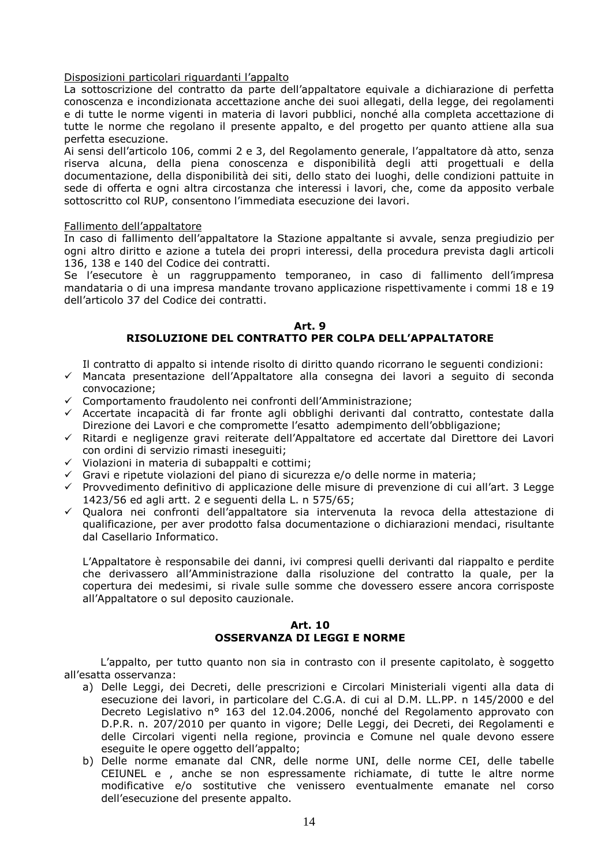#### Disposizioni particolari riguardanti l'appalto

La sottoscrizione del contratto da parte dell'appaltatore equivale a dichiarazione di perfetta conoscenza e incondizionata accettazione anche dei suoi allegati, della legge, dei regolamenti e di tutte le norme vigenti in materia di lavori pubblici, nonché alla completa accettazione di tutte le norme che regolano il presente appalto, e del progetto per quanto attiene alla sua perfetta esecuzione.

Ai sensi dell'articolo 106, commi 2 e 3, del Regolamento generale, l'appaltatore dà atto, senza riserva alcuna, della piena conoscenza e disponibilità degli atti progettuali e della documentazione, della disponibilità dei siti, dello stato dei luoghi, delle condizioni pattuite in sede di offerta e ogni altra circostanza che interessi i lavori, che, come da apposito verbale sottoscritto col RUP, consentono l'immediata esecuzione dei lavori.

#### Fallimento dell'appaltatore

In caso di fallimento dell'appaltatore la Stazione appaltante si avvale, senza pregiudizio per ogni altro diritto e azione a tutela dei propri interessi, della procedura prevista dagli articoli 136, 138 e 140 del Codice dei contratti.

Se l'esecutore è un raggruppamento temporaneo, in caso di fallimento dell'impresa mandataria o di una impresa mandante trovano applicazione rispettivamente i commi 18 e 19 dell'articolo 37 del Codice dei contratti.

#### **Art. 9 RISOLUZIONE DEL CONTRATTO PER COLPA DELL'APPALTATORE**

Il contratto di appalto si intende risolto di diritto quando ricorrano le seguenti condizioni:

- Mancata presentazione dell'Appaltatore alla consegna dei lavori a seguito di seconda convocazione;
- Comportamento fraudolento nei confronti dell'Amministrazione;
- Accertate incapacità di far fronte agli obblighi derivanti dal contratto, contestate dalla Direzione dei Lavori e che compromette l'esatto adempimento dell'obbligazione;
- Ritardi e negligenze gravi reiterate dell'Appaltatore ed accertate dal Direttore dei Lavori con ordini di servizio rimasti ineseguiti;
- Violazioni in materia di subappalti e cottimi;
- Gravi e ripetute violazioni del piano di sicurezza e/o delle norme in materia;
- Provvedimento definitivo di applicazione delle misure di prevenzione di cui all'art. 3 Legge 1423/56 ed agli artt. 2 e seguenti della L. n 575/65;
- Qualora nei confronti dell'appaltatore sia intervenuta la revoca della attestazione di qualificazione, per aver prodotto falsa documentazione o dichiarazioni mendaci, risultante dal Casellario Informatico.

L'Appaltatore è responsabile dei danni, ivi compresi quelli derivanti dal riappalto e perdite che derivassero all'Amministrazione dalla risoluzione del contratto la quale, per la copertura dei medesimi, si rivale sulle somme che dovessero essere ancora corrisposte all'Appaltatore o sul deposito cauzionale.

#### **Art. 10 OSSERVANZA DI LEGGI E NORME**

L'appalto, per tutto quanto non sia in contrasto con il presente capitolato, è soggetto all'esatta osservanza:

- a) Delle Leggi, dei Decreti, delle prescrizioni e Circolari Ministeriali vigenti alla data di esecuzione dei lavori, in particolare del C.G.A. di cui al D.M. LL.PP. n 145/2000 e del Decreto Legislativo n° 163 del 12.04.2006, nonché del Regolamento approvato con D.P.R. n. 207/2010 per quanto in vigore; Delle Leggi, dei Decreti, dei Regolamenti e delle Circolari vigenti nella regione, provincia e Comune nel quale devono essere eseguite le opere oggetto dell'appalto;
- b) Delle norme emanate dal CNR, delle norme UNI, delle norme CEI, delle tabelle CEIUNEL e , anche se non espressamente richiamate, di tutte le altre norme modificative e/o sostitutive che venissero eventualmente emanate nel corso dell'esecuzione del presente appalto.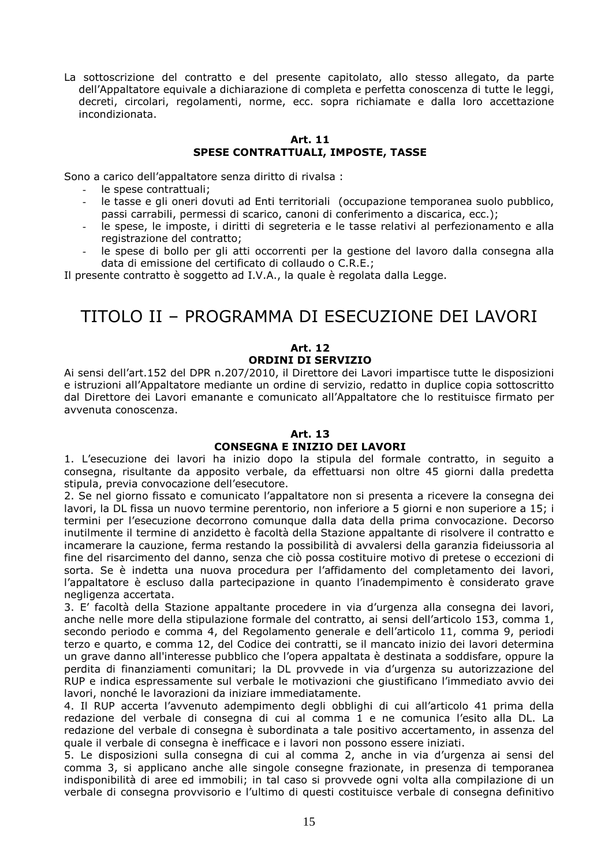La sottoscrizione del contratto e del presente capitolato, allo stesso allegato, da parte dell'Appaltatore equivale a dichiarazione di completa e perfetta conoscenza di tutte le leggi, decreti, circolari, regolamenti, norme, ecc. sopra richiamate e dalla loro accettazione incondizionata.

#### **Art. 11 SPESE CONTRATTUALI, IMPOSTE, TASSE**

Sono a carico dell'appaltatore senza diritto di rivalsa :

- le spese contrattuali:
- le tasse e gli oneri dovuti ad Enti territoriali (occupazione temporanea suolo pubblico, passi carrabili, permessi di scarico, canoni di conferimento a discarica, ecc.);
- le spese, le imposte, i diritti di segreteria e le tasse relativi al perfezionamento e alla registrazione del contratto;
- le spese di bollo per gli atti occorrenti per la gestione del lavoro dalla consegna alla data di emissione del certificato di collaudo o C.R.E.;

Il presente contratto è soggetto ad I.V.A., la quale è regolata dalla Legge.

# TITOLO II – PROGRAMMA DI ESECUZIONE DEI LAVORI

#### **Art. 12 ORDINI DI SERVIZIO**

Ai sensi dell'art.152 del DPR n.207/2010, il Direttore dei Lavori impartisce tutte le disposizioni e istruzioni all'Appaltatore mediante un ordine di servizio, redatto in duplice copia sottoscritto dal Direttore dei Lavori emanante e comunicato all'Appaltatore che lo restituisce firmato per avvenuta conoscenza.

#### **Art. 13**

#### **CONSEGNA E INIZIO DEI LAVORI**

1. L'esecuzione dei lavori ha inizio dopo la stipula del formale contratto, in seguito a consegna, risultante da apposito verbale, da effettuarsi non oltre 45 giorni dalla predetta stipula, previa convocazione dell'esecutore.

2. Se nel giorno fissato e comunicato l'appaltatore non si presenta a ricevere la consegna dei lavori, la DL fissa un nuovo termine perentorio, non inferiore a 5 giorni e non superiore a 15; i termini per l'esecuzione decorrono comunque dalla data della prima convocazione. Decorso inutilmente il termine di anzidetto è facoltà della Stazione appaltante di risolvere il contratto e incamerare la cauzione, ferma restando la possibilità di avvalersi della garanzia fideiussoria al fine del risarcimento del danno, senza che ciò possa costituire motivo di pretese o eccezioni di sorta. Se è indetta una nuova procedura per l'affidamento del completamento dei lavori, l'appaltatore è escluso dalla partecipazione in quanto l'inadempimento è considerato grave negligenza accertata.

3. E' facoltà della Stazione appaltante procedere in via d'urgenza alla consegna dei lavori, anche nelle more della stipulazione formale del contratto, ai sensi dell'articolo 153, comma 1, secondo periodo e comma 4, del Regolamento generale e dell'articolo 11, comma 9, periodi terzo e quarto, e comma 12, del Codice dei contratti, se il mancato inizio dei lavori determina un grave danno all'interesse pubblico che l'opera appaltata è destinata a soddisfare, oppure la perdita di finanziamenti comunitari; la DL provvede in via d'urgenza su autorizzazione del RUP e indica espressamente sul verbale le motivazioni che giustificano l'immediato avvio dei lavori, nonché le lavorazioni da iniziare immediatamente.

4. Il RUP accerta l'avvenuto adempimento degli obblighi di cui all'articolo 41 prima della redazione del verbale di consegna di cui al comma 1 e ne comunica l'esito alla DL. La redazione del verbale di consegna è subordinata a tale positivo accertamento, in assenza del quale il verbale di consegna è inefficace e i lavori non possono essere iniziati.

5. Le disposizioni sulla consegna di cui al comma 2, anche in via d'urgenza ai sensi del comma 3, si applicano anche alle singole consegne frazionate, in presenza di temporanea indisponibilità di aree ed immobili; in tal caso si provvede ogni volta alla compilazione di un verbale di consegna provvisorio e l'ultimo di questi costituisce verbale di consegna definitivo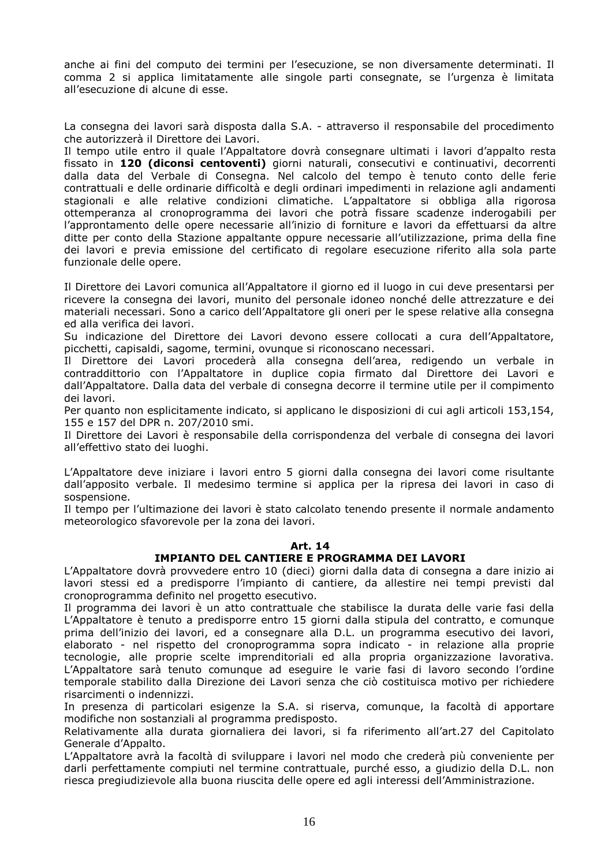anche ai fini del computo dei termini per l'esecuzione, se non diversamente determinati. Il comma 2 si applica limitatamente alle singole parti consegnate, se l'urgenza è limitata all'esecuzione di alcune di esse.

La consegna dei lavori sarà disposta dalla S.A. - attraverso il responsabile del procedimento che autorizzerà il Direttore dei Lavori.

Il tempo utile entro il quale l'Appaltatore dovrà consegnare ultimati i lavori d'appalto resta fissato in **120 (diconsi centoventi)** giorni naturali, consecutivi e continuativi, decorrenti dalla data del Verbale di Consegna. Nel calcolo del tempo è tenuto conto delle ferie contrattuali e delle ordinarie difficoltà e degli ordinari impedimenti in relazione agli andamenti stagionali e alle relative condizioni climatiche. L'appaltatore si obbliga alla rigorosa ottemperanza al cronoprogramma dei lavori che potrà fissare scadenze inderogabili per l'approntamento delle opere necessarie all'inizio di forniture e lavori da effettuarsi da altre ditte per conto della Stazione appaltante oppure necessarie all'utilizzazione, prima della fine dei lavori e previa emissione del certificato di regolare esecuzione riferito alla sola parte funzionale delle opere.

Il Direttore dei Lavori comunica all'Appaltatore il giorno ed il luogo in cui deve presentarsi per ricevere la consegna dei lavori, munito del personale idoneo nonché delle attrezzature e dei materiali necessari. Sono a carico dell'Appaltatore gli oneri per le spese relative alla consegna ed alla verifica dei lavori.

Su indicazione del Direttore dei Lavori devono essere collocati a cura dell'Appaltatore, picchetti, capisaldi, sagome, termini, ovunque si riconoscano necessari.

Il Direttore dei Lavori procederà alla consegna dell'area, redigendo un verbale in contraddittorio con l'Appaltatore in duplice copia firmato dal Direttore dei Lavori e dall'Appaltatore. Dalla data del verbale di consegna decorre il termine utile per il compimento dei lavori.

Per quanto non esplicitamente indicato, si applicano le disposizioni di cui agli articoli 153,154, 155 e 157 del DPR n. 207/2010 smi.

Il Direttore dei Lavori è responsabile della corrispondenza del verbale di consegna dei lavori all'effettivo stato dei luoghi.

L'Appaltatore deve iniziare i lavori entro 5 giorni dalla consegna dei lavori come risultante dall'apposito verbale. Il medesimo termine si applica per la ripresa dei lavori in caso di sospensione.

Il tempo per l'ultimazione dei lavori è stato calcolato tenendo presente il normale andamento meteorologico sfavorevole per la zona dei lavori.

#### **Art. 14**

#### **IMPIANTO DEL CANTIERE E PROGRAMMA DEI LAVORI**

L'Appaltatore dovrà provvedere entro 10 (dieci) giorni dalla data di consegna a dare inizio ai lavori stessi ed a predisporre l'impianto di cantiere, da allestire nei tempi previsti dal cronoprogramma definito nel progetto esecutivo.

Il programma dei lavori è un atto contrattuale che stabilisce la durata delle varie fasi della L'Appaltatore è tenuto a predisporre entro 15 giorni dalla stipula del contratto, e comunque prima dell'inizio dei lavori, ed a consegnare alla D.L. un programma esecutivo dei lavori, elaborato - nel rispetto del cronoprogramma sopra indicato - in relazione alla proprie tecnologie, alle proprie scelte imprenditoriali ed alla propria organizzazione lavorativa. L'Appaltatore sarà tenuto comunque ad eseguire le varie fasi di lavoro secondo l'ordine temporale stabilito dalla Direzione dei Lavori senza che ciò costituisca motivo per richiedere risarcimenti o indennizzi.

In presenza di particolari esigenze la S.A. si riserva, comunque, la facoltà di apportare modifiche non sostanziali al programma predisposto.

Relativamente alla durata giornaliera dei lavori, si fa riferimento all'art.27 del Capitolato Generale d'Appalto.

L'Appaltatore avrà la facoltà di sviluppare i lavori nel modo che crederà più conveniente per darli perfettamente compiuti nel termine contrattuale, purché esso, a giudizio della D.L. non riesca pregiudizievole alla buona riuscita delle opere ed agli interessi dell'Amministrazione.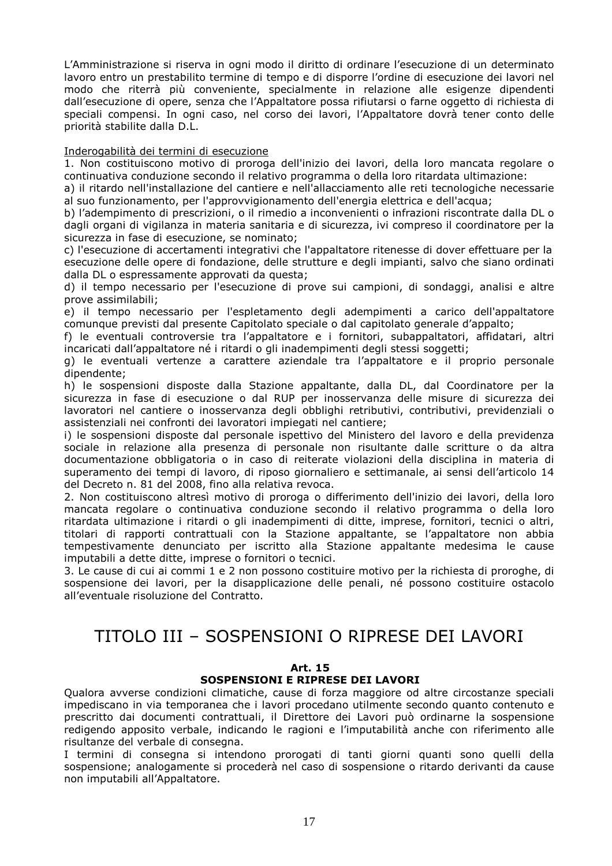L'Amministrazione si riserva in ogni modo il diritto di ordinare l'esecuzione di un determinato lavoro entro un prestabilito termine di tempo e di disporre l'ordine di esecuzione dei lavori nel modo che riterrà più conveniente, specialmente in relazione alle esigenze dipendenti dall'esecuzione di opere, senza che l'Appaltatore possa rifiutarsi o farne oggetto di richiesta di speciali compensi. In ogni caso, nel corso dei lavori, l'Appaltatore dovrà tener conto delle priorità stabilite dalla D.L.

#### Inderogabilità dei termini di esecuzione

1. Non costituiscono motivo di proroga dell'inizio dei lavori, della loro mancata regolare o continuativa conduzione secondo il relativo programma o della loro ritardata ultimazione:

a) il ritardo nell'installazione del cantiere e nell'allacciamento alle reti tecnologiche necessarie al suo funzionamento, per l'approvvigionamento dell'energia elettrica e dell'acqua;

b) l'adempimento di prescrizioni, o il rimedio a inconvenienti o infrazioni riscontrate dalla DL o dagli organi di vigilanza in materia sanitaria e di sicurezza, ivi compreso il coordinatore per la sicurezza in fase di esecuzione, se nominato;

c) l'esecuzione di accertamenti integrativi che l'appaltatore ritenesse di dover effettuare per la esecuzione delle opere di fondazione, delle strutture e degli impianti, salvo che siano ordinati dalla DL o espressamente approvati da questa;

d) il tempo necessario per l'esecuzione di prove sui campioni, di sondaggi, analisi e altre prove assimilabili;

e) il tempo necessario per l'espletamento degli adempimenti a carico dell'appaltatore comunque previsti dal presente Capitolato speciale o dal capitolato generale d'appalto;

f) le eventuali controversie tra l'appaltatore e i fornitori, subappaltatori, affidatari, altri incaricati dall'appaltatore né i ritardi o gli inadempimenti degli stessi soggetti;

g) le eventuali vertenze a carattere aziendale tra l'appaltatore e il proprio personale dipendente;

h) le sospensioni disposte dalla Stazione appaltante, dalla DL, dal Coordinatore per la sicurezza in fase di esecuzione o dal RUP per inosservanza delle misure di sicurezza dei lavoratori nel cantiere o inosservanza degli obblighi retributivi, contributivi, previdenziali o assistenziali nei confronti dei lavoratori impiegati nel cantiere;

i) le sospensioni disposte dal personale ispettivo del Ministero del lavoro e della previdenza sociale in relazione alla presenza di personale non risultante dalle scritture o da altra documentazione obbligatoria o in caso di reiterate violazioni della disciplina in materia di superamento dei tempi di lavoro, di riposo giornaliero e settimanale, ai sensi dell'articolo 14 del Decreto n. 81 del 2008, fino alla relativa revoca.

2. Non costituiscono altresì motivo di proroga o differimento dell'inizio dei lavori, della loro mancata regolare o continuativa conduzione secondo il relativo programma o della loro ritardata ultimazione i ritardi o gli inadempimenti di ditte, imprese, fornitori, tecnici o altri, titolari di rapporti contrattuali con la Stazione appaltante, se l'appaltatore non abbia tempestivamente denunciato per iscritto alla Stazione appaltante medesima le cause imputabili a dette ditte, imprese o fornitori o tecnici.

3. Le cause di cui ai commi 1 e 2 non possono costituire motivo per la richiesta di proroghe, di sospensione dei lavori, per la disapplicazione delle penali, né possono costituire ostacolo all'eventuale risoluzione del Contratto.

# TITOLO III – SOSPENSIONI O RIPRESE DEI LAVORI

#### **Art. 15**

#### **SOSPENSIONI E RIPRESE DEI LAVORI**

Qualora avverse condizioni climatiche, cause di forza maggiore od altre circostanze speciali impediscano in via temporanea che i lavori procedano utilmente secondo quanto contenuto e prescritto dai documenti contrattuali, il Direttore dei Lavori può ordinarne la sospensione redigendo apposito verbale, indicando le ragioni e l'imputabilità anche con riferimento alle risultanze del verbale di consegna.

I termini di consegna si intendono prorogati di tanti giorni quanti sono quelli della sospensione; analogamente si procederà nel caso di sospensione o ritardo derivanti da cause non imputabili all'Appaltatore.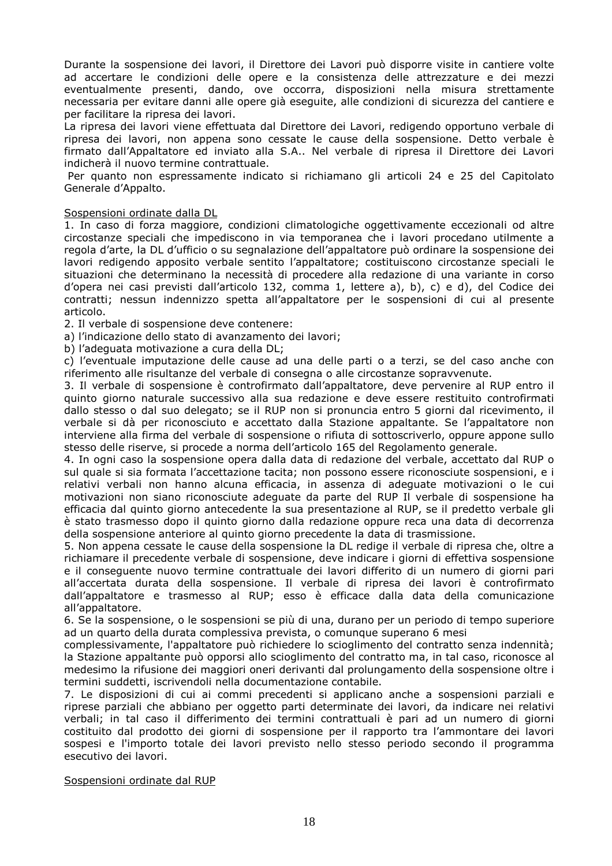Durante la sospensione dei lavori, il Direttore dei Lavori può disporre visite in cantiere volte ad accertare le condizioni delle opere e la consistenza delle attrezzature e dei mezzi eventualmente presenti, dando, ove occorra, disposizioni nella misura strettamente necessaria per evitare danni alle opere già eseguite, alle condizioni di sicurezza del cantiere e per facilitare la ripresa dei lavori.

La ripresa dei lavori viene effettuata dal Direttore dei Lavori, redigendo opportuno verbale di ripresa dei lavori, non appena sono cessate le cause della sospensione. Detto verbale è firmato dall'Appaltatore ed inviato alla S.A.. Nel verbale di ripresa il Direttore dei Lavori indicherà il nuovo termine contrattuale.

 Per quanto non espressamente indicato si richiamano gli articoli 24 e 25 del Capitolato Generale d'Appalto.

#### Sospensioni ordinate dalla DL

1. In caso di forza maggiore, condizioni climatologiche oggettivamente eccezionali od altre circostanze speciali che impediscono in via temporanea che i lavori procedano utilmente a regola d'arte, la DL d'ufficio o su segnalazione dell'appaltatore può ordinare la sospensione dei lavori redigendo apposito verbale sentito l'appaltatore; costituiscono circostanze speciali le situazioni che determinano la necessità di procedere alla redazione di una variante in corso d'opera nei casi previsti dall'articolo 132, comma 1, lettere a), b), c) e d), del Codice dei contratti; nessun indennizzo spetta all'appaltatore per le sospensioni di cui al presente articolo.

2. Il verbale di sospensione deve contenere:

a) l'indicazione dello stato di avanzamento dei lavori;

b) l'adeguata motivazione a cura della DL;

c) l'eventuale imputazione delle cause ad una delle parti o a terzi, se del caso anche con riferimento alle risultanze del verbale di consegna o alle circostanze sopravvenute.

3. Il verbale di sospensione è controfirmato dall'appaltatore, deve pervenire al RUP entro il quinto giorno naturale successivo alla sua redazione e deve essere restituito controfirmati dallo stesso o dal suo delegato; se il RUP non si pronuncia entro 5 giorni dal ricevimento, il verbale si dà per riconosciuto e accettato dalla Stazione appaltante. Se l'appaltatore non interviene alla firma del verbale di sospensione o rifiuta di sottoscriverlo, oppure appone sullo stesso delle riserve, si procede a norma dell'articolo 165 del Regolamento generale.

4. In ogni caso la sospensione opera dalla data di redazione del verbale, accettato dal RUP o sul quale si sia formata l'accettazione tacita; non possono essere riconosciute sospensioni, e i relativi verbali non hanno alcuna efficacia, in assenza di adeguate motivazioni o le cui motivazioni non siano riconosciute adeguate da parte del RUP Il verbale di sospensione ha efficacia dal quinto giorno antecedente la sua presentazione al RUP, se il predetto verbale gli è stato trasmesso dopo il quinto giorno dalla redazione oppure reca una data di decorrenza della sospensione anteriore al quinto giorno precedente la data di trasmissione.

5. Non appena cessate le cause della sospensione la DL redige il verbale di ripresa che, oltre a richiamare il precedente verbale di sospensione, deve indicare i giorni di effettiva sospensione e il conseguente nuovo termine contrattuale dei lavori differito di un numero di giorni pari all'accertata durata della sospensione. Il verbale di ripresa dei lavori è controfirmato dall'appaltatore e trasmesso al RUP; esso è efficace dalla data della comunicazione all'appaltatore.

6. Se la sospensione, o le sospensioni se più di una, durano per un periodo di tempo superiore ad un quarto della durata complessiva prevista, o comunque superano 6 mesi

complessivamente, l'appaltatore può richiedere lo scioglimento del contratto senza indennità; la Stazione appaltante può opporsi allo scioglimento del contratto ma, in tal caso, riconosce al medesimo la rifusione dei maggiori oneri derivanti dal prolungamento della sospensione oltre i termini suddetti, iscrivendoli nella documentazione contabile.

7. Le disposizioni di cui ai commi precedenti si applicano anche a sospensioni parziali e riprese parziali che abbiano per oggetto parti determinate dei lavori, da indicare nei relativi verbali; in tal caso il differimento dei termini contrattuali è pari ad un numero di giorni costituito dal prodotto dei giorni di sospensione per il rapporto tra l'ammontare dei lavori sospesi e l'importo totale dei lavori previsto nello stesso periodo secondo il programma esecutivo dei lavori.

#### Sospensioni ordinate dal RUP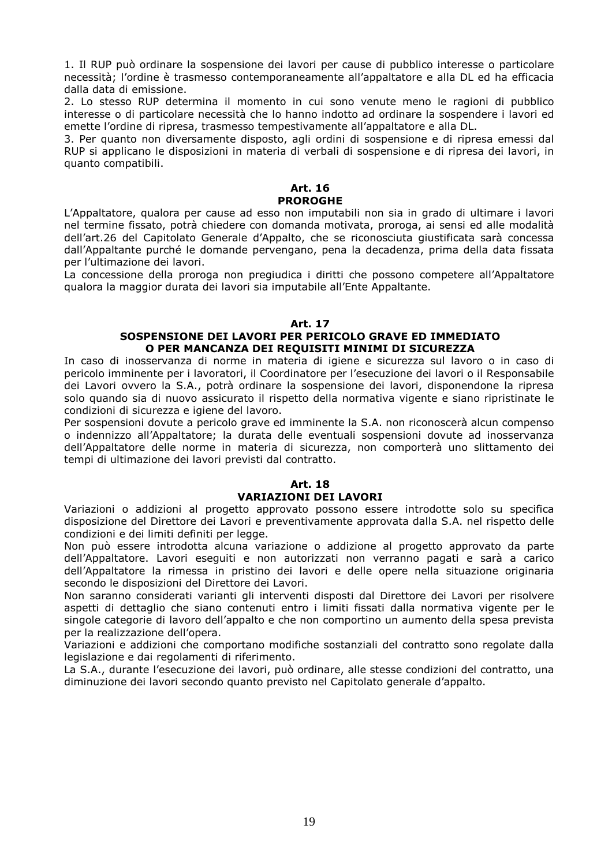1. Il RUP può ordinare la sospensione dei lavori per cause di pubblico interesse o particolare necessità; l'ordine è trasmesso contemporaneamente all'appaltatore e alla DL ed ha efficacia dalla data di emissione.

2. Lo stesso RUP determina il momento in cui sono venute meno le ragioni di pubblico interesse o di particolare necessità che lo hanno indotto ad ordinare la sospendere i lavori ed emette l'ordine di ripresa, trasmesso tempestivamente all'appaltatore e alla DL.

3. Per quanto non diversamente disposto, agli ordini di sospensione e di ripresa emessi dal RUP si applicano le disposizioni in materia di verbali di sospensione e di ripresa dei lavori, in quanto compatibili.

#### **Art. 16 PROROGHE**

L'Appaltatore, qualora per cause ad esso non imputabili non sia in grado di ultimare i lavori nel termine fissato, potrà chiedere con domanda motivata, proroga, ai sensi ed alle modalità dell'art.26 del Capitolato Generale d'Appalto, che se riconosciuta giustificata sarà concessa dall'Appaltante purché le domande pervengano, pena la decadenza, prima della data fissata per l'ultimazione dei lavori.

La concessione della proroga non pregiudica i diritti che possono competere all'Appaltatore qualora la maggior durata dei lavori sia imputabile all'Ente Appaltante.

#### **Art. 17**

#### **SOSPENSIONE DEI LAVORI PER PERICOLO GRAVE ED IMMEDIATO O PER MANCANZA DEI REQUISITI MINIMI DI SICUREZZA**

In caso di inosservanza di norme in materia di igiene e sicurezza sul lavoro o in caso di pericolo imminente per i lavoratori, il Coordinatore per l'esecuzione dei lavori o il Responsabile dei Lavori ovvero la S.A., potrà ordinare la sospensione dei lavori, disponendone la ripresa solo quando sia di nuovo assicurato il rispetto della normativa vigente e siano ripristinate le condizioni di sicurezza e igiene del lavoro.

Per sospensioni dovute a pericolo grave ed imminente la S.A. non riconoscerà alcun compenso o indennizzo all'Appaltatore; la durata delle eventuali sospensioni dovute ad inosservanza dell'Appaltatore delle norme in materia di sicurezza, non comporterà uno slittamento dei tempi di ultimazione dei lavori previsti dal contratto.

#### **Art. 18 VARIAZIONI DEI LAVORI**

Variazioni o addizioni al progetto approvato possono essere introdotte solo su specifica disposizione del Direttore dei Lavori e preventivamente approvata dalla S.A. nel rispetto delle condizioni e dei limiti definiti per legge.

Non può essere introdotta alcuna variazione o addizione al progetto approvato da parte dell'Appaltatore. Lavori eseguiti e non autorizzati non verranno pagati e sarà a carico dell'Appaltatore la rimessa in pristino dei lavori e delle opere nella situazione originaria secondo le disposizioni del Direttore dei Lavori.

Non saranno considerati varianti gli interventi disposti dal Direttore dei Lavori per risolvere aspetti di dettaglio che siano contenuti entro i limiti fissati dalla normativa vigente per le singole categorie di lavoro dell'appalto e che non comportino un aumento della spesa prevista per la realizzazione dell'opera.

Variazioni e addizioni che comportano modifiche sostanziali del contratto sono regolate dalla legislazione e dai regolamenti di riferimento.

La S.A., durante l'esecuzione dei lavori, può ordinare, alle stesse condizioni del contratto, una diminuzione dei lavori secondo quanto previsto nel Capitolato generale d'appalto.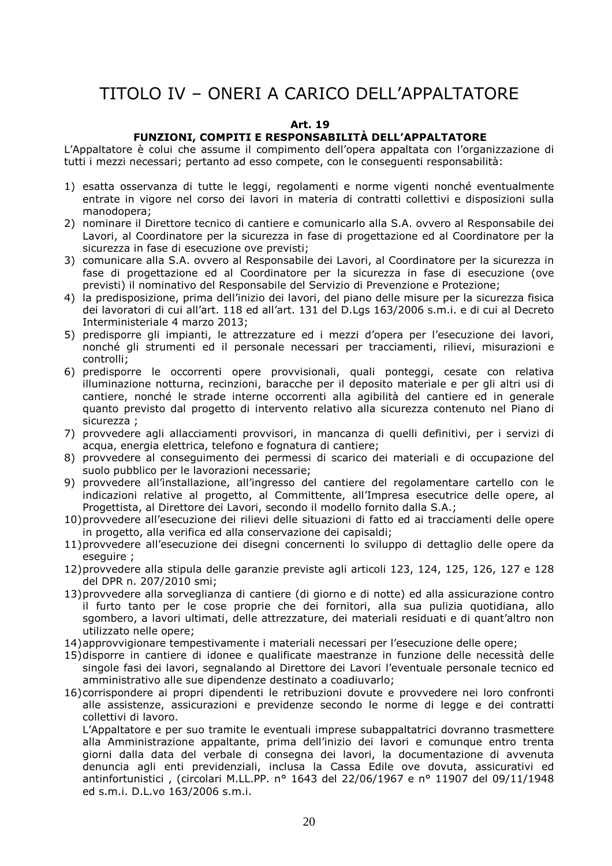# TITOLO IV – ONERI A CARICO DELL'APPALTATORE

#### **Art. 19**

#### **FUNZIONI, COMPITI E RESPONSABILITÀ DELL'APPALTATORE**

L'Appaltatore è colui che assume il compimento dell'opera appaltata con l'organizzazione di tutti i mezzi necessari; pertanto ad esso compete, con le conseguenti responsabilità:

- 1) esatta osservanza di tutte le leggi, regolamenti e norme vigenti nonché eventualmente entrate in vigore nel corso dei lavori in materia di contratti collettivi e disposizioni sulla manodopera;
- 2) nominare il Direttore tecnico di cantiere e comunicarlo alla S.A. ovvero al Responsabile dei Lavori, al Coordinatore per la sicurezza in fase di progettazione ed al Coordinatore per la sicurezza in fase di esecuzione ove previsti;
- 3) comunicare alla S.A. ovvero al Responsabile dei Lavori, al Coordinatore per la sicurezza in fase di progettazione ed al Coordinatore per la sicurezza in fase di esecuzione (ove previsti) il nominativo del Responsabile del Servizio di Prevenzione e Protezione;
- 4) la predisposizione, prima dell'inizio dei lavori, del piano delle misure per la sicurezza fisica dei lavoratori di cui all'art. 118 ed all'art. 131 del D.Lgs 163/2006 s.m.i. e di cui al Decreto Interministeriale 4 marzo 2013;
- 5) predisporre gli impianti, le attrezzature ed i mezzi d'opera per l'esecuzione dei lavori, nonché gli strumenti ed il personale necessari per tracciamenti, rilievi, misurazioni e controlli;
- 6) predisporre le occorrenti opere provvisionali, quali ponteggi, cesate con relativa illuminazione notturna, recinzioni, baracche per il deposito materiale e per gli altri usi di cantiere, nonché le strade interne occorrenti alla agibilità del cantiere ed in generale quanto previsto dal progetto di intervento relativo alla sicurezza contenuto nel Piano di sicurezza ;
- 7) provvedere agli allacciamenti provvisori, in mancanza di quelli definitivi, per i servizi di acqua, energia elettrica, telefono e fognatura di cantiere;
- 8) provvedere al conseguimento dei permessi di scarico dei materiali e di occupazione del suolo pubblico per le lavorazioni necessarie;
- 9) provvedere all'installazione, all'ingresso del cantiere del regolamentare cartello con le indicazioni relative al progetto, al Committente, all'Impresa esecutrice delle opere, al Progettista, al Direttore dei Lavori, secondo il modello fornito dalla S.A.;
- 10)provvedere all'esecuzione dei rilievi delle situazioni di fatto ed ai tracciamenti delle opere in progetto, alla verifica ed alla conservazione dei capisaldi;
- 11)provvedere all'esecuzione dei disegni concernenti lo sviluppo di dettaglio delle opere da eseguire ;
- 12)provvedere alla stipula delle garanzie previste agli articoli 123, 124, 125, 126, 127 e 128 del DPR n. 207/2010 smi;
- 13)provvedere alla sorveglianza di cantiere (di giorno e di notte) ed alla assicurazione contro il furto tanto per le cose proprie che dei fornitori, alla sua pulizia quotidiana, allo sgombero, a lavori ultimati, delle attrezzature, dei materiali residuati e di quant'altro non utilizzato nelle opere;
- 14)approvvigionare tempestivamente i materiali necessari per l'esecuzione delle opere;
- 15)disporre in cantiere di idonee e qualificate maestranze in funzione delle necessità delle singole fasi dei lavori, segnalando al Direttore dei Lavori l'eventuale personale tecnico ed amministrativo alle sue dipendenze destinato a coadiuvarlo;
- 16)corrispondere ai propri dipendenti le retribuzioni dovute e provvedere nei loro confronti alle assistenze, assicurazioni e previdenze secondo le norme di legge e dei contratti collettivi di lavoro.

L'Appaltatore e per suo tramite le eventuali imprese subappaltatrici dovranno trasmettere alla Amministrazione appaltante, prima dell'inizio dei lavori e comunque entro trenta giorni dalla data del verbale di consegna dei lavori, la documentazione di avvenuta denuncia agli enti previdenziali, inclusa la Cassa Edile ove dovuta, assicurativi ed antinfortunistici , (circolari M.LL.PP. n° 1643 del 22/06/1967 e n° 11907 del 09/11/1948 ed s.m.i. D.L.vo 163/2006 s.m.i.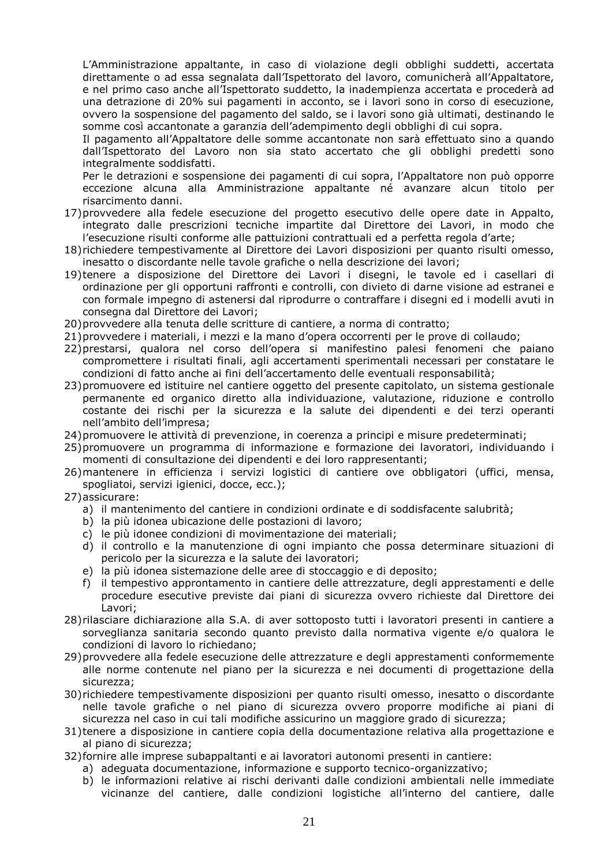L'Amministrazione appaltante, in caso di violazione degli obblighi suddetti, accertata direttamente o ad essa segnalata dall'Ispettorato del lavoro, comunicherà all'Appaltatore, e nel primo caso anche all'Ispettorato suddetto, la inadempienza accertata e procederà ad una detrazione di 20% sui pagamenti in acconto, se i lavori sono in corso di esecuzione, ovvero la sospensione del pagamento del saldo, se i lavori sono già ultimati, destinando le somme così accantonate a garanzia dell'adempimento degli obblighi di cui sopra.

Il pagamento all'Appaltatore delle somme accantonate non sarà effettuato sino a quando dall'Ispettorato del Lavoro non sia stato accertato che gli obblighi predetti sono integralmente soddisfatti.

Per le detrazioni e sospensione dei pagamenti di cui sopra, l'Appaltatore non può opporre eccezione alcuna alla Amministrazione appaltante né avanzare alcun titolo per risarcimento danni.

- 17)provvedere alla fedele esecuzione del progetto esecutivo delle opere date in Appalto, integrato dalle prescrizioni tecniche impartite dal Direttore dei Lavori, in modo che l'esecuzione risulti conforme alle pattuizioni contrattuali ed a perfetta regola d'arte;
- 18)richiedere tempestivamente al Direttore dei Lavori disposizioni per quanto risulti omesso, inesatto o discordante nelle tavole grafiche o nella descrizione dei lavori;
- 19)tenere a disposizione del Direttore dei Lavori i disegni, le tavole ed i casellari di ordinazione per gli opportuni raffronti e controlli, con divieto di darne visione ad estranei e con formale impegno di astenersi dal riprodurre o contraffare i disegni ed i modelli avuti in consegna dal Direttore dei Lavori;
- 20)provvedere alla tenuta delle scritture di cantiere, a norma di contratto;
- 21)provvedere i materiali, i mezzi e la mano d'opera occorrenti per le prove di collaudo;
- 22)prestarsi, qualora nel corso dell'opera si manifestino palesi fenomeni che paiano compromettere i risultati finali, agli accertamenti sperimentali necessari per constatare le condizioni di fatto anche ai fini dell'accertamento delle eventuali responsabilità;
- 23)promuovere ed istituire nel cantiere oggetto del presente capitolato, un sistema gestionale permanente ed organico diretto alla individuazione, valutazione, riduzione e controllo costante dei rischi per la sicurezza e la salute dei dipendenti e dei terzi operanti nell'ambito dell'impresa;
- 24)promuovere le attività di prevenzione, in coerenza a principi e misure predeterminati;
- 25)promuovere un programma di informazione e formazione dei lavoratori, individuando i momenti di consultazione dei dipendenti e dei loro rappresentanti;
- 26)mantenere in efficienza i servizi logistici di cantiere ove obbligatori (uffici, mensa, spogliatoi, servizi igienici, docce, ecc.);
- 27)assicurare:
	- a) il mantenimento del cantiere in condizioni ordinate e di soddisfacente salubrità;
	- b) la più idonea ubicazione delle postazioni di lavoro;
	- c) le più idonee condizioni di movimentazione dei materiali;
	- d) il controllo e la manutenzione di ogni impianto che possa determinare situazioni di pericolo per la sicurezza e la salute dei lavoratori;
	- e) la più idonea sistemazione delle aree di stoccaggio e di deposito;
	- f) il tempestivo approntamento in cantiere delle attrezzature, degli apprestamenti e delle procedure esecutive previste dai piani di sicurezza ovvero richieste dal Direttore dei Lavori;
- 28)rilasciare dichiarazione alla S.A. di aver sottoposto tutti i lavoratori presenti in cantiere a sorveglianza sanitaria secondo quanto previsto dalla normativa vigente e/o qualora le condizioni di lavoro lo richiedano;
- 29)provvedere alla fedele esecuzione delle attrezzature e degli apprestamenti conformemente alle norme contenute nel piano per la sicurezza e nei documenti di progettazione della sicurezza;
- 30)richiedere tempestivamente disposizioni per quanto risulti omesso, inesatto o discordante nelle tavole grafiche o nel piano di sicurezza ovvero proporre modifiche ai piani di sicurezza nel caso in cui tali modifiche assicurino un maggiore grado di sicurezza;
- 31)tenere a disposizione in cantiere copia della documentazione relativa alla progettazione e al piano di sicurezza;
- 32)fornire alle imprese subappaltanti e ai lavoratori autonomi presenti in cantiere:
	- a) adeguata documentazione, informazione e supporto tecnico-organizzativo;
	- b) le informazioni relative ai rischi derivanti dalle condizioni ambientali nelle immediate vicinanze del cantiere, dalle condizioni logistiche all'interno del cantiere, dalle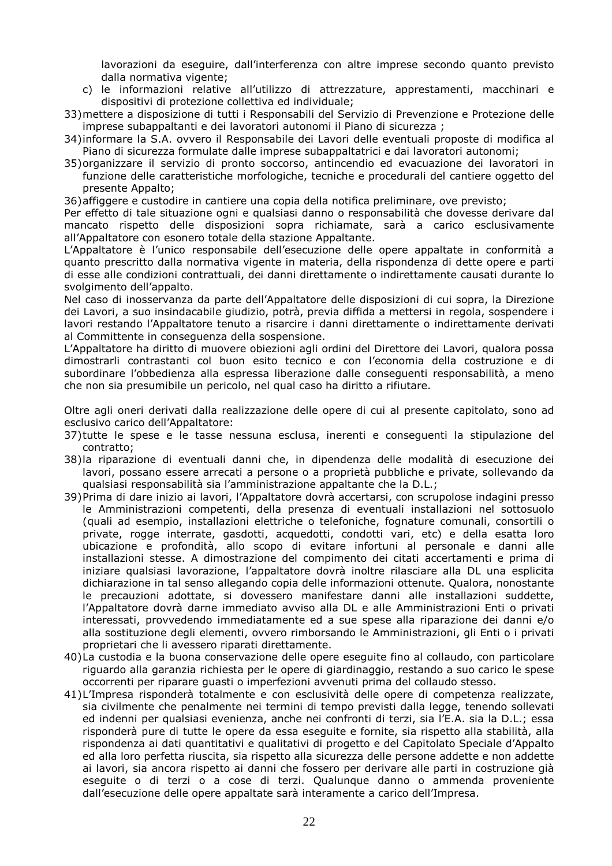lavorazioni da eseguire, dall'interferenza con altre imprese secondo quanto previsto dalla normativa vigente;

- c) le informazioni relative all'utilizzo di attrezzature, apprestamenti, macchinari e dispositivi di protezione collettiva ed individuale;
- 33)mettere a disposizione di tutti i Responsabili del Servizio di Prevenzione e Protezione delle imprese subappaltanti e dei lavoratori autonomi il Piano di sicurezza ;
- 34)informare la S.A. ovvero il Responsabile dei Lavori delle eventuali proposte di modifica al Piano di sicurezza formulate dalle imprese subappaltatrici e dai lavoratori autonomi;
- 35)organizzare il servizio di pronto soccorso, antincendio ed evacuazione dei lavoratori in funzione delle caratteristiche morfologiche, tecniche e procedurali del cantiere oggetto del presente Appalto;

36)affiggere e custodire in cantiere una copia della notifica preliminare, ove previsto;

Per effetto di tale situazione ogni e qualsiasi danno o responsabilità che dovesse derivare dal mancato rispetto delle disposizioni sopra richiamate, sarà a carico esclusivamente all'Appaltatore con esonero totale della stazione Appaltante.

L'Appaltatore è l'unico responsabile dell'esecuzione delle opere appaltate in conformità a quanto prescritto dalla normativa vigente in materia, della rispondenza di dette opere e parti di esse alle condizioni contrattuali, dei danni direttamente o indirettamente causati durante lo svolgimento dell'appalto.

Nel caso di inosservanza da parte dell'Appaltatore delle disposizioni di cui sopra, la Direzione dei Lavori, a suo insindacabile giudizio, potrà, previa diffida a mettersi in regola, sospendere i lavori restando l'Appaltatore tenuto a risarcire i danni direttamente o indirettamente derivati al Committente in conseguenza della sospensione.

L'Appaltatore ha diritto di muovere obiezioni agli ordini del Direttore dei Lavori, qualora possa dimostrarli contrastanti col buon esito tecnico e con l'economia della costruzione e di subordinare l'obbedienza alla espressa liberazione dalle conseguenti responsabilità, a meno che non sia presumibile un pericolo, nel qual caso ha diritto a rifiutare.

Oltre agli oneri derivati dalla realizzazione delle opere di cui al presente capitolato, sono ad esclusivo carico dell'Appaltatore:

- 37)tutte le spese e le tasse nessuna esclusa, inerenti e conseguenti la stipulazione del contratto;
- 38)la riparazione di eventuali danni che, in dipendenza delle modalità di esecuzione dei lavori, possano essere arrecati a persone o a proprietà pubbliche e private, sollevando da qualsiasi responsabilità sia l'amministrazione appaltante che la D.L.;
- 39)Prima di dare inizio ai lavori, l'Appaltatore dovrà accertarsi, con scrupolose indagini presso le Amministrazioni competenti, della presenza di eventuali installazioni nel sottosuolo (quali ad esempio, installazioni elettriche o telefoniche, fognature comunali, consortili o private, rogge interrate, gasdotti, acquedotti, condotti vari, etc) e della esatta loro ubicazione e profondità, allo scopo di evitare infortuni al personale e danni alle installazioni stesse. A dimostrazione del compimento dei citati accertamenti e prima di iniziare qualsiasi lavorazione, l'appaltatore dovrà inoltre rilasciare alla DL una esplicita dichiarazione in tal senso allegando copia delle informazioni ottenute. Qualora, nonostante le precauzioni adottate, si dovessero manifestare danni alle installazioni suddette, l'Appaltatore dovrà darne immediato avviso alla DL e alle Amministrazioni Enti o privati interessati, provvedendo immediatamente ed a sue spese alla riparazione dei danni e/o alla sostituzione degli elementi, ovvero rimborsando le Amministrazioni, gli Enti o i privati proprietari che li avessero riparati direttamente.
- 40)La custodia e la buona conservazione delle opere eseguite fino al collaudo, con particolare riguardo alla garanzia richiesta per le opere di giardinaggio, restando a suo carico le spese occorrenti per riparare guasti o imperfezioni avvenuti prima del collaudo stesso.
- 41)L'Impresa risponderà totalmente e con esclusività delle opere di competenza realizzate, sia civilmente che penalmente nei termini di tempo previsti dalla legge, tenendo sollevati ed indenni per qualsiasi evenienza, anche nei confronti di terzi, sia l'E.A. sia la D.L.; essa risponderà pure di tutte le opere da essa eseguite e fornite, sia rispetto alla stabilità, alla rispondenza ai dati quantitativi e qualitativi di progetto e del Capitolato Speciale d'Appalto ed alla loro perfetta riuscita, sia rispetto alla sicurezza delle persone addette e non addette ai lavori, sia ancora rispetto ai danni che fossero per derivare alle parti in costruzione già eseguite o di terzi o a cose di terzi. Qualunque danno o ammenda proveniente dall'esecuzione delle opere appaltate sarà interamente a carico dell'Impresa.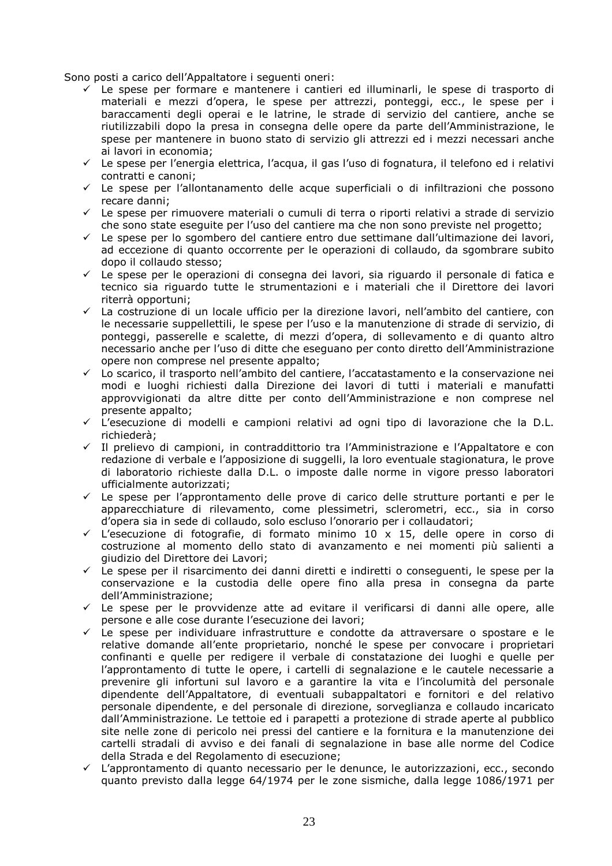Sono posti a carico dell'Appaltatore i seguenti oneri:

- $\checkmark$  Le spese per formare e mantenere i cantieri ed illuminarli, le spese di trasporto di materiali e mezzi d'opera, le spese per attrezzi, ponteggi, ecc., le spese per i baraccamenti degli operai e le latrine, le strade di servizio del cantiere, anche se riutilizzabili dopo la presa in consegna delle opere da parte dell'Amministrazione, le spese per mantenere in buono stato di servizio gli attrezzi ed i mezzi necessari anche ai lavori in economia;
- Le spese per l'energia elettrica, l'acqua, il gas l'uso di fognatura, il telefono ed i relativi contratti e canoni;
- Le spese per l'allontanamento delle acque superficiali o di infiltrazioni che possono recare danni;
- Le spese per rimuovere materiali o cumuli di terra o riporti relativi a strade di servizio che sono state eseguite per l'uso del cantiere ma che non sono previste nel progetto;
- Le spese per lo sgombero del cantiere entro due settimane dall'ultimazione dei lavori, ad eccezione di quanto occorrente per le operazioni di collaudo, da sgombrare subito dopo il collaudo stesso;
- $\checkmark$  Le spese per le operazioni di consegna dei lavori, sia riguardo il personale di fatica e tecnico sia riguardo tutte le strumentazioni e i materiali che il Direttore dei lavori riterrà opportuni;
- $\checkmark$  La costruzione di un locale ufficio per la direzione lavori, nell'ambito del cantiere, con le necessarie suppellettili, le spese per l'uso e la manutenzione di strade di servizio, di ponteggi, passerelle e scalette, di mezzi d'opera, di sollevamento e di quanto altro necessario anche per l'uso di ditte che eseguano per conto diretto dell'Amministrazione opere non comprese nel presente appalto;
- Lo scarico, il trasporto nell'ambito del cantiere, l'accatastamento e la conservazione nei modi e luoghi richiesti dalla Direzione dei lavori di tutti i materiali e manufatti approvvigionati da altre ditte per conto dell'Amministrazione e non comprese nel presente appalto;
- L'esecuzione di modelli e campioni relativi ad ogni tipo di lavorazione che la D.L. richiederà;
- Il prelievo di campioni, in contraddittorio tra l'Amministrazione e l'Appaltatore e con redazione di verbale e l'apposizione di suggelli, la loro eventuale stagionatura, le prove di laboratorio richieste dalla D.L. o imposte dalle norme in vigore presso laboratori ufficialmente autorizzati;
- $\checkmark$  Le spese per l'approntamento delle prove di carico delle strutture portanti e per le apparecchiature di rilevamento, come plessimetri, sclerometri, ecc., sia in corso d'opera sia in sede di collaudo, solo escluso l'onorario per i collaudatori;
- L'esecuzione di fotografie, di formato minimo 10 x 15, delle opere in corso di costruzione al momento dello stato di avanzamento e nei momenti più salienti a giudizio del Direttore dei Lavori;
- Le spese per il risarcimento dei danni diretti e indiretti o conseguenti, le spese per la conservazione e la custodia delle opere fino alla presa in consegna da parte dell'Amministrazione;
- Le spese per le provvidenze atte ad evitare il verificarsi di danni alle opere, alle persone e alle cose durante l'esecuzione dei lavori;
- $\checkmark$  Le spese per individuare infrastrutture e condotte da attraversare o spostare e le relative domande all'ente proprietario, nonché le spese per convocare i proprietari confinanti e quelle per redigere il verbale di constatazione dei luoghi e quelle per l'approntamento di tutte le opere, i cartelli di segnalazione e le cautele necessarie a prevenire gli infortuni sul lavoro e a garantire la vita e l'incolumità del personale dipendente dell'Appaltatore, di eventuali subappaltatori e fornitori e del relativo personale dipendente, e del personale di direzione, sorveglianza e collaudo incaricato dall'Amministrazione. Le tettoie ed i parapetti a protezione di strade aperte al pubblico site nelle zone di pericolo nei pressi del cantiere e la fornitura e la manutenzione dei cartelli stradali di avviso e dei fanali di segnalazione in base alle norme del Codice della Strada e del Regolamento di esecuzione;
- L'approntamento di quanto necessario per le denunce, le autorizzazioni, ecc., secondo quanto previsto dalla legge 64/1974 per le zone sismiche, dalla legge 1086/1971 per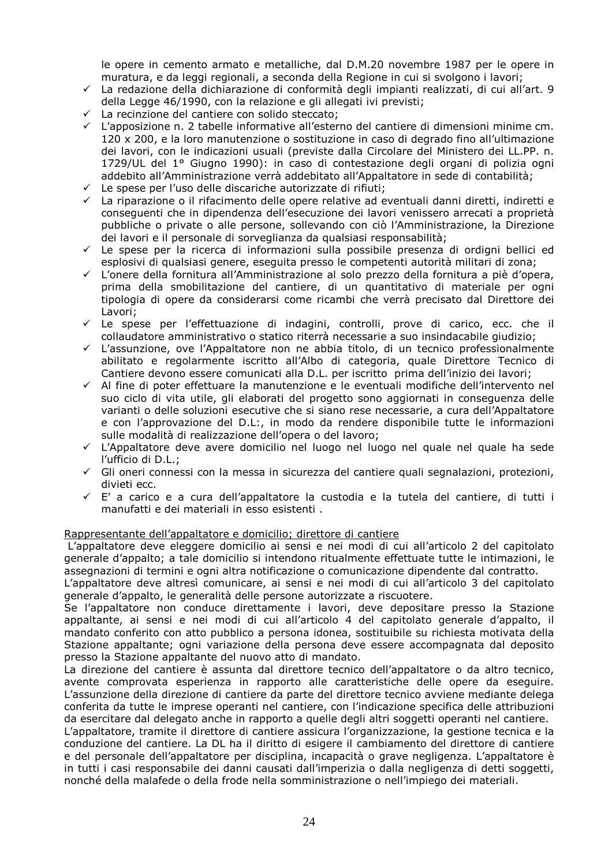le opere in cemento armato e metalliche, dal D.M.20 novembre 1987 per le opere in muratura, e da leggi regionali, a seconda della Regione in cui si svolgono i lavori;

- $\checkmark$  La redazione della dichiarazione di conformità degli impianti realizzati, di cui all'art. 9 della Legge 46/1990, con la relazione e gli allegati ivi previsti;
- La recinzione del cantiere con solido steccato;
- L'apposizione n. 2 tabelle informative all'esterno del cantiere di dimensioni minime cm. 120 x 200, e la loro manutenzione o sostituzione in caso di degrado fino all'ultimazione dei lavori, con le indicazioni usuali (previste dalla Circolare del Ministero dei LL.PP. n. 1729/UL del 1° Giugno 1990): in caso di contestazione degli organi di polizia ogni addebito all'Amministrazione verrà addebitato all'Appaltatore in sede di contabilità;
- Le spese per l'uso delle discariche autorizzate di rifiuti;
- La riparazione o il rifacimento delle opere relative ad eventuali danni diretti, indiretti e conseguenti che in dipendenza dell'esecuzione dei lavori venissero arrecati a proprietà pubbliche o private o alle persone, sollevando con ciò l'Amministrazione, la Direzione dei lavori e il personale di sorveglianza da qualsiasi responsabilità;
- Le spese per la ricerca di informazioni sulla possibile presenza di ordigni bellici ed esplosivi di qualsiasi genere, eseguita presso le competenti autorità militari di zona;
- L'onere della fornitura all'Amministrazione al solo prezzo della fornitura a piè d'opera, prima della smobilitazione del cantiere, di un quantitativo di materiale per ogni tipologia di opere da considerarsi come ricambi che verrà precisato dal Direttore dei Lavori;
- Le spese per l'effettuazione di indagini, controlli, prove di carico, ecc. che il collaudatore amministrativo o statico riterrà necessarie a suo insindacabile giudizio;
- L'assunzione, ove l'Appaltatore non ne abbia titolo, di un tecnico professionalmente abilitato e regolarmente iscritto all'Albo di categoria, quale Direttore Tecnico di Cantiere devono essere comunicati alla D.L. per iscritto prima dell'inizio dei lavori;
- Al fine di poter effettuare la manutenzione e le eventuali modifiche dell'intervento nel suo ciclo di vita utile, gli elaborati del progetto sono aggiornati in conseguenza delle varianti o delle soluzioni esecutive che si siano rese necessarie, a cura dell'Appaltatore e con l'approvazione del D.L:, in modo da rendere disponibile tutte le informazioni sulle modalità di realizzazione dell'opera o del lavoro;
- L'Appaltatore deve avere domicilio nel luogo nel luogo nel quale nel quale ha sede l'ufficio di D.L.;
- Gli oneri connessi con la messa in sicurezza del cantiere quali segnalazioni, protezioni, divieti ecc.
- $\checkmark$  E' a carico e a cura dell'appaltatore la custodia e la tutela del cantiere, di tutti i manufatti e dei materiali in esso esistenti .

#### Rappresentante dell'appaltatore e domicilio; direttore di cantiere

 L'appaltatore deve eleggere domicilio ai sensi e nei modi di cui all'articolo 2 del capitolato generale d'appalto; a tale domicilio si intendono ritualmente effettuate tutte le intimazioni, le assegnazioni di termini e ogni altra notificazione o comunicazione dipendente dal contratto.

L'appaltatore deve altresì comunicare, ai sensi e nei modi di cui all'articolo 3 del capitolato generale d'appalto, le generalità delle persone autorizzate a riscuotere.

Se l'appaltatore non conduce direttamente i lavori, deve depositare presso la Stazione appaltante, ai sensi e nei modi di cui all'articolo 4 del capitolato generale d'appalto, il mandato conferito con atto pubblico a persona idonea, sostituibile su richiesta motivata della Stazione appaltante; ogni variazione della persona deve essere accompagnata dal deposito presso la Stazione appaltante del nuovo atto di mandato.

La direzione del cantiere è assunta dal direttore tecnico dell'appaltatore o da altro tecnico, avente comprovata esperienza in rapporto alle caratteristiche delle opere da eseguire. L'assunzione della direzione di cantiere da parte del direttore tecnico avviene mediante delega conferita da tutte le imprese operanti nel cantiere, con l'indicazione specifica delle attribuzioni da esercitare dal delegato anche in rapporto a quelle degli altri soggetti operanti nel cantiere.

L'appaltatore, tramite il direttore di cantiere assicura l'organizzazione, la gestione tecnica e la conduzione del cantiere. La DL ha il diritto di esigere il cambiamento del direttore di cantiere e del personale dell'appaltatore per disciplina, incapacità o grave negligenza. L'appaltatore è in tutti i casi responsabile dei danni causati dall'imperizia o dalla negligenza di detti soggetti, nonché della malafede o della frode nella somministrazione o nell'impiego dei materiali.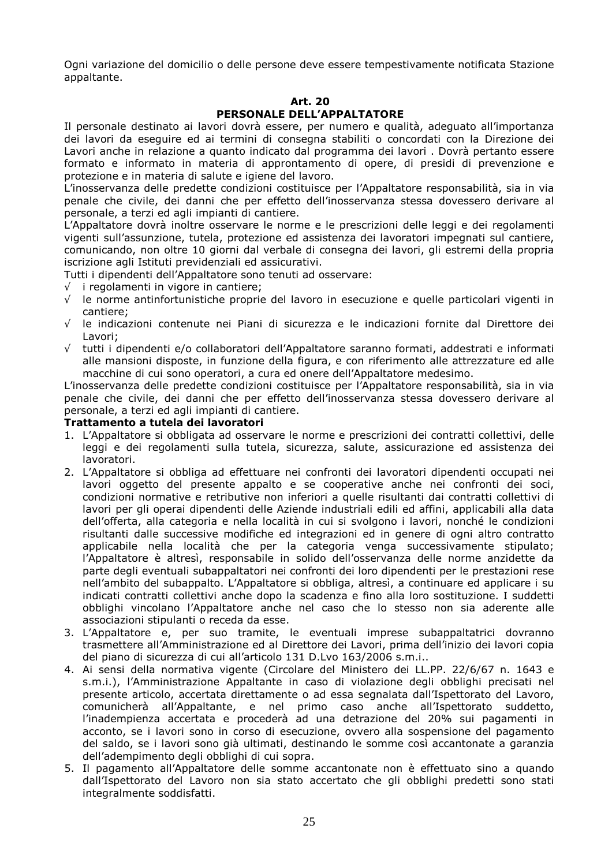Ogni variazione del domicilio o delle persone deve essere tempestivamente notificata Stazione appaltante.

#### **Art. 20**

#### **PERSONALE DELL'APPALTATORE**

Il personale destinato ai lavori dovrà essere, per numero e qualità, adeguato all'importanza dei lavori da eseguire ed ai termini di consegna stabiliti o concordati con la Direzione dei Lavori anche in relazione a quanto indicato dal programma dei lavori . Dovrà pertanto essere formato e informato in materia di approntamento di opere, di presidi di prevenzione e protezione e in materia di salute e igiene del lavoro.

L'inosservanza delle predette condizioni costituisce per l'Appaltatore responsabilità, sia in via penale che civile, dei danni che per effetto dell'inosservanza stessa dovessero derivare al personale, a terzi ed agli impianti di cantiere.

L'Appaltatore dovrà inoltre osservare le norme e le prescrizioni delle leggi e dei regolamenti vigenti sull'assunzione, tutela, protezione ed assistenza dei lavoratori impegnati sul cantiere, comunicando, non oltre 10 giorni dal verbale di consegna dei lavori, gli estremi della propria iscrizione agli Istituti previdenziali ed assicurativi.

Tutti i dipendenti dell'Appaltatore sono tenuti ad osservare:

- √ i regolamenti in vigore in cantiere;
- $\sqrt{\phantom{a}}$  le norme antinfortunistiche proprie del lavoro in esecuzione e quelle particolari vigenti in cantiere;
- √ le indicazioni contenute nei Piani di sicurezza e le indicazioni fornite dal Direttore dei Lavori;
- √ tutti i dipendenti e/o collaboratori dell'Appaltatore saranno formati, addestrati e informati alle mansioni disposte, in funzione della figura, e con riferimento alle attrezzature ed alle macchine di cui sono operatori, a cura ed onere dell'Appaltatore medesimo.

L'inosservanza delle predette condizioni costituisce per l'Appaltatore responsabilità, sia in via penale che civile, dei danni che per effetto dell'inosservanza stessa dovessero derivare al personale, a terzi ed agli impianti di cantiere.

#### **Trattamento a tutela dei lavoratori**

- 1. L'Appaltatore si obbligata ad osservare le norme e prescrizioni dei contratti collettivi, delle leggi e dei regolamenti sulla tutela, sicurezza, salute, assicurazione ed assistenza dei lavoratori.
- 2. L'Appaltatore si obbliga ad effettuare nei confronti dei lavoratori dipendenti occupati nei lavori oggetto del presente appalto e se cooperative anche nei confronti dei soci, condizioni normative e retributive non inferiori a quelle risultanti dai contratti collettivi di lavori per gli operai dipendenti delle Aziende industriali edili ed affini, applicabili alla data dell'offerta, alla categoria e nella località in cui si svolgono i lavori, nonché le condizioni risultanti dalle successive modifiche ed integrazioni ed in genere di ogni altro contratto applicabile nella località che per la categoria venga successivamente stipulato; l'Appaltatore è altresì, responsabile in solido dell'osservanza delle norme anzidette da parte degli eventuali subappaltatori nei confronti dei loro dipendenti per le prestazioni rese nell'ambito del subappalto. L'Appaltatore si obbliga, altresì, a continuare ed applicare i su indicati contratti collettivi anche dopo la scadenza e fino alla loro sostituzione. I suddetti obblighi vincolano l'Appaltatore anche nel caso che lo stesso non sia aderente alle associazioni stipulanti o receda da esse.
- 3. L'Appaltatore e, per suo tramite, le eventuali imprese subappaltatrici dovranno trasmettere all'Amministrazione ed al Direttore dei Lavori, prima dell'inizio dei lavori copia del piano di sicurezza di cui all'articolo 131 D.Lvo 163/2006 s.m.i..
- 4. Ai sensi della normativa vigente (Circolare del Ministero dei LL.PP. 22/6/67 n. 1643 e s.m.i.), l'Amministrazione Appaltante in caso di violazione degli obblighi precisati nel presente articolo, accertata direttamente o ad essa segnalata dall'Ispettorato del Lavoro, comunicherà all'Appaltante, e nel primo caso anche all'Ispettorato suddetto, l'inadempienza accertata e procederà ad una detrazione del 20% sui pagamenti in acconto, se i lavori sono in corso di esecuzione, ovvero alla sospensione del pagamento del saldo, se i lavori sono già ultimati, destinando le somme così accantonate a garanzia dell'adempimento degli obblighi di cui sopra.
- 5. Il pagamento all'Appaltatore delle somme accantonate non è effettuato sino a quando dall'Ispettorato del Lavoro non sia stato accertato che gli obblighi predetti sono stati integralmente soddisfatti.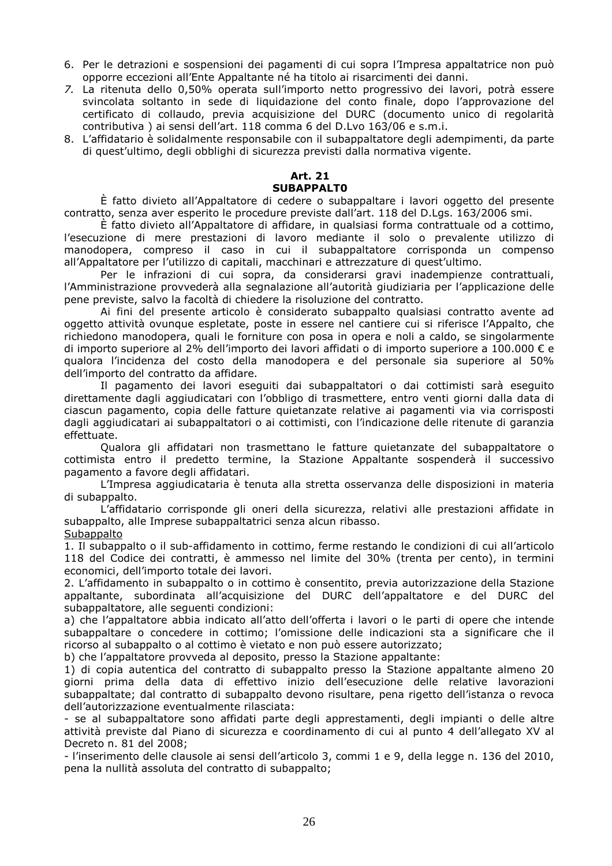- 6. Per le detrazioni e sospensioni dei pagamenti di cui sopra l'Impresa appaltatrice non può opporre eccezioni all'Ente Appaltante né ha titolo ai risarcimenti dei danni.
- *7.* La ritenuta dello 0,50% operata sull'importo netto progressivo dei lavori, potrà essere svincolata soltanto in sede di liquidazione del conto finale, dopo l'approvazione del certificato di collaudo, previa acquisizione del DURC (documento unico di regolarità contributiva ) ai sensi dell'art. 118 comma 6 del D.Lvo 163/06 e s.m.i.
- 8. L'affidatario è solidalmente responsabile con il subappaltatore degli adempimenti, da parte di quest'ultimo, degli obblighi di sicurezza previsti dalla normativa vigente.

#### **Art. 21 SUBAPPALT0**

È fatto divieto all'Appaltatore di cedere o subappaltare i lavori oggetto del presente contratto, senza aver esperito le procedure previste dall'art. 118 del D.Lgs. 163/2006 smi.

È fatto divieto all'Appaltatore di affidare, in qualsiasi forma contrattuale od a cottimo, l'esecuzione di mere prestazioni di lavoro mediante il solo o prevalente utilizzo di manodopera, compreso il caso in cui il subappaltatore corrisponda un compenso all'Appaltatore per l'utilizzo di capitali, macchinari e attrezzature di quest'ultimo.

Per le infrazioni di cui sopra, da considerarsi gravi inadempienze contrattuali, l'Amministrazione provvederà alla segnalazione all'autorità giudiziaria per l'applicazione delle pene previste, salvo la facoltà di chiedere la risoluzione del contratto.

Ai fini del presente articolo è considerato subappalto qualsiasi contratto avente ad oggetto attività ovunque espletate, poste in essere nel cantiere cui si riferisce l'Appalto, che richiedono manodopera, quali le forniture con posa in opera e noli a caldo, se singolarmente di importo superiore al 2% dell'importo dei lavori affidati o di importo superiore a 100.000 € e qualora l'incidenza del costo della manodopera e del personale sia superiore al 50% dell'importo del contratto da affidare.

Il pagamento dei lavori eseguiti dai subappaltatori o dai cottimisti sarà eseguito direttamente dagli aggiudicatari con l'obbligo di trasmettere, entro venti giorni dalla data di ciascun pagamento, copia delle fatture quietanzate relative ai pagamenti via via corrisposti dagli aggiudicatari ai subappaltatori o ai cottimisti, con l'indicazione delle ritenute di garanzia effettuate.

Qualora gli affidatari non trasmettano le fatture quietanzate del subappaltatore o cottimista entro il predetto termine, la Stazione Appaltante sospenderà il successivo pagamento a favore degli affidatari.

L'Impresa aggiudicataria è tenuta alla stretta osservanza delle disposizioni in materia di subappalto.

L'affidatario corrisponde gli oneri della sicurezza, relativi alle prestazioni affidate in subappalto, alle Imprese subappaltatrici senza alcun ribasso.

#### **Subappalto**

1. Il subappalto o il sub-affidamento in cottimo, ferme restando le condizioni di cui all'articolo 118 del Codice dei contratti, è ammesso nel limite del 30% (trenta per cento), in termini economici, dell'importo totale dei lavori.

2. L'affidamento in subappalto o in cottimo è consentito, previa autorizzazione della Stazione appaltante, subordinata all'acquisizione del DURC dell'appaltatore e del DURC del subappaltatore, alle seguenti condizioni:

a) che l'appaltatore abbia indicato all'atto dell'offerta i lavori o le parti di opere che intende subappaltare o concedere in cottimo; l'omissione delle indicazioni sta a significare che il ricorso al subappalto o al cottimo è vietato e non può essere autorizzato;

b) che l'appaltatore provveda al deposito, presso la Stazione appaltante:

1) di copia autentica del contratto di subappalto presso la Stazione appaltante almeno 20 giorni prima della data di effettivo inizio dell'esecuzione delle relative lavorazioni subappaltate; dal contratto di subappalto devono risultare, pena rigetto dell'istanza o revoca dell'autorizzazione eventualmente rilasciata:

- se al subappaltatore sono affidati parte degli apprestamenti, degli impianti o delle altre attività previste dal Piano di sicurezza e coordinamento di cui al punto 4 dell'allegato XV al Decreto n. 81 del 2008;

- l'inserimento delle clausole ai sensi dell'articolo 3, commi 1 e 9, della legge n. 136 del 2010, pena la nullità assoluta del contratto di subappalto;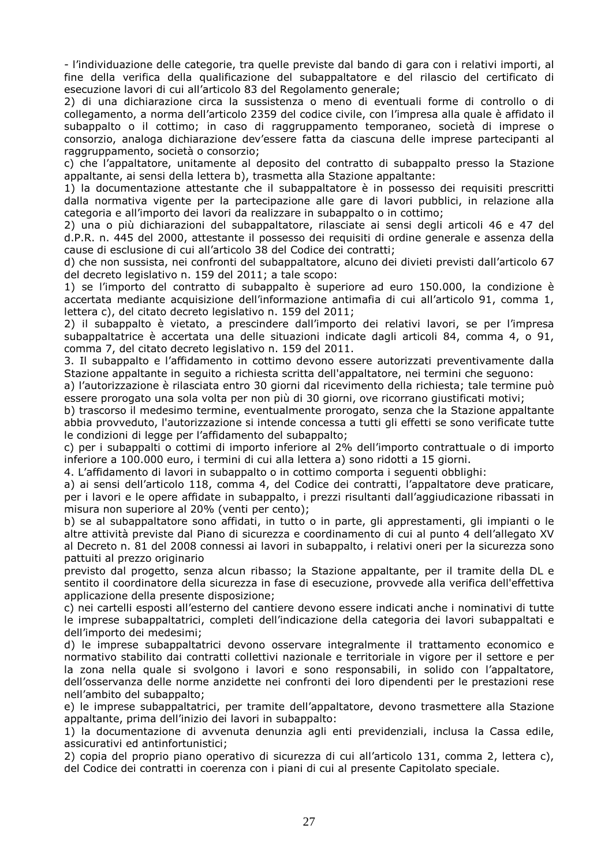- l'individuazione delle categorie, tra quelle previste dal bando di gara con i relativi importi, al fine della verifica della qualificazione del subappaltatore e del rilascio del certificato di esecuzione lavori di cui all'articolo 83 del Regolamento generale;

2) di una dichiarazione circa la sussistenza o meno di eventuali forme di controllo o di collegamento, a norma dell'articolo 2359 del codice civile, con l'impresa alla quale è affidato il subappalto o il cottimo; in caso di raggruppamento temporaneo, società di imprese o consorzio, analoga dichiarazione dev'essere fatta da ciascuna delle imprese partecipanti al raggruppamento, società o consorzio;

c) che l'appaltatore, unitamente al deposito del contratto di subappalto presso la Stazione appaltante, ai sensi della lettera b), trasmetta alla Stazione appaltante:

1) la documentazione attestante che il subappaltatore è in possesso dei requisiti prescritti dalla normativa vigente per la partecipazione alle gare di lavori pubblici, in relazione alla categoria e all'importo dei lavori da realizzare in subappalto o in cottimo;

2) una o più dichiarazioni del subappaltatore, rilasciate ai sensi degli articoli 46 e 47 del d.P.R. n. 445 del 2000, attestante il possesso dei requisiti di ordine generale e assenza della cause di esclusione di cui all'articolo 38 del Codice dei contratti;

d) che non sussista, nei confronti del subappaltatore, alcuno dei divieti previsti dall'articolo 67 del decreto legislativo n. 159 del 2011; a tale scopo:

1) se l'importo del contratto di subappalto è superiore ad euro 150.000, la condizione è accertata mediante acquisizione dell'informazione antimafia di cui all'articolo 91, comma 1, lettera c), del citato decreto legislativo n. 159 del 2011;

2) il subappalto è vietato, a prescindere dall'importo dei relativi lavori, se per l'impresa subappaltatrice è accertata una delle situazioni indicate dagli articoli 84, comma 4, o 91, comma 7, del citato decreto legislativo n. 159 del 2011.

3. Il subappalto e l'affidamento in cottimo devono essere autorizzati preventivamente dalla Stazione appaltante in seguito a richiesta scritta dell'appaltatore, nei termini che seguono:

a) l'autorizzazione è rilasciata entro 30 giorni dal ricevimento della richiesta; tale termine può essere prorogato una sola volta per non più di 30 giorni, ove ricorrano giustificati motivi;

b) trascorso il medesimo termine, eventualmente prorogato, senza che la Stazione appaltante abbia provveduto, l'autorizzazione si intende concessa a tutti gli effetti se sono verificate tutte le condizioni di legge per l'affidamento del subappalto;

c) per i subappalti o cottimi di importo inferiore al 2% dell'importo contrattuale o di importo inferiore a 100.000 euro, i termini di cui alla lettera a) sono ridotti a 15 giorni.

4. L'affidamento di lavori in subappalto o in cottimo comporta i seguenti obblighi:

a) ai sensi dell'articolo 118, comma 4, del Codice dei contratti, l'appaltatore deve praticare, per i lavori e le opere affidate in subappalto, i prezzi risultanti dall'aggiudicazione ribassati in misura non superiore al 20% (venti per cento);

b) se al subappaltatore sono affidati, in tutto o in parte, gli apprestamenti, gli impianti o le altre attività previste dal Piano di sicurezza e coordinamento di cui al punto 4 dell'allegato XV al Decreto n. 81 del 2008 connessi ai lavori in subappalto, i relativi oneri per la sicurezza sono pattuiti al prezzo originario

previsto dal progetto, senza alcun ribasso; la Stazione appaltante, per il tramite della DL e sentito il coordinatore della sicurezza in fase di esecuzione, provvede alla verifica dell'effettiva applicazione della presente disposizione;

c) nei cartelli esposti all'esterno del cantiere devono essere indicati anche i nominativi di tutte le imprese subappaltatrici, completi dell'indicazione della categoria dei lavori subappaltati e dell'importo dei medesimi;

d) le imprese subappaltatrici devono osservare integralmente il trattamento economico e normativo stabilito dai contratti collettivi nazionale e territoriale in vigore per il settore e per la zona nella quale si svolgono i lavori e sono responsabili, in solido con l'appaltatore, dell'osservanza delle norme anzidette nei confronti dei loro dipendenti per le prestazioni rese nell'ambito del subappalto;

e) le imprese subappaltatrici, per tramite dell'appaltatore, devono trasmettere alla Stazione appaltante, prima dell'inizio dei lavori in subappalto:

1) la documentazione di avvenuta denunzia agli enti previdenziali, inclusa la Cassa edile, assicurativi ed antinfortunistici;

2) copia del proprio piano operativo di sicurezza di cui all'articolo 131, comma 2, lettera c), del Codice dei contratti in coerenza con i piani di cui al presente Capitolato speciale.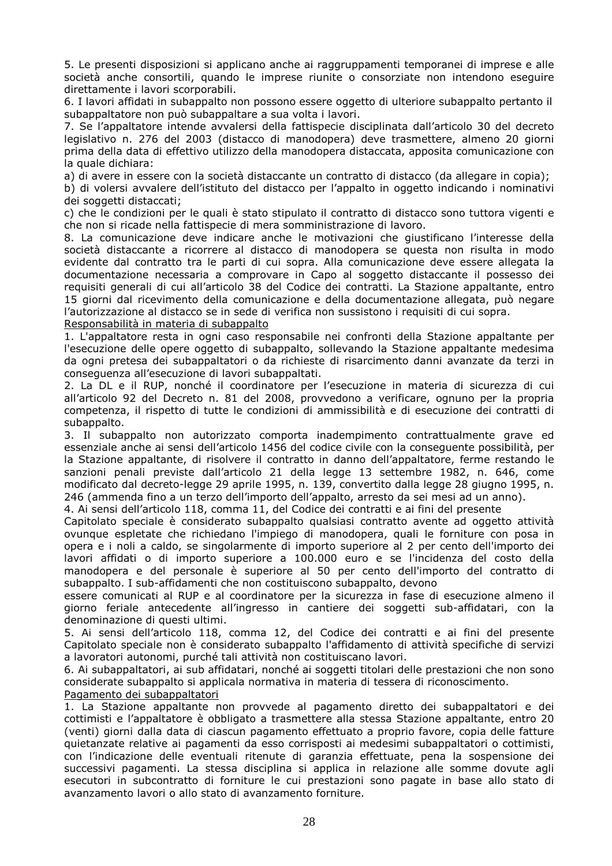5. Le presenti disposizioni si applicano anche ai raggruppamenti temporanei di imprese e alle società anche consortili, quando le imprese riunite o consorziate non intendono eseguire direttamente i lavori scorporabili.

6. I lavori affidati in subappalto non possono essere oggetto di ulteriore subappalto pertanto il subappaltatore non può subappaltare a sua volta i lavori.

7. Se l'appaltatore intende avvalersi della fattispecie disciplinata dall'articolo 30 del decreto legislativo n. 276 del 2003 (distacco di manodopera) deve trasmettere, almeno 20 giorni prima della data di effettivo utilizzo della manodopera distaccata, apposita comunicazione con la quale dichiara:

a) di avere in essere con la società distaccante un contratto di distacco (da allegare in copia);

b) di volersi avvalere dell'istituto del distacco per l'appalto in oggetto indicando i nominativi dei soggetti distaccati;

c) che le condizioni per le quali è stato stipulato il contratto di distacco sono tuttora vigenti e che non si ricade nella fattispecie di mera somministrazione di lavoro.

8. La comunicazione deve indicare anche le motivazioni che giustificano l'interesse della società distaccante a ricorrere al distacco di manodopera se questa non risulta in modo evidente dal contratto tra le parti di cui sopra. Alla comunicazione deve essere allegata la documentazione necessaria a comprovare in Capo al soggetto distaccante il possesso dei requisiti generali di cui all'articolo 38 del Codice dei contratti. La Stazione appaltante, entro 15 giorni dal ricevimento della comunicazione e della documentazione allegata, può negare l'autorizzazione al distacco se in sede di verifica non sussistono i requisiti di cui sopra.

Responsabilità in materia di subappalto

1. L'appaltatore resta in ogni caso responsabile nei confronti della Stazione appaltante per l'esecuzione delle opere oggetto di subappalto, sollevando la Stazione appaltante medesima da ogni pretesa dei subappaltatori o da richieste di risarcimento danni avanzate da terzi in conseguenza all'esecuzione di lavori subappaltati.

2. La DL e il RUP, nonché il coordinatore per l'esecuzione in materia di sicurezza di cui all'articolo 92 del Decreto n. 81 del 2008, provvedono a verificare, ognuno per la propria competenza, il rispetto di tutte le condizioni di ammissibilità e di esecuzione dei contratti di subappalto.

3. Il subappalto non autorizzato comporta inadempimento contrattualmente grave ed essenziale anche ai sensi dell'articolo 1456 del codice civile con la conseguente possibilità, per la Stazione appaltante, di risolvere il contratto in danno dell'appaltatore, ferme restando le sanzioni penali previste dall'articolo 21 della legge 13 settembre 1982, n. 646, come modificato dal decreto-legge 29 aprile 1995, n. 139, convertito dalla legge 28 giugno 1995, n. 246 (ammenda fino a un terzo dell'importo dell'appalto, arresto da sei mesi ad un anno).

4. Ai sensi dell'articolo 118, comma 11, del Codice dei contratti e ai fini del presente

Capitolato speciale è considerato subappalto qualsiasi contratto avente ad oggetto attività ovunque espletate che richiedano l'impiego di manodopera, quali le forniture con posa in opera e i noli a caldo, se singolarmente di importo superiore al 2 per cento dell'importo dei lavori affidati o di importo superiore a 100.000 euro e se l'incidenza del costo della manodopera e del personale è superiore al 50 per cento dell'importo del contratto di subappalto. I sub-affidamenti che non costituiscono subappalto, devono

essere comunicati al RUP e al coordinatore per la sicurezza in fase di esecuzione almeno il giorno feriale antecedente all'ingresso in cantiere dei soggetti sub-affidatari, con la denominazione di questi ultimi.

5. Ai sensi dell'articolo 118, comma 12, del Codice dei contratti e ai fini del presente Capitolato speciale non è considerato subappalto l'affidamento di attività specifiche di servizi a lavoratori autonomi, purché tali attività non costituiscano lavori.

6. Ai subappaltatori, ai sub affidatari, nonché ai soggetti titolari delle prestazioni che non sono considerate subappalto si applicala normativa in materia di tessera di riconoscimento. Pagamento dei subappaltatori

1. La Stazione appaltante non provvede al pagamento diretto dei subappaltatori e dei cottimisti e l'appaltatore è obbligato a trasmettere alla stessa Stazione appaltante, entro 20 (venti) giorni dalla data di ciascun pagamento effettuato a proprio favore, copia delle fatture quietanzate relative ai pagamenti da esso corrisposti ai medesimi subappaltatori o cottimisti, con l'indicazione delle eventuali ritenute di garanzia effettuate, pena la sospensione dei successivi pagamenti. La stessa disciplina si applica in relazione alle somme dovute agli esecutori in subcontratto di forniture le cui prestazioni sono pagate in base allo stato di avanzamento lavori o allo stato di avanzamento forniture.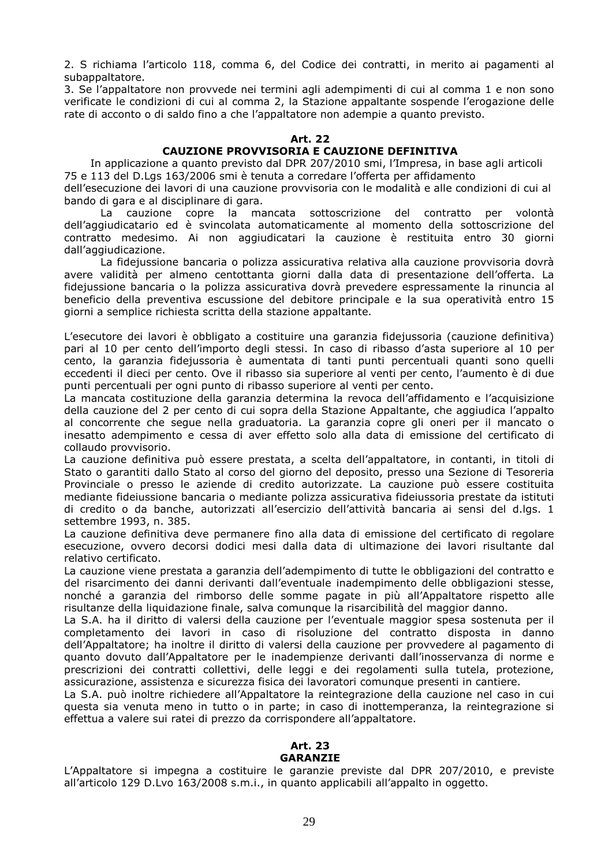2. S richiama l'articolo 118, comma 6, del Codice dei contratti, in merito ai pagamenti al subappaltatore.

3. Se l'appaltatore non provvede nei termini agli adempimenti di cui al comma 1 e non sono verificate le condizioni di cui al comma 2, la Stazione appaltante sospende l'erogazione delle rate di acconto o di saldo fino a che l'appaltatore non adempie a quanto previsto.

#### **Art. 22**

#### **CAUZIONE PROVVISORIA E CAUZIONE DEFINITIVA**

 In applicazione a quanto previsto dal DPR 207/2010 smi, l'Impresa, in base agli articoli 75 e 113 del D.Lgs 163/2006 smi è tenuta a corredare l'offerta per affidamento

dell'esecuzione dei lavori di una cauzione provvisoria con le modalità e alle condizioni di cui al bando di gara e al disciplinare di gara.

La cauzione copre la mancata sottoscrizione del contratto per volontà dell'aggiudicatario ed è svincolata automaticamente al momento della sottoscrizione del contratto medesimo. Ai non aggiudicatari la cauzione è restituita entro 30 giorni dall'aggiudicazione.

La fidejussione bancaria o polizza assicurativa relativa alla cauzione provvisoria dovrà avere validità per almeno centottanta giorni dalla data di presentazione dell'offerta. La fidejussione bancaria o la polizza assicurativa dovrà prevedere espressamente la rinuncia al beneficio della preventiva escussione del debitore principale e la sua operatività entro 15 giorni a semplice richiesta scritta della stazione appaltante.

L'esecutore dei lavori è obbligato a costituire una garanzia fidejussoria (cauzione definitiva) pari al 10 per cento dell'importo degli stessi. In caso di ribasso d'asta superiore al 10 per cento, la garanzia fidejussoria è aumentata di tanti punti percentuali quanti sono quelli eccedenti il dieci per cento. Ove il ribasso sia superiore al venti per cento, l'aumento è di due punti percentuali per ogni punto di ribasso superiore al venti per cento.

La mancata costituzione della garanzia determina la revoca dell'affidamento e l'acquisizione della cauzione del 2 per cento di cui sopra della Stazione Appaltante, che aggiudica l'appalto al concorrente che segue nella graduatoria. La garanzia copre gli oneri per il mancato o inesatto adempimento e cessa di aver effetto solo alla data di emissione del certificato di collaudo provvisorio.

La cauzione definitiva può essere prestata, a scelta dell'appaltatore, in contanti, in titoli di Stato o garantiti dallo Stato al corso del giorno del deposito, presso una Sezione di Tesoreria Provinciale o presso le aziende di credito autorizzate. La cauzione può essere costituita mediante fideiussione bancaria o mediante polizza assicurativa fideiussoria prestate da istituti di credito o da banche, autorizzati all'esercizio dell'attività bancaria ai sensi del d.lgs. 1 settembre 1993, n. 385.

La cauzione definitiva deve permanere fino alla data di emissione del certificato di regolare esecuzione, ovvero decorsi dodici mesi dalla data di ultimazione dei lavori risultante dal relativo certificato.

La cauzione viene prestata a garanzia dell'adempimento di tutte le obbligazioni del contratto e del risarcimento dei danni derivanti dall'eventuale inadempimento delle obbligazioni stesse, nonché a garanzia del rimborso delle somme pagate in più all'Appaltatore rispetto alle risultanze della liquidazione finale, salva comunque la risarcibilità del maggior danno.

La S.A. ha il diritto di valersi della cauzione per l'eventuale maggior spesa sostenuta per il completamento dei lavori in caso di risoluzione del contratto disposta in danno dell'Appaltatore; ha inoltre il diritto di valersi della cauzione per provvedere al pagamento di quanto dovuto dall'Appaltatore per le inadempienze derivanti dall'inosservanza di norme e prescrizioni dei contratti collettivi, delle leggi e dei regolamenti sulla tutela, protezione, assicurazione, assistenza e sicurezza fisica dei lavoratori comunque presenti in cantiere.

La S.A. può inoltre richiedere all'Appaltatore la reintegrazione della cauzione nel caso in cui questa sia venuta meno in tutto o in parte; in caso di inottemperanza, la reintegrazione si effettua a valere sui ratei di prezzo da corrispondere all'appaltatore.

#### **Art. 23 GARANZIE**

L'Appaltatore si impegna a costituire le garanzie previste dal DPR 207/2010, e previste all'articolo 129 D.Lvo 163/2008 s.m.i., in quanto applicabili all'appalto in oggetto.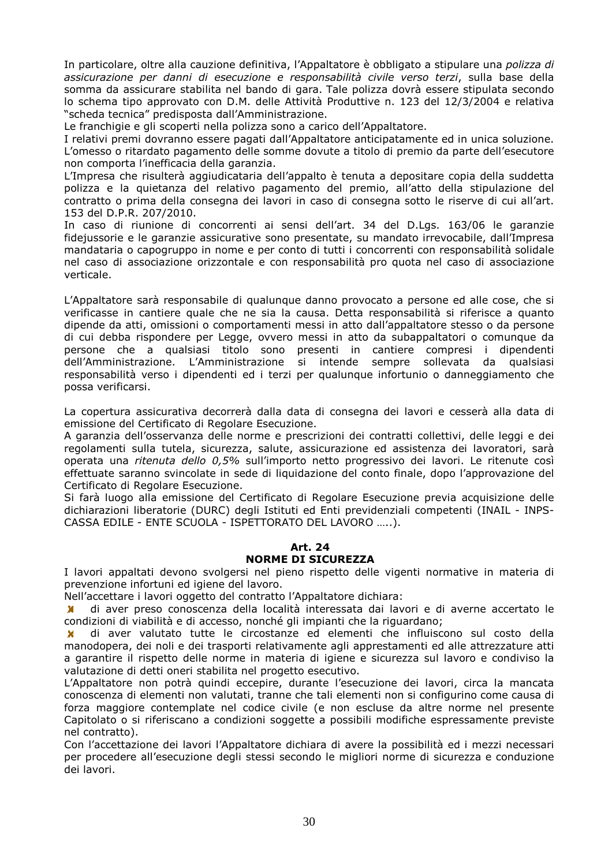In particolare, oltre alla cauzione definitiva, l'Appaltatore è obbligato a stipulare una *polizza di assicurazione per danni di esecuzione e responsabilità civile verso terzi*, sulla base della somma da assicurare stabilita nel bando di gara. Tale polizza dovrà essere stipulata secondo lo schema tipo approvato con D.M. delle Attività Produttive n. 123 del 12/3/2004 e relativa "scheda tecnica" predisposta dall'Amministrazione.

Le franchigie e gli scoperti nella polizza sono a carico dell'Appaltatore.

I relativi premi dovranno essere pagati dall'Appaltatore anticipatamente ed in unica soluzione. L'omesso o ritardato pagamento delle somme dovute a titolo di premio da parte dell'esecutore non comporta l'inefficacia della garanzia.

L'Impresa che risulterà aggiudicataria dell'appalto è tenuta a depositare copia della suddetta polizza e la quietanza del relativo pagamento del premio, all'atto della stipulazione del contratto o prima della consegna dei lavori in caso di consegna sotto le riserve di cui all'art. 153 del D.P.R. 207/2010.

In caso di riunione di concorrenti ai sensi dell'art. 34 del D.Lgs. 163/06 le garanzie fidejussorie e le garanzie assicurative sono presentate, su mandato irrevocabile, dall'Impresa mandataria o capogruppo in nome e per conto di tutti i concorrenti con responsabilità solidale nel caso di associazione orizzontale e con responsabilità pro quota nel caso di associazione verticale.

L'Appaltatore sarà responsabile di qualunque danno provocato a persone ed alle cose, che si verificasse in cantiere quale che ne sia la causa. Detta responsabilità si riferisce a quanto dipende da atti, omissioni o comportamenti messi in atto dall'appaltatore stesso o da persone di cui debba rispondere per Legge, ovvero messi in atto da subappaltatori o comunque da persone che a qualsiasi titolo sono presenti in cantiere compresi i dipendenti dell'Amministrazione. L'Amministrazione si intende sempre sollevata da qualsiasi responsabilità verso i dipendenti ed i terzi per qualunque infortunio o danneggiamento che possa verificarsi.

La copertura assicurativa decorrerà dalla data di consegna dei lavori e cesserà alla data di emissione del Certificato di Regolare Esecuzione.

A garanzia dell'osservanza delle norme e prescrizioni dei contratti collettivi, delle leggi e dei regolamenti sulla tutela, sicurezza, salute, assicurazione ed assistenza dei lavoratori, sarà operata una *ritenuta dello 0,5%* sull'importo netto progressivo dei lavori. Le ritenute così effettuate saranno svincolate in sede di liquidazione del conto finale, dopo l'approvazione del Certificato di Regolare Esecuzione.

Si farà luogo alla emissione del Certificato di Regolare Esecuzione previa acquisizione delle dichiarazioni liberatorie (DURC) degli Istituti ed Enti previdenziali competenti (INAIL - INPS-CASSA EDILE - ENTE SCUOLA - ISPETTORATO DEL LAVORO …..).

#### **Art. 24**

#### **NORME DI SICUREZZA**

I lavori appaltati devono svolgersi nel pieno rispetto delle vigenti normative in materia di prevenzione infortuni ed igiene del lavoro.

Nell'accettare i lavori oggetto del contratto l'Appaltatore dichiara:

 di aver preso conoscenza della località interessata dai lavori e di averne accertato le condizioni di viabilità e di accesso, nonché gli impianti che la riguardano;

 di aver valutato tutte le circostanze ed elementi che influiscono sul costo della manodopera, dei noli e dei trasporti relativamente agli apprestamenti ed alle attrezzature atti a garantire il rispetto delle norme in materia di igiene e sicurezza sul lavoro e condiviso la valutazione di detti oneri stabilita nel progetto esecutivo.

L'Appaltatore non potrà quindi eccepire, durante l'esecuzione dei lavori, circa la mancata conoscenza di elementi non valutati, tranne che tali elementi non si configurino come causa di forza maggiore contemplate nel codice civile (e non escluse da altre norme nel presente Capitolato o si riferiscano a condizioni soggette a possibili modifiche espressamente previste nel contratto).

Con l'accettazione dei lavori l'Appaltatore dichiara di avere la possibilità ed i mezzi necessari per procedere all'esecuzione degli stessi secondo le migliori norme di sicurezza e conduzione dei lavori.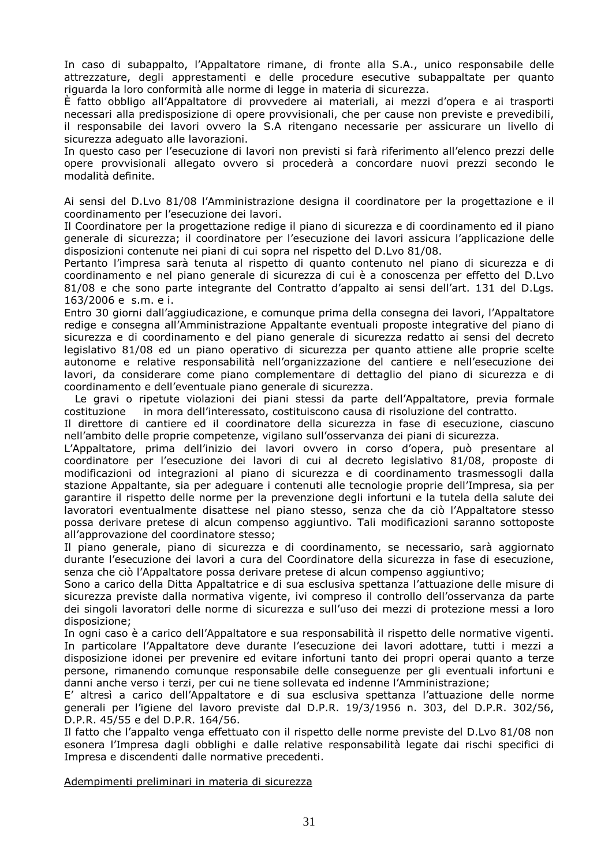In caso di subappalto, l'Appaltatore rimane, di fronte alla S.A., unico responsabile delle attrezzature, degli apprestamenti e delle procedure esecutive subappaltate per quanto riguarda la loro conformità alle norme di legge in materia di sicurezza.

È fatto obbligo all'Appaltatore di provvedere ai materiali, ai mezzi d'opera e ai trasporti necessari alla predisposizione di opere provvisionali, che per cause non previste e prevedibili, il responsabile dei lavori ovvero la S.A ritengano necessarie per assicurare un livello di sicurezza adeguato alle lavorazioni.

In questo caso per l'esecuzione di lavori non previsti si farà riferimento all'elenco prezzi delle opere provvisionali allegato ovvero si procederà a concordare nuovi prezzi secondo le modalità definite.

Ai sensi del D.Lvo 81/08 l'Amministrazione designa il coordinatore per la progettazione e il coordinamento per l'esecuzione dei lavori.

Il Coordinatore per la progettazione redige il piano di sicurezza e di coordinamento ed il piano generale di sicurezza; il coordinatore per l'esecuzione dei lavori assicura l'applicazione delle disposizioni contenute nei piani di cui sopra nel rispetto del D.Lvo 81/08.

Pertanto l'impresa sarà tenuta al rispetto di quanto contenuto nel piano di sicurezza e di coordinamento e nel piano generale di sicurezza di cui è a conoscenza per effetto del D.Lvo 81/08 e che sono parte integrante del Contratto d'appalto ai sensi dell'art. 131 del D.Lgs. 163/2006 e s.m. e i.

Entro 30 giorni dall'aggiudicazione, e comunque prima della consegna dei lavori, l'Appaltatore redige e consegna all'Amministrazione Appaltante eventuali proposte integrative del piano di sicurezza e di coordinamento e del piano generale di sicurezza redatto ai sensi del decreto legislativo 81/08 ed un piano operativo di sicurezza per quanto attiene alle proprie scelte autonome e relative responsabilità nell'organizzazione del cantiere e nell'esecuzione dei lavori, da considerare come piano complementare di dettaglio del piano di sicurezza e di coordinamento e dell'eventuale piano generale di sicurezza.

 Le gravi o ripetute violazioni dei piani stessi da parte dell'Appaltatore, previa formale costituzione in mora dell'interessato, costituiscono causa di risoluzione del contratto.

Il direttore di cantiere ed il coordinatore della sicurezza in fase di esecuzione, ciascuno nell'ambito delle proprie competenze, vigilano sull'osservanza dei piani di sicurezza.

L'Appaltatore, prima dell'inizio dei lavori ovvero in corso d'opera, può presentare al coordinatore per l'esecuzione dei lavori di cui al decreto legislativo 81/08, proposte di modificazioni od integrazioni al piano di sicurezza e di coordinamento trasmessogli dalla stazione Appaltante, sia per adeguare i contenuti alle tecnologie proprie dell'Impresa, sia per garantire il rispetto delle norme per la prevenzione degli infortuni e la tutela della salute dei lavoratori eventualmente disattese nel piano stesso, senza che da ciò l'Appaltatore stesso possa derivare pretese di alcun compenso aggiuntivo. Tali modificazioni saranno sottoposte all'approvazione del coordinatore stesso;

Il piano generale, piano di sicurezza e di coordinamento, se necessario, sarà aggiornato durante l'esecuzione dei lavori a cura del Coordinatore della sicurezza in fase di esecuzione, senza che ciò l'Appaltatore possa derivare pretese di alcun compenso aggiuntivo;

Sono a carico della Ditta Appaltatrice e di sua esclusiva spettanza l'attuazione delle misure di sicurezza previste dalla normativa vigente, ivi compreso il controllo dell'osservanza da parte dei singoli lavoratori delle norme di sicurezza e sull'uso dei mezzi di protezione messi a loro disposizione;

In ogni caso è a carico dell'Appaltatore e sua responsabilità il rispetto delle normative vigenti. In particolare l'Appaltatore deve durante l'esecuzione dei lavori adottare, tutti i mezzi a disposizione idonei per prevenire ed evitare infortuni tanto dei propri operai quanto a terze persone, rimanendo comunque responsabile delle conseguenze per gli eventuali infortuni e danni anche verso i terzi, per cui ne tiene sollevata ed indenne l'Amministrazione;

E' altresì a carico dell'Appaltatore e di sua esclusiva spettanza l'attuazione delle norme generali per l'igiene del lavoro previste dal D.P.R. 19/3/1956 n. 303, del D.P.R. 302/56, D.P.R. 45/55 e del D.P.R. 164/56.

Il fatto che l'appalto venga effettuato con il rispetto delle norme previste del D.Lvo 81/08 non esonera l'Impresa dagli obblighi e dalle relative responsabilità legate dai rischi specifici di Impresa e discendenti dalle normative precedenti.

Adempimenti preliminari in materia di sicurezza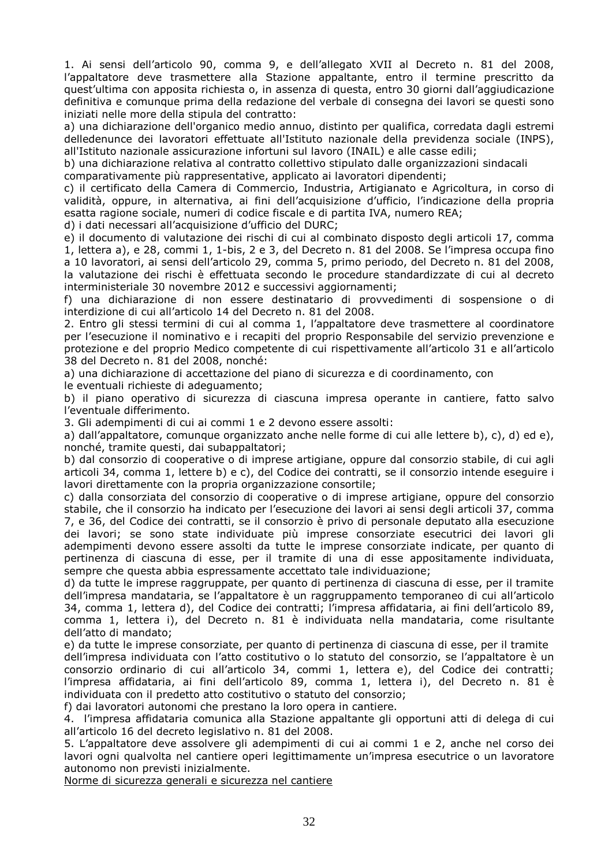1. Ai sensi dell'articolo 90, comma 9, e dell'allegato XVII al Decreto n. 81 del 2008, l'appaltatore deve trasmettere alla Stazione appaltante, entro il termine prescritto da quest'ultima con apposita richiesta o, in assenza di questa, entro 30 giorni dall'aggiudicazione definitiva e comunque prima della redazione del verbale di consegna dei lavori se questi sono iniziati nelle more della stipula del contratto:

a) una dichiarazione dell'organico medio annuo, distinto per qualifica, corredata dagli estremi delledenunce dei lavoratori effettuate all'Istituto nazionale della previdenza sociale (INPS), all'Istituto nazionale assicurazione infortuni sul lavoro (INAIL) e alle casse edili;

b) una dichiarazione relativa al contratto collettivo stipulato dalle organizzazioni sindacali comparativamente più rappresentative, applicato ai lavoratori dipendenti;

c) il certificato della Camera di Commercio, Industria, Artigianato e Agricoltura, in corso di validità, oppure, in alternativa, ai fini dell'acquisizione d'ufficio, l'indicazione della propria esatta ragione sociale, numeri di codice fiscale e di partita IVA, numero REA;

d) i dati necessari all'acquisizione d'ufficio del DURC;

e) il documento di valutazione dei rischi di cui al combinato disposto degli articoli 17, comma 1, lettera a), e 28, commi 1, 1-bis, 2 e 3, del Decreto n. 81 del 2008. Se l'impresa occupa fino a 10 lavoratori, ai sensi dell'articolo 29, comma 5, primo periodo, del Decreto n. 81 del 2008, la valutazione dei rischi è effettuata secondo le procedure standardizzate di cui al decreto interministeriale 30 novembre 2012 e successivi aggiornamenti;

f) una dichiarazione di non essere destinatario di provvedimenti di sospensione o di interdizione di cui all'articolo 14 del Decreto n. 81 del 2008.

2. Entro gli stessi termini di cui al comma 1, l'appaltatore deve trasmettere al coordinatore per l'esecuzione il nominativo e i recapiti del proprio Responsabile del servizio prevenzione e protezione e del proprio Medico competente di cui rispettivamente all'articolo 31 e all'articolo 38 del Decreto n. 81 del 2008, nonché:

a) una dichiarazione di accettazione del piano di sicurezza e di coordinamento, con

le eventuali richieste di adeguamento;

b) il piano operativo di sicurezza di ciascuna impresa operante in cantiere, fatto salvo l'eventuale differimento.

3. Gli adempimenti di cui ai commi 1 e 2 devono essere assolti:

a) dall'appaltatore, comunque organizzato anche nelle forme di cui alle lettere b), c), d) ed e), nonché, tramite questi, dai subappaltatori;

b) dal consorzio di cooperative o di imprese artigiane, oppure dal consorzio stabile, di cui agli articoli 34, comma 1, lettere b) e c), del Codice dei contratti, se il consorzio intende eseguire i lavori direttamente con la propria organizzazione consortile;

c) dalla consorziata del consorzio di cooperative o di imprese artigiane, oppure del consorzio stabile, che il consorzio ha indicato per l'esecuzione dei lavori ai sensi degli articoli 37, comma 7, e 36, del Codice dei contratti, se il consorzio è privo di personale deputato alla esecuzione dei lavori; se sono state individuate più imprese consorziate esecutrici dei lavori gli adempimenti devono essere assolti da tutte le imprese consorziate indicate, per quanto di pertinenza di ciascuna di esse, per il tramite di una di esse appositamente individuata, sempre che questa abbia espressamente accettato tale individuazione;

d) da tutte le imprese raggruppate, per quanto di pertinenza di ciascuna di esse, per il tramite dell'impresa mandataria, se l'appaltatore è un raggruppamento temporaneo di cui all'articolo 34, comma 1, lettera d), del Codice dei contratti; l'impresa affidataria, ai fini dell'articolo 89, comma 1, lettera i), del Decreto n. 81 è individuata nella mandataria, come risultante dell'atto di mandato;

e) da tutte le imprese consorziate, per quanto di pertinenza di ciascuna di esse, per il tramite dell'impresa individuata con l'atto costitutivo o lo statuto del consorzio, se l'appaltatore è un consorzio ordinario di cui all'articolo 34, commi 1, lettera e), del Codice dei contratti; l'impresa affidataria, ai fini dell'articolo 89, comma 1, lettera i), del Decreto n. 81 è individuata con il predetto atto costitutivo o statuto del consorzio;

f) dai lavoratori autonomi che prestano la loro opera in cantiere.

4. l'impresa affidataria comunica alla Stazione appaltante gli opportuni atti di delega di cui all'articolo 16 del decreto legislativo n. 81 del 2008.

5. L'appaltatore deve assolvere gli adempimenti di cui ai commi 1 e 2, anche nel corso dei lavori ogni qualvolta nel cantiere operi legittimamente un'impresa esecutrice o un lavoratore autonomo non previsti inizialmente.

Norme di sicurezza generali e sicurezza nel cantiere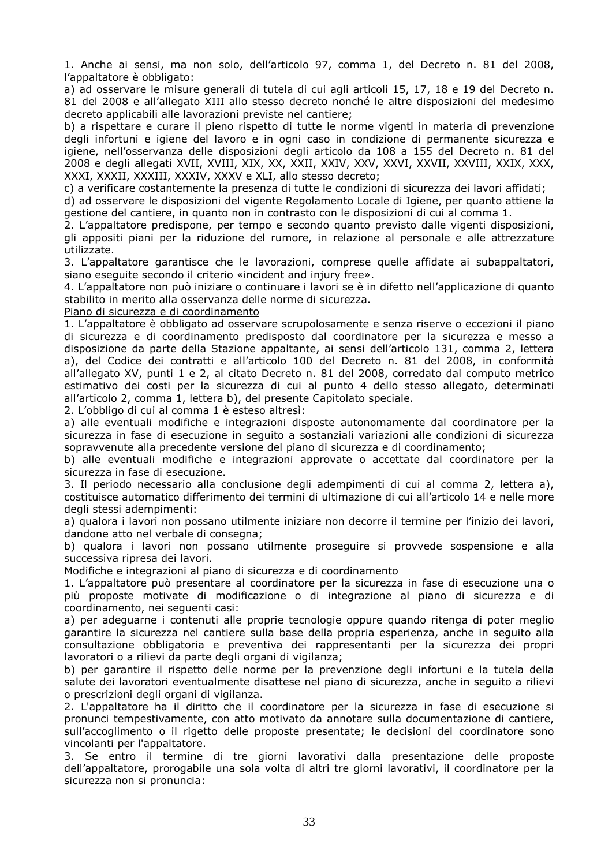1. Anche ai sensi, ma non solo, dell'articolo 97, comma 1, del Decreto n. 81 del 2008, l'appaltatore è obbligato:

a) ad osservare le misure generali di tutela di cui agli articoli 15, 17, 18 e 19 del Decreto n. 81 del 2008 e all'allegato XIII allo stesso decreto nonché le altre disposizioni del medesimo decreto applicabili alle lavorazioni previste nel cantiere;

b) a rispettare e curare il pieno rispetto di tutte le norme vigenti in materia di prevenzione degli infortuni e igiene del lavoro e in ogni caso in condizione di permanente sicurezza e igiene, nell'osservanza delle disposizioni degli articolo da 108 a 155 del Decreto n. 81 del 2008 e degli allegati XVII, XVIII, XIX, XX, XXII, XXIV, XXV, XXVI, XXVII, XXVIII, XXIX, XXX, XXXI, XXXII, XXXIII, XXXIV, XXXV e XLI, allo stesso decreto;

c) a verificare costantemente la presenza di tutte le condizioni di sicurezza dei lavori affidati;

d) ad osservare le disposizioni del vigente Regolamento Locale di Igiene, per quanto attiene la gestione del cantiere, in quanto non in contrasto con le disposizioni di cui al comma 1.

2. L'appaltatore predispone, per tempo e secondo quanto previsto dalle vigenti disposizioni, gli appositi piani per la riduzione del rumore, in relazione al personale e alle attrezzature utilizzate.

3. L'appaltatore garantisce che le lavorazioni, comprese quelle affidate ai subappaltatori, siano eseguite secondo il criterio «incident and injury free».

4. L'appaltatore non può iniziare o continuare i lavori se è in difetto nell'applicazione di quanto stabilito in merito alla osservanza delle norme di sicurezza.

#### Piano di sicurezza e di coordinamento

1. L'appaltatore è obbligato ad osservare scrupolosamente e senza riserve o eccezioni il piano di sicurezza e di coordinamento predisposto dal coordinatore per la sicurezza e messo a disposizione da parte della Stazione appaltante, ai sensi dell'articolo 131, comma 2, lettera a), del Codice dei contratti e all'articolo 100 del Decreto n. 81 del 2008, in conformità all'allegato XV, punti 1 e 2, al citato Decreto n. 81 del 2008, corredato dal computo metrico estimativo dei costi per la sicurezza di cui al punto 4 dello stesso allegato, determinati all'articolo 2, comma 1, lettera b), del presente Capitolato speciale.

2. L'obbligo di cui al comma 1 è esteso altresì:

a) alle eventuali modifiche e integrazioni disposte autonomamente dal coordinatore per la sicurezza in fase di esecuzione in seguito a sostanziali variazioni alle condizioni di sicurezza sopravvenute alla precedente versione del piano di sicurezza e di coordinamento;

b) alle eventuali modifiche e integrazioni approvate o accettate dal coordinatore per la sicurezza in fase di esecuzione.

3. Il periodo necessario alla conclusione degli adempimenti di cui al comma 2, lettera a), costituisce automatico differimento dei termini di ultimazione di cui all'articolo 14 e nelle more degli stessi adempimenti:

a) qualora i lavori non possano utilmente iniziare non decorre il termine per l'inizio dei lavori, dandone atto nel verbale di consegna;

b) qualora i lavori non possano utilmente proseguire si provvede sospensione e alla successiva ripresa dei lavori.

Modifiche e integrazioni al piano di sicurezza e di coordinamento

1. L'appaltatore può presentare al coordinatore per la sicurezza in fase di esecuzione una o più proposte motivate di modificazione o di integrazione al piano di sicurezza e di coordinamento, nei seguenti casi:

a) per adeguarne i contenuti alle proprie tecnologie oppure quando ritenga di poter meglio garantire la sicurezza nel cantiere sulla base della propria esperienza, anche in seguito alla consultazione obbligatoria e preventiva dei rappresentanti per la sicurezza dei propri lavoratori o a rilievi da parte degli organi di vigilanza;

b) per garantire il rispetto delle norme per la prevenzione degli infortuni e la tutela della salute dei lavoratori eventualmente disattese nel piano di sicurezza, anche in seguito a rilievi o prescrizioni degli organi di vigilanza.

2. L'appaltatore ha il diritto che il coordinatore per la sicurezza in fase di esecuzione si pronunci tempestivamente, con atto motivato da annotare sulla documentazione di cantiere, sull'accoglimento o il rigetto delle proposte presentate; le decisioni del coordinatore sono vincolanti per l'appaltatore.

3. Se entro il termine di tre giorni lavorativi dalla presentazione delle proposte dell'appaltatore, prorogabile una sola volta di altri tre giorni lavorativi, il coordinatore per la sicurezza non si pronuncia: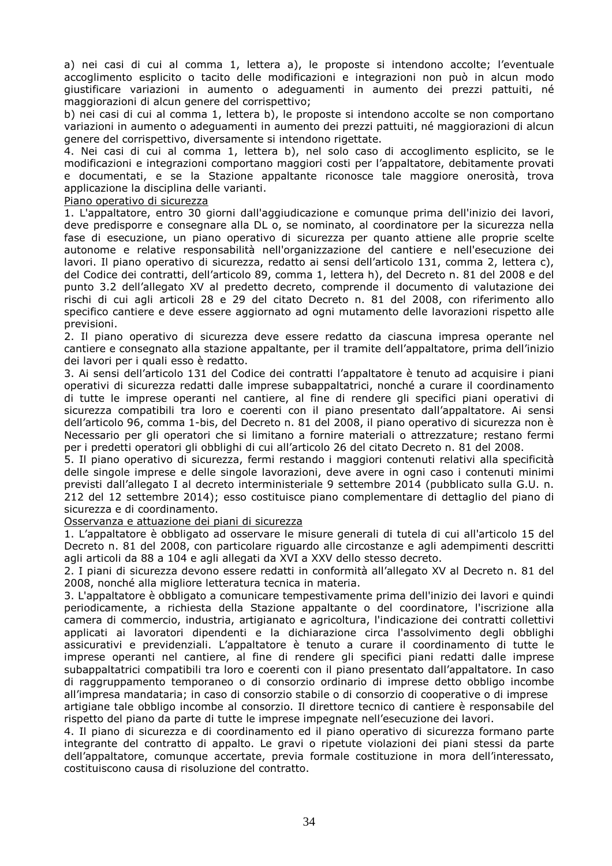a) nei casi di cui al comma 1, lettera a), le proposte si intendono accolte; l'eventuale accoglimento esplicito o tacito delle modificazioni e integrazioni non può in alcun modo giustificare variazioni in aumento o adeguamenti in aumento dei prezzi pattuiti, né maggiorazioni di alcun genere del corrispettivo;

b) nei casi di cui al comma 1, lettera b), le proposte si intendono accolte se non comportano variazioni in aumento o adeguamenti in aumento dei prezzi pattuiti, né maggiorazioni di alcun genere del corrispettivo, diversamente si intendono rigettate.

4. Nei casi di cui al comma 1, lettera b), nel solo caso di accoglimento esplicito, se le modificazioni e integrazioni comportano maggiori costi per l'appaltatore, debitamente provati e documentati, e se la Stazione appaltante riconosce tale maggiore onerosità, trova applicazione la disciplina delle varianti.

#### Piano operativo di sicurezza

1. L'appaltatore, entro 30 giorni dall'aggiudicazione e comunque prima dell'inizio dei lavori, deve predisporre e consegnare alla DL o, se nominato, al coordinatore per la sicurezza nella fase di esecuzione, un piano operativo di sicurezza per quanto attiene alle proprie scelte autonome e relative responsabilità nell'organizzazione del cantiere e nell'esecuzione dei lavori. Il piano operativo di sicurezza, redatto ai sensi dell'articolo 131, comma 2, lettera c), del Codice dei contratti, dell'articolo 89, comma 1, lettera h), del Decreto n. 81 del 2008 e del punto 3.2 dell'allegato XV al predetto decreto, comprende il documento di valutazione dei rischi di cui agli articoli 28 e 29 del citato Decreto n. 81 del 2008, con riferimento allo specifico cantiere e deve essere aggiornato ad ogni mutamento delle lavorazioni rispetto alle previsioni.

2. Il piano operativo di sicurezza deve essere redatto da ciascuna impresa operante nel cantiere e consegnato alla stazione appaltante, per il tramite dell'appaltatore, prima dell'inizio dei lavori per i quali esso è redatto.

3. Ai sensi dell'articolo 131 del Codice dei contratti l'appaltatore è tenuto ad acquisire i piani operativi di sicurezza redatti dalle imprese subappaltatrici, nonché a curare il coordinamento di tutte le imprese operanti nel cantiere, al fine di rendere gli specifici piani operativi di sicurezza compatibili tra loro e coerenti con il piano presentato dall'appaltatore. Ai sensi dell'articolo 96, comma 1-bis, del Decreto n. 81 del 2008, il piano operativo di sicurezza non è Necessario per gli operatori che si limitano a fornire materiali o attrezzature; restano fermi per i predetti operatori gli obblighi di cui all'articolo 26 del citato Decreto n. 81 del 2008.

5. Il piano operativo di sicurezza, fermi restando i maggiori contenuti relativi alla specificità delle singole imprese e delle singole lavorazioni, deve avere in ogni caso i contenuti minimi previsti dall'allegato I al decreto interministeriale 9 settembre 2014 (pubblicato sulla G.U. n. 212 del 12 settembre 2014); esso costituisce piano complementare di dettaglio del piano di sicurezza e di coordinamento.

Osservanza e attuazione dei piani di sicurezza

1. L'appaltatore è obbligato ad osservare le misure generali di tutela di cui all'articolo 15 del Decreto n. 81 del 2008, con particolare riguardo alle circostanze e agli adempimenti descritti agli articoli da 88 a 104 e agli allegati da XVI a XXV dello stesso decreto.

2. I piani di sicurezza devono essere redatti in conformità all'allegato XV al Decreto n. 81 del 2008, nonché alla migliore letteratura tecnica in materia.

3. L'appaltatore è obbligato a comunicare tempestivamente prima dell'inizio dei lavori e quindi periodicamente, a richiesta della Stazione appaltante o del coordinatore, l'iscrizione alla camera di commercio, industria, artigianato e agricoltura, l'indicazione dei contratti collettivi applicati ai lavoratori dipendenti e la dichiarazione circa l'assolvimento degli obblighi assicurativi e previdenziali. L'appaltatore è tenuto a curare il coordinamento di tutte le imprese operanti nel cantiere, al fine di rendere gli specifici piani redatti dalle imprese subappaltatrici compatibili tra loro e coerenti con il piano presentato dall'appaltatore. In caso di raggruppamento temporaneo o di consorzio ordinario di imprese detto obbligo incombe all'impresa mandataria; in caso di consorzio stabile o di consorzio di cooperative o di imprese

artigiane tale obbligo incombe al consorzio. Il direttore tecnico di cantiere è responsabile del rispetto del piano da parte di tutte le imprese impegnate nell'esecuzione dei lavori.

4. Il piano di sicurezza e di coordinamento ed il piano operativo di sicurezza formano parte integrante del contratto di appalto. Le gravi o ripetute violazioni dei piani stessi da parte dell'appaltatore, comunque accertate, previa formale costituzione in mora dell'interessato, costituiscono causa di risoluzione del contratto.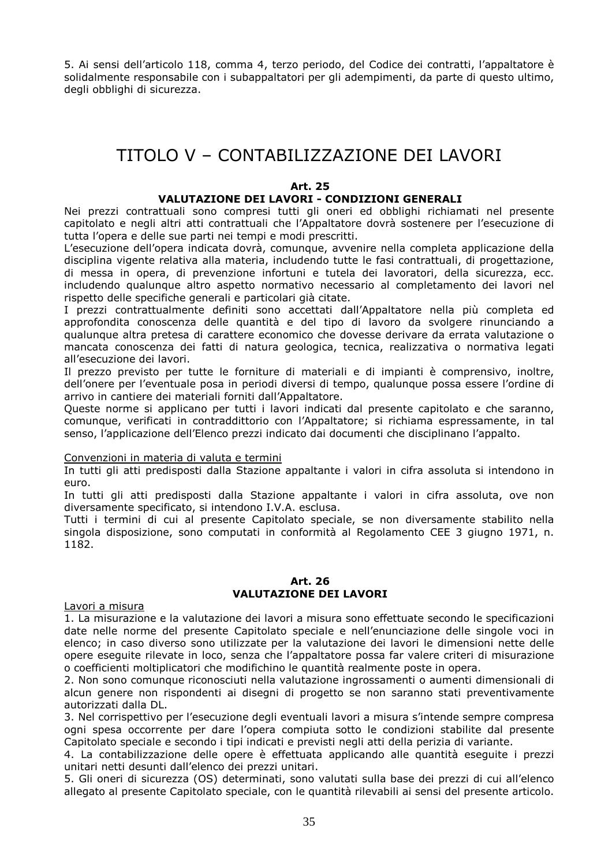5. Ai sensi dell'articolo 118, comma 4, terzo periodo, del Codice dei contratti, l'appaltatore è solidalmente responsabile con i subappaltatori per gli adempimenti, da parte di questo ultimo, degli obblighi di sicurezza.

## TITOLO V – CONTABILIZZAZIONE DEI LAVORI

#### **Art. 25**

#### **VALUTAZIONE DEI LAVORI - CONDIZIONI GENERALI**

Nei prezzi contrattuali sono compresi tutti gli oneri ed obblighi richiamati nel presente capitolato e negli altri atti contrattuali che l'Appaltatore dovrà sostenere per l'esecuzione di tutta l'opera e delle sue parti nei tempi e modi prescritti.

L'esecuzione dell'opera indicata dovrà, comunque, avvenire nella completa applicazione della disciplina vigente relativa alla materia, includendo tutte le fasi contrattuali, di progettazione, di messa in opera, di prevenzione infortuni e tutela dei lavoratori, della sicurezza, ecc. includendo qualunque altro aspetto normativo necessario al completamento dei lavori nel rispetto delle specifiche generali e particolari già citate.

I prezzi contrattualmente definiti sono accettati dall'Appaltatore nella più completa ed approfondita conoscenza delle quantità e del tipo di lavoro da svolgere rinunciando a qualunque altra pretesa di carattere economico che dovesse derivare da errata valutazione o mancata conoscenza dei fatti di natura geologica, tecnica, realizzativa o normativa legati all'esecuzione dei lavori.

Il prezzo previsto per tutte le forniture di materiali e di impianti è comprensivo, inoltre, dell'onere per l'eventuale posa in periodi diversi di tempo, qualunque possa essere l'ordine di arrivo in cantiere dei materiali forniti dall'Appaltatore.

Queste norme si applicano per tutti i lavori indicati dal presente capitolato e che saranno, comunque, verificati in contraddittorio con l'Appaltatore; si richiama espressamente, in tal senso, l'applicazione dell'Elenco prezzi indicato dai documenti che disciplinano l'appalto.

#### Convenzioni in materia di valuta e termini

In tutti gli atti predisposti dalla Stazione appaltante i valori in cifra assoluta si intendono in euro.

In tutti gli atti predisposti dalla Stazione appaltante i valori in cifra assoluta, ove non diversamente specificato, si intendono I.V.A. esclusa.

Tutti i termini di cui al presente Capitolato speciale, se non diversamente stabilito nella singola disposizione, sono computati in conformità al Regolamento CEE 3 giugno 1971, n. 1182.

#### **Art. 26 VALUTAZIONE DEI LAVORI**

Lavori a misura

1. La misurazione e la valutazione dei lavori a misura sono effettuate secondo le specificazioni date nelle norme del presente Capitolato speciale e nell'enunciazione delle singole voci in elenco; in caso diverso sono utilizzate per la valutazione dei lavori le dimensioni nette delle opere eseguite rilevate in loco, senza che l'appaltatore possa far valere criteri di misurazione o coefficienti moltiplicatori che modifichino le quantità realmente poste in opera.

2. Non sono comunque riconosciuti nella valutazione ingrossamenti o aumenti dimensionali di alcun genere non rispondenti ai disegni di progetto se non saranno stati preventivamente autorizzati dalla DL.

3. Nel corrispettivo per l'esecuzione degli eventuali lavori a misura s'intende sempre compresa ogni spesa occorrente per dare l'opera compiuta sotto le condizioni stabilite dal presente Capitolato speciale e secondo i tipi indicati e previsti negli atti della perizia di variante.

4. La contabilizzazione delle opere è effettuata applicando alle quantità eseguite i prezzi unitari netti desunti dall'elenco dei prezzi unitari.

5. Gli oneri di sicurezza (OS) determinati, sono valutati sulla base dei prezzi di cui all'elenco allegato al presente Capitolato speciale, con le quantità rilevabili ai sensi del presente articolo.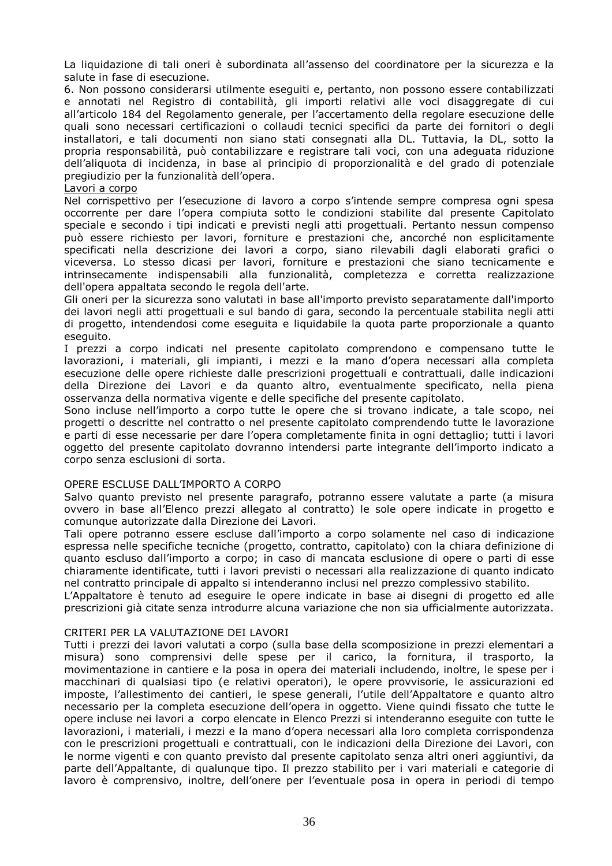La liquidazione di tali oneri è subordinata all'assenso del coordinatore per la sicurezza e la salute in fase di esecuzione.

6. Non possono considerarsi utilmente eseguiti e, pertanto, non possono essere contabilizzati e annotati nel Registro di contabilità, gli importi relativi alle voci disaggregate di cui all'articolo 184 del Regolamento generale, per l'accertamento della regolare esecuzione delle quali sono necessari certificazioni o collaudi tecnici specifici da parte dei fornitori o degli installatori, e tali documenti non siano stati consegnati alla DL. Tuttavia, la DL, sotto la propria responsabilità, può contabilizzare e registrare tali voci, con una adeguata riduzione dell'aliquota di incidenza, in base al principio di proporzionalità e del grado di potenziale pregiudizio per la funzionalità dell'opera.

#### Lavori a corpo

Nel corrispettivo per l'esecuzione di lavoro a corpo s'intende sempre compresa ogni spesa occorrente per dare l'opera compiuta sotto le condizioni stabilite dal presente Capitolato speciale e secondo i tipi indicati e previsti negli atti progettuali. Pertanto nessun compenso può essere richiesto per lavori, forniture e prestazioni che, ancorché non esplicitamente specificati nella descrizione dei lavori a corpo, siano rilevabili dagli elaborati grafici o viceversa. Lo stesso dicasi per lavori, forniture e prestazioni che siano tecnicamente e intrinsecamente indispensabili alla funzionalità, completezza e corretta realizzazione dell'opera appaltata secondo le regola dell'arte.

Gli oneri per la sicurezza sono valutati in base all'importo previsto separatamente dall'importo dei lavori negli atti progettuali e sul bando di gara, secondo la percentuale stabilita negli atti di progetto, intendendosi come eseguita e liquidabile la quota parte proporzionale a quanto eseguito.

I prezzi a corpo indicati nel presente capitolato comprendono e compensano tutte le lavorazioni, i materiali, gli impianti, i mezzi e la mano d'opera necessari alla completa esecuzione delle opere richieste dalle prescrizioni progettuali e contrattuali, dalle indicazioni della Direzione dei Lavori e da quanto altro, eventualmente specificato, nella piena osservanza della normativa vigente e delle specifiche del presente capitolato.

Sono incluse nell'importo a corpo tutte le opere che si trovano indicate, a tale scopo, nei progetti o descritte nel contratto o nel presente capitolato comprendendo tutte le lavorazione e parti di esse necessarie per dare l'opera completamente finita in ogni dettaglio; tutti i lavori oggetto del presente capitolato dovranno intendersi parte integrante dell'importo indicato a corpo senza esclusioni di sorta.

#### OPERE ESCLUSE DALL'IMPORTO A CORPO

Salvo quanto previsto nel presente paragrafo, potranno essere valutate a parte (a misura ovvero in base all'Elenco prezzi allegato al contratto) le sole opere indicate in progetto e comunque autorizzate dalla Direzione dei Lavori.

Tali opere potranno essere escluse dall'importo a corpo solamente nel caso di indicazione espressa nelle specifiche tecniche (progetto, contratto, capitolato) con la chiara definizione di quanto escluso dall'importo a corpo; in caso di mancata esclusione di opere o parti di esse chiaramente identificate, tutti i lavori previsti o necessari alla realizzazione di quanto indicato nel contratto principale di appalto si intenderanno inclusi nel prezzo complessivo stabilito.

L'Appaltatore è tenuto ad eseguire le opere indicate in base ai disegni di progetto ed alle prescrizioni già citate senza introdurre alcuna variazione che non sia ufficialmente autorizzata.

#### CRITERI PER LA VALUTAZIONE DEI LAVORI

Tutti i prezzi dei lavori valutati a corpo (sulla base della scomposizione in prezzi elementari a misura) sono comprensivi delle spese per il carico, la fornitura, il trasporto, la movimentazione in cantiere e la posa in opera dei materiali includendo, inoltre, le spese per i macchinari di qualsiasi tipo (e relativi operatori), le opere provvisorie, le assicurazioni ed imposte, l'allestimento dei cantieri, le spese generali, l'utile dell'Appaltatore e quanto altro necessario per la completa esecuzione dell'opera in oggetto. Viene quindi fissato che tutte le opere incluse nei lavori a corpo elencate in Elenco Prezzi si intenderanno eseguite con tutte le lavorazioni, i materiali, i mezzi e la mano d'opera necessari alla loro completa corrispondenza con le prescrizioni progettuali e contrattuali, con le indicazioni della Direzione dei Lavori, con le norme vigenti e con quanto previsto dal presente capitolato senza altri oneri aggiuntivi, da parte dell'Appaltante, di qualunque tipo. Il prezzo stabilito per i vari materiali e categorie di lavoro è comprensivo, inoltre, dell'onere per l'eventuale posa in opera in periodi di tempo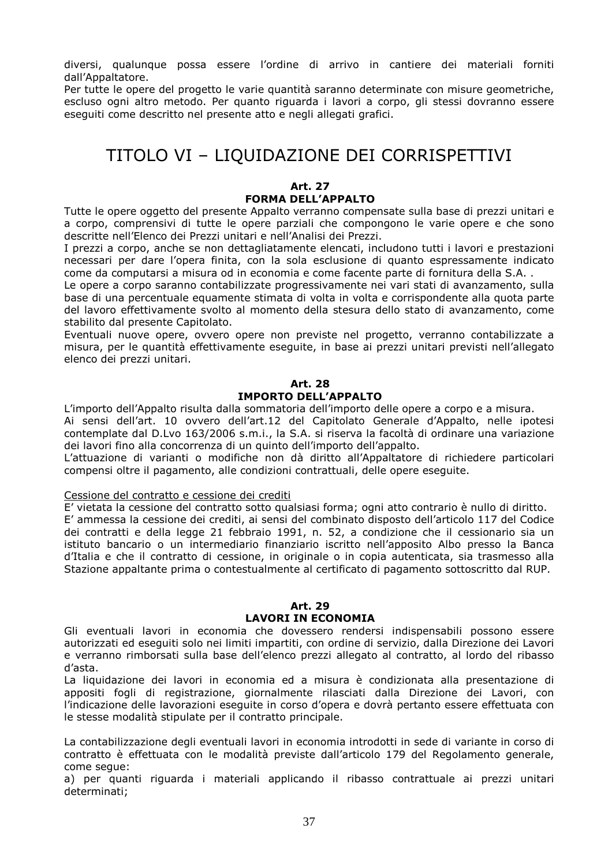diversi, qualunque possa essere l'ordine di arrivo in cantiere dei materiali forniti dall'Appaltatore.

Per tutte le opere del progetto le varie quantità saranno determinate con misure geometriche, escluso ogni altro metodo. Per quanto riguarda i lavori a corpo, gli stessi dovranno essere eseguiti come descritto nel presente atto e negli allegati grafici.

## TITOLO VI – LIQUIDAZIONE DEI CORRISPETTIVI

#### **Art. 27**

#### **FORMA DELL'APPALTO**

Tutte le opere oggetto del presente Appalto verranno compensate sulla base di prezzi unitari e a corpo, comprensivi di tutte le opere parziali che compongono le varie opere e che sono descritte nell'Elenco dei Prezzi unitari e nell'Analisi dei Prezzi.

I prezzi a corpo, anche se non dettagliatamente elencati, includono tutti i lavori e prestazioni necessari per dare l'opera finita, con la sola esclusione di quanto espressamente indicato come da computarsi a misura od in economia e come facente parte di fornitura della S.A. .

Le opere a corpo saranno contabilizzate progressivamente nei vari stati di avanzamento, sulla base di una percentuale equamente stimata di volta in volta e corrispondente alla quota parte del lavoro effettivamente svolto al momento della stesura dello stato di avanzamento, come stabilito dal presente Capitolato.

Eventuali nuove opere, ovvero opere non previste nel progetto, verranno contabilizzate a misura, per le quantità effettivamente eseguite, in base ai prezzi unitari previsti nell'allegato elenco dei prezzi unitari.

#### **Art. 28 IMPORTO DELL'APPALTO**

L'importo dell'Appalto risulta dalla sommatoria dell'importo delle opere a corpo e a misura.

Ai sensi dell'art. 10 ovvero dell'art.12 del Capitolato Generale d'Appalto, nelle ipotesi contemplate dal D.Lvo 163/2006 s.m.i., la S.A. si riserva la facoltà di ordinare una variazione dei lavori fino alla concorrenza di un quinto dell'importo dell'appalto.

L'attuazione di varianti o modifiche non dà diritto all'Appaltatore di richiedere particolari compensi oltre il pagamento, alle condizioni contrattuali, delle opere eseguite.

#### Cessione del contratto e cessione dei crediti

E' vietata la cessione del contratto sotto qualsiasi forma; ogni atto contrario è nullo di diritto. E' ammessa la cessione dei crediti, ai sensi del combinato disposto dell'articolo 117 del Codice dei contratti e della legge 21 febbraio 1991, n. 52, a condizione che il cessionario sia un istituto bancario o un intermediario finanziario iscritto nell'apposito Albo presso la Banca d'Italia e che il contratto di cessione, in originale o in copia autenticata, sia trasmesso alla Stazione appaltante prima o contestualmente al certificato di pagamento sottoscritto dal RUP.

#### **Art. 29 LAVORI IN ECONOMIA**

Gli eventuali lavori in economia che dovessero rendersi indispensabili possono essere autorizzati ed eseguiti solo nei limiti impartiti, con ordine di servizio, dalla Direzione dei Lavori e verranno rimborsati sulla base dell'elenco prezzi allegato al contratto, al lordo del ribasso d'asta.

La liquidazione dei lavori in economia ed a misura è condizionata alla presentazione di appositi fogli di registrazione, giornalmente rilasciati dalla Direzione dei Lavori, con l'indicazione delle lavorazioni eseguite in corso d'opera e dovrà pertanto essere effettuata con le stesse modalità stipulate per il contratto principale.

La contabilizzazione degli eventuali lavori in economia introdotti in sede di variante in corso di contratto è effettuata con le modalità previste dall'articolo 179 del Regolamento generale, come segue:

a) per quanti riguarda i materiali applicando il ribasso contrattuale ai prezzi unitari determinati;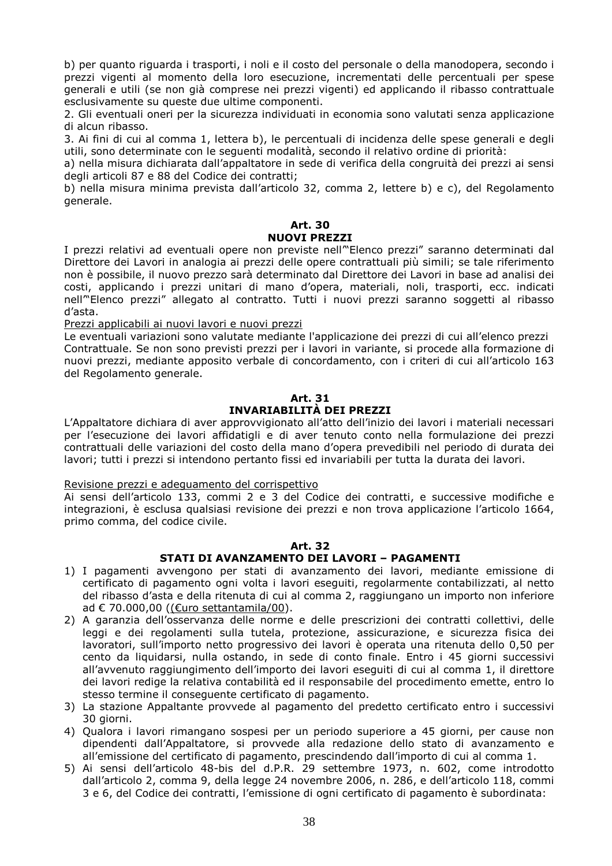b) per quanto riguarda i trasporti, i noli e il costo del personale o della manodopera, secondo i prezzi vigenti al momento della loro esecuzione, incrementati delle percentuali per spese generali e utili (se non già comprese nei prezzi vigenti) ed applicando il ribasso contrattuale esclusivamente su queste due ultime componenti.

2. Gli eventuali oneri per la sicurezza individuati in economia sono valutati senza applicazione di alcun ribasso.

3. Ai fini di cui al comma 1, lettera b), le percentuali di incidenza delle spese generali e degli utili, sono determinate con le seguenti modalità, secondo il relativo ordine di priorità:

a) nella misura dichiarata dall'appaltatore in sede di verifica della congruità dei prezzi ai sensi degli articoli 87 e 88 del Codice dei contratti;

b) nella misura minima prevista dall'articolo 32, comma 2, lettere b) e c), del Regolamento generale.

#### **Art. 30 NUOVI PREZZI**

I prezzi relativi ad eventuali opere non previste nell'"Elenco prezzi" saranno determinati dal Direttore dei Lavori in analogia ai prezzi delle opere contrattuali più simili; se tale riferimento non è possibile, il nuovo prezzo sarà determinato dal Direttore dei Lavori in base ad analisi dei costi, applicando i prezzi unitari di mano d'opera, materiali, noli, trasporti, ecc. indicati nell'"Elenco prezzi" allegato al contratto. Tutti i nuovi prezzi saranno soggetti al ribasso d'asta.

Prezzi applicabili ai nuovi lavori e nuovi prezzi

Le eventuali variazioni sono valutate mediante l'applicazione dei prezzi di cui all'elenco prezzi Contrattuale. Se non sono previsti prezzi per i lavori in variante, si procede alla formazione di nuovi prezzi, mediante apposito verbale di concordamento, con i criteri di cui all'articolo 163 del Regolamento generale.

## **Art. 31 INVARIABILITÀ DEI PREZZI**

L'Appaltatore dichiara di aver approvvigionato all'atto dell'inizio dei lavori i materiali necessari per l'esecuzione dei lavori affidatigli e di aver tenuto conto nella formulazione dei prezzi contrattuali delle variazioni del costo della mano d'opera prevedibili nel periodo di durata dei lavori; tutti i prezzi si intendono pertanto fissi ed invariabili per tutta la durata dei lavori.

#### Revisione prezzi e adeguamento del corrispettivo

Ai sensi dell'articolo 133, commi 2 e 3 del Codice dei contratti, e successive modifiche e integrazioni, è esclusa qualsiasi revisione dei prezzi e non trova applicazione l'articolo 1664, primo comma, del codice civile.

#### **Art. 32**

## **STATI DI AVANZAMENTO DEI LAVORI – PAGAMENTI**

- 1) I pagamenti avvengono per stati di avanzamento dei lavori, mediante emissione di certificato di pagamento ogni volta i lavori eseguiti, regolarmente contabilizzati, al netto del ribasso d'asta e della ritenuta di cui al comma 2, raggiungano un importo non inferiore ad € 70.000,00 ((€uro settantamila/00).
- 2) A garanzia dell'osservanza delle norme e delle prescrizioni dei contratti collettivi, delle leggi e dei regolamenti sulla tutela, protezione, assicurazione, e sicurezza fisica dei lavoratori, sull'importo netto progressivo dei lavori è operata una ritenuta dello 0,50 per cento da liquidarsi, nulla ostando, in sede di conto finale. Entro i 45 giorni successivi all'avvenuto raggiungimento dell'importo dei lavori eseguiti di cui al comma 1, il direttore dei lavori redige la relativa contabilità ed il responsabile del procedimento emette, entro lo stesso termine il conseguente certificato di pagamento.
- 3) La stazione Appaltante provvede al pagamento del predetto certificato entro i successivi 30 giorni.
- 4) Qualora i lavori rimangano sospesi per un periodo superiore a 45 giorni, per cause non dipendenti dall'Appaltatore, si provvede alla redazione dello stato di avanzamento e all'emissione del certificato di pagamento, prescindendo dall'importo di cui al comma 1.
- 5) Ai sensi dell'articolo 48-bis del d.P.R. 29 settembre 1973, n. 602, come introdotto dall'articolo 2, comma 9, della legge 24 novembre 2006, n. 286, e dell'articolo 118, commi 3 e 6, del Codice dei contratti, l'emissione di ogni certificato di pagamento è subordinata: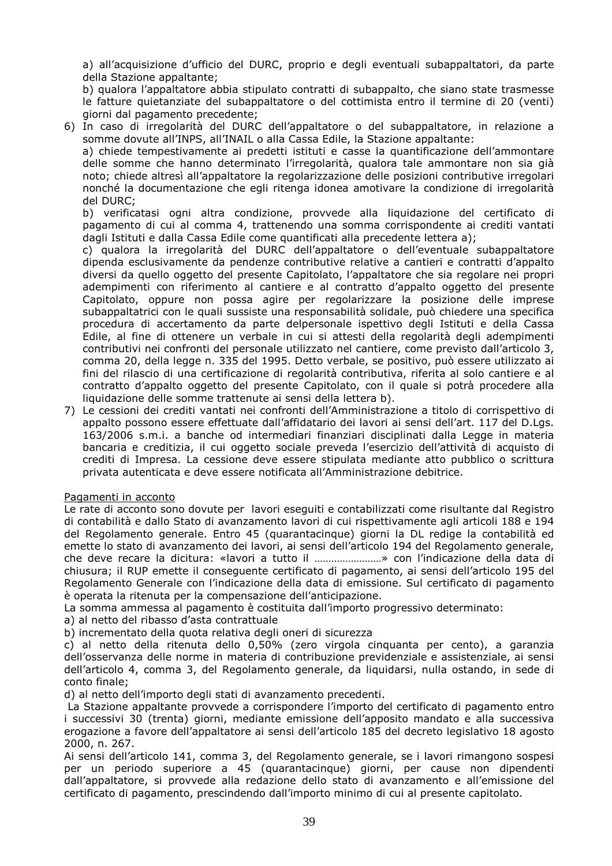a) all'acquisizione d'ufficio del DURC, proprio e degli eventuali subappaltatori, da parte della Stazione appaltante;

b) qualora l'appaltatore abbia stipulato contratti di subappalto, che siano state trasmesse le fatture quietanziate del subappaltatore o del cottimista entro il termine di 20 (venti) giorni dal pagamento precedente;

6) In caso di irregolarità del DURC dell'appaltatore o del subappaltatore, in relazione a somme dovute all'INPS, all'INAIL o alla Cassa Edile, la Stazione appaltante:

a) chiede tempestivamente ai predetti istituti e casse la quantificazione dell'ammontare delle somme che hanno determinato l'irregolarità, qualora tale ammontare non sia già noto; chiede altresì all'appaltatore la regolarizzazione delle posizioni contributive irregolari nonché la documentazione che egli ritenga idonea amotivare la condizione di irregolarità del DURC;

b) verificatasi ogni altra condizione, provvede alla liquidazione del certificato di pagamento di cui al comma 4, trattenendo una somma corrispondente ai crediti vantati dagli Istituti e dalla Cassa Edile come quantificati alla precedente lettera a);

c) qualora la irregolarità del DURC dell'appaltatore o dell'eventuale subappaltatore dipenda esclusivamente da pendenze contributive relative a cantieri e contratti d'appalto diversi da quello oggetto del presente Capitolato, l'appaltatore che sia regolare nei propri adempimenti con riferimento al cantiere e al contratto d'appalto oggetto del presente Capitolato, oppure non possa agire per regolarizzare la posizione delle imprese subappaltatrici con le quali sussiste una responsabilità solidale, può chiedere una specifica procedura di accertamento da parte delpersonale ispettivo degli Istituti e della Cassa Edile, al fine di ottenere un verbale in cui si attesti della regolarità degli adempimenti contributivi nei confronti del personale utilizzato nel cantiere, come previsto dall'articolo 3, comma 20, della legge n. 335 del 1995. Detto verbale, se positivo, può essere utilizzato ai fini del rilascio di una certificazione di regolarità contributiva, riferita al solo cantiere e al contratto d'appalto oggetto del presente Capitolato, con il quale si potrà procedere alla liquidazione delle somme trattenute ai sensi della lettera b).

7) Le cessioni dei crediti vantati nei confronti dell'Amministrazione a titolo di corrispettivo di appalto possono essere effettuate dall'affidatario dei lavori ai sensi dell'art. 117 del D.Lgs. 163/2006 s.m.i. a banche od intermediari finanziari disciplinati dalla Legge in materia bancaria e creditizia, il cui oggetto sociale preveda l'esercizio dell'attività di acquisto di crediti di Impresa. La cessione deve essere stipulata mediante atto pubblico o scrittura privata autenticata e deve essere notificata all'Amministrazione debitrice.

## Pagamenti in acconto

Le rate di acconto sono dovute per lavori eseguiti e contabilizzati come risultante dal Registro di contabilità e dallo Stato di avanzamento lavori di cui rispettivamente agli articoli 188 e 194 del Regolamento generale. Entro 45 (quarantacinque) giorni la DL redige la contabilità ed emette lo stato di avanzamento dei lavori, ai sensi dell'articolo 194 del Regolamento generale, che deve recare la dicitura: «lavori a tutto il ……………………» con l'indicazione della data di chiusura; il RUP emette il conseguente certificato di pagamento, ai sensi dell'articolo 195 del Regolamento Generale con l'indicazione della data di emissione. Sul certificato di pagamento è operata la ritenuta per la compensazione dell'anticipazione.

La somma ammessa al pagamento è costituita dall'importo progressivo determinato:

- a) al netto del ribasso d'asta contrattuale
- b) incrementato della quota relativa degli oneri di sicurezza

c) al netto della ritenuta dello 0,50% (zero virgola cinquanta per cento), a garanzia dell'osservanza delle norme in materia di contribuzione previdenziale e assistenziale, ai sensi dell'articolo 4, comma 3, del Regolamento generale, da liquidarsi, nulla ostando, in sede di conto finale;

d) al netto dell'importo degli stati di avanzamento precedenti.

 La Stazione appaltante provvede a corrispondere l'importo del certificato di pagamento entro i successivi 30 (trenta) giorni, mediante emissione dell'apposito mandato e alla successiva erogazione a favore dell'appaltatore ai sensi dell'articolo 185 del decreto legislativo 18 agosto 2000, n. 267.

Ai sensi dell'articolo 141, comma 3, del Regolamento generale, se i lavori rimangono sospesi per un periodo superiore a 45 (quarantacinque) giorni, per cause non dipendenti dall'appaltatore, si provvede alla redazione dello stato di avanzamento e all'emissione del certificato di pagamento, prescindendo dall'importo minimo di cui al presente capitolato.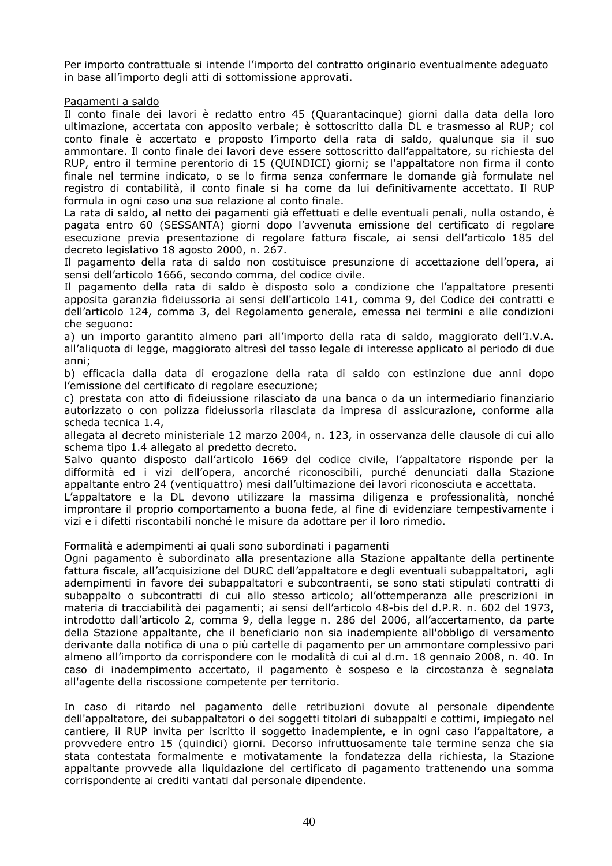Per importo contrattuale si intende l'importo del contratto originario eventualmente adeguato in base all'importo degli atti di sottomissione approvati.

### Pagamenti a saldo

Il conto finale dei lavori è redatto entro 45 (Quarantacinque) giorni dalla data della loro ultimazione, accertata con apposito verbale; è sottoscritto dalla DL e trasmesso al RUP; col conto finale è accertato e proposto l'importo della rata di saldo, qualunque sia il suo ammontare. Il conto finale dei lavori deve essere sottoscritto dall'appaltatore, su richiesta del RUP, entro il termine perentorio di 15 (QUINDICI) giorni; se l'appaltatore non firma il conto finale nel termine indicato, o se lo firma senza confermare le domande già formulate nel registro di contabilità, il conto finale si ha come da lui definitivamente accettato. Il RUP formula in ogni caso una sua relazione al conto finale.

La rata di saldo, al netto dei pagamenti già effettuati e delle eventuali penali, nulla ostando, è pagata entro 60 (SESSANTA) giorni dopo l'avvenuta emissione del certificato di regolare esecuzione previa presentazione di regolare fattura fiscale, ai sensi dell'articolo 185 del decreto legislativo 18 agosto 2000, n. 267.

Il pagamento della rata di saldo non costituisce presunzione di accettazione dell'opera, ai sensi dell'articolo 1666, secondo comma, del codice civile.

Il pagamento della rata di saldo è disposto solo a condizione che l'appaltatore presenti apposita garanzia fideiussoria ai sensi dell'articolo 141, comma 9, del Codice dei contratti e dell'articolo 124, comma 3, del Regolamento generale, emessa nei termini e alle condizioni che seguono:

a) un importo garantito almeno pari all'importo della rata di saldo, maggiorato dell'I.V.A. all'aliquota di legge, maggiorato altresì del tasso legale di interesse applicato al periodo di due anni;

b) efficacia dalla data di erogazione della rata di saldo con estinzione due anni dopo l'emissione del certificato di regolare esecuzione;

c) prestata con atto di fideiussione rilasciato da una banca o da un intermediario finanziario autorizzato o con polizza fideiussoria rilasciata da impresa di assicurazione, conforme alla scheda tecnica 1.4,

allegata al decreto ministeriale 12 marzo 2004, n. 123, in osservanza delle clausole di cui allo schema tipo 1.4 allegato al predetto decreto.

Salvo quanto disposto dall'articolo 1669 del codice civile, l'appaltatore risponde per la difformità ed i vizi dell'opera, ancorché riconoscibili, purché denunciati dalla Stazione appaltante entro 24 (ventiquattro) mesi dall'ultimazione dei lavori riconosciuta e accettata.

L'appaltatore e la DL devono utilizzare la massima diligenza e professionalità, nonché improntare il proprio comportamento a buona fede, al fine di evidenziare tempestivamente i vizi e i difetti riscontabili nonché le misure da adottare per il loro rimedio.

### Formalità e adempimenti ai quali sono subordinati i pagamenti

Ogni pagamento è subordinato alla presentazione alla Stazione appaltante della pertinente fattura fiscale, all'acquisizione del DURC dell'appaltatore e degli eventuali subappaltatori, agli adempimenti in favore dei subappaltatori e subcontraenti, se sono stati stipulati contratti di subappalto o subcontratti di cui allo stesso articolo; all'ottemperanza alle prescrizioni in materia di tracciabilità dei pagamenti; ai sensi dell'articolo 48-bis del d.P.R. n. 602 del 1973, introdotto dall'articolo 2, comma 9, della legge n. 286 del 2006, all'accertamento, da parte della Stazione appaltante, che il beneficiario non sia inadempiente all'obbligo di versamento derivante dalla notifica di una o più cartelle di pagamento per un ammontare complessivo pari almeno all'importo da corrispondere con le modalità di cui al d.m. 18 gennaio 2008, n. 40. In caso di inadempimento accertato, il pagamento è sospeso e la circostanza è segnalata all'agente della riscossione competente per territorio.

In caso di ritardo nel pagamento delle retribuzioni dovute al personale dipendente dell'appaltatore, dei subappaltatori o dei soggetti titolari di subappalti e cottimi, impiegato nel cantiere, il RUP invita per iscritto il soggetto inadempiente, e in ogni caso l'appaltatore, a provvedere entro 15 (quindici) giorni. Decorso infruttuosamente tale termine senza che sia stata contestata formalmente e motivatamente la fondatezza della richiesta, la Stazione appaltante provvede alla liquidazione del certificato di pagamento trattenendo una somma corrispondente ai crediti vantati dal personale dipendente.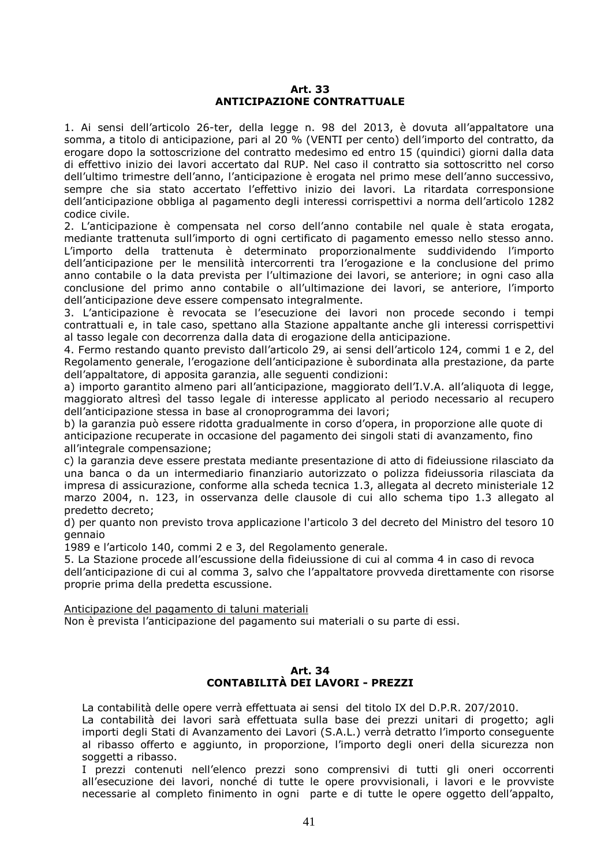#### **Art. 33 ANTICIPAZIONE CONTRATTUALE**

1. Ai sensi dell'articolo 26-ter, della legge n. 98 del 2013, è dovuta all'appaltatore una somma, a titolo di anticipazione, pari al 20 % (VENTI per cento) dell'importo del contratto, da erogare dopo la sottoscrizione del contratto medesimo ed entro 15 (quindici) giorni dalla data di effettivo inizio dei lavori accertato dal RUP. Nel caso il contratto sia sottoscritto nel corso dell'ultimo trimestre dell'anno, l'anticipazione è erogata nel primo mese dell'anno successivo, sempre che sia stato accertato l'effettivo inizio dei lavori. La ritardata corresponsione dell'anticipazione obbliga al pagamento degli interessi corrispettivi a norma dell'articolo 1282 codice civile.

2. L'anticipazione è compensata nel corso dell'anno contabile nel quale è stata erogata, mediante trattenuta sull'importo di ogni certificato di pagamento emesso nello stesso anno. L'importo della trattenuta è determinato proporzionalmente suddividendo l'importo dell'anticipazione per le mensilità intercorrenti tra l'erogazione e la conclusione del primo anno contabile o la data prevista per l'ultimazione dei lavori, se anteriore; in ogni caso alla conclusione del primo anno contabile o all'ultimazione dei lavori, se anteriore, l'importo dell'anticipazione deve essere compensato integralmente.

3. L'anticipazione è revocata se l'esecuzione dei lavori non procede secondo i tempi contrattuali e, in tale caso, spettano alla Stazione appaltante anche gli interessi corrispettivi al tasso legale con decorrenza dalla data di erogazione della anticipazione.

4. Fermo restando quanto previsto dall'articolo 29, ai sensi dell'articolo 124, commi 1 e 2, del Regolamento generale, l'erogazione dell'anticipazione è subordinata alla prestazione, da parte dell'appaltatore, di apposita garanzia, alle seguenti condizioni:

a) importo garantito almeno pari all'anticipazione, maggiorato dell'I.V.A. all'aliquota di legge, maggiorato altresì del tasso legale di interesse applicato al periodo necessario al recupero dell'anticipazione stessa in base al cronoprogramma dei lavori;

b) la garanzia può essere ridotta gradualmente in corso d'opera, in proporzione alle quote di anticipazione recuperate in occasione del pagamento dei singoli stati di avanzamento, fino all'integrale compensazione;

c) la garanzia deve essere prestata mediante presentazione di atto di fideiussione rilasciato da una banca o da un intermediario finanziario autorizzato o polizza fideiussoria rilasciata da impresa di assicurazione, conforme alla scheda tecnica 1.3, allegata al decreto ministeriale 12 marzo 2004, n. 123, in osservanza delle clausole di cui allo schema tipo 1.3 allegato al predetto decreto;

d) per quanto non previsto trova applicazione l'articolo 3 del decreto del Ministro del tesoro 10 gennaio

1989 e l'articolo 140, commi 2 e 3, del Regolamento generale.

5. La Stazione procede all'escussione della fideiussione di cui al comma 4 in caso di revoca dell'anticipazione di cui al comma 3, salvo che l'appaltatore provveda direttamente con risorse proprie prima della predetta escussione.

Anticipazione del pagamento di taluni materiali

Non è prevista l'anticipazione del pagamento sui materiali o su parte di essi.

## **Art. 34 CONTABILITÀ DEI LAVORI - PREZZI**

La contabilità delle opere verrà effettuata ai sensi del titolo IX del D.P.R. 207/2010.

La contabilità dei lavori sarà effettuata sulla base dei prezzi unitari di progetto; agli importi degli Stati di Avanzamento dei Lavori (S.A.L.) verrà detratto l'importo conseguente al ribasso offerto e aggiunto, in proporzione, l'importo degli oneri della sicurezza non soggetti a ribasso.

I prezzi contenuti nell'elenco prezzi sono comprensivi di tutti gli oneri occorrenti all'esecuzione dei lavori, nonché di tutte le opere provvisionali, i lavori e le provviste necessarie al completo finimento in ogni parte e di tutte le opere oggetto dell'appalto,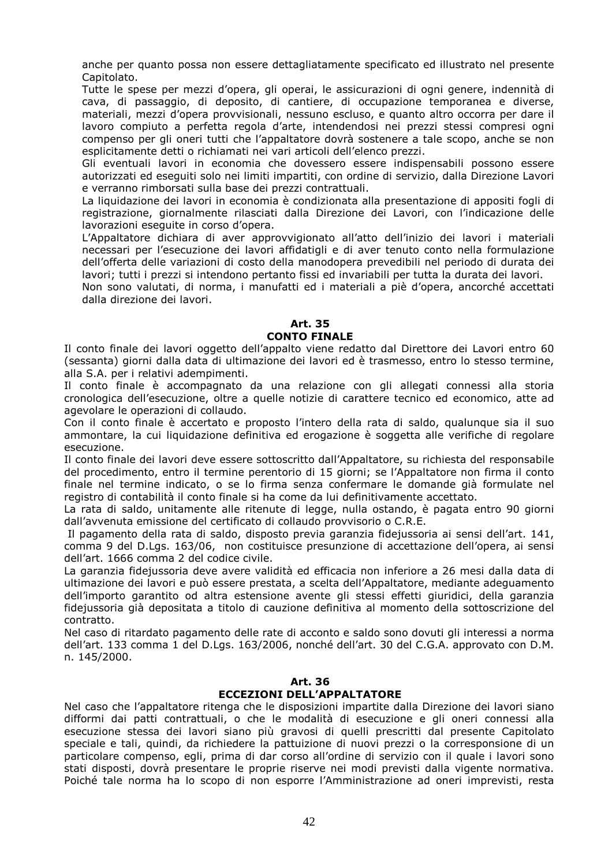anche per quanto possa non essere dettagliatamente specificato ed illustrato nel presente Capitolato.

Tutte le spese per mezzi d'opera, gli operai, le assicurazioni di ogni genere, indennità di cava, di passaggio, di deposito, di cantiere, di occupazione temporanea e diverse, materiali, mezzi d'opera provvisionali, nessuno escluso, e quanto altro occorra per dare il lavoro compiuto a perfetta regola d'arte, intendendosi nei prezzi stessi compresi ogni compenso per gli oneri tutti che l'appaltatore dovrà sostenere a tale scopo, anche se non esplicitamente detti o richiamati nei vari articoli dell'elenco prezzi.

Gli eventuali lavori in economia che dovessero essere indispensabili possono essere autorizzati ed eseguiti solo nei limiti impartiti, con ordine di servizio, dalla Direzione Lavori e verranno rimborsati sulla base dei prezzi contrattuali.

La liquidazione dei lavori in economia è condizionata alla presentazione di appositi fogli di registrazione, giornalmente rilasciati dalla Direzione dei Lavori, con l'indicazione delle lavorazioni eseguite in corso d'opera.

L'Appaltatore dichiara di aver approvvigionato all'atto dell'inizio dei lavori i materiali necessari per l'esecuzione dei lavori affidatigli e di aver tenuto conto nella formulazione dell'offerta delle variazioni di costo della manodopera prevedibili nel periodo di durata dei lavori; tutti i prezzi si intendono pertanto fissi ed invariabili per tutta la durata dei lavori.

Non sono valutati, di norma, i manufatti ed i materiali a piè d'opera, ancorché accettati dalla direzione dei lavori.

#### **Art. 35 CONTO FINALE**

Il conto finale dei lavori oggetto dell'appalto viene redatto dal Direttore dei Lavori entro 60 (sessanta) giorni dalla data di ultimazione dei lavori ed è trasmesso, entro lo stesso termine, alla S.A. per i relativi adempimenti.

Il conto finale è accompagnato da una relazione con gli allegati connessi alla storia cronologica dell'esecuzione, oltre a quelle notizie di carattere tecnico ed economico, atte ad agevolare le operazioni di collaudo.

Con il conto finale è accertato e proposto l'intero della rata di saldo, qualunque sia il suo ammontare, la cui liquidazione definitiva ed erogazione è soggetta alle verifiche di regolare esecuzione.

Il conto finale dei lavori deve essere sottoscritto dall'Appaltatore, su richiesta del responsabile del procedimento, entro il termine perentorio di 15 giorni; se l'Appaltatore non firma il conto finale nel termine indicato, o se lo firma senza confermare le domande già formulate nel registro di contabilità il conto finale si ha come da lui definitivamente accettato.

La rata di saldo, unitamente alle ritenute di legge, nulla ostando, è pagata entro 90 giorni dall'avvenuta emissione del certificato di collaudo provvisorio o C.R.E.

 Il pagamento della rata di saldo, disposto previa garanzia fidejussoria ai sensi dell'art. 141, comma 9 del D.Lgs. 163/06, non costituisce presunzione di accettazione dell'opera, ai sensi dell'art. 1666 comma 2 del codice civile.

La garanzia fidejussoria deve avere validità ed efficacia non inferiore a 26 mesi dalla data di ultimazione dei lavori e può essere prestata, a scelta dell'Appaltatore, mediante adeguamento dell'importo garantito od altra estensione avente gli stessi effetti giuridici, della garanzia fidejussoria già depositata a titolo di cauzione definitiva al momento della sottoscrizione del contratto.

Nel caso di ritardato pagamento delle rate di acconto e saldo sono dovuti gli interessi a norma dell'art. 133 comma 1 del D.Lgs. 163/2006, nonché dell'art. 30 del C.G.A. approvato con D.M. n. 145/2000.

## **Art. 36 ECCEZIONI DELL'APPALTATORE**

Nel caso che l'appaltatore ritenga che le disposizioni impartite dalla Direzione dei lavori siano difformi dai patti contrattuali, o che le modalità di esecuzione e gli oneri connessi alla esecuzione stessa dei lavori siano più gravosi di quelli prescritti dal presente Capitolato speciale e tali, quindi, da richiedere la pattuizione di nuovi prezzi o la corresponsione di un particolare compenso, egli, prima di dar corso all'ordine di servizio con il quale i lavori sono stati disposti, dovrà presentare le proprie riserve nei modi previsti dalla vigente normativa. Poiché tale norma ha lo scopo di non esporre l'Amministrazione ad oneri imprevisti, resta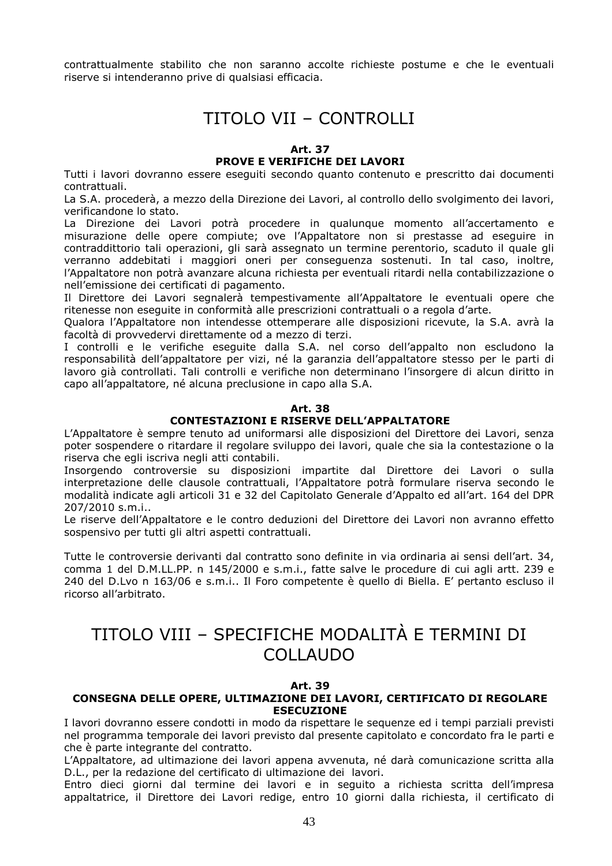contrattualmente stabilito che non saranno accolte richieste postume e che le eventuali riserve si intenderanno prive di qualsiasi efficacia.

## TITOLO VII – CONTROLLI

#### **Art. 37**

#### **PROVE E VERIFICHE DEI LAVORI**

Tutti i lavori dovranno essere eseguiti secondo quanto contenuto e prescritto dai documenti contrattuali.

La S.A. procederà, a mezzo della Direzione dei Lavori, al controllo dello svolgimento dei lavori, verificandone lo stato.

La Direzione dei Lavori potrà procedere in qualunque momento all'accertamento e misurazione delle opere compiute; ove l'Appaltatore non si prestasse ad eseguire in contraddittorio tali operazioni, gli sarà assegnato un termine perentorio, scaduto il quale gli verranno addebitati i maggiori oneri per conseguenza sostenuti. In tal caso, inoltre, l'Appaltatore non potrà avanzare alcuna richiesta per eventuali ritardi nella contabilizzazione o nell'emissione dei certificati di pagamento.

Il Direttore dei Lavori segnalerà tempestivamente all'Appaltatore le eventuali opere che ritenesse non eseguite in conformità alle prescrizioni contrattuali o a regola d'arte.

Qualora l'Appaltatore non intendesse ottemperare alle disposizioni ricevute, la S.A. avrà la facoltà di provvedervi direttamente od a mezzo di terzi.

I controlli e le verifiche eseguite dalla S.A. nel corso dell'appalto non escludono la responsabilità dell'appaltatore per vizi, né la garanzia dell'appaltatore stesso per le parti di lavoro già controllati. Tali controlli e verifiche non determinano l'insorgere di alcun diritto in capo all'appaltatore, né alcuna preclusione in capo alla S.A.

#### **Art. 38**

#### **CONTESTAZIONI E RISERVE DELL'APPALTATORE**

L'Appaltatore è sempre tenuto ad uniformarsi alle disposizioni del Direttore dei Lavori, senza poter sospendere o ritardare il regolare sviluppo dei lavori, quale che sia la contestazione o la riserva che egli iscriva negli atti contabili.

Insorgendo controversie su disposizioni impartite dal Direttore dei Lavori o sulla interpretazione delle clausole contrattuali, l'Appaltatore potrà formulare riserva secondo le modalità indicate agli articoli 31 e 32 del Capitolato Generale d'Appalto ed all'art. 164 del DPR 207/2010 s.m.i..

Le riserve dell'Appaltatore e le contro deduzioni del Direttore dei Lavori non avranno effetto sospensivo per tutti gli altri aspetti contrattuali.

Tutte le controversie derivanti dal contratto sono definite in via ordinaria ai sensi dell'art. 34, comma 1 del D.M.LL.PP. n 145/2000 e s.m.i., fatte salve le procedure di cui agli artt. 239 e 240 del D.Lvo n 163/06 e s.m.i.. Il Foro competente è quello di Biella. E' pertanto escluso il ricorso all'arbitrato.

# TITOLO VIII – SPECIFICHE MODALITÀ E TERMINI DI COLLAUDO

#### **Art. 39**

#### **CONSEGNA DELLE OPERE, ULTIMAZIONE DEI LAVORI, CERTIFICATO DI REGOLARE ESECUZIONE**

I lavori dovranno essere condotti in modo da rispettare le sequenze ed i tempi parziali previsti nel programma temporale dei lavori previsto dal presente capitolato e concordato fra le parti e che è parte integrante del contratto.

L'Appaltatore, ad ultimazione dei lavori appena avvenuta, né darà comunicazione scritta alla D.L., per la redazione del certificato di ultimazione dei lavori.

Entro dieci giorni dal termine dei lavori e in seguito a richiesta scritta dell'impresa appaltatrice, il Direttore dei Lavori redige, entro 10 giorni dalla richiesta, il certificato di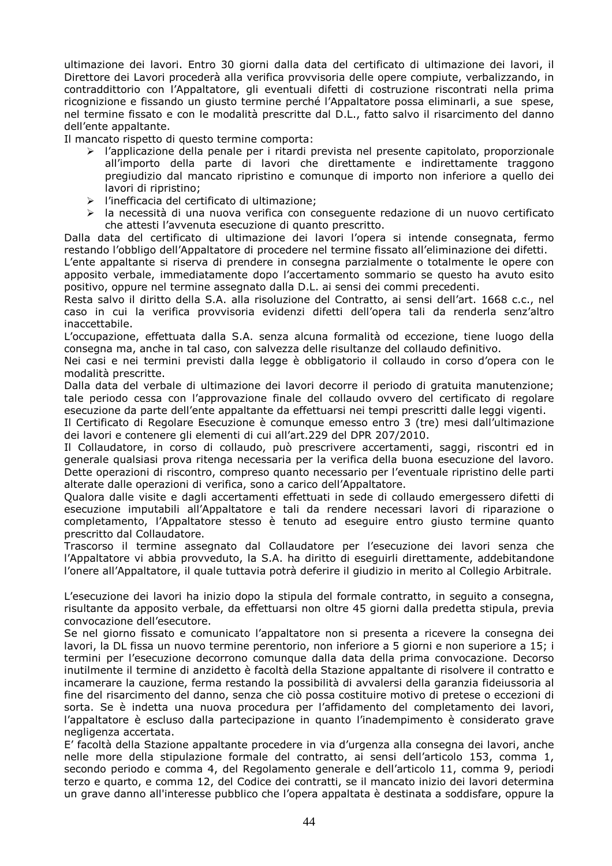ultimazione dei lavori. Entro 30 giorni dalla data del certificato di ultimazione dei lavori, il Direttore dei Lavori procederà alla verifica provvisoria delle opere compiute, verbalizzando, in contraddittorio con l'Appaltatore, gli eventuali difetti di costruzione riscontrati nella prima ricognizione e fissando un giusto termine perché l'Appaltatore possa eliminarli, a sue spese, nel termine fissato e con le modalità prescritte dal D.L., fatto salvo il risarcimento del danno dell'ente appaltante.

Il mancato rispetto di questo termine comporta:

- l'applicazione della penale per i ritardi prevista nel presente capitolato, proporzionale all'importo della parte di lavori che direttamente e indirettamente traggono pregiudizio dal mancato ripristino e comunque di importo non inferiore a quello dei lavori di ripristino;
- l'inefficacia del certificato di ultimazione;
- la necessità di una nuova verifica con conseguente redazione di un nuovo certificato che attesti l'avvenuta esecuzione di quanto prescritto.

Dalla data del certificato di ultimazione dei lavori l'opera si intende consegnata, fermo restando l'obbligo dell'Appaltatore di procedere nel termine fissato all'eliminazione dei difetti.

L'ente appaltante si riserva di prendere in consegna parzialmente o totalmente le opere con apposito verbale, immediatamente dopo l'accertamento sommario se questo ha avuto esito positivo, oppure nel termine assegnato dalla D.L. ai sensi dei commi precedenti.

Resta salvo il diritto della S.A. alla risoluzione del Contratto, ai sensi dell'art. 1668 c.c., nel caso in cui la verifica provvisoria evidenzi difetti dell'opera tali da renderla senz'altro inaccettabile.

L'occupazione, effettuata dalla S.A. senza alcuna formalità od eccezione, tiene luogo della consegna ma, anche in tal caso, con salvezza delle risultanze del collaudo definitivo.

Nei casi e nei termini previsti dalla legge è obbligatorio il collaudo in corso d'opera con le modalità prescritte.

Dalla data del verbale di ultimazione dei lavori decorre il periodo di gratuita manutenzione; tale periodo cessa con l'approvazione finale del collaudo ovvero del certificato di regolare esecuzione da parte dell'ente appaltante da effettuarsi nei tempi prescritti dalle leggi vigenti.

Il Certificato di Regolare Esecuzione è comunque emesso entro 3 (tre) mesi dall'ultimazione dei lavori e contenere gli elementi di cui all'art.229 del DPR 207/2010.

Il Collaudatore, in corso di collaudo, può prescrivere accertamenti, saggi, riscontri ed in generale qualsiasi prova ritenga necessaria per la verifica della buona esecuzione del lavoro. Dette operazioni di riscontro, compreso quanto necessario per l'eventuale ripristino delle parti alterate dalle operazioni di verifica, sono a carico dell'Appaltatore.

Qualora dalle visite e dagli accertamenti effettuati in sede di collaudo emergessero difetti di esecuzione imputabili all'Appaltatore e tali da rendere necessari lavori di riparazione o completamento, l'Appaltatore stesso è tenuto ad eseguire entro giusto termine quanto prescritto dal Collaudatore.

Trascorso il termine assegnato dal Collaudatore per l'esecuzione dei lavori senza che l'Appaltatore vi abbia provveduto, la S.A. ha diritto di eseguirli direttamente, addebitandone l'onere all'Appaltatore, il quale tuttavia potrà deferire il giudizio in merito al Collegio Arbitrale.

L'esecuzione dei lavori ha inizio dopo la stipula del formale contratto, in seguito a consegna, risultante da apposito verbale, da effettuarsi non oltre 45 giorni dalla predetta stipula, previa convocazione dell'esecutore.

Se nel giorno fissato e comunicato l'appaltatore non si presenta a ricevere la consegna dei lavori, la DL fissa un nuovo termine perentorio, non inferiore a 5 giorni e non superiore a 15; i termini per l'esecuzione decorrono comunque dalla data della prima convocazione. Decorso inutilmente il termine di anzidetto è facoltà della Stazione appaltante di risolvere il contratto e incamerare la cauzione, ferma restando la possibilità di avvalersi della garanzia fideiussoria al fine del risarcimento del danno, senza che ciò possa costituire motivo di pretese o eccezioni di sorta. Se è indetta una nuova procedura per l'affidamento del completamento dei lavori, l'appaltatore è escluso dalla partecipazione in quanto l'inadempimento è considerato grave negligenza accertata.

E' facoltà della Stazione appaltante procedere in via d'urgenza alla consegna dei lavori, anche nelle more della stipulazione formale del contratto, ai sensi dell'articolo 153, comma 1, secondo periodo e comma 4, del Regolamento generale e dell'articolo 11, comma 9, periodi terzo e quarto, e comma 12, del Codice dei contratti, se il mancato inizio dei lavori determina un grave danno all'interesse pubblico che l'opera appaltata è destinata a soddisfare, oppure la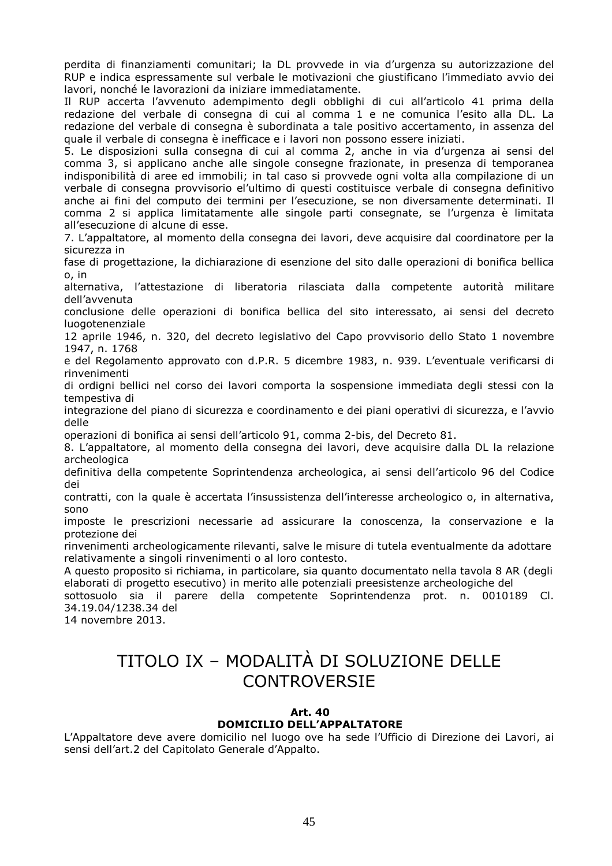perdita di finanziamenti comunitari; la DL provvede in via d'urgenza su autorizzazione del RUP e indica espressamente sul verbale le motivazioni che giustificano l'immediato avvio dei lavori, nonché le lavorazioni da iniziare immediatamente.

Il RUP accerta l'avvenuto adempimento degli obblighi di cui all'articolo 41 prima della redazione del verbale di consegna di cui al comma 1 e ne comunica l'esito alla DL. La redazione del verbale di consegna è subordinata a tale positivo accertamento, in assenza del quale il verbale di consegna è inefficace e i lavori non possono essere iniziati.

5. Le disposizioni sulla consegna di cui al comma 2, anche in via d'urgenza ai sensi del comma 3, si applicano anche alle singole consegne frazionate, in presenza di temporanea indisponibilità di aree ed immobili; in tal caso si provvede ogni volta alla compilazione di un verbale di consegna provvisorio el'ultimo di questi costituisce verbale di consegna definitivo anche ai fini del computo dei termini per l'esecuzione, se non diversamente determinati. Il comma 2 si applica limitatamente alle singole parti consegnate, se l'urgenza è limitata all'esecuzione di alcune di esse.

7. L'appaltatore, al momento della consegna dei lavori, deve acquisire dal coordinatore per la sicurezza in

fase di progettazione, la dichiarazione di esenzione del sito dalle operazioni di bonifica bellica o, in

alternativa, l'attestazione di liberatoria rilasciata dalla competente autorità militare dell'avvenuta

conclusione delle operazioni di bonifica bellica del sito interessato, ai sensi del decreto luogotenenziale

12 aprile 1946, n. 320, del decreto legislativo del Capo provvisorio dello Stato 1 novembre 1947, n. 1768

e del Regolamento approvato con d.P.R. 5 dicembre 1983, n. 939. L'eventuale verificarsi di rinvenimenti

di ordigni bellici nel corso dei lavori comporta la sospensione immediata degli stessi con la tempestiva di

integrazione del piano di sicurezza e coordinamento e dei piani operativi di sicurezza, e l'avvio delle

operazioni di bonifica ai sensi dell'articolo 91, comma 2-bis, del Decreto 81.

8. L'appaltatore, al momento della consegna dei lavori, deve acquisire dalla DL la relazione archeologica

definitiva della competente Soprintendenza archeologica, ai sensi dell'articolo 96 del Codice dei

contratti, con la quale è accertata l'insussistenza dell'interesse archeologico o, in alternativa, sono

imposte le prescrizioni necessarie ad assicurare la conoscenza, la conservazione e la protezione dei

rinvenimenti archeologicamente rilevanti, salve le misure di tutela eventualmente da adottare relativamente a singoli rinvenimenti o al loro contesto.

A questo proposito si richiama, in particolare, sia quanto documentato nella tavola 8 AR (degli elaborati di progetto esecutivo) in merito alle potenziali preesistenze archeologiche del

sottosuolo sia il parere della competente Soprintendenza prot. n. 0010189 Cl. 34.19.04/1238.34 del

14 novembre 2013.

# TITOLO IX – MODALITÀ DI SOLUZIONE DELLE CONTROVERSIE

#### **Art. 40 DOMICILIO DELL'APPALTATORE**

L'Appaltatore deve avere domicilio nel luogo ove ha sede l'Ufficio di Direzione dei Lavori, ai sensi dell'art.2 del Capitolato Generale d'Appalto.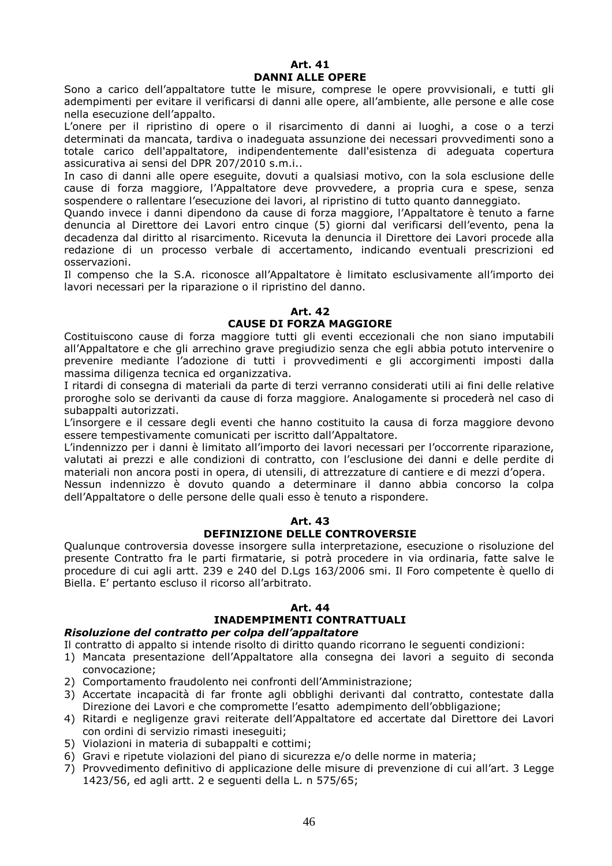#### **Art. 41 DANNI ALLE OPERE**

Sono a carico dell'appaltatore tutte le misure, comprese le opere provvisionali, e tutti gli adempimenti per evitare il verificarsi di danni alle opere, all'ambiente, alle persone e alle cose nella esecuzione dell'appalto.

L'onere per il ripristino di opere o il risarcimento di danni ai luoghi, a cose o a terzi determinati da mancata, tardiva o inadeguata assunzione dei necessari provvedimenti sono a totale carico dell'appaltatore, indipendentemente dall'esistenza di adeguata copertura assicurativa ai sensi del DPR 207/2010 s.m.i..

In caso di danni alle opere eseguite, dovuti a qualsiasi motivo, con la sola esclusione delle cause di forza maggiore, l'Appaltatore deve provvedere, a propria cura e spese, senza sospendere o rallentare l'esecuzione dei lavori, al ripristino di tutto quanto danneggiato.

Quando invece i danni dipendono da cause di forza maggiore, l'Appaltatore è tenuto a farne denuncia al Direttore dei Lavori entro cinque (5) giorni dal verificarsi dell'evento, pena la decadenza dal diritto al risarcimento. Ricevuta la denuncia il Direttore dei Lavori procede alla redazione di un processo verbale di accertamento, indicando eventuali prescrizioni ed osservazioni.

Il compenso che la S.A. riconosce all'Appaltatore è limitato esclusivamente all'importo dei lavori necessari per la riparazione o il ripristino del danno.

## **Art. 42**

#### **CAUSE DI FORZA MAGGIORE**

Costituiscono cause di forza maggiore tutti gli eventi eccezionali che non siano imputabili all'Appaltatore e che gli arrechino grave pregiudizio senza che egli abbia potuto intervenire o prevenire mediante l'adozione di tutti i provvedimenti e gli accorgimenti imposti dalla massima diligenza tecnica ed organizzativa.

I ritardi di consegna di materiali da parte di terzi verranno considerati utili ai fini delle relative proroghe solo se derivanti da cause di forza maggiore. Analogamente si procederà nel caso di subappalti autorizzati.

L'insorgere e il cessare degli eventi che hanno costituito la causa di forza maggiore devono essere tempestivamente comunicati per iscritto dall'Appaltatore.

L'indennizzo per i danni è limitato all'importo dei lavori necessari per l'occorrente riparazione, valutati ai prezzi e alle condizioni di contratto, con l'esclusione dei danni e delle perdite di materiali non ancora posti in opera, di utensili, di attrezzature di cantiere e di mezzi d'opera.

Nessun indennizzo è dovuto quando a determinare il danno abbia concorso la colpa dell'Appaltatore o delle persone delle quali esso è tenuto a rispondere.

#### **Art. 43 DEFINIZIONE DELLE CONTROVERSIE**

Qualunque controversia dovesse insorgere sulla interpretazione, esecuzione o risoluzione del presente Contratto fra le parti firmatarie, si potrà procedere in via ordinaria, fatte salve le procedure di cui agli artt. 239 e 240 del D.Lgs 163/2006 smi. Il Foro competente è quello di Biella. E' pertanto escluso il ricorso all'arbitrato.

#### **Art. 44**

## **INADEMPIMENTI CONTRATTUALI**

#### *Risoluzione del contratto per colpa dell'appaltatore*

- Il contratto di appalto si intende risolto di diritto quando ricorrano le seguenti condizioni:
- 1) Mancata presentazione dell'Appaltatore alla consegna dei lavori a seguito di seconda convocazione;
- 2) Comportamento fraudolento nei confronti dell'Amministrazione;
- 3) Accertate incapacità di far fronte agli obblighi derivanti dal contratto, contestate dalla Direzione dei Lavori e che compromette l'esatto adempimento dell'obbligazione;
- 4) Ritardi e negligenze gravi reiterate dell'Appaltatore ed accertate dal Direttore dei Lavori con ordini di servizio rimasti ineseguiti;
- 5) Violazioni in materia di subappalti e cottimi;
- 6) Gravi e ripetute violazioni del piano di sicurezza e/o delle norme in materia;
- 7) Provvedimento definitivo di applicazione delle misure di prevenzione di cui all'art. 3 Legge 1423/56, ed agli artt. 2 e seguenti della L. n 575/65;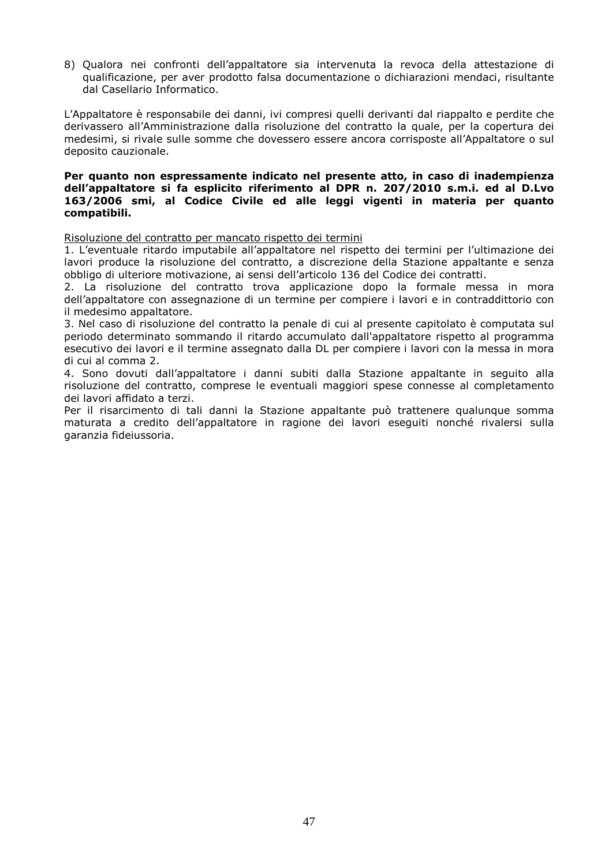8) Qualora nei confronti dell'appaltatore sia intervenuta la revoca della attestazione di qualificazione, per aver prodotto falsa documentazione o dichiarazioni mendaci, risultante dal Casellario Informatico.

L'Appaltatore è responsabile dei danni, ivi compresi quelli derivanti dal riappalto e perdite che derivassero all'Amministrazione dalla risoluzione del contratto la quale, per la copertura dei medesimi, si rivale sulle somme che dovessero essere ancora corrisposte all'Appaltatore o sul deposito cauzionale.

#### **Per quanto non espressamente indicato nel presente atto, in caso di inadempienza dell'appaltatore si fa esplicito riferimento al DPR n. 207/2010 s.m.i. ed al D.Lvo 163/2006 smi, al Codice Civile ed alle leggi vigenti in materia per quanto compatibili.**

Risoluzione del contratto per mancato rispetto dei termini

1. L'eventuale ritardo imputabile all'appaltatore nel rispetto dei termini per l'ultimazione dei lavori produce la risoluzione del contratto, a discrezione della Stazione appaltante e senza obbligo di ulteriore motivazione, ai sensi dell'articolo 136 del Codice dei contratti.

2. La risoluzione del contratto trova applicazione dopo la formale messa in mora dell'appaltatore con assegnazione di un termine per compiere i lavori e in contraddittorio con il medesimo appaltatore.

3. Nel caso di risoluzione del contratto la penale di cui al presente capitolato è computata sul periodo determinato sommando il ritardo accumulato dall'appaltatore rispetto al programma esecutivo dei lavori e il termine assegnato dalla DL per compiere i lavori con la messa in mora di cui al comma 2.

4. Sono dovuti dall'appaltatore i danni subiti dalla Stazione appaltante in seguito alla risoluzione del contratto, comprese le eventuali maggiori spese connesse al completamento dei lavori affidato a terzi.

Per il risarcimento di tali danni la Stazione appaltante può trattenere qualunque somma maturata a credito dell'appaltatore in ragione dei lavori eseguiti nonché rivalersi sulla garanzia fideiussoria.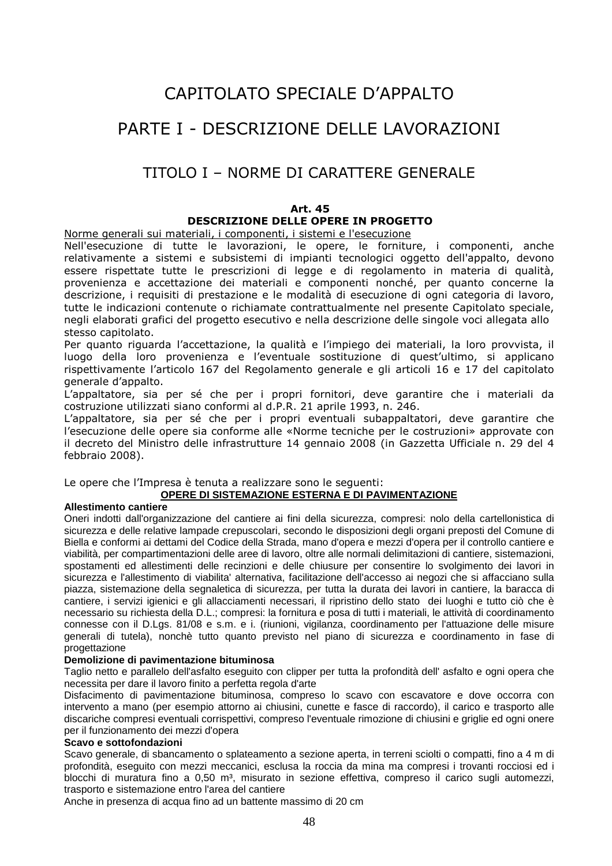# CAPITOLATO SPECIALE D'APPALTO

# PARTE I - DESCRIZIONE DELLE LAVORAZIONI

## TITOLO I – NORME DI CARATTERE GENERALE

## **Art. 45 DESCRIZIONE DELLE OPERE IN PROGETTO**

Norme generali sui materiali, i componenti, i sistemi e l'esecuzione

Nell'esecuzione di tutte le lavorazioni, le opere, le forniture, i componenti, anche relativamente a sistemi e subsistemi di impianti tecnologici oggetto dell'appalto, devono essere rispettate tutte le prescrizioni di legge e di regolamento in materia di qualità, provenienza e accettazione dei materiali e componenti nonché, per quanto concerne la descrizione, i requisiti di prestazione e le modalità di esecuzione di ogni categoria di lavoro, tutte le indicazioni contenute o richiamate contrattualmente nel presente Capitolato speciale, negli elaborati grafici del progetto esecutivo e nella descrizione delle singole voci allegata allo stesso capitolato.

Per quanto riguarda l'accettazione, la qualità e l'impiego dei materiali, la loro provvista, il luogo della loro provenienza e l'eventuale sostituzione di quest'ultimo, si applicano rispettivamente l'articolo 167 del Regolamento generale e gli articoli 16 e 17 del capitolato generale d'appalto.

L'appaltatore, sia per sé che per i propri fornitori, deve garantire che i materiali da costruzione utilizzati siano conformi al d.P.R. 21 aprile 1993, n. 246.

L'appaltatore, sia per sé che per i propri eventuali subappaltatori, deve garantire che l'esecuzione delle opere sia conforme alle «Norme tecniche per le costruzioni» approvate con il decreto del Ministro delle infrastrutture 14 gennaio 2008 (in Gazzetta Ufficiale n. 29 del 4 febbraio 2008).

Le opere che l'Impresa è tenuta a realizzare sono le seguenti:

#### **OPERE DI SISTEMAZIONE ESTERNA E DI PAVIMENTAZIONE**

#### **Allestimento cantiere**

Oneri indotti dall'organizzazione del cantiere ai fini della sicurezza, compresi: nolo della cartellonistica di sicurezza e delle relative lampade crepuscolari, secondo le disposizioni degli organi preposti del Comune di Biella e conformi ai dettami del Codice della Strada, mano d'opera e mezzi d'opera per il controllo cantiere e viabilità, per compartimentazioni delle aree di lavoro, oltre alle normali delimitazioni di cantiere, sistemazioni, spostamenti ed allestimenti delle recinzioni e delle chiusure per consentire lo svolgimento dei lavori in sicurezza e l'allestimento di viabilita' alternativa, facilitazione dell'accesso ai negozi che si affacciano sulla piazza, sistemazione della segnaletica di sicurezza, per tutta la durata dei lavori in cantiere, la baracca di cantiere, i servizi igienici e gli allacciamenti necessari, il ripristino dello stato dei luoghi e tutto ciò che è necessario su richiesta della D.L.; compresi: la fornitura e posa di tutti i materiali, le attività di coordinamento connesse con il D.Lgs. 81/08 e s.m. e i. (riunioni, vigilanza, coordinamento per l'attuazione delle misure generali di tutela), nonchè tutto quanto previsto nel piano di sicurezza e coordinamento in fase di progettazione

#### **Demolizione di pavimentazione bituminosa**

Taglio netto e parallelo dell'asfalto eseguito con clipper per tutta la profondità dell' asfalto e ogni opera che necessita per dare il lavoro finito a perfetta regola d'arte

Disfacimento di pavimentazione bituminosa, compreso lo scavo con escavatore e dove occorra con intervento a mano (per esempio attorno ai chiusini, cunette e fasce di raccordo), il carico e trasporto alle discariche compresi eventuali corrispettivi, compreso l'eventuale rimozione di chiusini e griglie ed ogni onere per il funzionamento dei mezzi d'opera

#### **Scavo e sottofondazioni**

Scavo generale, di sbancamento o splateamento a sezione aperta, in terreni sciolti o compatti, fino a 4 m di profondità, eseguito con mezzi meccanici, esclusa la roccia da mina ma compresi i trovanti rocciosi ed i blocchi di muratura fino a 0,50 m<sup>3</sup>, misurato in sezione effettiva, compreso il carico sugli automezzi, trasporto e sistemazione entro l'area del cantiere

Anche in presenza di acqua fino ad un battente massimo di 20 cm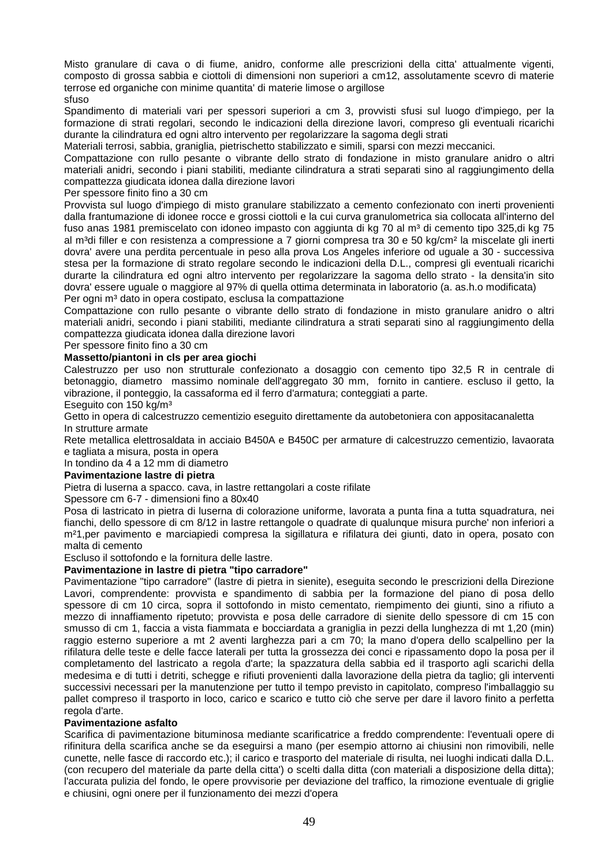Misto granulare di cava o di fiume, anidro, conforme alle prescrizioni della citta' attualmente vigenti, composto di grossa sabbia e ciottoli di dimensioni non superiori a cm12, assolutamente scevro di materie terrose ed organiche con minime quantita' di materie limose o argillose

## sfuso

Spandimento di materiali vari per spessori superiori a cm 3, provvisti sfusi sul luogo d'impiego, per la formazione di strati regolari, secondo le indicazioni della direzione lavori, compreso gli eventuali ricarichi durante la cilindratura ed ogni altro intervento per regolarizzare la sagoma degli strati

Materiali terrosi, sabbia, graniglia, pietrischetto stabilizzato e simili, sparsi con mezzi meccanici.

Compattazione con rullo pesante o vibrante dello strato di fondazione in misto granulare anidro o altri materiali anidri, secondo i piani stabiliti, mediante cilindratura a strati separati sino al raggiungimento della compattezza giudicata idonea dalla direzione lavori

#### Per spessore finito fino a 30 cm

Provvista sul luogo d'impiego di misto granulare stabilizzato a cemento confezionato con inerti provenienti dalla frantumazione di idonee rocce e grossi ciottoli e la cui curva granulometrica sia collocata all'interno del fuso anas 1981 premiscelato con idoneo impasto con aggiunta di kg 70 al m<sup>3</sup> di cemento tipo 325,di kg 75 al m<sup>3</sup>di filler e con resistenza a compressione a 7 giorni compresa tra 30 e 50 kg/cm<sup>2</sup> la miscelate gli inerti dovra' avere una perdita percentuale in peso alla prova Los Angeles inferiore od uguale a 30 - successiva stesa per la formazione di strato regolare secondo le indicazioni della D.L., compresi gli eventuali ricarichi durarte la cilindratura ed ogni altro intervento per regolarizzare la sagoma dello strato - la densita'in sito dovra' essere uguale o maggiore al 97% di quella ottima determinata in laboratorio (a. as.h.o modificata) Per ogni m<sup>3</sup> dato in opera costipato, esclusa la compattazione

Compattazione con rullo pesante o vibrante dello strato di fondazione in misto granulare anidro o altri materiali anidri, secondo i piani stabiliti, mediante cilindratura a strati separati sino al raggiungimento della compattezza giudicata idonea dalla direzione lavori

#### Per spessore finito fino a 30 cm

#### **Massetto/piantoni in cls per area giochi**

Calestruzzo per uso non strutturale confezionato a dosaggio con cemento tipo 32,5 R in centrale di betonaggio, diametro massimo nominale dell'aggregato 30 mm, fornito in cantiere. escluso il getto, la vibrazione, il ponteggio, la cassaforma ed il ferro d'armatura; conteggiati a parte.

Eseguito con 150 kg/m³

Getto in opera di calcestruzzo cementizio eseguito direttamente da autobetoniera con appositacanaletta In strutture armate

Rete metallica elettrosaldata in acciaio B450A e B450C per armature di calcestruzzo cementizio, lavaorata e tagliata a misura, posta in opera

In tondino da 4 a 12 mm di diametro

#### **Pavimentazione lastre di pietra**

Pietra di luserna a spacco. cava, in lastre rettangolari a coste rifilate

Spessore cm 6-7 - dimensioni fino a 80x40

Posa di lastricato in pietra di luserna di colorazione uniforme, lavorata a punta fina a tutta squadratura, nei fianchi, dello spessore di cm 8/12 in lastre rettangole o quadrate di qualunque misura purche' non inferiori a m²1,per pavimento e marciapiedi compresa la sigillatura e rifilatura dei giunti, dato in opera, posato con malta di cemento

#### Escluso il sottofondo e la fornitura delle lastre.

## **Pavimentazione in lastre di pietra "tipo carradore"**

Pavimentazione "tipo carradore" (lastre di pietra in sienite), eseguita secondo le prescrizioni della Direzione Lavori, comprendente: provvista e spandimento di sabbia per la formazione del piano di posa dello spessore di cm 10 circa, sopra il sottofondo in misto cementato, riempimento dei giunti, sino a rifiuto a mezzo di innaffiamento ripetuto; provvista e posa delle carradore di sienite dello spessore di cm 15 con smusso di cm 1, faccia a vista fiammata e bocciardata a graniglia in pezzi della lunghezza di mt 1,20 (min) raggio esterno superiore a mt 2 aventi larghezza pari a cm 70; la mano d'opera dello scalpellino per la rifilatura delle teste e delle facce laterali per tutta la grossezza dei conci e ripassamento dopo la posa per il completamento del lastricato a regola d'arte; la spazzatura della sabbia ed il trasporto agli scarichi della medesima e di tutti i detriti, schegge e rifiuti provenienti dalla lavorazione della pietra da taglio; gli interventi successivi necessari per la manutenzione per tutto il tempo previsto in capitolato, compreso l'imballaggio su pallet compreso il trasporto in loco, carico e scarico e tutto ciò che serve per dare il lavoro finito a perfetta regola d'arte.

## **Pavimentazione asfalto**

Scarifica di pavimentazione bituminosa mediante scarificatrice a freddo comprendente: l'eventuali opere di rifinitura della scarifica anche se da eseguirsi a mano (per esempio attorno ai chiusini non rimovibili, nelle cunette, nelle fasce di raccordo etc.); il carico e trasporto del materiale di risulta, nei luoghi indicati dalla D.L. (con recupero del materiale da parte della citta') o scelti dalla ditta (con materiali a disposizione della ditta); l'accurata pulizia del fondo, le opere provvisorie per deviazione del traffico, la rimozione eventuale di griglie e chiusini, ogni onere per il funzionamento dei mezzi d'opera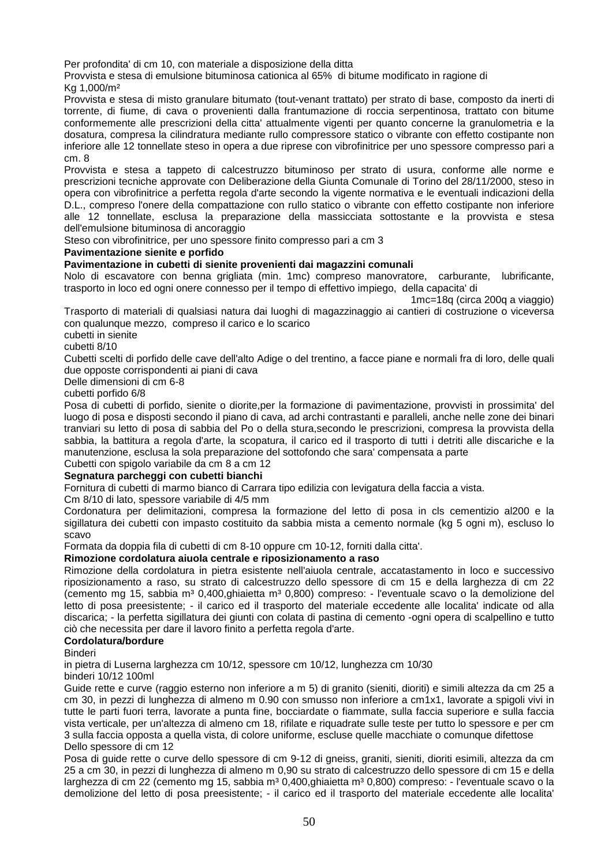Per profondita' di cm 10, con materiale a disposizione della ditta

Provvista e stesa di emulsione bituminosa cationica al 65% di bitume modificato in ragione di Kg 1,000/m²

Provvista e stesa di misto granulare bitumato (tout-venant trattato) per strato di base, composto da inerti di torrente, di fiume, di cava o provenienti dalla frantumazione di roccia serpentinosa, trattato con bitume conformemente alle prescrizioni della citta' attualmente vigenti per quanto concerne la granulometria e la dosatura, compresa la cilindratura mediante rullo compressore statico o vibrante con effetto costipante non inferiore alle 12 tonnellate steso in opera a due riprese con vibrofinitrice per uno spessore compresso pari a cm. 8

Provvista e stesa a tappeto di calcestruzzo bituminoso per strato di usura, conforme alle norme e prescrizioni tecniche approvate con Deliberazione della Giunta Comunale di Torino del 28/11/2000, steso in opera con vibrofinitrice a perfetta regola d'arte secondo la vigente normativa e le eventuali indicazioni della D.L., compreso l'onere della compattazione con rullo statico o vibrante con effetto costipante non inferiore alle 12 tonnellate, esclusa la preparazione della massicciata sottostante e la provvista e stesa dell'emulsione bituminosa di ancoraggio

Steso con vibrofinitrice, per uno spessore finito compresso pari a cm 3

#### **Pavimentazione sienite e porfido**

#### **Pavimentazione in cubetti di sienite provenienti dai magazzini comunali**

Nolo di escavatore con benna grigliata (min. 1mc) compreso manovratore, carburante, lubrificante, trasporto in loco ed ogni onere connesso per il tempo di effettivo impiego, della capacita' di

1mc=18q (circa 200q a viaggio)

Trasporto di materiali di qualsiasi natura dai luoghi di magazzinaggio ai cantieri di costruzione o viceversa con qualunque mezzo, compreso il carico e lo scarico

cubetti in sienite cubetti 8/10

Cubetti scelti di porfido delle cave dell'alto Adige o del trentino, a facce piane e normali fra di loro, delle quali due opposte corrispondenti ai piani di cava

Delle dimensioni di cm 6-8

cubetti porfido 6/8

Posa di cubetti di porfido, sienite o diorite,per la formazione di pavimentazione, provvisti in prossimita' del luogo di posa e disposti secondo il piano di cava, ad archi contrastanti e paralleli, anche nelle zone dei binari tranviari su letto di posa di sabbia del Po o della stura,secondo le prescrizioni, compresa la provvista della sabbia, la battitura a regola d'arte, la scopatura, il carico ed il trasporto di tutti i detriti alle discariche e la manutenzione, esclusa la sola preparazione del sottofondo che sara' compensata a parte

Cubetti con spigolo variabile da cm 8 a cm 12

#### **Segnatura parcheggi con cubetti bianchi**

Fornitura di cubetti di marmo bianco di Carrara tipo edilizia con levigatura della faccia a vista.

Cm 8/10 di lato, spessore variabile di 4/5 mm

Cordonatura per delimitazioni, compresa la formazione del letto di posa in cls cementizio al200 e la sigillatura dei cubetti con impasto costituito da sabbia mista a cemento normale (kg 5 ogni m), escluso lo scavo

Formata da doppia fila di cubetti di cm 8-10 oppure cm 10-12, forniti dalla citta'.

## **Rimozione cordolatura aiuola centrale e riposizionamento a raso**

Rimozione della cordolatura in pietra esistente nell'aiuola centrale, accatastamento in loco e successivo riposizionamento a raso, su strato di calcestruzzo dello spessore di cm 15 e della larghezza di cm 22 (cemento mg 15, sabbia m³ 0,400,ghiaietta m³ 0,800) compreso: - l'eventuale scavo o la demolizione del letto di posa preesistente; - il carico ed il trasporto del materiale eccedente alle localita' indicate od alla discarica; - la perfetta sigillatura dei giunti con colata di pastina di cemento -ogni opera di scalpellino e tutto ciò che necessita per dare il lavoro finito a perfetta regola d'arte.

#### **Cordolatura/bordure**

Binderi

in pietra di Luserna larghezza cm 10/12, spessore cm 10/12, lunghezza cm 10/30 binderi 10/12 100ml

Guide rette e curve (raggio esterno non inferiore a m 5) di granito (sieniti, dioriti) e simili altezza da cm 25 a cm 30, in pezzi di lunghezza di almeno m 0.90 con smusso non inferiore a cm1x1, lavorate a spigoli vivi in tutte le parti fuori terra, lavorate a punta fine, bocciardate o fiammate, sulla faccia superiore e sulla faccia vista verticale, per un'altezza di almeno cm 18, rifilate e riquadrate sulle teste per tutto lo spessore e per cm 3 sulla faccia opposta a quella vista, di colore uniforme, escluse quelle macchiate o comunque difettose Dello spessore di cm 12

Posa di guide rette o curve dello spessore di cm 9-12 di gneiss, graniti, sieniti, dioriti esimili, altezza da cm 25 a cm 30, in pezzi di lunghezza di almeno m 0,90 su strato di calcestruzzo dello spessore di cm 15 e della larghezza di cm 22 (cemento mg 15, sabbia m<sup>3</sup> 0,400,ghiaietta m<sup>3</sup> 0,800) compreso: - l'eventuale scavo o la demolizione del letto di posa preesistente; - il carico ed il trasporto del materiale eccedente alle localita'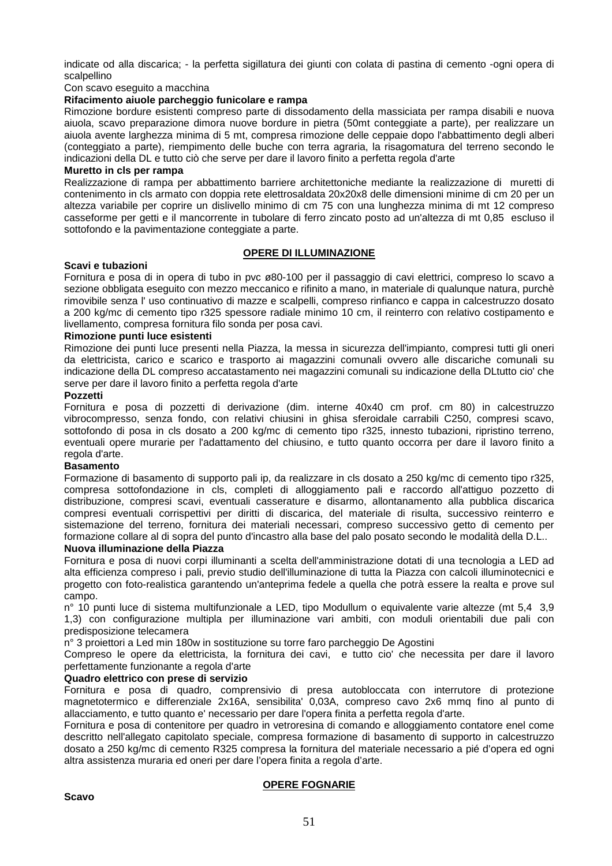indicate od alla discarica; - la perfetta sigillatura dei giunti con colata di pastina di cemento -ogni opera di scalpellino

Con scavo eseguito a macchina

#### **Rifacimento aiuole parcheggio funicolare e rampa**

Rimozione bordure esistenti compreso parte di dissodamento della massiciata per rampa disabili e nuova aiuola, scavo preparazione dimora nuove bordure in pietra (50mt conteggiate a parte), per realizzare un aiuola avente larghezza minima di 5 mt, compresa rimozione delle ceppaie dopo l'abbattimento degli alberi (conteggiato a parte), riempimento delle buche con terra agraria, la risagomatura del terreno secondo le indicazioni della DL e tutto ciò che serve per dare il lavoro finito a perfetta regola d'arte

#### **Muretto in cls per rampa**

Realizzazione di rampa per abbattimento barriere architettoniche mediante la realizzazione di muretti di contenimento in cls armato con doppia rete elettrosaldata 20x20x8 delle dimensioni minime di cm 20 per un altezza variabile per coprire un dislivello minimo di cm 75 con una lunghezza minima di mt 12 compreso casseforme per getti e il mancorrente in tubolare di ferro zincato posto ad un'altezza di mt 0,85 escluso il sottofondo e la pavimentazione conteggiate a parte.

#### **OPERE DI ILLUMINAZIONE**

#### **Scavi e tubazioni**

Fornitura e posa di in opera di tubo in pvc ø80-100 per il passaggio di cavi elettrici, compreso lo scavo a sezione obbligata eseguito con mezzo meccanico e rifinito a mano, in materiale di qualunque natura, purchè rimovibile senza l' uso continuativo di mazze e scalpelli, compreso rinfianco e cappa in calcestruzzo dosato a 200 kg/mc di cemento tipo r325 spessore radiale minimo 10 cm, il reinterro con relativo costipamento e livellamento, compresa fornitura filo sonda per posa cavi.

#### **Rimozione punti luce esistenti**

Rimozione dei punti luce presenti nella Piazza, la messa in sicurezza dell'impianto, compresi tutti gli oneri da elettricista, carico e scarico e trasporto ai magazzini comunali ovvero alle discariche comunali su indicazione della DL compreso accatastamento nei magazzini comunali su indicazione della DLtutto cio' che serve per dare il lavoro finito a perfetta regola d'arte

#### **Pozzetti**

Fornitura e posa di pozzetti di derivazione (dim. interne 40x40 cm prof. cm 80) in calcestruzzo vibrocompresso, senza fondo, con relativi chiusini in ghisa sferoidale carrabili C250, compresi scavo, sottofondo di posa in cls dosato a 200 kg/mc di cemento tipo r325, innesto tubazioni, ripristino terreno, eventuali opere murarie per l'adattamento del chiusino, e tutto quanto occorra per dare il lavoro finito a regola d'arte.

#### **Basamento**

Formazione di basamento di supporto pali ip, da realizzare in cls dosato a 250 kg/mc di cemento tipo r325, compresa sottofondazione in cls, completi di alloggiamento pali e raccordo all'attiguo pozzetto di distribuzione, compresi scavi, eventuali casserature e disarmo, allontanamento alla pubblica discarica compresi eventuali corrispettivi per diritti di discarica, del materiale di risulta, successivo reinterro e sistemazione del terreno, fornitura dei materiali necessari, compreso successivo getto di cemento per formazione collare al di sopra del punto d'incastro alla base del palo posato secondo le modalità della D.L..

#### **Nuova illuminazione della Piazza**

Fornitura e posa di nuovi corpi illuminanti a scelta dell'amministrazione dotati di una tecnologia a LED ad alta efficienza compreso i pali, previo studio dell'illuminazione di tutta la Piazza con calcoli illuminotecnici e progetto con foto-realistica garantendo un'anteprima fedele a quella che potrà essere la realta e prove sul campo.

n° 10 punti luce di sistema multifunzionale a LED, tipo Modullum o equivalente varie altezze (mt 5,4 3,9 1,3) con configurazione multipla per illuminazione vari ambiti, con moduli orientabili due pali con predisposizione telecamera

n° 3 proiettori a Led min 180w in sostituzione su torre faro parcheggio De Agostini

Compreso le opere da elettricista, la fornitura dei cavi, e tutto cio' che necessita per dare il lavoro perfettamente funzionante a regola d'arte

#### **Quadro elettrico con prese di servizio**

Fornitura e posa di quadro, comprensivio di presa autobloccata con interrutore di protezione magnetotermico e differenziale 2x16A, sensibilita' 0,03A, compreso cavo 2x6 mmq fino al punto di allacciamento, e tutto quanto e' necessario per dare l'opera finita a perfetta regola d'arte.

Fornitura e posa di contenitore per quadro in vetroresina di comando e alloggiamento contatore enel come descritto nell'allegato capitolato speciale, compresa formazione di basamento di supporto in calcestruzzo dosato a 250 kg/mc di cemento R325 compresa la fornitura del materiale necessario a pié d'opera ed ogni altra assistenza muraria ed oneri per dare l'opera finita a regola d'arte.

#### **OPERE FOGNARIE**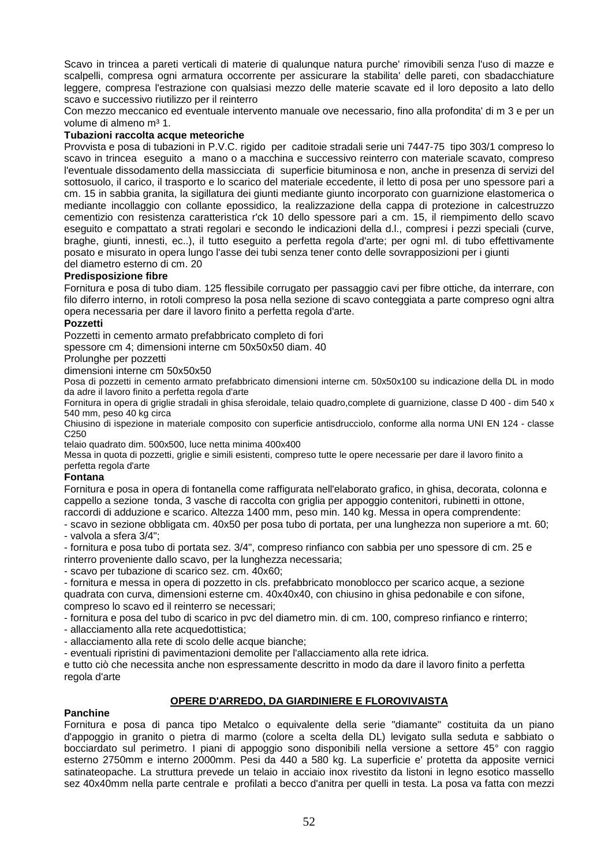Scavo in trincea a pareti verticali di materie di qualunque natura purche' rimovibili senza l'uso di mazze e scalpelli, compresa ogni armatura occorrente per assicurare la stabilita' delle pareti, con sbadacchiature leggere, compresa l'estrazione con qualsiasi mezzo delle materie scavate ed il loro deposito a lato dello scavo e successivo riutilizzo per il reinterro

Con mezzo meccanico ed eventuale intervento manuale ove necessario, fino alla profondita' di m 3 e per un volume di almeno m<sup>3</sup> 1.

#### **Tubazioni raccolta acque meteoriche**

Provvista e posa di tubazioni in P.V.C. rigido per caditoie stradali serie uni 7447-75 tipo 303/1 compreso lo scavo in trincea eseguito a mano o a macchina e successivo reinterro con materiale scavato, compreso l'eventuale dissodamento della massicciata di superficie bituminosa e non, anche in presenza di servizi del sottosuolo, il carico, il trasporto e lo scarico del materiale eccedente, il letto di posa per uno spessore pari a cm. 15 in sabbia granita, la sigillatura dei giunti mediante giunto incorporato con guarnizione elastomerica o mediante incollaggio con collante epossidico, la realizzazione della cappa di protezione in calcestruzzo cementizio con resistenza caratteristica r'ck 10 dello spessore pari a cm. 15, il riempimento dello scavo eseguito e compattato a strati regolari e secondo le indicazioni della d.l., compresi i pezzi speciali (curve, braghe, giunti, innesti, ec..), il tutto eseguito a perfetta regola d'arte; per ogni ml. di tubo effettivamente posato e misurato in opera lungo l'asse dei tubi senza tener conto delle sovrapposizioni per i giunti del diametro esterno di cm. 20

#### **Predisposizione fibre**

Fornitura e posa di tubo diam. 125 flessibile corrugato per passaggio cavi per fibre ottiche, da interrare, con filo diferro interno, in rotoli compreso la posa nella sezione di scavo conteggiata a parte compreso ogni altra opera necessaria per dare il lavoro finito a perfetta regola d'arte.

#### **Pozzetti**

Pozzetti in cemento armato prefabbricato completo di fori

spessore cm 4; dimensioni interne cm 50x50x50 diam. 40

Prolunghe per pozzetti

dimensioni interne cm 50x50x50

Posa di pozzetti in cemento armato prefabbricato dimensioni interne cm. 50x50x100 su indicazione della DL in modo da adre il lavoro finito a perfetta regola d'arte

Fornitura in opera di griglie stradali in ghisa sferoidale, telaio quadro,complete di guarnizione, classe D 400 - dim 540 x 540 mm, peso 40 kg circa

Chiusino di ispezione in materiale composito con superficie antisdrucciolo, conforme alla norma UNI EN 124 - classe C250

telaio quadrato dim. 500x500, luce netta minima 400x400

Messa in quota di pozzetti, griglie e simili esistenti, compreso tutte le opere necessarie per dare il lavoro finito a perfetta regola d'arte

#### **Fontana**

Fornitura e posa in opera di fontanella come raffigurata nell'elaborato grafico, in ghisa, decorata, colonna e cappello a sezione tonda, 3 vasche di raccolta con griglia per appoggio contenitori, rubinetti in ottone, raccordi di adduzione e scarico. Altezza 1400 mm, peso min. 140 kg. Messa in opera comprendente:

- scavo in sezione obbligata cm. 40x50 per posa tubo di portata, per una lunghezza non superiore a mt. 60; - valvola a sfera 3/4";

- fornitura e posa tubo di portata sez. 3/4", compreso rinfianco con sabbia per uno spessore di cm. 25 e rinterro proveniente dallo scavo, per la lunghezza necessaria;

- scavo per tubazione di scarico sez. cm. 40x60;

- fornitura e messa in opera di pozzetto in cls. prefabbricato monoblocco per scarico acque, a sezione quadrata con curva, dimensioni esterne cm. 40x40x40, con chiusino in ghisa pedonabile e con sifone, compreso lo scavo ed il reinterro se necessari;

- fornitura e posa del tubo di scarico in pvc del diametro min. di cm. 100, compreso rinfianco e rinterro; - allacciamento alla rete acquedottistica;

- allacciamento alla rete di scolo delle acque bianche;

- eventuali ripristini di pavimentazioni demolite per l'allacciamento alla rete idrica.

e tutto ciò che necessita anche non espressamente descritto in modo da dare il lavoro finito a perfetta regola d'arte

#### **OPERE D'ARREDO, DA GIARDINIERE E FLOROVIVAISTA**

#### **Panchine**

Fornitura e posa di panca tipo Metalco o equivalente della serie "diamante" costituita da un piano d'appoggio in granito o pietra di marmo (colore a scelta della DL) levigato sulla seduta e sabbiato o bocciardato sul perimetro. I piani di appoggio sono disponibili nella versione a settore 45° con raggio esterno 2750mm e interno 2000mm. Pesi da 440 a 580 kg. La superficie e' protetta da apposite vernici satinateopache. La struttura prevede un telaio in acciaio inox rivestito da listoni in legno esotico massello sez 40x40mm nella parte centrale e profilati a becco d'anitra per quelli in testa. La posa va fatta con mezzi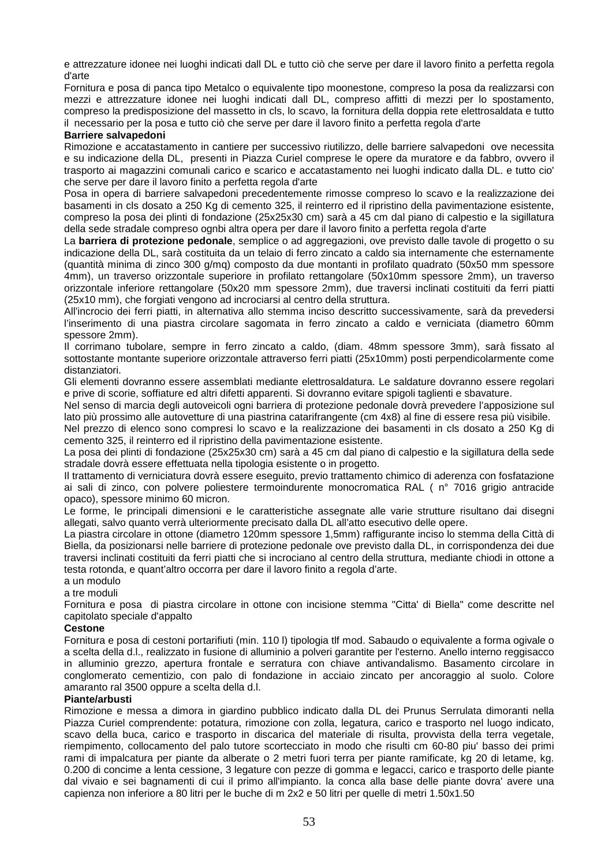e attrezzature idonee nei luoghi indicati dall DL e tutto ciò che serve per dare il lavoro finito a perfetta regola d'arte

Fornitura e posa di panca tipo Metalco o equivalente tipo moonestone, compreso la posa da realizzarsi con mezzi e attrezzature idonee nei luoghi indicati dall DL, compreso affitti di mezzi per lo spostamento, compreso la predisposizione del massetto in cls, lo scavo, la fornitura della doppia rete elettrosaldata e tutto il necessario per la posa e tutto ciò che serve per dare il lavoro finito a perfetta regola d'arte

#### **Barriere salvapedoni**

Rimozione e accatastamento in cantiere per successivo riutilizzo, delle barriere salvapedoni ove necessita e su indicazione della DL, presenti in Piazza Curiel comprese le opere da muratore e da fabbro, ovvero il trasporto ai magazzini comunali carico e scarico e accatastamento nei luoghi indicato dalla DL. e tutto cio' che serve per dare il lavoro finito a perfetta regola d'arte

Posa in opera di barriere salvapedoni precedentemente rimosse compreso lo scavo e la realizzazione dei basamenti in cls dosato a 250 Kg di cemento 325, il reinterro ed il ripristino della pavimentazione esistente, compreso la posa dei plinti di fondazione (25x25x30 cm) sarà a 45 cm dal piano di calpestio e la sigillatura della sede stradale compreso ognbi altra opera per dare il lavoro finito a perfetta regola d'arte

La **barriera di protezione pedonale**, semplice o ad aggregazioni, ove previsto dalle tavole di progetto o su indicazione della DL, sarà costituita da un telaio di ferro zincato a caldo sia internamente che esternamente (quantità minima di zinco 300 g/mq) composto da due montanti in profilato quadrato (50x50 mm spessore 4mm), un traverso orizzontale superiore in profilato rettangolare (50x10mm spessore 2mm), un traverso orizzontale inferiore rettangolare (50x20 mm spessore 2mm), due traversi inclinati costituiti da ferri piatti (25x10 mm), che forgiati vengono ad incrociarsi al centro della struttura.

All'incrocio dei ferri piatti, in alternativa allo stemma inciso descritto successivamente, sarà da prevedersi l'inserimento di una piastra circolare sagomata in ferro zincato a caldo e verniciata (diametro 60mm spessore 2mm).

Il corrimano tubolare, sempre in ferro zincato a caldo, (diam. 48mm spessore 3mm), sarà fissato al sottostante montante superiore orizzontale attraverso ferri piatti (25x10mm) posti perpendicolarmente come distanziatori.

Gli elementi dovranno essere assemblati mediante elettrosaldatura. Le saldature dovranno essere regolari e prive di scorie, soffiature ed altri difetti apparenti. Si dovranno evitare spigoli taglienti e sbavature.

Nel senso di marcia degli autoveicoli ogni barriera di protezione pedonale dovrà prevedere l'apposizione sul lato più prossimo alle autovetture di una piastrina catarifrangente (cm 4x8) al fine di essere resa più visibile.

Nel prezzo di elenco sono compresi lo scavo e la realizzazione dei basamenti in cls dosato a 250 Kg di cemento 325, il reinterro ed il ripristino della pavimentazione esistente.

La posa dei plinti di fondazione (25x25x30 cm) sarà a 45 cm dal piano di calpestio e la sigillatura della sede stradale dovrà essere effettuata nella tipologia esistente o in progetto.

Il trattamento di verniciatura dovrà essere eseguito, previo trattamento chimico di aderenza con fosfatazione ai sali di zinco, con polvere poliestere termoindurente monocromatica RAL ( n° 7016 grigio antracide opaco), spessore minimo 60 micron.

Le forme, le principali dimensioni e le caratteristiche assegnate alle varie strutture risultano dai disegni allegati, salvo quanto verrà ulteriormente precisato dalla DL all'atto esecutivo delle opere.

La piastra circolare in ottone (diametro 120mm spessore 1,5mm) raffigurante inciso lo stemma della Città di Biella, da posizionarsi nelle barriere di protezione pedonale ove previsto dalla DL, in corrispondenza dei due traversi inclinati costituiti da ferri piatti che si incrociano al centro della struttura, mediante chiodi in ottone a testa rotonda, e quant'altro occorra per dare il lavoro finito a regola d'arte.

a un modulo

a tre moduli

Fornitura e posa di piastra circolare in ottone con incisione stemma "Citta' di Biella" come descritte nel capitolato speciale d'appalto

#### **Cestone**

Fornitura e posa di cestoni portarifiuti (min. 110 l) tipologia tlf mod. Sabaudo o equivalente a forma ogivale o a scelta della d.l., realizzato in fusione di alluminio a polveri garantite per l'esterno. Anello interno reggisacco in alluminio grezzo, apertura frontale e serratura con chiave antivandalismo. Basamento circolare in conglomerato cementizio, con palo di fondazione in acciaio zincato per ancoraggio al suolo. Colore amaranto ral 3500 oppure a scelta della d.l.

#### **Piante/arbusti**

Rimozione e messa a dimora in giardino pubblico indicato dalla DL dei Prunus Serrulata dimoranti nella Piazza Curiel comprendente: potatura, rimozione con zolla, legatura, carico e trasporto nel luogo indicato, scavo della buca, carico e trasporto in discarica del materiale di risulta, provvista della terra vegetale, riempimento, collocamento del palo tutore scortecciato in modo che risulti cm 60-80 piu' basso dei primi rami di impalcatura per piante da alberate o 2 metri fuori terra per piante ramificate, kg 20 di letame, kg. 0.200 di concime a lenta cessione, 3 legature con pezze di gomma e legacci, carico e trasporto delle piante dal vivaio e sei bagnamenti di cui il primo all'impianto. la conca alla base delle piante dovra' avere una capienza non inferiore a 80 litri per le buche di m 2x2 e 50 litri per quelle di metri 1.50x1.50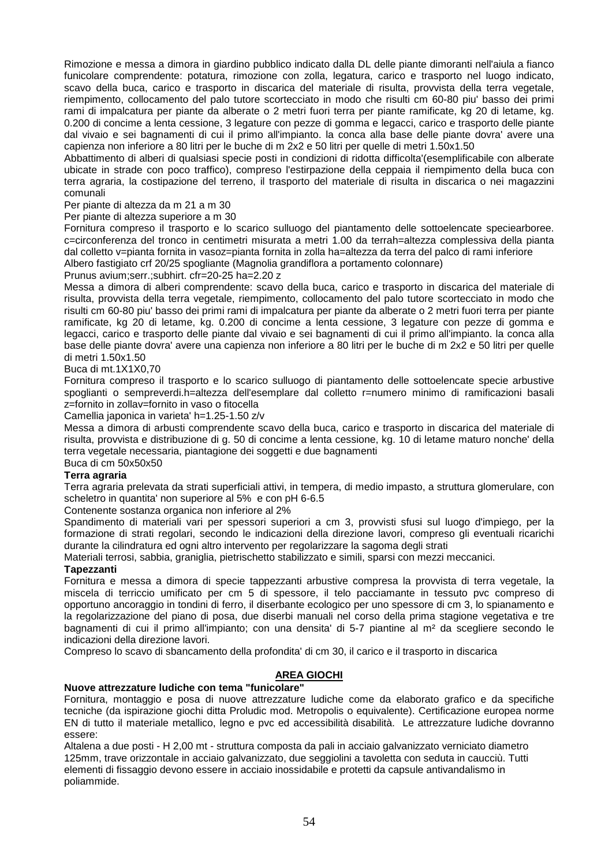Rimozione e messa a dimora in giardino pubblico indicato dalla DL delle piante dimoranti nell'aiula a fianco funicolare comprendente: potatura, rimozione con zolla, legatura, carico e trasporto nel luogo indicato, scavo della buca, carico e trasporto in discarica del materiale di risulta, provvista della terra vegetale, riempimento, collocamento del palo tutore scortecciato in modo che risulti cm 60-80 piu' basso dei primi rami di impalcatura per piante da alberate o 2 metri fuori terra per piante ramificate, kg 20 di letame, kg. 0.200 di concime a lenta cessione, 3 legature con pezze di gomma e legacci, carico e trasporto delle piante dal vivaio e sei bagnamenti di cui il primo all'impianto. la conca alla base delle piante dovra' avere una capienza non inferiore a 80 litri per le buche di m 2x2 e 50 litri per quelle di metri 1.50x1.50

Abbattimento di alberi di qualsiasi specie posti in condizioni di ridotta difficolta'(esemplificabile con alberate ubicate in strade con poco traffico), compreso l'estirpazione della ceppaia il riempimento della buca con terra agraria, la costipazione del terreno, il trasporto del materiale di risulta in discarica o nei magazzini comunali

Per piante di altezza da m 21 a m 30

Per piante di altezza superiore a m 30

Fornitura compreso il trasporto e lo scarico sulluogo del piantamento delle sottoelencate speciearboree. c=circonferenza del tronco in centimetri misurata a metri 1.00 da terrah=altezza complessiva della pianta dal colletto v=pianta fornita in vasoz=pianta fornita in zolla ha=altezza da terra del palco di rami inferiore Albero fastigiato crf 20/25 spogliante (Magnolia grandiflora a portamento colonnare)

Prunus avium;serr.;subhirt. cfr=20-25 ha=2.20 z

Messa a dimora di alberi comprendente: scavo della buca, carico e trasporto in discarica del materiale di risulta, provvista della terra vegetale, riempimento, collocamento del palo tutore scortecciato in modo che risulti cm 60-80 piu' basso dei primi rami di impalcatura per piante da alberate o 2 metri fuori terra per piante ramificate, kg 20 di letame, kg. 0.200 di concime a lenta cessione, 3 legature con pezze di gomma e legacci, carico e trasporto delle piante dal vivaio e sei bagnamenti di cui il primo all'impianto. la conca alla base delle piante dovra' avere una capienza non inferiore a 80 litri per le buche di m 2x2 e 50 litri per quelle di metri 1.50x1.50

#### Buca di mt.1X1X0,70

Fornitura compreso il trasporto e lo scarico sulluogo di piantamento delle sottoelencate specie arbustive spoglianti o sempreverdi.h=altezza dell'esemplare dal colletto r=numero minimo di ramificazioni basali z=fornito in zollav=fornito in vaso o fitocella

Camellia japonica in varieta' h=1.25-1.50 z/v

Messa a dimora di arbusti comprendente scavo della buca, carico e trasporto in discarica del materiale di risulta, provvista e distribuzione di g. 50 di concime a lenta cessione, kg. 10 di letame maturo nonche' della terra vegetale necessaria, piantagione dei soggetti e due bagnamenti

## Buca di cm 50x50x50

### **Terra agraria**

Terra agraria prelevata da strati superficiali attivi, in tempera, di medio impasto, a struttura glomerulare, con scheletro in quantita' non superiore al 5% e con pH 6-6.5

Contenente sostanza organica non inferiore al 2%

Spandimento di materiali vari per spessori superiori a cm 3, provvisti sfusi sul luogo d'impiego, per la formazione di strati regolari, secondo le indicazioni della direzione lavori, compreso gli eventuali ricarichi durante la cilindratura ed ogni altro intervento per regolarizzare la sagoma degli strati

Materiali terrosi, sabbia, graniglia, pietrischetto stabilizzato e simili, sparsi con mezzi meccanici.

#### **Tapezzanti**

Fornitura e messa a dimora di specie tappezzanti arbustive compresa la provvista di terra vegetale, la miscela di terriccio umificato per cm 5 di spessore, il telo pacciamante in tessuto pvc compreso di opportuno ancoraggio in tondini di ferro, il diserbante ecologico per uno spessore di cm 3, lo spianamento e la regolarizzazione del piano di posa, due diserbi manuali nel corso della prima stagione vegetativa e tre bagnamenti di cui il primo all'impianto; con una densita' di 5-7 piantine al m² da scegliere secondo le indicazioni della direzione lavori.

Compreso lo scavo di sbancamento della profondita' di cm 30, il carico e il trasporto in discarica

## **AREA GIOCHI**

#### **Nuove attrezzature ludiche con tema "funicolare"**

Fornitura, montaggio e posa di nuove attrezzature ludiche come da elaborato grafico e da specifiche tecniche (da ispirazione giochi ditta Proludic mod. Metropolis o equivalente). Certificazione europea norme EN di tutto il materiale metallico, legno e pvc ed accessibilità disabilità. Le attrezzature ludiche dovranno essere:

Altalena a due posti - H 2,00 mt - struttura composta da pali in acciaio galvanizzato verniciato diametro 125mm, trave orizzontale in acciaio galvanizzato, due seggiolini a tavoletta con seduta in caucciù. Tutti elementi di fissaggio devono essere in acciaio inossidabile e protetti da capsule antivandalismo in poliammide.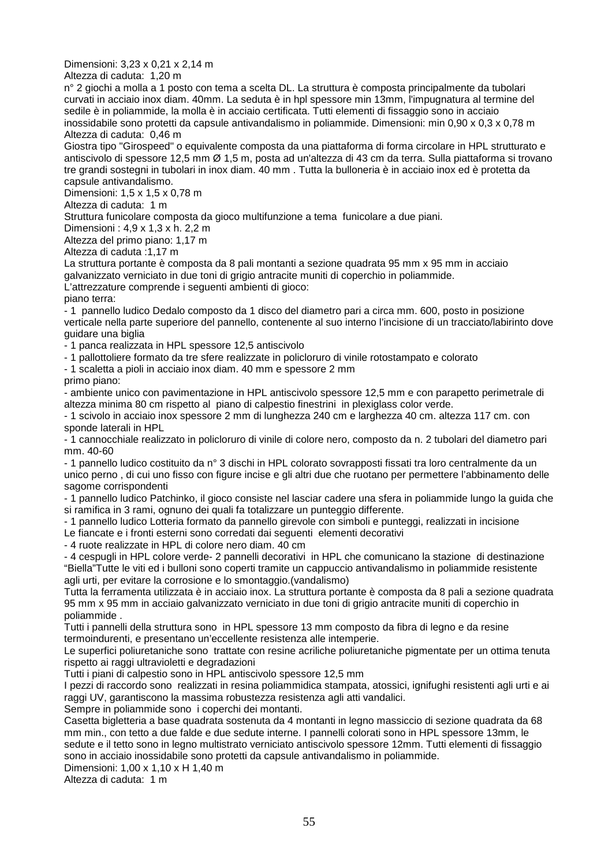Dimensioni: 3,23 x 0,21 x 2,14 m

Altezza di caduta: 1,20 m

n° 2 giochi a molla a 1 posto con tema a scelta DL. La struttura è composta principalmente da tubolari curvati in acciaio inox diam. 40mm. La seduta è in hpl spessore min 13mm, l'impugnatura al termine del sedile è in poliammide, la molla è in acciaio certificata. Tutti elementi di fissaggio sono in acciaio inossidabile sono protetti da capsule antivandalismo in poliammide. Dimensioni: min 0,90 x 0,3 x 0,78 m Altezza di caduta: 0,46 m

Giostra tipo "Girospeed" o equivalente composta da una piattaforma di forma circolare in HPL strutturato e antiscivolo di spessore 12,5 mm Ø 1,5 m, posta ad un'altezza di 43 cm da terra. Sulla piattaforma si trovano tre grandi sostegni in tubolari in inox diam. 40 mm . Tutta la bulloneria è in acciaio inox ed è protetta da capsule antivandalismo.

Dimensioni: 1,5 x 1,5 x 0,78 m

Altezza di caduta: 1 m

Struttura funicolare composta da gioco multifunzione a tema funicolare a due piani.

Dimensioni : 4,9 x 1,3 x h. 2,2 m

Altezza del primo piano: 1,17 m

Altezza di caduta :1,17 m

La struttura portante è composta da 8 pali montanti a sezione quadrata 95 mm x 95 mm in acciaio galvanizzato verniciato in due toni di grigio antracite muniti di coperchio in poliammide.

L'attrezzature comprende i seguenti ambienti di gioco:

piano terra:

- 1 pannello ludico Dedalo composto da 1 disco del diametro pari a circa mm. 600, posto in posizione verticale nella parte superiore del pannello, contenente al suo interno l'incisione di un tracciato/labirinto dove guidare una biglia

- 1 panca realizzata in HPL spessore 12,5 antiscivolo

- 1 pallottoliere formato da tre sfere realizzate in policloruro di vinile rotostampato e colorato

- 1 scaletta a pioli in acciaio inox diam. 40 mm e spessore 2 mm

primo piano:

- ambiente unico con pavimentazione in HPL antiscivolo spessore 12,5 mm e con parapetto perimetrale di altezza minima 80 cm rispetto al piano di calpestio finestrini in plexiglass color verde.

- 1 scivolo in acciaio inox spessore 2 mm di lunghezza 240 cm e larghezza 40 cm. altezza 117 cm. con sponde laterali in HPL

- 1 cannocchiale realizzato in policloruro di vinile di colore nero, composto da n. 2 tubolari del diametro pari mm. 40-60

- 1 pannello ludico costituito da n° 3 dischi in HPL colorato sovrapposti fissati tra loro centralmente da un unico perno , di cui uno fisso con figure incise e gli altri due che ruotano per permettere l'abbinamento delle sagome corrispondenti

- 1 pannello ludico Patchinko, il gioco consiste nel lasciar cadere una sfera in poliammide lungo la guida che si ramifica in 3 rami, ognuno dei quali fa totalizzare un punteggio differente.

- 1 pannello ludico Lotteria formato da pannello girevole con simboli e punteggi, realizzati in incisione

Le fiancate e i fronti esterni sono corredati dai seguenti elementi decorativi

- 4 ruote realizzate in HPL di colore nero diam. 40 cm

- 4 cespugli in HPL colore verde- 2 pannelli decorativi in HPL che comunicano la stazione di destinazione "Biella"Tutte le viti ed i bulloni sono coperti tramite un cappuccio antivandalismo in poliammide resistente agli urti, per evitare la corrosione e lo smontaggio.(vandalismo)

Tutta la ferramenta utilizzata è in acciaio inox. La struttura portante è composta da 8 pali a sezione quadrata 95 mm x 95 mm in acciaio galvanizzato verniciato in due toni di grigio antracite muniti di coperchio in poliammide .

Tutti i pannelli della struttura sono in HPL spessore 13 mm composto da fibra di legno e da resine termoindurenti, e presentano un'eccellente resistenza alle intemperie.

Le superfici poliuretaniche sono trattate con resine acriliche poliuretaniche pigmentate per un ottima tenuta rispetto ai raggi ultravioletti e degradazioni

Tutti i piani di calpestio sono in HPL antiscivolo spessore 12,5 mm

I pezzi di raccordo sono realizzati in resina poliammidica stampata, atossici, ignifughi resistenti agli urti e ai raggi UV, garantiscono la massima robustezza resistenza agli atti vandalici.

Sempre in poliammide sono i coperchi dei montanti.

Casetta bigletteria a base quadrata sostenuta da 4 montanti in legno massiccio di sezione quadrata da 68 mm min., con tetto a due falde e due sedute interne. I pannelli colorati sono in HPL spessore 13mm, le sedute e il tetto sono in legno multistrato verniciato antiscivolo spessore 12mm. Tutti elementi di fissaggio sono in acciaio inossidabile sono protetti da capsule antivandalismo in poliammide.

Dimensioni: 1,00 x 1,10 x H 1,40 m

Altezza di caduta: 1 m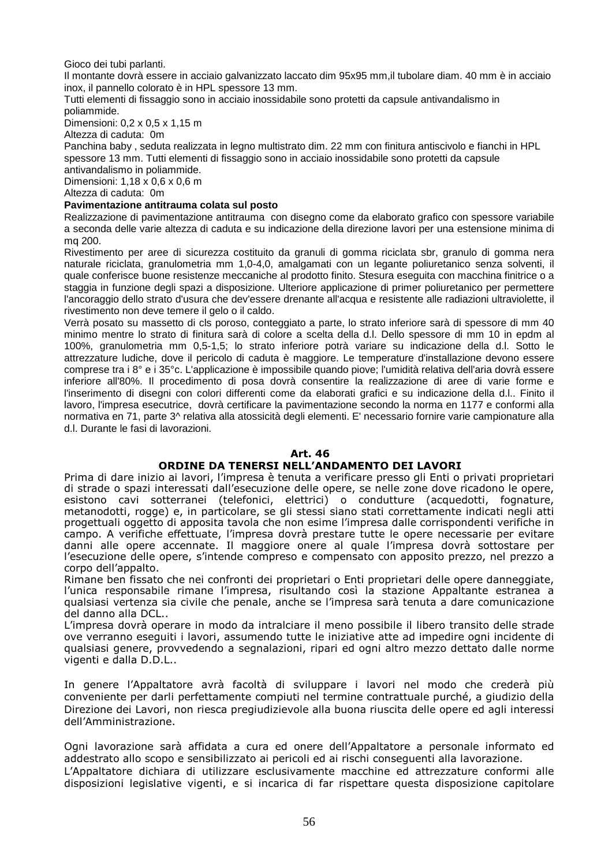Gioco dei tubi parlanti.

Il montante dovrà essere in acciaio galvanizzato laccato dim 95x95 mm,il tubolare diam. 40 mm è in acciaio inox, il pannello colorato è in HPL spessore 13 mm.

Tutti elementi di fissaggio sono in acciaio inossidabile sono protetti da capsule antivandalismo in poliammide.

Dimensioni: 0,2 x 0,5 x 1,15 m

Altezza di caduta: 0m

Panchina baby , seduta realizzata in legno multistrato dim. 22 mm con finitura antiscivolo e fianchi in HPL spessore 13 mm. Tutti elementi di fissaggio sono in acciaio inossidabile sono protetti da capsule

antivandalismo in poliammide. Dimensioni: 1,18 x 0,6 x 0,6 m

Altezza di caduta: 0m

#### **Pavimentazione antitrauma colata sul posto**

Realizzazione di pavimentazione antitrauma con disegno come da elaborato grafico con spessore variabile a seconda delle varie altezza di caduta e su indicazione della direzione lavori per una estensione minima di mq 200.

Rivestimento per aree di sicurezza costituito da granuli di gomma riciclata sbr, granulo di gomma nera naturale riciclata, granulometria mm 1,0-4,0, amalgamati con un legante poliuretanico senza solventi, il quale conferisce buone resistenze meccaniche al prodotto finito. Stesura eseguita con macchina finitrice o a staggia in funzione degli spazi a disposizione. Ulteriore applicazione di primer poliuretanico per permettere l'ancoraggio dello strato d'usura che dev'essere drenante all'acqua e resistente alle radiazioni ultraviolette, il rivestimento non deve temere il gelo o il caldo.

Verrà posato su massetto di cls poroso, conteggiato a parte, lo strato inferiore sarà di spessore di mm 40 minimo mentre lo strato di finitura sarà di colore a scelta della d.l. Dello spessore di mm 10 in epdm al 100%, granulometria mm 0,5-1,5; lo strato inferiore potrà variare su indicazione della d.l. Sotto le attrezzature ludiche, dove il pericolo di caduta è maggiore. Le temperature d'installazione devono essere comprese tra i 8° e i 35°c. L'applicazione è impossibile quando piove; l'umidità relativa dell'aria dovrà essere inferiore all'80%. Il procedimento di posa dovrà consentire la realizzazione di aree di varie forme e l'inserimento di disegni con colori differenti come da elaborati grafici e su indicazione della d.l.. Finito il lavoro, l'impresa esecutrice, dovrà certificare la pavimentazione secondo la norma en 1177 e conformi alla normativa en 71, parte 3^ relativa alla atossicità degli elementi. E' necessario fornire varie campionature alla d.l. Durante le fasi di lavorazioni.

#### **Art. 46**

#### **ORDINE DA TENERSI NELL'ANDAMENTO DEI LAVORI**

Prima di dare inizio ai lavori, l'impresa è tenuta a verificare presso gli Enti o privati proprietari di strade o spazi interessati dall'esecuzione delle opere, se nelle zone dove ricadono le opere, esistono cavi sotterranei (telefonici, elettrici) o condutture (acquedotti, fognature, metanodotti, rogge) e, in particolare, se gli stessi siano stati correttamente indicati negli atti progettuali oggetto di apposita tavola che non esime l'impresa dalle corrispondenti verifiche in campo. A verifiche effettuate, l'impresa dovrà prestare tutte le opere necessarie per evitare danni alle opere accennate. Il maggiore onere al quale l'impresa dovrà sottostare per l'esecuzione delle opere, s'intende compreso e compensato con apposito prezzo, nel prezzo a corpo dell'appalto.

Rimane ben fissato che nei confronti dei proprietari o Enti proprietari delle opere danneggiate, l'unica responsabile rimane l'impresa, risultando così la stazione Appaltante estranea a qualsiasi vertenza sia civile che penale, anche se l'impresa sarà tenuta a dare comunicazione del danno alla DCL..

L'impresa dovrà operare in modo da intralciare il meno possibile il libero transito delle strade ove verranno eseguiti i lavori, assumendo tutte le iniziative atte ad impedire ogni incidente di qualsiasi genere, provvedendo a segnalazioni, ripari ed ogni altro mezzo dettato dalle norme vigenti e dalla D.D.L..

In genere l'Appaltatore avrà facoltà di sviluppare i lavori nel modo che crederà più conveniente per darli perfettamente compiuti nel termine contrattuale purché, a giudizio della Direzione dei Lavori, non riesca pregiudizievole alla buona riuscita delle opere ed agli interessi dell'Amministrazione.

Ogni lavorazione sarà affidata a cura ed onere dell'Appaltatore a personale informato ed addestrato allo scopo e sensibilizzato ai pericoli ed ai rischi conseguenti alla lavorazione. L'Appaltatore dichiara di utilizzare esclusivamente macchine ed attrezzature conformi alle disposizioni legislative vigenti, e si incarica di far rispettare questa disposizione capitolare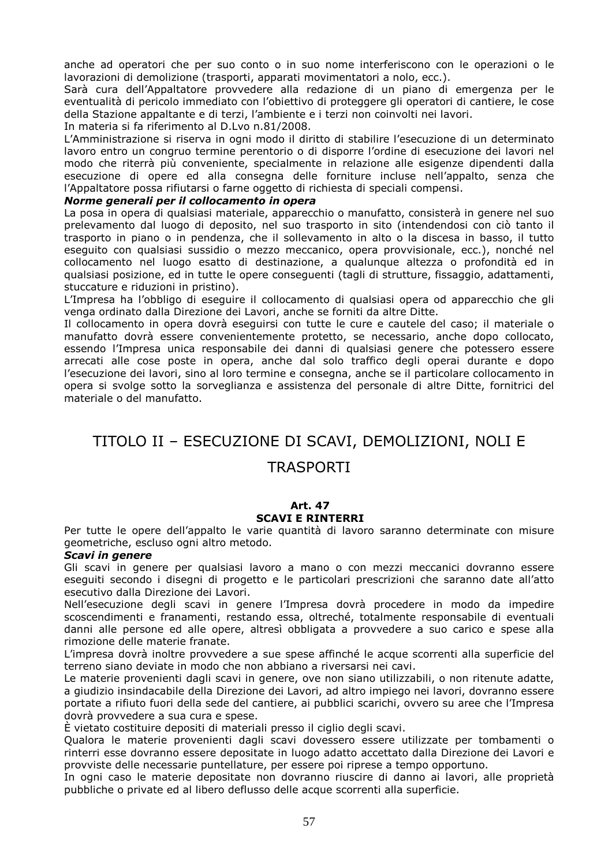anche ad operatori che per suo conto o in suo nome interferiscono con le operazioni o le lavorazioni di demolizione (trasporti, apparati movimentatori a nolo, ecc.).

Sarà cura dell'Appaltatore provvedere alla redazione di un piano di emergenza per le eventualità di pericolo immediato con l'obiettivo di proteggere gli operatori di cantiere, le cose della Stazione appaltante e di terzi, l'ambiente e i terzi non coinvolti nei lavori.

In materia si fa riferimento al D.Lvo n.81/2008.

L'Amministrazione si riserva in ogni modo il diritto di stabilire l'esecuzione di un determinato lavoro entro un congruo termine perentorio o di disporre l'ordine di esecuzione dei lavori nel modo che riterrà più conveniente, specialmente in relazione alle esigenze dipendenti dalla esecuzione di opere ed alla consegna delle forniture incluse nell'appalto, senza che l'Appaltatore possa rifiutarsi o farne oggetto di richiesta di speciali compensi.

#### *Norme generali per il collocamento in opera*

La posa in opera di qualsiasi materiale, apparecchio o manufatto, consisterà in genere nel suo prelevamento dal luogo di deposito, nel suo trasporto in sito (intendendosi con ciò tanto il trasporto in piano o in pendenza, che il sollevamento in alto o la discesa in basso, il tutto eseguito con qualsiasi sussidio o mezzo meccanico, opera provvisionale, ecc.), nonché nel collocamento nel luogo esatto di destinazione, a qualunque altezza o profondità ed in qualsiasi posizione, ed in tutte le opere conseguenti (tagli di strutture, fissaggio, adattamenti, stuccature e riduzioni in pristino).

L'Impresa ha l'obbligo di eseguire il collocamento di qualsiasi opera od apparecchio che gli venga ordinato dalla Direzione dei Lavori, anche se forniti da altre Ditte.

Il collocamento in opera dovrà eseguirsi con tutte le cure e cautele del caso; il materiale o manufatto dovrà essere convenientemente protetto, se necessario, anche dopo collocato, essendo l'Impresa unica responsabile dei danni di qualsiasi genere che potessero essere arrecati alle cose poste in opera, anche dal solo traffico degli operai durante e dopo l'esecuzione dei lavori, sino al loro termine e consegna, anche se il particolare collocamento in opera si svolge sotto la sorveglianza e assistenza del personale di altre Ditte, fornitrici del materiale o del manufatto.

## TITOLO II – ESECUZIONE DI SCAVI, DEMOLIZIONI, NOLI E

## TRASPORTI

#### **Art. 47 SCAVI E RINTERRI**

Per tutte le opere dell'appalto le varie quantità di lavoro saranno determinate con misure geometriche, escluso ogni altro metodo.

#### *Scavi in genere*

Gli scavi in genere per qualsiasi lavoro a mano o con mezzi meccanici dovranno essere eseguiti secondo i disegni di progetto e le particolari prescrizioni che saranno date all'atto esecutivo dalla Direzione dei Lavori.

Nell'esecuzione degli scavi in genere l'Impresa dovrà procedere in modo da impedire scoscendimenti e franamenti, restando essa, oltreché, totalmente responsabile di eventuali danni alle persone ed alle opere, altresì obbligata a provvedere a suo carico e spese alla rimozione delle materie franate.

L'impresa dovrà inoltre provvedere a sue spese affinché le acque scorrenti alla superficie del terreno siano deviate in modo che non abbiano a riversarsi nei cavi.

Le materie provenienti dagli scavi in genere, ove non siano utilizzabili, o non ritenute adatte, a giudizio insindacabile della Direzione dei Lavori, ad altro impiego nei lavori, dovranno essere portate a rifiuto fuori della sede del cantiere, ai pubblici scarichi, ovvero su aree che l'Impresa dovrà provvedere a sua cura e spese.

È vietato costituire depositi di materiali presso il ciglio degli scavi.

Qualora le materie provenienti dagli scavi dovessero essere utilizzate per tombamenti o rinterri esse dovranno essere depositate in luogo adatto accettato dalla Direzione dei Lavori e provviste delle necessarie puntellature, per essere poi riprese a tempo opportuno.

In ogni caso le materie depositate non dovranno riuscire di danno ai lavori, alle proprietà pubbliche o private ed al libero deflusso delle acque scorrenti alla superficie.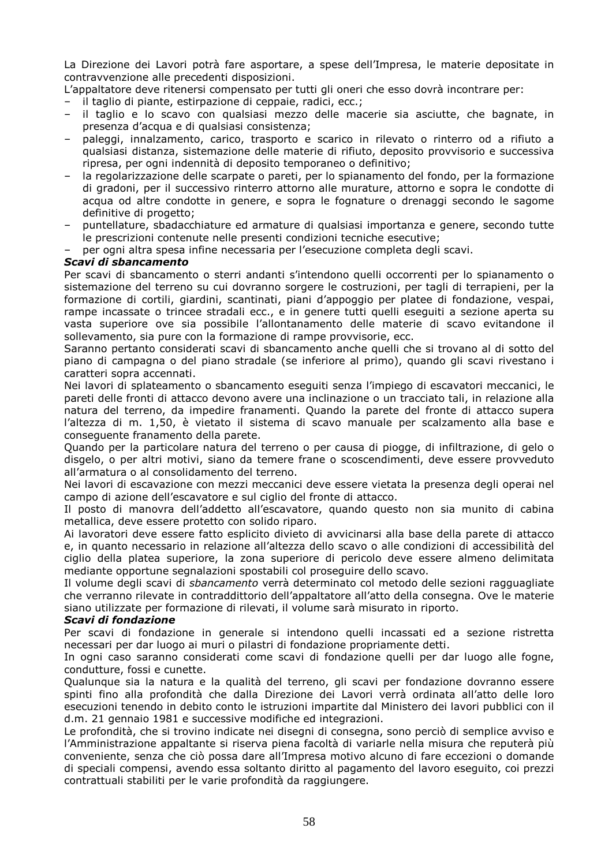La Direzione dei Lavori potrà fare asportare, a spese dell'Impresa, le materie depositate in contravvenzione alle precedenti disposizioni.

L'appaltatore deve ritenersi compensato per tutti gli oneri che esso dovrà incontrare per:

- il taglio di piante, estirpazione di ceppaie, radici, ecc.;
- il taglio e lo scavo con qualsiasi mezzo delle macerie sia asciutte, che bagnate, in presenza d'acqua e di qualsiasi consistenza;
- paleggi, innalzamento, carico, trasporto e scarico in rilevato o rinterro od a rifiuto a qualsiasi distanza, sistemazione delle materie di rifiuto, deposito provvisorio e successiva ripresa, per ogni indennità di deposito temporaneo o definitivo;
- la regolarizzazione delle scarpate o pareti, per lo spianamento del fondo, per la formazione di gradoni, per il successivo rinterro attorno alle murature, attorno e sopra le condotte di acqua od altre condotte in genere, e sopra le fognature o drenaggi secondo le sagome definitive di progetto;
- puntellature, sbadacchiature ed armature di qualsiasi importanza e genere, secondo tutte le prescrizioni contenute nelle presenti condizioni tecniche esecutive;
- per ogni altra spesa infine necessaria per l'esecuzione completa degli scavi.

## *Scavi di sbancamento*

Per scavi di sbancamento o sterri andanti s'intendono quelli occorrenti per lo spianamento o sistemazione del terreno su cui dovranno sorgere le costruzioni, per tagli di terrapieni, per la formazione di cortili, giardini, scantinati, piani d'appoggio per platee di fondazione, vespai, rampe incassate o trincee stradali ecc., e in genere tutti quelli eseguiti a sezione aperta su vasta superiore ove sia possibile l'allontanamento delle materie di scavo evitandone il sollevamento, sia pure con la formazione di rampe provvisorie, ecc.

Saranno pertanto considerati scavi di sbancamento anche quelli che si trovano al di sotto del piano di campagna o del piano stradale (se inferiore al primo), quando gli scavi rivestano i caratteri sopra accennati.

Nei lavori di splateamento o sbancamento eseguiti senza l'impiego di escavatori meccanici, le pareti delle fronti di attacco devono avere una inclinazione o un tracciato tali, in relazione alla natura del terreno, da impedire franamenti. Quando la parete del fronte di attacco supera l'altezza di m. 1,50, è vietato il sistema di scavo manuale per scalzamento alla base e conseguente franamento della parete.

Quando per la particolare natura del terreno o per causa di piogge, di infiltrazione, di gelo o disgelo, o per altri motivi, siano da temere frane o scoscendimenti, deve essere provveduto all'armatura o al consolidamento del terreno.

Nei lavori di escavazione con mezzi meccanici deve essere vietata la presenza degli operai nel campo di azione dell'escavatore e sul ciglio del fronte di attacco.

Il posto di manovra dell'addetto all'escavatore, quando questo non sia munito di cabina metallica, deve essere protetto con solido riparo.

Ai lavoratori deve essere fatto esplicito divieto di avvicinarsi alla base della parete di attacco e, in quanto necessario in relazione all'altezza dello scavo o alle condizioni di accessibilità del ciglio della platea superiore, la zona superiore di pericolo deve essere almeno delimitata mediante opportune segnalazioni spostabili col proseguire dello scavo.

Il volume degli scavi di *sbancamento* verrà determinato col metodo delle sezioni ragguagliate che verranno rilevate in contraddittorio dell'appaltatore all'atto della consegna. Ove le materie siano utilizzate per formazione di rilevati, il volume sarà misurato in riporto.

#### *Scavi di fondazione*

Per scavi di fondazione in generale si intendono quelli incassati ed a sezione ristretta necessari per dar luogo ai muri o pilastri di fondazione propriamente detti.

In ogni caso saranno considerati come scavi di fondazione quelli per dar luogo alle fogne, condutture, fossi e cunette.

Qualunque sia la natura e la qualità del terreno, gli scavi per fondazione dovranno essere spinti fino alla profondità che dalla Direzione dei Lavori verrà ordinata all'atto delle loro esecuzioni tenendo in debito conto le istruzioni impartite dal Ministero dei lavori pubblici con il d.m. 21 gennaio 1981 e successive modifiche ed integrazioni.

Le profondità, che si trovino indicate nei disegni di consegna, sono perciò di semplice avviso e l'Amministrazione appaltante si riserva piena facoltà di variarle nella misura che reputerà più conveniente, senza che ciò possa dare all'Impresa motivo alcuno di fare eccezioni o domande di speciali compensi, avendo essa soltanto diritto al pagamento del lavoro eseguito, coi prezzi contrattuali stabiliti per le varie profondità da raggiungere.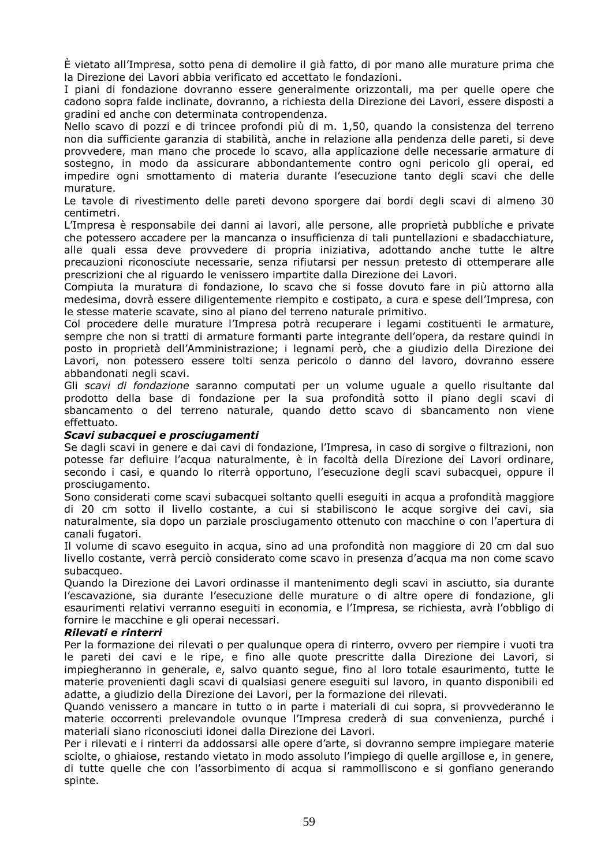È vietato all'Impresa, sotto pena di demolire il già fatto, di por mano alle murature prima che la Direzione dei Lavori abbia verificato ed accettato le fondazioni.

I piani di fondazione dovranno essere generalmente orizzontali, ma per quelle opere che cadono sopra falde inclinate, dovranno, a richiesta della Direzione dei Lavori, essere disposti a gradini ed anche con determinata contropendenza.

Nello scavo di pozzi e di trincee profondi più di m. 1,50, quando la consistenza del terreno non dia sufficiente garanzia di stabilità, anche in relazione alla pendenza delle pareti, si deve provvedere, man mano che procede lo scavo, alla applicazione delle necessarie armature di sostegno, in modo da assicurare abbondantemente contro ogni pericolo gli operai, ed impedire ogni smottamento di materia durante l'esecuzione tanto degli scavi che delle murature.

Le tavole di rivestimento delle pareti devono sporgere dai bordi degli scavi di almeno 30 centimetri.

L'Impresa è responsabile dei danni ai lavori, alle persone, alle proprietà pubbliche e private che potessero accadere per la mancanza o insufficienza di tali puntellazioni e sbadacchiature, alle quali essa deve provvedere di propria iniziativa, adottando anche tutte le altre precauzioni riconosciute necessarie, senza rifiutarsi per nessun pretesto di ottemperare alle prescrizioni che al riguardo le venissero impartite dalla Direzione dei Lavori.

Compiuta la muratura di fondazione, lo scavo che si fosse dovuto fare in più attorno alla medesima, dovrà essere diligentemente riempito e costipato, a cura e spese dell'Impresa, con le stesse materie scavate, sino al piano del terreno naturale primitivo.

Col procedere delle murature l'Impresa potrà recuperare i legami costituenti le armature, sempre che non si tratti di armature formanti parte integrante dell'opera, da restare quindi in posto in proprietà dell'Amministrazione; i legnami però, che a giudizio della Direzione dei Lavori, non potessero essere tolti senza pericolo o danno del lavoro, dovranno essere abbandonati negli scavi.

Gli *scavi di fondazione* saranno computati per un volume uguale a quello risultante dal prodotto della base di fondazione per la sua profondità sotto il piano degli scavi di sbancamento o del terreno naturale, quando detto scavo di sbancamento non viene effettuato.

#### *Scavi subacquei e prosciugamenti*

Se dagli scavi in genere e dai cavi di fondazione, l'Impresa, in caso di sorgive o filtrazioni, non potesse far defluire l'acqua naturalmente, è in facoltà della Direzione dei Lavori ordinare, secondo i casi, e quando lo riterrà opportuno, l'esecuzione degli scavi subacquei, oppure il prosciugamento.

Sono considerati come scavi subacquei soltanto quelli eseguiti in acqua a profondità maggiore di 20 cm sotto il livello costante, a cui si stabiliscono le acque sorgive dei cavi, sia naturalmente, sia dopo un parziale prosciugamento ottenuto con macchine o con l'apertura di canali fugatori.

Il volume di scavo eseguito in acqua, sino ad una profondità non maggiore di 20 cm dal suo livello costante, verrà perciò considerato come scavo in presenza d'acqua ma non come scavo subacqueo.

Quando la Direzione dei Lavori ordinasse il mantenimento degli scavi in asciutto, sia durante l'escavazione, sia durante l'esecuzione delle murature o di altre opere di fondazione, gli esaurimenti relativi verranno eseguiti in economia, e l'Impresa, se richiesta, avrà l'obbligo di fornire le macchine e gli operai necessari.

#### *Rilevati e rinterri*

Per la formazione dei rilevati o per qualunque opera di rinterro, ovvero per riempire i vuoti tra le pareti dei cavi e le ripe, e fino alle quote prescritte dalla Direzione dei Lavori, si impiegheranno in generale, e, salvo quanto segue, fino al loro totale esaurimento, tutte le materie provenienti dagli scavi di qualsiasi genere eseguiti sul lavoro, in quanto disponibili ed adatte, a giudizio della Direzione dei Lavori, per la formazione dei rilevati.

Quando venissero a mancare in tutto o in parte i materiali di cui sopra, si provvederanno le materie occorrenti prelevandole ovunque l'Impresa crederà di sua convenienza, purché i materiali siano riconosciuti idonei dalla Direzione dei Lavori.

Per i rilevati e i rinterri da addossarsi alle opere d'arte, si dovranno sempre impiegare materie sciolte, o ghiaiose, restando vietato in modo assoluto l'impiego di quelle argillose e, in genere, di tutte quelle che con l'assorbimento di acqua si rammolliscono e si gonfiano generando spinte.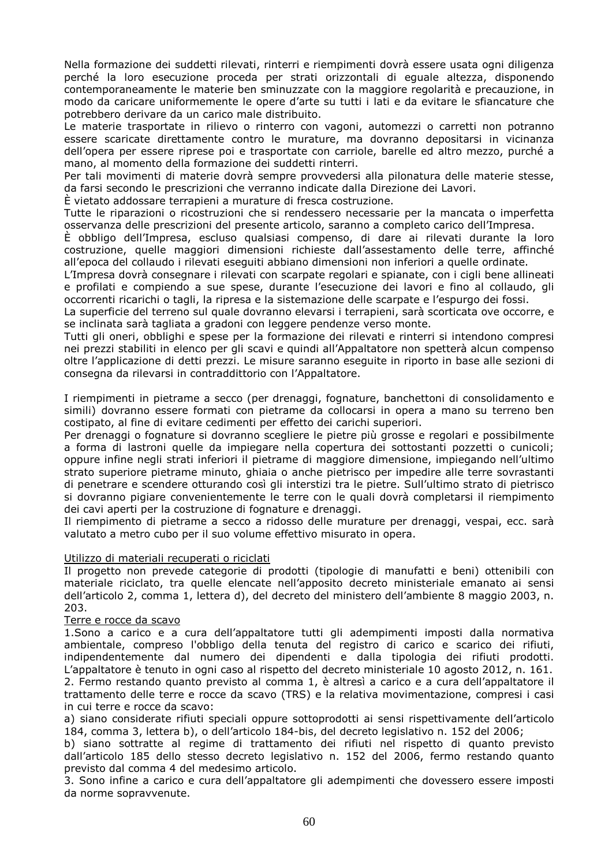Nella formazione dei suddetti rilevati, rinterri e riempimenti dovrà essere usata ogni diligenza perché la loro esecuzione proceda per strati orizzontali di eguale altezza, disponendo contemporaneamente le materie ben sminuzzate con la maggiore regolarità e precauzione, in modo da caricare uniformemente le opere d'arte su tutti i lati e da evitare le sfiancature che potrebbero derivare da un carico male distribuito.

Le materie trasportate in rilievo o rinterro con vagoni, automezzi o carretti non potranno essere scaricate direttamente contro le murature, ma dovranno depositarsi in vicinanza dell'opera per essere riprese poi e trasportate con carriole, barelle ed altro mezzo, purché a mano, al momento della formazione dei suddetti rinterri.

Per tali movimenti di materie dovrà sempre provvedersi alla pilonatura delle materie stesse, da farsi secondo le prescrizioni che verranno indicate dalla Direzione dei Lavori.

È vietato addossare terrapieni a murature di fresca costruzione.

Tutte le riparazioni o ricostruzioni che si rendessero necessarie per la mancata o imperfetta osservanza delle prescrizioni del presente articolo, saranno a completo carico dell'Impresa.

È obbligo dell'Impresa, escluso qualsiasi compenso, di dare ai rilevati durante la loro costruzione, quelle maggiori dimensioni richieste dall'assestamento delle terre, affinché all'epoca del collaudo i rilevati eseguiti abbiano dimensioni non inferiori a quelle ordinate.

L'Impresa dovrà consegnare i rilevati con scarpate regolari e spianate, con i cigli bene allineati e profilati e compiendo a sue spese, durante l'esecuzione dei lavori e fino al collaudo, gli occorrenti ricarichi o tagli, la ripresa e la sistemazione delle scarpate e l'espurgo dei fossi.

La superficie del terreno sul quale dovranno elevarsi i terrapieni, sarà scorticata ove occorre, e se inclinata sarà tagliata a gradoni con leggere pendenze verso monte.

Tutti gli oneri, obblighi e spese per la formazione dei rilevati e rinterri si intendono compresi nei prezzi stabiliti in elenco per gli scavi e quindi all'Appaltatore non spetterà alcun compenso oltre l'applicazione di detti prezzi. Le misure saranno eseguite in riporto in base alle sezioni di consegna da rilevarsi in contraddittorio con l'Appaltatore.

I riempimenti in pietrame a secco (per drenaggi, fognature, banchettoni di consolidamento e simili) dovranno essere formati con pietrame da collocarsi in opera a mano su terreno ben costipato, al fine di evitare cedimenti per effetto dei carichi superiori.

Per drenaggi o fognature si dovranno scegliere le pietre più grosse e regolari e possibilmente a forma di lastroni quelle da impiegare nella copertura dei sottostanti pozzetti o cunicoli; oppure infine negli strati inferiori il pietrame di maggiore dimensione, impiegando nell'ultimo strato superiore pietrame minuto, ghiaia o anche pietrisco per impedire alle terre sovrastanti di penetrare e scendere otturando così gli interstizi tra le pietre. Sull'ultimo strato di pietrisco si dovranno pigiare convenientemente le terre con le quali dovrà completarsi il riempimento dei cavi aperti per la costruzione di fognature e drenaggi.

Il riempimento di pietrame a secco a ridosso delle murature per drenaggi, vespai, ecc. sarà valutato a metro cubo per il suo volume effettivo misurato in opera.

#### Utilizzo di materiali recuperati o riciclati

Il progetto non prevede categorie di prodotti (tipologie di manufatti e beni) ottenibili con materiale riciclato, tra quelle elencate nell'apposito decreto ministeriale emanato ai sensi dell'articolo 2, comma 1, lettera d), del decreto del ministero dell'ambiente 8 maggio 2003, n. 203.

#### Terre e rocce da scavo

1.Sono a carico e a cura dell'appaltatore tutti gli adempimenti imposti dalla normativa ambientale, compreso l'obbligo della tenuta del registro di carico e scarico dei rifiuti, indipendentemente dal numero dei dipendenti e dalla tipologia dei rifiuti prodotti. L'appaltatore è tenuto in ogni caso al rispetto del decreto ministeriale 10 agosto 2012, n. 161. 2. Fermo restando quanto previsto al comma 1, è altresì a carico e a cura dell'appaltatore il trattamento delle terre e rocce da scavo (TRS) e la relativa movimentazione, compresi i casi in cui terre e rocce da scavo:

a) siano considerate rifiuti speciali oppure sottoprodotti ai sensi rispettivamente dell'articolo 184, comma 3, lettera b), o dell'articolo 184-bis, del decreto legislativo n. 152 del 2006;

b) siano sottratte al regime di trattamento dei rifiuti nel rispetto di quanto previsto dall'articolo 185 dello stesso decreto legislativo n. 152 del 2006, fermo restando quanto previsto dal comma 4 del medesimo articolo.

3. Sono infine a carico e cura dell'appaltatore gli adempimenti che dovessero essere imposti da norme sopravvenute.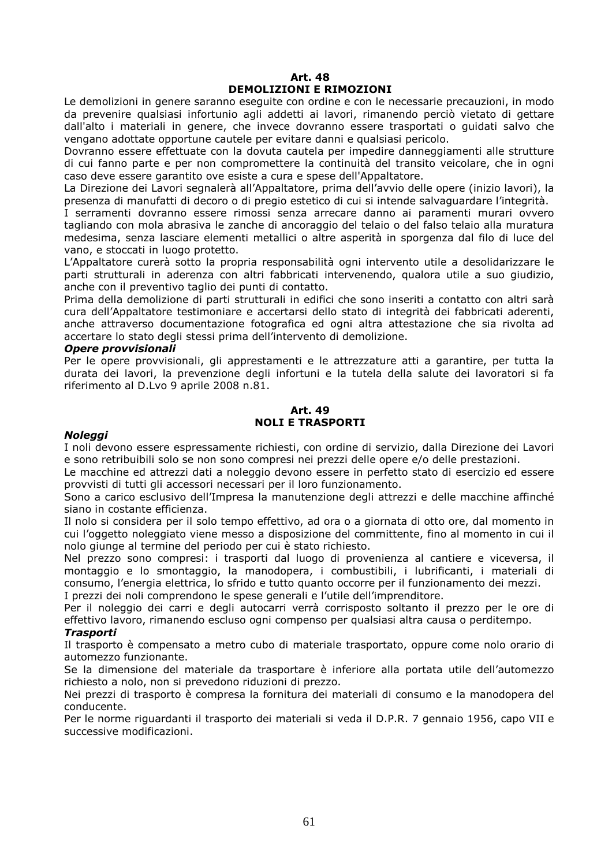## **Art. 48 DEMOLIZIONI E RIMOZIONI**

Le demolizioni in genere saranno eseguite con ordine e con le necessarie precauzioni, in modo da prevenire qualsiasi infortunio agli addetti ai lavori, rimanendo perciò vietato di gettare dall'alto i materiali in genere, che invece dovranno essere trasportati o guidati salvo che vengano adottate opportune cautele per evitare danni e qualsiasi pericolo.

Dovranno essere effettuate con la dovuta cautela per impedire danneggiamenti alle strutture di cui fanno parte e per non compromettere la continuità del transito veicolare, che in ogni caso deve essere garantito ove esiste a cura e spese dell'Appaltatore.

La Direzione dei Lavori segnalerà all'Appaltatore, prima dell'avvio delle opere (inizio lavori), la presenza di manufatti di decoro o di pregio estetico di cui si intende salvaguardare l'integrità.

I serramenti dovranno essere rimossi senza arrecare danno ai paramenti murari ovvero tagliando con mola abrasiva le zanche di ancoraggio del telaio o del falso telaio alla muratura medesima, senza lasciare elementi metallici o altre asperità in sporgenza dal filo di luce del vano, e stoccati in luogo protetto.

L'Appaltatore curerà sotto la propria responsabilità ogni intervento utile a desolidarizzare le parti strutturali in aderenza con altri fabbricati intervenendo, qualora utile a suo giudizio, anche con il preventivo taglio dei punti di contatto.

Prima della demolizione di parti strutturali in edifici che sono inseriti a contatto con altri sarà cura dell'Appaltatore testimoniare e accertarsi dello stato di integrità dei fabbricati aderenti, anche attraverso documentazione fotografica ed ogni altra attestazione che sia rivolta ad accertare lo stato degli stessi prima dell'intervento di demolizione.

#### *Opere provvisionali*

Per le opere provvisionali, gli apprestamenti e le attrezzature atti a garantire, per tutta la durata dei lavori, la prevenzione degli infortuni e la tutela della salute dei lavoratori si fa riferimento al D.Lvo 9 aprile 2008 n.81.

#### **Art. 49 NOLI E TRASPORTI**

#### *Noleggi*

I noli devono essere espressamente richiesti, con ordine di servizio, dalla Direzione dei Lavori e sono retribuibili solo se non sono compresi nei prezzi delle opere e/o delle prestazioni.

Le macchine ed attrezzi dati a noleggio devono essere in perfetto stato di esercizio ed essere provvisti di tutti gli accessori necessari per il loro funzionamento.

Sono a carico esclusivo dell'Impresa la manutenzione degli attrezzi e delle macchine affinché siano in costante efficienza.

Il nolo si considera per il solo tempo effettivo, ad ora o a giornata di otto ore, dal momento in cui l'oggetto noleggiato viene messo a disposizione del committente, fino al momento in cui il nolo giunge al termine del periodo per cui è stato richiesto.

Nel prezzo sono compresi: i trasporti dal luogo di provenienza al cantiere e viceversa, il montaggio e lo smontaggio, la manodopera, i combustibili, i lubrificanti, i materiali di consumo, l'energia elettrica, lo sfrido e tutto quanto occorre per il funzionamento dei mezzi.

I prezzi dei noli comprendono le spese generali e l'utile dell'imprenditore.

Per il noleggio dei carri e degli autocarri verrà corrisposto soltanto il prezzo per le ore di effettivo lavoro, rimanendo escluso ogni compenso per qualsiasi altra causa o perditempo.

#### *Trasporti*

Il trasporto è compensato a metro cubo di materiale trasportato, oppure come nolo orario di automezzo funzionante.

Se la dimensione del materiale da trasportare è inferiore alla portata utile dell'automezzo richiesto a nolo, non si prevedono riduzioni di prezzo.

Nei prezzi di trasporto è compresa la fornitura dei materiali di consumo e la manodopera del conducente.

Per le norme riguardanti il trasporto dei materiali si veda il D.P.R. 7 gennaio 1956, capo VII e successive modificazioni.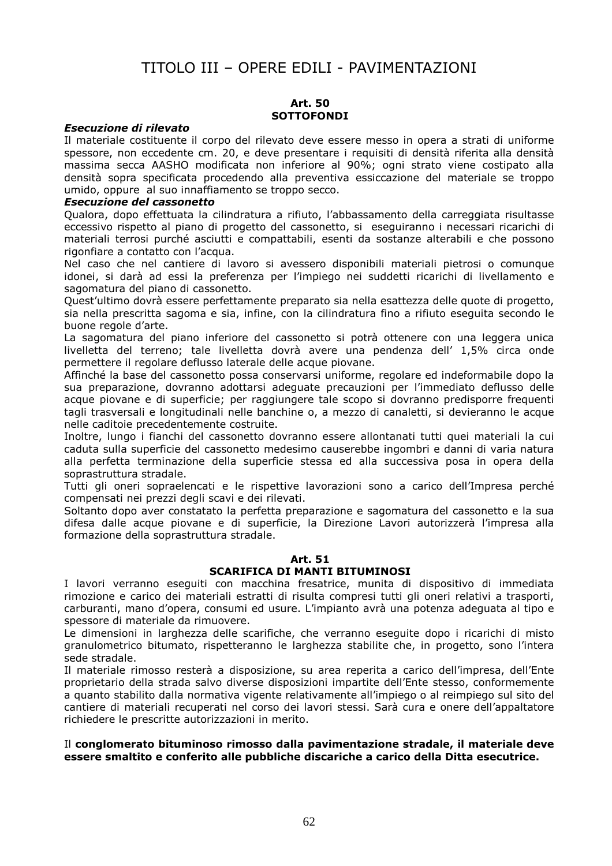## TITOLO III – OPERE EDILI - PAVIMENTAZIONI

#### **Art. 50 SOTTOFONDI**

## *Esecuzione di rilevato*

Il materiale costituente il corpo del rilevato deve essere messo in opera a strati di uniforme spessore, non eccedente cm. 20, e deve presentare i requisiti di densità riferita alla densità massima secca AASHO modificata non inferiore al 90%; ogni strato viene costipato alla densità sopra specificata procedendo alla preventiva essiccazione del materiale se troppo umido, oppure al suo innaffiamento se troppo secco.

#### *Esecuzione del cassonetto*

Qualora, dopo effettuata la cilindratura a rifiuto, l'abbassamento della carreggiata risultasse eccessivo rispetto al piano di progetto del cassonetto, si eseguiranno i necessari ricarichi di materiali terrosi purché asciutti e compattabili, esenti da sostanze alterabili e che possono rigonfiare a contatto con l'acqua.

Nel caso che nel cantiere di lavoro si avessero disponibili materiali pietrosi o comunque idonei, si darà ad essi la preferenza per l'impiego nei suddetti ricarichi di livellamento e sagomatura del piano di cassonetto.

Quest'ultimo dovrà essere perfettamente preparato sia nella esattezza delle quote di progetto, sia nella prescritta sagoma e sia, infine, con la cilindratura fino a rifiuto eseguita secondo le buone regole d'arte.

La sagomatura del piano inferiore del cassonetto si potrà ottenere con una leggera unica livelletta del terreno; tale livelletta dovrà avere una pendenza dell' 1,5% circa onde permettere il regolare deflusso laterale delle acque piovane.

Affinché la base del cassonetto possa conservarsi uniforme, regolare ed indeformabile dopo la sua preparazione, dovranno adottarsi adeguate precauzioni per l'immediato deflusso delle acque piovane e di superficie; per raggiungere tale scopo si dovranno predisporre frequenti tagli trasversali e longitudinali nelle banchine o, a mezzo di canaletti, si devieranno le acque nelle caditoie precedentemente costruite.

Inoltre, lungo i fianchi del cassonetto dovranno essere allontanati tutti quei materiali la cui caduta sulla superficie del cassonetto medesimo causerebbe ingombri e danni di varia natura alla perfetta terminazione della superficie stessa ed alla successiva posa in opera della soprastruttura stradale.

Tutti gli oneri sopraelencati e le rispettive lavorazioni sono a carico dell'Impresa perché compensati nei prezzi degli scavi e dei rilevati.

Soltanto dopo aver constatato la perfetta preparazione e sagomatura del cassonetto e la sua difesa dalle acque piovane e di superficie, la Direzione Lavori autorizzerà l'impresa alla formazione della soprastruttura stradale.

#### **Art. 51 SCARIFICA DI MANTI BITUMINOSI**

I lavori verranno eseguiti con macchina fresatrice, munita di dispositivo di immediata rimozione e carico dei materiali estratti di risulta compresi tutti gli oneri relativi a trasporti, carburanti, mano d'opera, consumi ed usure. L'impianto avrà una potenza adeguata al tipo e spessore di materiale da rimuovere.

Le dimensioni in larghezza delle scarifiche, che verranno eseguite dopo i ricarichi di misto granulometrico bitumato, rispetteranno le larghezza stabilite che, in progetto, sono l'intera sede stradale.

Il materiale rimosso resterà a disposizione, su area reperita a carico dell'impresa, dell'Ente proprietario della strada salvo diverse disposizioni impartite dell'Ente stesso, conformemente a quanto stabilito dalla normativa vigente relativamente all'impiego o al reimpiego sul sito del cantiere di materiali recuperati nel corso dei lavori stessi. Sarà cura e onere dell'appaltatore richiedere le prescritte autorizzazioni in merito.

#### Il **conglomerato bituminoso rimosso dalla pavimentazione stradale, il materiale deve essere smaltito e conferito alle pubbliche discariche a carico della Ditta esecutrice.**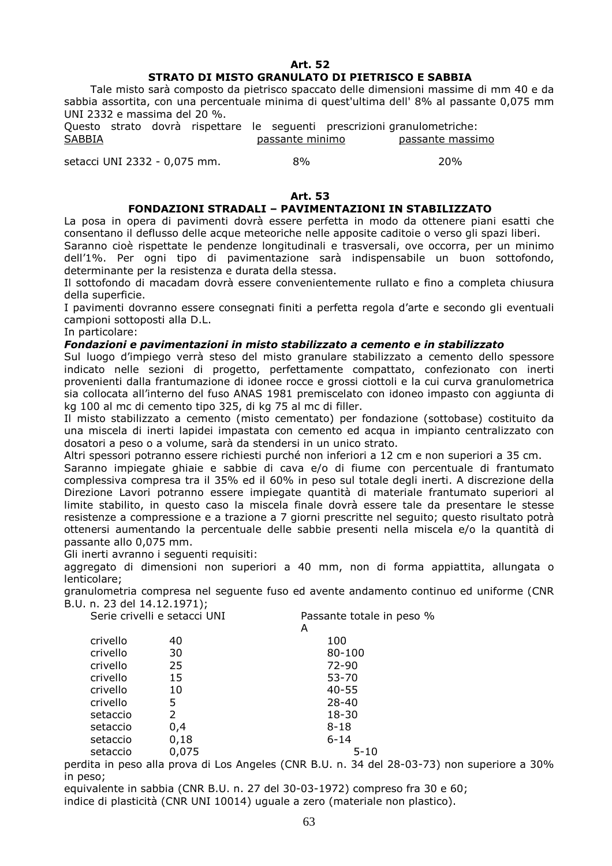#### **Art. 52**

## **STRATO DI MISTO GRANULATO DI PIETRISCO E SABBIA**

 Tale misto sarà composto da pietrisco spaccato delle dimensioni massime di mm 40 e da sabbia assortita, con una percentuale minima di quest'ultima dell' 8% al passante 0,075 mm UNI 2332 e massima del 20 %.

Questo strato dovrà rispettare le seguenti prescrizioni granulometriche: SABBIA **passante minimo** passante massimo

setacci UNI 2332 - 0,075 mm.  $8\%$  20% 20%

#### **Art. 53**

## **FONDAZIONI STRADALI – PAVIMENTAZIONI IN STABILIZZATO**

La posa in opera di pavimenti dovrà essere perfetta in modo da ottenere piani esatti che consentano il deflusso delle acque meteoriche nelle apposite caditoie o verso gli spazi liberi.

Saranno cioè rispettate le pendenze longitudinali e trasversali, ove occorra, per un minimo dell'1%. Per ogni tipo di pavimentazione sarà indispensabile un buon sottofondo, determinante per la resistenza e durata della stessa.

Il sottofondo di macadam dovrà essere convenientemente rullato e fino a completa chiusura della superficie.

I pavimenti dovranno essere consegnati finiti a perfetta regola d'arte e secondo gli eventuali campioni sottoposti alla D.L.

In particolare:

### *Fondazioni e pavimentazioni in misto stabilizzato a cemento e in stabilizzato*

Sul luogo d'impiego verrà steso del misto granulare stabilizzato a cemento dello spessore indicato nelle sezioni di progetto, perfettamente compattato, confezionato con inerti provenienti dalla frantumazione di idonee rocce e grossi ciottoli e la cui curva granulometrica sia collocata all'interno del fuso ANAS 1981 premiscelato con idoneo impasto con aggiunta di kg 100 al mc di cemento tipo 325, di kg 75 al mc di filler.

Il misto stabilizzato a cemento (misto cementato) per fondazione (sottobase) costituito da una miscela di inerti lapidei impastata con cemento ed acqua in impianto centralizzato con dosatori a peso o a volume, sarà da stendersi in un unico strato.

Altri spessori potranno essere richiesti purché non inferiori a 12 cm e non superiori a 35 cm.

Saranno impiegate ghiaie e sabbie di cava e/o di fiume con percentuale di frantumato complessiva compresa tra il 35% ed il 60% in peso sul totale degli inerti. A discrezione della Direzione Lavori potranno essere impiegate quantità di materiale frantumato superiori al limite stabilito, in questo caso la miscela finale dovrà essere tale da presentare le stesse resistenze a compressione e a trazione a 7 giorni prescritte nel seguito; questo risultato potrà ottenersi aumentando la percentuale delle sabbie presenti nella miscela e/o la quantità di passante allo 0,075 mm.

Gli inerti avranno i seguenti requisiti:

aggregato di dimensioni non superiori a 40 mm, non di forma appiattita, allungata o lenticolare;

granulometria compresa nel seguente fuso ed avente andamento continuo ed uniforme (CNR B.U. n. 23 del 14.12.1971);

|          | Serie crivelli e setacci UNI | Passante totale in peso % |  |
|----------|------------------------------|---------------------------|--|
|          |                              | A                         |  |
| crivello | 40                           | 100                       |  |
| crivello | 30                           | 80-100                    |  |
| crivello | 25                           | $72 - 90$                 |  |
| crivello | 15                           | 53-70                     |  |
| crivello | 10                           | $40 - 55$                 |  |
| crivello | 5                            | $28 - 40$                 |  |
| setaccio | $\mathcal{P}$                | 18-30                     |  |
| setaccio | 0,4                          | $8 - 18$                  |  |
| setaccio | 0,18                         | $6 - 14$                  |  |
| setaccio | 0,075                        | $5 - 10$                  |  |

perdita in peso alla prova di Los Angeles (CNR B.U. n. 34 del 28-03-73) non superiore a 30% in peso;

equivalente in sabbia (CNR B.U. n. 27 del 30-03-1972) compreso fra 30 e 60;

indice di plasticità (CNR UNI 10014) uguale a zero (materiale non plastico).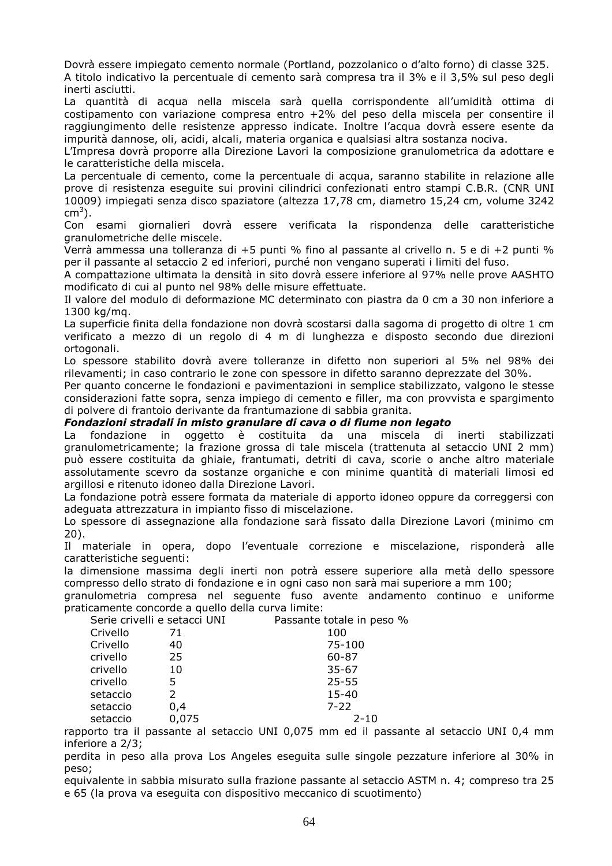Dovrà essere impiegato cemento normale (Portland, pozzolanico o d'alto forno) di classe 325. A titolo indicativo la percentuale di cemento sarà compresa tra il 3% e il 3,5% sul peso degli inerti asciutti.

La quantità di acqua nella miscela sarà quella corrispondente all'umidità ottima di costipamento con variazione compresa entro +2% del peso della miscela per consentire il raggiungimento delle resistenze appresso indicate. Inoltre l'acqua dovrà essere esente da impurità dannose, oli, acidi, alcali, materia organica e qualsiasi altra sostanza nociva.

L'Impresa dovrà proporre alla Direzione Lavori la composizione granulometrica da adottare e le caratteristiche della miscela.

La percentuale di cemento, come la percentuale di acqua, saranno stabilite in relazione alle prove di resistenza eseguite sui provini cilindrici confezionati entro stampi C.B.R. (CNR UNI 10009) impiegati senza disco spaziatore (altezza 17,78 cm, diametro 15,24 cm, volume 3242 cm $^3$ ).

Con esami giornalieri dovrà essere verificata la rispondenza delle caratteristiche granulometriche delle miscele.

Verrà ammessa una tolleranza di +5 punti % fino al passante al crivello n. 5 e di +2 punti % per il passante al setaccio 2 ed inferiori, purché non vengano superati i limiti del fuso.

A compattazione ultimata la densità in sito dovrà essere inferiore al 97% nelle prove AASHTO modificato di cui al punto nel 98% delle misure effettuate.

Il valore del modulo di deformazione MC determinato con piastra da 0 cm a 30 non inferiore a 1300 kg/mq.

La superficie finita della fondazione non dovrà scostarsi dalla sagoma di progetto di oltre 1 cm verificato a mezzo di un regolo di 4 m di lunghezza e disposto secondo due direzioni ortogonali.

Lo spessore stabilito dovrà avere tolleranze in difetto non superiori al 5% nel 98% dei rilevamenti; in caso contrario le zone con spessore in difetto saranno deprezzate del 30%.

Per quanto concerne le fondazioni e pavimentazioni in semplice stabilizzato, valgono le stesse considerazioni fatte sopra, senza impiego di cemento e filler, ma con provvista e spargimento di polvere di frantoio derivante da frantumazione di sabbia granita.

## *Fondazioni stradali in misto granulare di cava o di fiume non legato*

La fondazione in oggetto è costituita da una miscela di inerti stabilizzati granulometricamente; la frazione grossa di tale miscela (trattenuta al setaccio UNI 2 mm) può essere costituita da ghiaie, frantumati, detriti di cava, scorie o anche altro materiale assolutamente scevro da sostanze organiche e con minime quantità di materiali limosi ed argillosi e ritenuto idoneo dalla Direzione Lavori.

La fondazione potrà essere formata da materiale di apporto idoneo oppure da correggersi con adeguata attrezzatura in impianto fisso di miscelazione.

Lo spessore di assegnazione alla fondazione sarà fissato dalla Direzione Lavori (minimo cm 20).

Il materiale in opera, dopo l'eventuale correzione e miscelazione, risponderà alle caratteristiche seguenti:

la dimensione massima degli inerti non potrà essere superiore alla metà dello spessore compresso dello strato di fondazione e in ogni caso non sarà mai superiore a mm 100;

granulometria compresa nel seguente fuso avente andamento continuo e uniforme praticamente concorde a quello della curva limite:<br>Sorie crivelli e setacci UNI Passante totale in peso %

| Serie crivelli e setacci UNI |       | Passante totale in peso |
|------------------------------|-------|-------------------------|
| Crivello                     | 71    | 100                     |
| Crivello                     | 40    | 75-100                  |
| crivello                     | 25    | $60 - 87$               |
| crivello                     | 10    | $35 - 67$               |
| crivello                     | 5     | $25 - 55$               |
| setaccio                     | 2     | $15 - 40$               |
| setaccio                     | 0,4   | $7 - 22$                |
| setaccio                     | 0,075 | $2 - 10$                |
|                              |       |                         |

rapporto tra il passante al setaccio UNI 0,075 mm ed il passante al setaccio UNI 0,4 mm inferiore a 2/3;

perdita in peso alla prova Los Angeles eseguita sulle singole pezzature inferiore al 30% in peso;

equivalente in sabbia misurato sulla frazione passante al setaccio ASTM n. 4; compreso tra 25 e 65 (la prova va eseguita con dispositivo meccanico di scuotimento)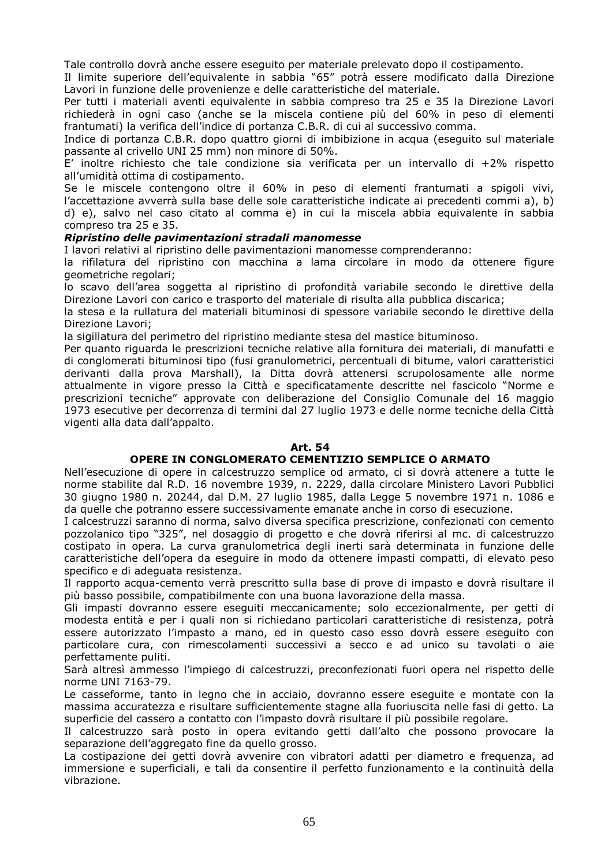Tale controllo dovrà anche essere eseguito per materiale prelevato dopo il costipamento.

Il limite superiore dell'equivalente in sabbia "65" potrà essere modificato dalla Direzione Lavori in funzione delle provenienze e delle caratteristiche del materiale.

Per tutti i materiali aventi equivalente in sabbia compreso tra 25 e 35 la Direzione Lavori richiederà in ogni caso (anche se la miscela contiene più del 60% in peso di elementi frantumati) la verifica dell'indice di portanza C.B.R. di cui al successivo comma.

Indice di portanza C.B.R. dopo quattro giorni di imbibizione in acqua (eseguito sul materiale passante al crivello UNI 25 mm) non minore di 50%.

E' inoltre richiesto che tale condizione sia verificata per un intervallo di +2% rispetto all'umidità ottima di costipamento.

Se le miscele contengono oltre il 60% in peso di elementi frantumati a spigoli vivi, l'accettazione avverrà sulla base delle sole caratteristiche indicate ai precedenti commi a), b) d) e), salvo nel caso citato al comma e) in cui la miscela abbia equivalente in sabbia compreso tra 25 e 35.

## *Ripristino delle pavimentazioni stradali manomesse*

I lavori relativi al ripristino delle pavimentazioni manomesse comprenderanno:

la rifilatura del ripristino con macchina a lama circolare in modo da ottenere figure geometriche regolari;

lo scavo dell'area soggetta al ripristino di profondità variabile secondo le direttive della Direzione Lavori con carico e trasporto del materiale di risulta alla pubblica discarica;

la stesa e la rullatura del materiali bituminosi di spessore variabile secondo le direttive della Direzione Lavori;

la sigillatura del perimetro del ripristino mediante stesa del mastice bituminoso.

Per quanto riguarda le prescrizioni tecniche relative alla fornitura dei materiali, di manufatti e di conglomerati bituminosi tipo (fusi granulometrici, percentuali di bitume, valori caratteristici derivanti dalla prova Marshall), la Ditta dovrà attenersi scrupolosamente alle norme attualmente in vigore presso la Città e specificatamente descritte nel fascicolo "Norme e prescrizioni tecniche" approvate con deliberazione del Consiglio Comunale del 16 maggio 1973 esecutive per decorrenza di termini dal 27 luglio 1973 e delle norme tecniche della Città vigenti alla data dall'appalto.

#### **Art. 54**

#### **OPERE IN CONGLOMERATO CEMENTIZIO SEMPLICE O ARMATO**

Nell'esecuzione di opere in calcestruzzo semplice od armato, ci si dovrà attenere a tutte le norme stabilite dal R.D. 16 novembre 1939, n. 2229, dalla circolare Ministero Lavori Pubblici 30 giugno 1980 n. 20244, dal D.M. 27 luglio 1985, dalla Legge 5 novembre 1971 n. 1086 e da quelle che potranno essere successivamente emanate anche in corso di esecuzione.

I calcestruzzi saranno di norma, salvo diversa specifica prescrizione, confezionati con cemento pozzolanico tipo "325", nel dosaggio di progetto e che dovrà riferirsi al mc. di calcestruzzo costipato in opera. La curva granulometrica degli inerti sarà determinata in funzione delle caratteristiche dell'opera da eseguire in modo da ottenere impasti compatti, di elevato peso specifico e di adeguata resistenza.

Il rapporto acqua-cemento verrà prescritto sulla base di prove di impasto e dovrà risultare il più basso possibile, compatibilmente con una buona lavorazione della massa.

Gli impasti dovranno essere eseguiti meccanicamente; solo eccezionalmente, per getti di modesta entità e per i quali non si richiedano particolari caratteristiche di resistenza, potrà essere autorizzato l'impasto a mano, ed in questo caso esso dovrà essere eseguito con particolare cura, con rimescolamenti successivi a secco e ad unico su tavolati o aie perfettamente puliti.

Sarà altresì ammesso l'impiego di calcestruzzi, preconfezionati fuori opera nel rispetto delle norme UNI 7163-79.

Le casseforme, tanto in legno che in acciaio, dovranno essere eseguite e montate con la massima accuratezza e risultare sufficientemente stagne alla fuoriuscita nelle fasi di getto. La superficie del cassero a contatto con l'impasto dovrà risultare il più possibile regolare.

Il calcestruzzo sarà posto in opera evitando getti dall'alto che possono provocare la separazione dell'aggregato fine da quello grosso.

La costipazione dei getti dovrà avvenire con vibratori adatti per diametro e frequenza, ad immersione e superficiali, e tali da consentire il perfetto funzionamento e la continuità della vibrazione.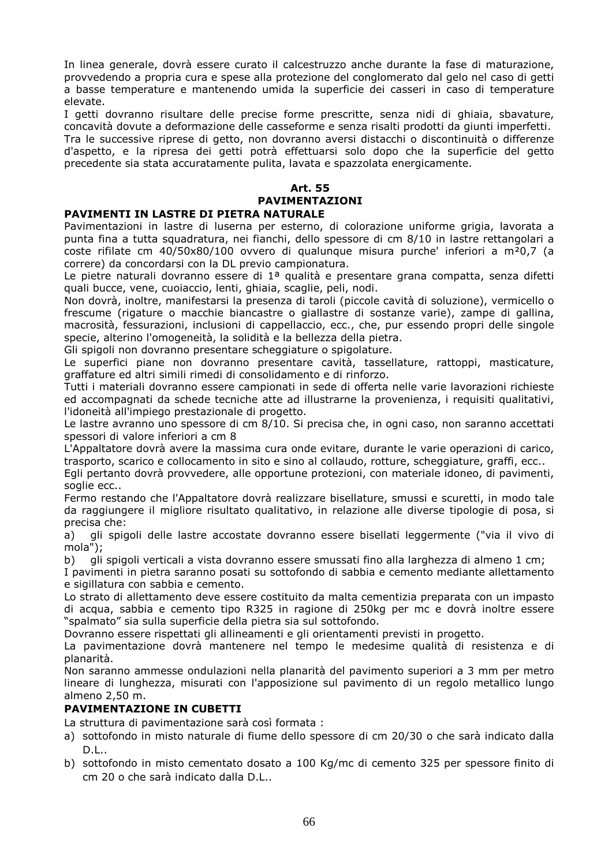In linea generale, dovrà essere curato il calcestruzzo anche durante la fase di maturazione, provvedendo a propria cura e spese alla protezione del conglomerato dal gelo nel caso di getti a basse temperature e mantenendo umida la superficie dei casseri in caso di temperature elevate.

I getti dovranno risultare delle precise forme prescritte, senza nidi di ghiaia, sbavature, concavità dovute a deformazione delle casseforme e senza risalti prodotti da giunti imperfetti. Tra le successive riprese di getto, non dovranno aversi distacchi o discontinuità o differenze d'aspetto, e la ripresa dei getti potrà effettuarsi solo dopo che la superficie del getto precedente sia stata accuratamente pulita, lavata e spazzolata energicamente.

## **Art. 55 PAVIMENTAZIONI**

## **PAVIMENTI IN LASTRE DI PIETRA NATURALE**

Pavimentazioni in lastre di luserna per esterno, di colorazione uniforme grigia, lavorata a punta fina a tutta squadratura, nei fianchi, dello spessore di cm 8/10 in lastre rettangolari a coste rifilate cm 40/50x80/100 ovvero di qualunque misura purche' inferiori a m²0,7 (a correre) da concordarsi con la DL previo campionatura.

Le pietre naturali dovranno essere di  $1<sup>a</sup>$  qualità e presentare grana compatta, senza difetti quali bucce, vene, cuoiaccio, lenti, ghiaia, scaglie, peli, nodi.

Non dovrà, inoltre, manifestarsi la presenza di taroli (piccole cavità di soluzione), vermicello o frescume (rigature o macchie biancastre o giallastre di sostanze varie), zampe di gallina, macrosità, fessurazioni, inclusioni di cappellaccio, ecc., che, pur essendo propri delle singole specie, alterino l'omogeneità, la solidità e la bellezza della pietra.

Gli spigoli non dovranno presentare scheggiature o spigolature.

Le superfici piane non dovranno presentare cavità, tassellature, rattoppi, masticature, graffature ed altri simili rimedi di consolidamento e di rinforzo.

Tutti i materiali dovranno essere campionati in sede di offerta nelle varie lavorazioni richieste ed accompagnati da schede tecniche atte ad illustrarne la provenienza, i requisiti qualitativi, l'idoneità all'impiego prestazionale di progetto.

Le lastre avranno uno spessore di cm 8/10. Si precisa che, in ogni caso, non saranno accettati spessori di valore inferiori a cm 8

L'Appaltatore dovrà avere la massima cura onde evitare, durante le varie operazioni di carico, trasporto, scarico e collocamento in sito e sino al collaudo, rotture, scheggiature, graffi, ecc..

Egli pertanto dovrà provvedere, alle opportune protezioni, con materiale idoneo, di pavimenti, soglie ecc..

Fermo restando che l'Appaltatore dovrà realizzare bisellature, smussi e scuretti, in modo tale da raggiungere il migliore risultato qualitativo, in relazione alle diverse tipologie di posa, si precisa che:

a) gli spigoli delle lastre accostate dovranno essere bisellati leggermente ("via il vivo di mola");

b) gli spigoli verticali a vista dovranno essere smussati fino alla larghezza di almeno 1 cm;

I pavimenti in pietra saranno posati su sottofondo di sabbia e cemento mediante allettamento e sigillatura con sabbia e cemento.

Lo strato di allettamento deve essere costituito da malta cementizia preparata con un impasto di acqua, sabbia e cemento tipo R325 in ragione di 250kg per mc e dovrà inoltre essere "spalmato" sia sulla superficie della pietra sia sul sottofondo.

Dovranno essere rispettati gli allineamenti e gli orientamenti previsti in progetto.

La pavimentazione dovrà mantenere nel tempo le medesime qualità di resistenza e di planarità.

Non saranno ammesse ondulazioni nella planarità del pavimento superiori a 3 mm per metro lineare di lunghezza, misurati con l'apposizione sul pavimento di un regolo metallico lungo almeno 2,50 m.

## **PAVIMENTAZIONE IN CUBETTI**

La struttura di pavimentazione sarà così formata :

- a) sottofondo in misto naturale di fiume dello spessore di cm 20/30 o che sarà indicato dalla D.L..
- b) sottofondo in misto cementato dosato a 100 Kg/mc di cemento 325 per spessore finito di cm 20 o che sarà indicato dalla D.L..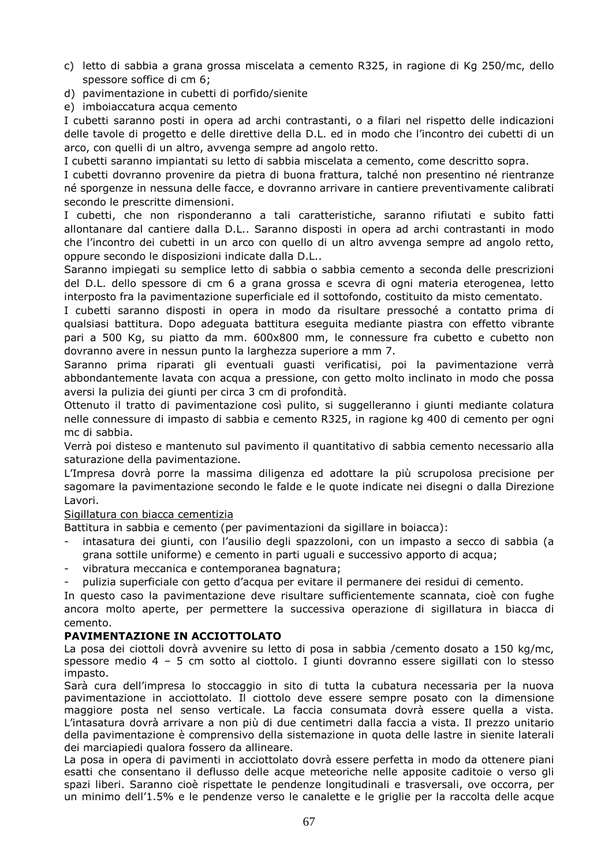- c) letto di sabbia a grana grossa miscelata a cemento R325, in ragione di Kg 250/mc, dello spessore soffice di cm 6;
- d) pavimentazione in cubetti di porfido/sienite
- e) imboiaccatura acqua cemento

I cubetti saranno posti in opera ad archi contrastanti, o a filari nel rispetto delle indicazioni delle tavole di progetto e delle direttive della D.L. ed in modo che l'incontro dei cubetti di un arco, con quelli di un altro, avvenga sempre ad angolo retto.

I cubetti saranno impiantati su letto di sabbia miscelata a cemento, come descritto sopra.

I cubetti dovranno provenire da pietra di buona frattura, talché non presentino né rientranze né sporgenze in nessuna delle facce, e dovranno arrivare in cantiere preventivamente calibrati secondo le prescritte dimensioni.

I cubetti, che non risponderanno a tali caratteristiche, saranno rifiutati e subito fatti allontanare dal cantiere dalla D.L.. Saranno disposti in opera ad archi contrastanti in modo che l'incontro dei cubetti in un arco con quello di un altro avvenga sempre ad angolo retto, oppure secondo le disposizioni indicate dalla D.L..

Saranno impiegati su semplice letto di sabbia o sabbia cemento a seconda delle prescrizioni del D.L. dello spessore di cm 6 a grana grossa e scevra di ogni materia eterogenea, letto interposto fra la pavimentazione superficiale ed il sottofondo, costituito da misto cementato.

I cubetti saranno disposti in opera in modo da risultare pressoché a contatto prima di qualsiasi battitura. Dopo adeguata battitura eseguita mediante piastra con effetto vibrante pari a 500 Kg, su piatto da mm. 600x800 mm, le connessure fra cubetto e cubetto non dovranno avere in nessun punto la larghezza superiore a mm 7.

Saranno prima riparati gli eventuali guasti verificatisi, poi la pavimentazione verrà abbondantemente lavata con acqua a pressione, con getto molto inclinato in modo che possa aversi la pulizia dei giunti per circa 3 cm di profondità.

Ottenuto il tratto di pavimentazione così pulito, si suggelleranno i giunti mediante colatura nelle connessure di impasto di sabbia e cemento R325, in ragione kg 400 di cemento per ogni mc di sabbia.

Verrà poi disteso e mantenuto sul pavimento il quantitativo di sabbia cemento necessario alla saturazione della pavimentazione.

L'Impresa dovrà porre la massima diligenza ed adottare la più scrupolosa precisione per sagomare la pavimentazione secondo le falde e le quote indicate nei disegni o dalla Direzione Lavori.

#### Sigillatura con biacca cementizia

Battitura in sabbia e cemento (per pavimentazioni da sigillare in boiacca):

- intasatura dei giunti, con l'ausilio degli spazzoloni, con un impasto a secco di sabbia (a grana sottile uniforme) e cemento in parti uguali e successivo apporto di acqua;
- vibratura meccanica e contemporanea bagnatura;
- pulizia superficiale con getto d'acqua per evitare il permanere dei residui di cemento.

In questo caso la pavimentazione deve risultare sufficientemente scannata, cioè con fughe ancora molto aperte, per permettere la successiva operazione di sigillatura in biacca di cemento.

#### **PAVIMENTAZIONE IN ACCIOTTOLATO**

La posa dei ciottoli dovrà avvenire su letto di posa in sabbia /cemento dosato a 150 kg/mc, spessore medio 4 – 5 cm sotto al ciottolo. I giunti dovranno essere sigillati con lo stesso impasto.

Sarà cura dell'impresa lo stoccaggio in sito di tutta la cubatura necessaria per la nuova pavimentazione in acciottolato. Il ciottolo deve essere sempre posato con la dimensione maggiore posta nel senso verticale. La faccia consumata dovrà essere quella a vista. L'intasatura dovrà arrivare a non più di due centimetri dalla faccia a vista. Il prezzo unitario della pavimentazione è comprensivo della sistemazione in quota delle lastre in sienite laterali dei marciapiedi qualora fossero da allineare.

La posa in opera di pavimenti in acciottolato dovrà essere perfetta in modo da ottenere piani esatti che consentano il deflusso delle acque meteoriche nelle apposite caditoie o verso gli spazi liberi. Saranno cioè rispettate le pendenze longitudinali e trasversali, ove occorra, per un minimo dell'1.5% e le pendenze verso le canalette e le griglie per la raccolta delle acque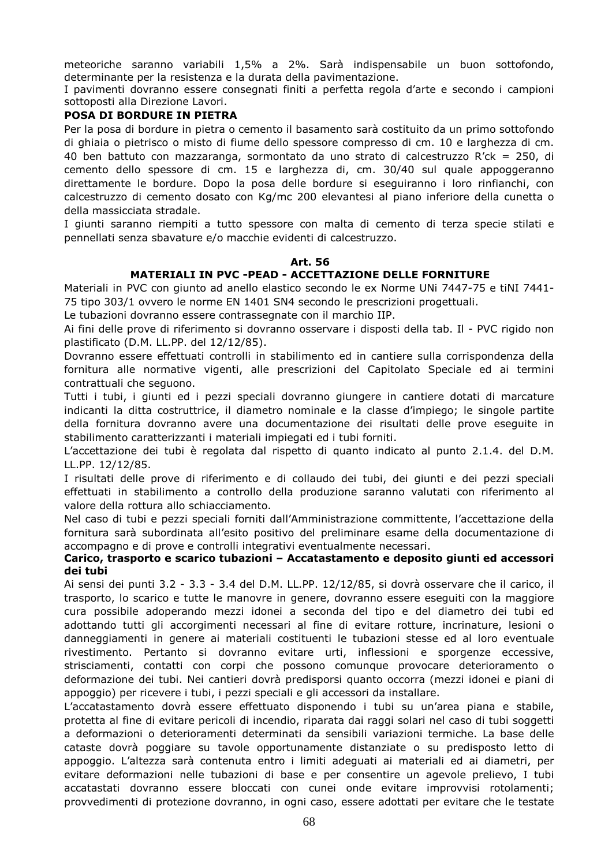meteoriche saranno variabili 1,5% a 2%. Sarà indispensabile un buon sottofondo, determinante per la resistenza e la durata della pavimentazione.

I pavimenti dovranno essere consegnati finiti a perfetta regola d'arte e secondo i campioni sottoposti alla Direzione Lavori.

## **POSA DI BORDURE IN PIETRA**

Per la posa di bordure in pietra o cemento il basamento sarà costituito da un primo sottofondo di ghiaia o pietrisco o misto di fiume dello spessore compresso di cm. 10 e larghezza di cm. 40 ben battuto con mazzaranga, sormontato da uno strato di calcestruzzo R'ck = 250, di cemento dello spessore di cm. 15 e larghezza di, cm. 30/40 sul quale appoggeranno direttamente le bordure. Dopo la posa delle bordure si eseguiranno i loro rinfianchi, con calcestruzzo di cemento dosato con Kg/mc 200 elevantesi al piano inferiore della cunetta o della massicciata stradale.

I giunti saranno riempiti a tutto spessore con malta di cemento di terza specie stilati e pennellati senza sbavature e/o macchie evidenti di calcestruzzo.

## **Art. 56**

## **MATERIALI IN PVC -PEAD - ACCETTAZIONE DELLE FORNITURE**

Materiali in PVC con giunto ad anello elastico secondo le ex Norme UNi 7447-75 e tiNI 7441- 75 tipo 303/1 ovvero le norme EN 1401 SN4 secondo le prescrizioni progettuali.

Le tubazioni dovranno essere contrassegnate con il marchio IIP.

Ai fini delle prove di riferimento si dovranno osservare i disposti della tab. Il - PVC rigido non plastificato (D.M. LL.PP. del 12/12/85).

Dovranno essere effettuati controlli in stabilimento ed in cantiere sulla corrispondenza della fornitura alle normative vigenti, alle prescrizioni del Capitolato Speciale ed ai termini contrattuali che seguono.

Tutti i tubi, i giunti ed i pezzi speciali dovranno giungere in cantiere dotati di marcature indicanti la ditta costruttrice, il diametro nominale e la classe d'impiego; le singole partite della fornitura dovranno avere una documentazione dei risultati delle prove eseguite in stabilimento caratterizzanti i materiali impiegati ed i tubi forniti.

L'accettazione dei tubi è regolata dal rispetto di quanto indicato al punto 2.1.4. del D.M. LL.PP. 12/12/85.

I risultati delle prove di riferimento e di collaudo dei tubi, dei giunti e dei pezzi speciali effettuati in stabilimento a controllo della produzione saranno valutati con riferimento al valore della rottura allo schiacciamento.

Nel caso di tubi e pezzi speciali forniti dall'Amministrazione committente, l'accettazione della fornitura sarà subordinata all'esito positivo del preliminare esame della documentazione di accompagno e di prove e controlli integrativi eventualmente necessari.

#### **Carico, trasporto e scarico tubazioni – Accatastamento e deposito giunti ed accessori dei tubi**

Ai sensi dei punti 3.2 - 3.3 - 3.4 del D.M. LL.PP. 12/12/85, si dovrà osservare che il carico, il trasporto, lo scarico e tutte le manovre in genere, dovranno essere eseguiti con la maggiore cura possibile adoperando mezzi idonei a seconda del tipo e del diametro dei tubi ed adottando tutti gli accorgimenti necessari al fine di evitare rotture, incrinature, lesioni o danneggiamenti in genere ai materiali costituenti le tubazioni stesse ed al loro eventuale rivestimento. Pertanto si dovranno evitare urti, inflessioni e sporgenze eccessive, strisciamenti, contatti con corpi che possono comunque provocare deterioramento o deformazione dei tubi. Nei cantieri dovrà predisporsi quanto occorra (mezzi idonei e piani di appoggio) per ricevere i tubi, i pezzi speciali e gli accessori da installare.

L'accatastamento dovrà essere effettuato disponendo i tubi su un'area piana e stabile, protetta al fine di evitare pericoli di incendio, riparata dai raggi solari nel caso di tubi soggetti a deformazioni o deterioramenti determinati da sensibili variazioni termiche. La base delle cataste dovrà poggiare su tavole opportunamente distanziate o su predisposto letto di appoggio. L'altezza sarà contenuta entro i limiti adeguati ai materiali ed ai diametri, per evitare deformazioni nelle tubazioni di base e per consentire un agevole prelievo, I tubi accatastati dovranno essere bloccati con cunei onde evitare improvvisi rotolamenti; provvedimenti di protezione dovranno, in ogni caso, essere adottati per evitare che le testate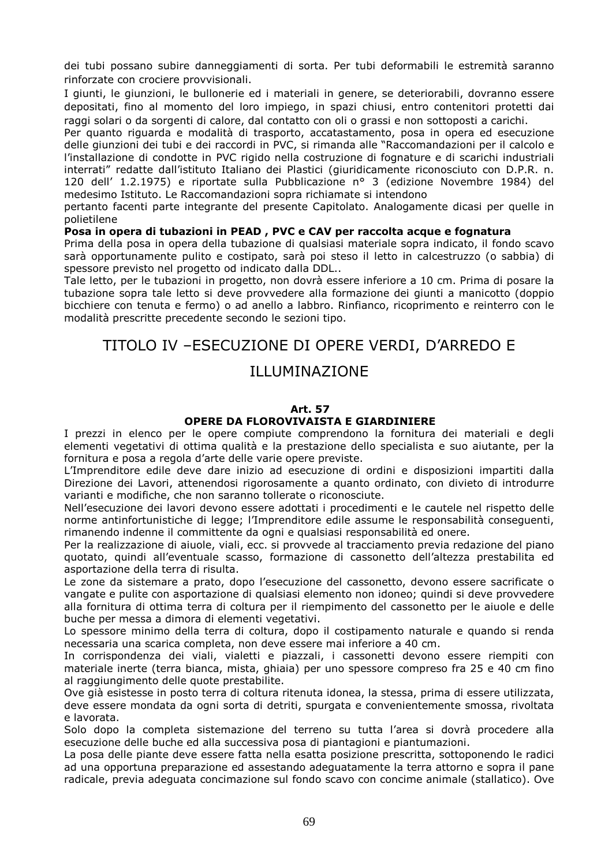dei tubi possano subire danneggiamenti di sorta. Per tubi deformabili le estremità saranno rinforzate con crociere provvisionali.

I giunti, le giunzioni, le bullonerie ed i materiali in genere, se deteriorabili, dovranno essere depositati, fino al momento del loro impiego, in spazi chiusi, entro contenitori protetti dai raggi solari o da sorgenti di calore, dal contatto con oli o grassi e non sottoposti a carichi.

Per quanto riguarda e modalità di trasporto, accatastamento, posa in opera ed esecuzione delle giunzioni dei tubi e dei raccordi in PVC, si rimanda alle "Raccomandazioni per il calcolo e l'installazione di condotte in PVC rigido nella costruzione di fognature e di scarichi industriali interrati" redatte dall'istituto Italiano dei Plastici (giuridicamente riconosciuto con D.P.R. n. 120 dell' 1.2.1975) e riportate sulla Pubblicazione n° 3 (edizione Novembre 1984) del medesimo Istituto. Le Raccomandazioni sopra richiamate si intendono

pertanto facenti parte integrante del presente Capitolato. Analogamente dicasi per quelle in polietilene

## **Posa in opera di tubazioni in PEAD , PVC e CAV per raccolta acque e fognatura**

Prima della posa in opera della tubazione di qualsiasi materiale sopra indicato, il fondo scavo sarà opportunamente pulito e costipato, sarà poi steso il letto in calcestruzzo (o sabbia) di spessore previsto nel progetto od indicato dalla DDL..

Tale letto, per le tubazioni in progetto, non dovrà essere inferiore a 10 cm. Prima di posare la tubazione sopra tale letto si deve provvedere alla formazione dei giunti a manicotto (doppio bicchiere con tenuta e fermo) o ad anello a labbro. Rinfianco, ricoprimento e reinterro con le modalità prescritte precedente secondo le sezioni tipo.

## TITOLO IV –ESECUZIONE DI OPERE VERDI, D'ARREDO E

## ILLUMINAZIONE

#### **Art. 57**

#### **OPERE DA FLOROVIVAISTA E GIARDINIERE**

I prezzi in elenco per le opere compiute comprendono la fornitura dei materiali e degli elementi vegetativi di ottima qualità e la prestazione dello specialista e suo aiutante, per la fornitura e posa a regola d'arte delle varie opere previste.

L'Imprenditore edile deve dare inizio ad esecuzione di ordini e disposizioni impartiti dalla Direzione dei Lavori, attenendosi rigorosamente a quanto ordinato, con divieto di introdurre varianti e modifiche, che non saranno tollerate o riconosciute.

Nell'esecuzione dei lavori devono essere adottati i procedimenti e le cautele nel rispetto delle norme antinfortunistiche di legge; l'Imprenditore edile assume le responsabilità conseguenti, rimanendo indenne il committente da ogni e qualsiasi responsabilità ed onere.

Per la realizzazione di aiuole, viali, ecc. si provvede al tracciamento previa redazione del piano quotato, quindi all'eventuale scasso, formazione di cassonetto dell'altezza prestabilita ed asportazione della terra di risulta.

Le zone da sistemare a prato, dopo l'esecuzione del cassonetto, devono essere sacrificate o vangate e pulite con asportazione di qualsiasi elemento non idoneo; quindi si deve provvedere alla fornitura di ottima terra di coltura per il riempimento del cassonetto per le aiuole e delle buche per messa a dimora di elementi vegetativi.

Lo spessore minimo della terra di coltura, dopo il costipamento naturale e quando si renda necessaria una scarica completa, non deve essere mai inferiore a 40 cm.

In corrispondenza dei viali, vialetti e piazzali, i cassonetti devono essere riempiti con materiale inerte (terra bianca, mista, ghiaia) per uno spessore compreso fra 25 e 40 cm fino al raggiungimento delle quote prestabilite.

Ove già esistesse in posto terra di coltura ritenuta idonea, la stessa, prima di essere utilizzata, deve essere mondata da ogni sorta di detriti, spurgata e convenientemente smossa, rivoltata e lavorata.

Solo dopo la completa sistemazione del terreno su tutta l'area si dovrà procedere alla esecuzione delle buche ed alla successiva posa di piantagioni e piantumazioni.

La posa delle piante deve essere fatta nella esatta posizione prescritta, sottoponendo le radici ad una opportuna preparazione ed assestando adeguatamente la terra attorno e sopra il pane radicale, previa adeguata concimazione sul fondo scavo con concime animale (stallatico). Ove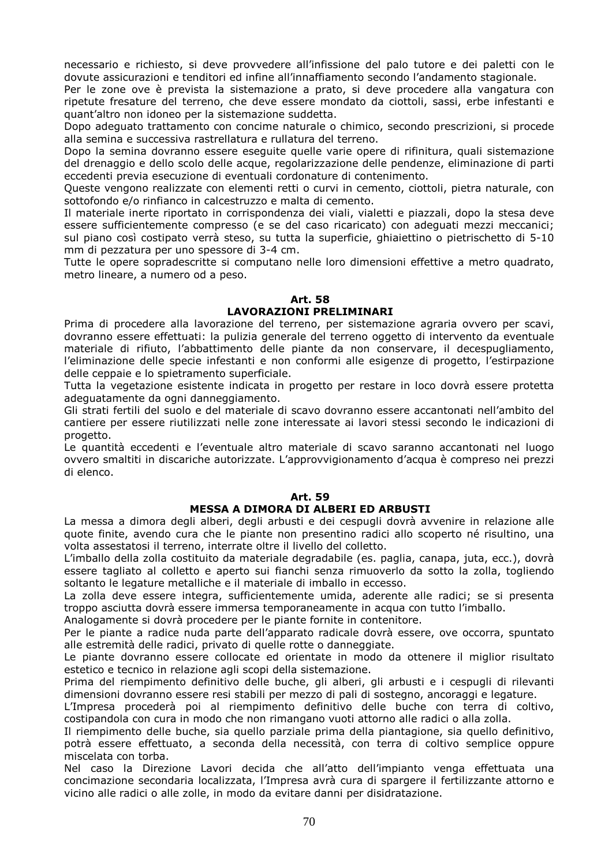necessario e richiesto, si deve provvedere all'infissione del palo tutore e dei paletti con le dovute assicurazioni e tenditori ed infine all'innaffiamento secondo l'andamento stagionale.

Per le zone ove è prevista la sistemazione a prato, si deve procedere alla vangatura con ripetute fresature del terreno, che deve essere mondato da ciottoli, sassi, erbe infestanti e quant'altro non idoneo per la sistemazione suddetta.

Dopo adeguato trattamento con concime naturale o chimico, secondo prescrizioni, si procede alla semina e successiva rastrellatura e rullatura del terreno.

Dopo la semina dovranno essere eseguite quelle varie opere di rifinitura, quali sistemazione del drenaggio e dello scolo delle acque, regolarizzazione delle pendenze, eliminazione di parti eccedenti previa esecuzione di eventuali cordonature di contenimento.

Queste vengono realizzate con elementi retti o curvi in cemento, ciottoli, pietra naturale, con sottofondo e/o rinfianco in calcestruzzo e malta di cemento.

Il materiale inerte riportato in corrispondenza dei viali, vialetti e piazzali, dopo la stesa deve essere sufficientemente compresso (e se del caso ricaricato) con adeguati mezzi meccanici; sul piano così costipato verrà steso, su tutta la superficie, ghiaiettino o pietrischetto di 5-10 mm di pezzatura per uno spessore di 3-4 cm.

Tutte le opere sopradescritte si computano nelle loro dimensioni effettive a metro quadrato, metro lineare, a numero od a peso.

## **Art. 58 LAVORAZIONI PRELIMINARI**

Prima di procedere alla lavorazione del terreno, per sistemazione agraria ovvero per scavi, dovranno essere effettuati: la pulizia generale del terreno oggetto di intervento da eventuale materiale di rifiuto, l'abbattimento delle piante da non conservare, il decespugliamento, l'eliminazione delle specie infestanti e non conformi alle esigenze di progetto, l'estirpazione delle ceppaie e lo spietramento superficiale.

Tutta la vegetazione esistente indicata in progetto per restare in loco dovrà essere protetta adeguatamente da ogni danneggiamento.

Gli strati fertili del suolo e del materiale di scavo dovranno essere accantonati nell'ambito del cantiere per essere riutilizzati nelle zone interessate ai lavori stessi secondo le indicazioni di progetto.

Le quantità eccedenti e l'eventuale altro materiale di scavo saranno accantonati nel luogo ovvero smaltiti in discariche autorizzate. L'approvvigionamento d'acqua è compreso nei prezzi di elenco.

#### **Art. 59**

## **MESSA A DIMORA DI ALBERI ED ARBUSTI**

La messa a dimora degli alberi, degli arbusti e dei cespugli dovrà avvenire in relazione alle quote finite, avendo cura che le piante non presentino radici allo scoperto né risultino, una volta assestatosi il terreno, interrate oltre il livello del colletto.

L'imballo della zolla costituito da materiale degradabile (es. paglia, canapa, juta, ecc.), dovrà essere tagliato al colletto e aperto sui fianchi senza rimuoverlo da sotto la zolla, togliendo soltanto le legature metalliche e il materiale di imballo in eccesso.

La zolla deve essere integra, sufficientemente umida, aderente alle radici; se si presenta troppo asciutta dovrà essere immersa temporaneamente in acqua con tutto l'imballo.

Analogamente si dovrà procedere per le piante fornite in contenitore.

Per le piante a radice nuda parte dell'apparato radicale dovrà essere, ove occorra, spuntato alle estremità delle radici, privato di quelle rotte o danneggiate.

Le piante dovranno essere collocate ed orientate in modo da ottenere il miglior risultato estetico e tecnico in relazione agli scopi della sistemazione.

Prima del riempimento definitivo delle buche, gli alberi, gli arbusti e i cespugli di rilevanti dimensioni dovranno essere resi stabili per mezzo di pali di sostegno, ancoraggi e legature.

L'Impresa procederà poi al riempimento definitivo delle buche con terra di coltivo, costipandola con cura in modo che non rimangano vuoti attorno alle radici o alla zolla.

Il riempimento delle buche, sia quello parziale prima della piantagione, sia quello definitivo, potrà essere effettuato, a seconda della necessità, con terra di coltivo semplice oppure miscelata con torba.

Nel caso la Direzione Lavori decida che all'atto dell'impianto venga effettuata una concimazione secondaria localizzata, l'Impresa avrà cura di spargere il fertilizzante attorno e vicino alle radici o alle zolle, in modo da evitare danni per disidratazione.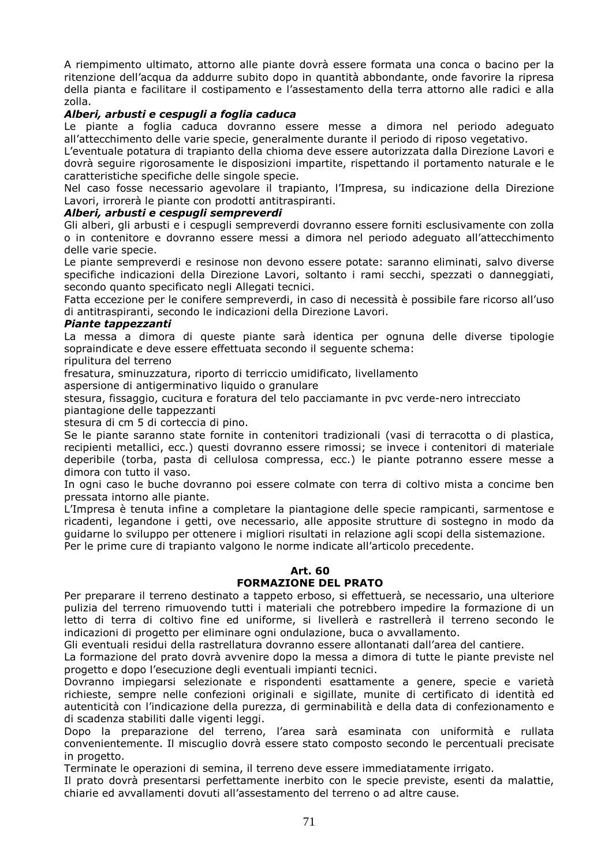A riempimento ultimato, attorno alle piante dovrà essere formata una conca o bacino per la ritenzione dell'acqua da addurre subito dopo in quantità abbondante, onde favorire la ripresa della pianta e facilitare il costipamento e l'assestamento della terra attorno alle radici e alla zolla.

## *Alberi, arbusti e cespugli a foglia caduca*

Le piante a foglia caduca dovranno essere messe a dimora nel periodo adeguato all'attecchimento delle varie specie, generalmente durante il periodo di riposo vegetativo.

L'eventuale potatura di trapianto della chioma deve essere autorizzata dalla Direzione Lavori e dovrà seguire rigorosamente le disposizioni impartite, rispettando il portamento naturale e le caratteristiche specifiche delle singole specie.

Nel caso fosse necessario agevolare il trapianto, l'Impresa, su indicazione della Direzione Lavori, irrorerà le piante con prodotti antitraspiranti.

#### *Alberi, arbusti e cespugli sempreverdi*

Gli alberi, gli arbusti e i cespugli sempreverdi dovranno essere forniti esclusivamente con zolla o in contenitore e dovranno essere messi a dimora nel periodo adeguato all'attecchimento delle varie specie.

Le piante sempreverdi e resinose non devono essere potate: saranno eliminati, salvo diverse specifiche indicazioni della Direzione Lavori, soltanto i rami secchi, spezzati o danneggiati, secondo quanto specificato negli Allegati tecnici.

Fatta eccezione per le conifere sempreverdi, in caso di necessità è possibile fare ricorso all'uso di antitraspiranti, secondo le indicazioni della Direzione Lavori.

#### *Piante tappezzanti*

La messa a dimora di queste piante sarà identica per ognuna delle diverse tipologie sopraindicate e deve essere effettuata secondo il seguente schema:

ripulitura del terreno

fresatura, sminuzzatura, riporto di terriccio umidificato, livellamento

aspersione di antigerminativo liquido o granulare

stesura, fissaggio, cucitura e foratura del telo pacciamante in pvc verde-nero intrecciato piantagione delle tappezzanti

stesura di cm 5 di corteccia di pino.

Se le piante saranno state fornite in contenitori tradizionali (vasi di terracotta o di plastica, recipienti metallici, ecc.) questi dovranno essere rimossi; se invece i contenitori di materiale deperibile (torba, pasta di cellulosa compressa, ecc.) le piante potranno essere messe a dimora con tutto il vaso.

In ogni caso le buche dovranno poi essere colmate con terra di coltivo mista a concime ben pressata intorno alle piante.

L'Impresa è tenuta infine a completare la piantagione delle specie rampicanti, sarmentose e ricadenti, legandone i getti, ove necessario, alle apposite strutture di sostegno in modo da guidarne lo sviluppo per ottenere i migliori risultati in relazione agli scopi della sistemazione.

Per le prime cure di trapianto valgono le norme indicate all'articolo precedente.

## **Art. 60**

## **FORMAZIONE DEL PRATO**

Per preparare il terreno destinato a tappeto erboso, si effettuerà, se necessario, una ulteriore pulizia del terreno rimuovendo tutti i materiali che potrebbero impedire la formazione di un letto di terra di coltivo fine ed uniforme, si livellerà e rastrellerà il terreno secondo le indicazioni di progetto per eliminare ogni ondulazione, buca o avvallamento.

Gli eventuali residui della rastrellatura dovranno essere allontanati dall'area del cantiere.

La formazione del prato dovrà avvenire dopo la messa a dimora di tutte le piante previste nel progetto e dopo l'esecuzione degli eventuali impianti tecnici.

Dovranno impiegarsi selezionate e rispondenti esattamente a genere, specie e varietà richieste, sempre nelle confezioni originali e sigillate, munite di certificato di identità ed autenticità con l'indicazione della purezza, di germinabilità e della data di confezionamento e di scadenza stabiliti dalle vigenti leggi.

Dopo la preparazione del terreno, l'area sarà esaminata con uniformità e rullata convenientemente. Il miscuglio dovrà essere stato composto secondo le percentuali precisate in progetto.

Terminate le operazioni di semina, il terreno deve essere immediatamente irrigato.

Il prato dovrà presentarsi perfettamente inerbito con le specie previste, esenti da malattie, chiarie ed avvallamenti dovuti all'assestamento del terreno o ad altre cause.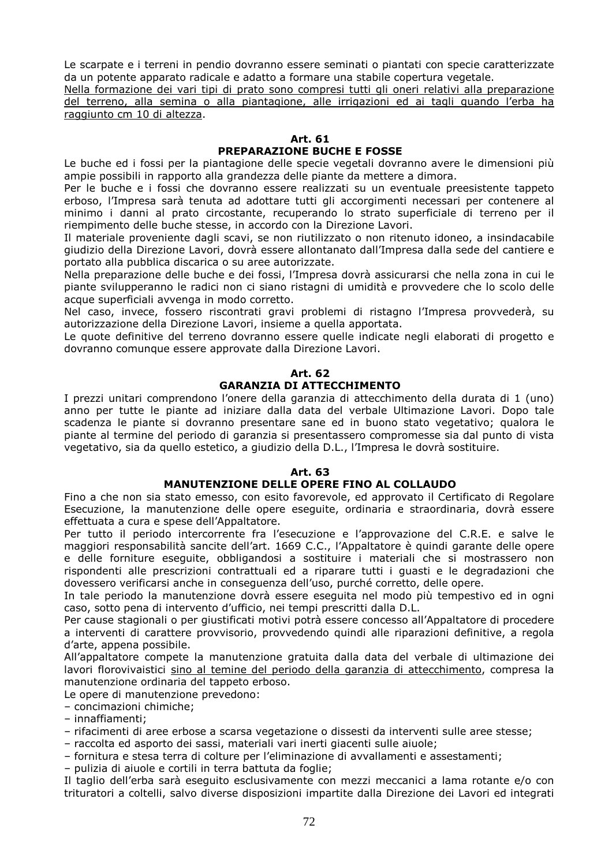Le scarpate e i terreni in pendio dovranno essere seminati o piantati con specie caratterizzate da un potente apparato radicale e adatto a formare una stabile copertura vegetale.

Nella formazione dei vari tipi di prato sono compresi tutti gli oneri relativi alla preparazione del terreno, alla semina o alla piantagione, alle irrigazioni ed ai tagli quando l'erba ha raggiunto cm 10 di altezza.

#### **Art. 61**

## **PREPARAZIONE BUCHE E FOSSE**

Le buche ed i fossi per la piantagione delle specie vegetali dovranno avere le dimensioni più ampie possibili in rapporto alla grandezza delle piante da mettere a dimora.

Per le buche e i fossi che dovranno essere realizzati su un eventuale preesistente tappeto erboso, l'Impresa sarà tenuta ad adottare tutti gli accorgimenti necessari per contenere al minimo i danni al prato circostante, recuperando lo strato superficiale di terreno per il riempimento delle buche stesse, in accordo con la Direzione Lavori.

Il materiale proveniente dagli scavi, se non riutilizzato o non ritenuto idoneo, a insindacabile giudizio della Direzione Lavori, dovrà essere allontanato dall'Impresa dalla sede del cantiere e portato alla pubblica discarica o su aree autorizzate.

Nella preparazione delle buche e dei fossi, l'Impresa dovrà assicurarsi che nella zona in cui le piante svilupperanno le radici non ci siano ristagni di umidità e provvedere che lo scolo delle acque superficiali avvenga in modo corretto.

Nel caso, invece, fossero riscontrati gravi problemi di ristagno l'Impresa provvederà, su autorizzazione della Direzione Lavori, insieme a quella apportata.

Le quote definitive del terreno dovranno essere quelle indicate negli elaborati di progetto e dovranno comunque essere approvate dalla Direzione Lavori.

## **Art. 62 GARANZIA DI ATTECCHIMENTO**

I prezzi unitari comprendono l'onere della garanzia di attecchimento della durata di 1 (uno) anno per tutte le piante ad iniziare dalla data del verbale Ultimazione Lavori. Dopo tale scadenza le piante si dovranno presentare sane ed in buono stato vegetativo; qualora le piante al termine del periodo di garanzia si presentassero compromesse sia dal punto di vista vegetativo, sia da quello estetico, a giudizio della D.L., l'Impresa le dovrà sostituire.

#### **Art. 63**

## **MANUTENZIONE DELLE OPERE FINO AL COLLAUDO**

Fino a che non sia stato emesso, con esito favorevole, ed approvato il Certificato di Regolare Esecuzione, la manutenzione delle opere eseguite, ordinaria e straordinaria, dovrà essere effettuata a cura e spese dell'Appaltatore.

Per tutto il periodo intercorrente fra l'esecuzione e l'approvazione del C.R.E. e salve le maggiori responsabilità sancite dell'art. 1669 C.C., l'Appaltatore è quindi garante delle opere e delle forniture eseguite, obbligandosi a sostituire i materiali che si mostrassero non rispondenti alle prescrizioni contrattuali ed a riparare tutti i guasti e le degradazioni che dovessero verificarsi anche in conseguenza dell'uso, purché corretto, delle opere.

In tale periodo la manutenzione dovrà essere eseguita nel modo più tempestivo ed in ogni caso, sotto pena di intervento d'ufficio, nei tempi prescritti dalla D.L.

Per cause stagionali o per giustificati motivi potrà essere concesso all'Appaltatore di procedere a interventi di carattere provvisorio, provvedendo quindi alle riparazioni definitive, a regola d'arte, appena possibile.

All'appaltatore compete la manutenzione gratuita dalla data del verbale di ultimazione dei lavori florovivaistici sino al temine del periodo della garanzia di attecchimento, compresa la manutenzione ordinaria del tappeto erboso.

Le opere di manutenzione prevedono:

– concimazioni chimiche;

– innaffiamenti;

- rifacimenti di aree erbose a scarsa vegetazione o dissesti da interventi sulle aree stesse;
- raccolta ed asporto dei sassi, materiali vari inerti giacenti sulle aiuole;

– fornitura e stesa terra di colture per l'eliminazione di avvallamenti e assestamenti;

– pulizia di aiuole e cortili in terra battuta da foglie;

Il taglio dell'erba sarà eseguito esclusivamente con mezzi meccanici a lama rotante e/o con trituratori a coltelli, salvo diverse disposizioni impartite dalla Direzione dei Lavori ed integrati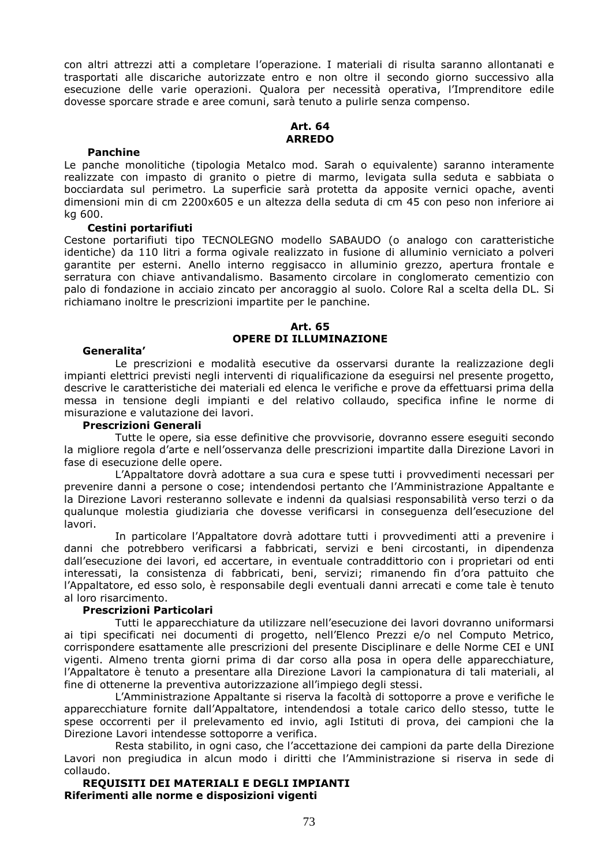con altri attrezzi atti a completare l'operazione. I materiali di risulta saranno allontanati e trasportati alle discariche autorizzate entro e non oltre il secondo giorno successivo alla esecuzione delle varie operazioni. Qualora per necessità operativa, l'Imprenditore edile dovesse sporcare strade e aree comuni, sarà tenuto a pulirle senza compenso.

#### **Art. 64 ARREDO**

#### **Panchine**

Le panche monolitiche (tipologia Metalco mod. Sarah o equivalente) saranno interamente realizzate con impasto di granito o pietre di marmo, levigata sulla seduta e sabbiata o bocciardata sul perimetro. La superficie sarà protetta da apposite vernici opache, aventi dimensioni min di cm 2200x605 e un altezza della seduta di cm 45 con peso non inferiore ai kg 600.

#### **Cestini portarifiuti**

Cestone portarifiuti tipo TECNOLEGNO modello SABAUDO (o analogo con caratteristiche identiche) da 110 litri a forma ogivale realizzato in fusione di alluminio verniciato a polveri garantite per esterni. Anello interno reggisacco in alluminio grezzo, apertura frontale e serratura con chiave antivandalismo. Basamento circolare in conglomerato cementizio con palo di fondazione in acciaio zincato per ancoraggio al suolo. Colore Ral a scelta della DL. Si richiamano inoltre le prescrizioni impartite per le panchine.

#### **Art. 65 OPERE DI ILLUMINAZIONE**

#### **Generalita'**

Le prescrizioni e modalità esecutive da osservarsi durante la realizzazione degli impianti elettrici previsti negli interventi di riqualificazione da eseguirsi nel presente progetto, descrive le caratteristiche dei materiali ed elenca le verifiche e prove da effettuarsi prima della messa in tensione degli impianti e del relativo collaudo, specifica infine le norme di misurazione e valutazione dei lavori.

#### **Prescrizioni Generali**

Tutte le opere, sia esse definitive che provvisorie, dovranno essere eseguiti secondo la migliore regola d'arte e nell'osservanza delle prescrizioni impartite dalla Direzione Lavori in fase di esecuzione delle opere.

L'Appaltatore dovrà adottare a sua cura e spese tutti i provvedimenti necessari per prevenire danni a persone o cose; intendendosi pertanto che l'Amministrazione Appaltante e la Direzione Lavori resteranno sollevate e indenni da qualsiasi responsabilità verso terzi o da qualunque molestia giudiziaria che dovesse verificarsi in conseguenza dell'esecuzione del lavori.

In particolare l'Appaltatore dovrà adottare tutti i provvedimenti atti a prevenire i danni che potrebbero verificarsi a fabbricati, servizi e beni circostanti, in dipendenza dall'esecuzione dei lavori, ed accertare, in eventuale contraddittorio con i proprietari od enti interessati, la consistenza di fabbricati, beni, servizi; rimanendo fin d'ora pattuito che l'Appaltatore, ed esso solo, è responsabile degli eventuali danni arrecati e come tale è tenuto al loro risarcimento.

#### **Prescrizioni Particolari**

Tutti le apparecchiature da utilizzare nell'esecuzione dei lavori dovranno uniformarsi ai tipi specificati nei documenti di progetto, nell'Elenco Prezzi e/o nel Computo Metrico, corrispondere esattamente alle prescrizioni del presente Disciplinare e delle Norme CEI e UNI vigenti. Almeno trenta giorni prima di dar corso alla posa in opera delle apparecchiature, l'Appaltatore è tenuto a presentare alla Direzione Lavori la campionatura di tali materiali, al fine di ottenerne la preventiva autorizzazione all'impiego degli stessi.

L'Amministrazione Appaltante si riserva la facoltà di sottoporre a prove e verifiche le apparecchiature fornite dall'Appaltatore, intendendosi a totale carico dello stesso, tutte le spese occorrenti per il prelevamento ed invio, agli Istituti di prova, dei campioni che la Direzione Lavori intendesse sottoporre a verifica.

Resta stabilito, in ogni caso, che l'accettazione dei campioni da parte della Direzione Lavori non pregiudica in alcun modo i diritti che l'Amministrazione si riserva in sede di collaudo.

**REQUISITI DEI MATERIALI E DEGLI IMPIANTI Riferimenti alle norme e disposizioni vigenti**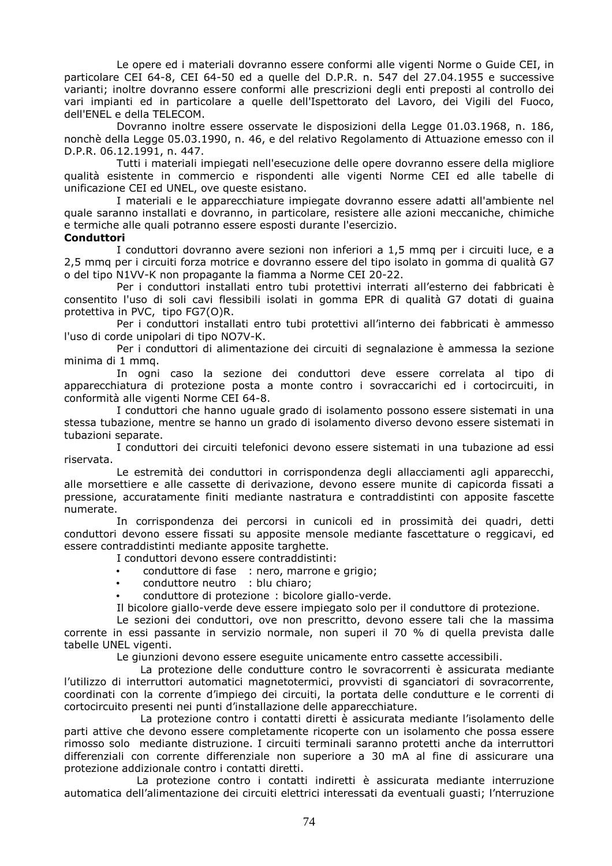Le opere ed i materiali dovranno essere conformi alle vigenti Norme o Guide CEI, in particolare CEI 64-8, CEI 64-50 ed a quelle del D.P.R. n. 547 del 27.04.1955 e successive varianti; inoltre dovranno essere conformi alle prescrizioni degli enti preposti al controllo dei vari impianti ed in particolare a quelle dell'Ispettorato del Lavoro, dei Vigili del Fuoco, dell'ENEL e della TELECOM.

 Dovranno inoltre essere osservate le disposizioni della Legge 01.03.1968, n. 186, nonchè della Legge 05.03.1990, n. 46, e del relativo Regolamento di Attuazione emesso con il D.P.R. 06.12.1991, n. 447.

 Tutti i materiali impiegati nell'esecuzione delle opere dovranno essere della migliore qualità esistente in commercio e rispondenti alle vigenti Norme CEI ed alle tabelle di unificazione CEI ed UNEL, ove queste esistano.

 I materiali e le apparecchiature impiegate dovranno essere adatti all'ambiente nel quale saranno installati e dovranno, in particolare, resistere alle azioni meccaniche, chimiche e termiche alle quali potranno essere esposti durante l'esercizio.

## **Conduttori**

 I conduttori dovranno avere sezioni non inferiori a 1,5 mmq per i circuiti luce, e a 2,5 mmq per i circuiti forza motrice e dovranno essere del tipo isolato in gomma di qualità G7 o del tipo N1VV-K non propagante la fiamma a Norme CEI 20-22.

Per i conduttori installati entro tubi protettivi interrati all'esterno dei fabbricati è consentito l'uso di soli cavi flessibili isolati in gomma EPR di qualità G7 dotati di guaina protettiva in PVC, tipo FG7(O)R.

 Per i conduttori installati entro tubi protettivi all'interno dei fabbricati è ammesso l'uso di corde unipolari di tipo NO7V-K.

 Per i conduttori di alimentazione dei circuiti di segnalazione è ammessa la sezione minima di 1 mmq.

 In ogni caso la sezione dei conduttori deve essere correlata al tipo di apparecchiatura di protezione posta a monte contro i sovraccarichi ed i cortocircuiti, in conformità alle vigenti Norme CEI 64-8.

 I conduttori che hanno uguale grado di isolamento possono essere sistemati in una stessa tubazione, mentre se hanno un grado di isolamento diverso devono essere sistemati in tubazioni separate.

 I conduttori dei circuiti telefonici devono essere sistemati in una tubazione ad essi riservata.

 Le estremità dei conduttori in corrispondenza degli allacciamenti agli apparecchi, alle morsettiere e alle cassette di derivazione, devono essere munite di capicorda fissati a pressione, accuratamente finiti mediante nastratura e contraddistinti con apposite fascette numerate.

 In corrispondenza dei percorsi in cunicoli ed in prossimità dei quadri, detti conduttori devono essere fissati su apposite mensole mediante fascettature o reggicavi, ed essere contraddistinti mediante apposite targhette.

I conduttori devono essere contraddistinti:

- conduttore di fase : nero, marrone e grigio;
- conduttore neutro : blu chiaro;
- conduttore di protezione : bicolore giallo-verde.

Il bicolore giallo-verde deve essere impiegato solo per il conduttore di protezione.

 Le sezioni dei conduttori, ove non prescritto, devono essere tali che la massima corrente in essi passante in servizio normale, non superi il 70 % di quella prevista dalle tabelle UNEL vigenti.

Le giunzioni devono essere eseguite unicamente entro cassette accessibili.

 La protezione delle condutture contro le sovracorrenti è assicurata mediante l'utilizzo di interruttori automatici magnetotermici, provvisti di sganciatori di sovracorrente, coordinati con la corrente d'impiego dei circuiti, la portata delle condutture e le correnti di cortocircuito presenti nei punti d'installazione delle apparecchiature.

 La protezione contro i contatti diretti è assicurata mediante l'isolamento delle parti attive che devono essere completamente ricoperte con un isolamento che possa essere rimosso solo mediante distruzione. I circuiti terminali saranno protetti anche da interruttori differenziali con corrente differenziale non superiore a 30 mA al fine di assicurare una protezione addizionale contro i contatti diretti.

 La protezione contro i contatti indiretti è assicurata mediante interruzione automatica dell'alimentazione dei circuiti elettrici interessati da eventuali guasti; l'nterruzione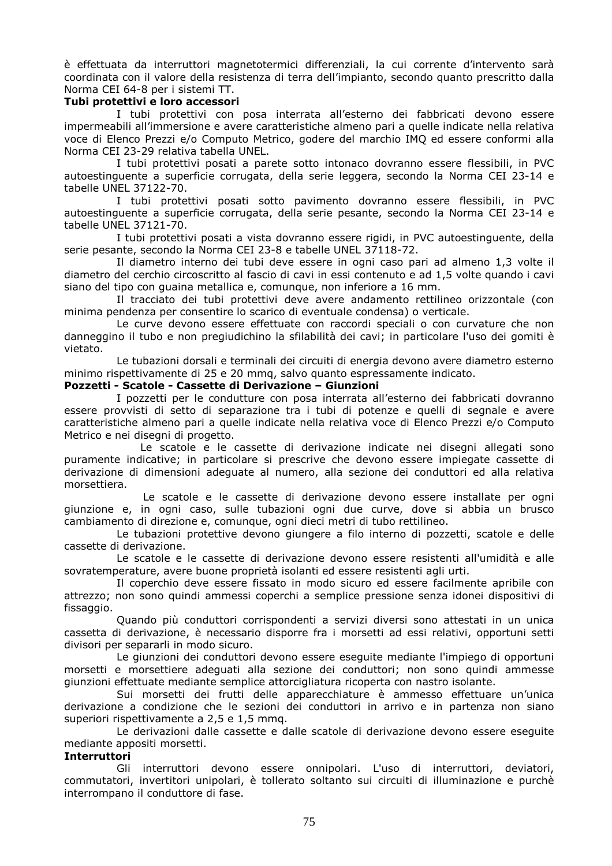è effettuata da interruttori magnetotermici differenziali, la cui corrente d'intervento sarà coordinata con il valore della resistenza di terra dell'impianto, secondo quanto prescritto dalla Norma CEI 64-8 per i sistemi TT.

#### **Tubi protettivi e loro accessori**

 I tubi protettivi con posa interrata all'esterno dei fabbricati devono essere impermeabili all'immersione e avere caratteristiche almeno pari a quelle indicate nella relativa voce di Elenco Prezzi e/o Computo Metrico, godere del marchio IMQ ed essere conformi alla Norma CEI 23-29 relativa tabella UNEL.

 I tubi protettivi posati a parete sotto intonaco dovranno essere flessibili, in PVC autoestinguente a superficie corrugata, della serie leggera, secondo la Norma CEI 23-14 e tabelle UNEL 37122-70.

 I tubi protettivi posati sotto pavimento dovranno essere flessibili, in PVC autoestinguente a superficie corrugata, della serie pesante, secondo la Norma CEI 23-14 e tabelle UNEL 37121-70.

 I tubi protettivi posati a vista dovranno essere rigidi, in PVC autoestinguente, della serie pesante, secondo la Norma CEI 23-8 e tabelle UNEL 37118-72.

 Il diametro interno dei tubi deve essere in ogni caso pari ad almeno 1,3 volte il diametro del cerchio circoscritto al fascio di cavi in essi contenuto e ad 1,5 volte quando i cavi siano del tipo con guaina metallica e, comunque, non inferiore a 16 mm.

 Il tracciato dei tubi protettivi deve avere andamento rettilineo orizzontale (con minima pendenza per consentire lo scarico di eventuale condensa) o verticale.

 Le curve devono essere effettuate con raccordi speciali o con curvature che non danneggino il tubo e non pregiudichino la sfilabilità dei cavi; in particolare l'uso dei gomiti è vietato.

 Le tubazioni dorsali e terminali dei circuiti di energia devono avere diametro esterno minimo rispettivamente di 25 e 20 mmq, salvo quanto espressamente indicato.

#### **Pozzetti - Scatole - Cassette di Derivazione – Giunzioni**

 I pozzetti per le condutture con posa interrata all'esterno dei fabbricati dovranno essere provvisti di setto di separazione tra i tubi di potenze e quelli di segnale e avere caratteristiche almeno pari a quelle indicate nella relativa voce di Elenco Prezzi e/o Computo Metrico e nei disegni di progetto.

 Le scatole e le cassette di derivazione indicate nei disegni allegati sono puramente indicative; in particolare si prescrive che devono essere impiegate cassette di derivazione di dimensioni adeguate al numero, alla sezione dei conduttori ed alla relativa morsettiera.

 Le scatole e le cassette di derivazione devono essere installate per ogni giunzione e, in ogni caso, sulle tubazioni ogni due curve, dove si abbia un brusco cambiamento di direzione e, comunque, ogni dieci metri di tubo rettilineo.

 Le tubazioni protettive devono giungere a filo interno di pozzetti, scatole e delle cassette di derivazione.

 Le scatole e le cassette di derivazione devono essere resistenti all'umidità e alle sovratemperature, avere buone proprietà isolanti ed essere resistenti agli urti.

 Il coperchio deve essere fissato in modo sicuro ed essere facilmente apribile con attrezzo; non sono quindi ammessi coperchi a semplice pressione senza idonei dispositivi di fissaggio.

 Quando più conduttori corrispondenti a servizi diversi sono attestati in un unica cassetta di derivazione, è necessario disporre fra i morsetti ad essi relativi, opportuni setti divisori per separarli in modo sicuro.

 Le giunzioni dei conduttori devono essere eseguite mediante l'impiego di opportuni morsetti e morsettiere adeguati alla sezione dei conduttori; non sono quindi ammesse giunzioni effettuate mediante semplice attorcigliatura ricoperta con nastro isolante.

 Sui morsetti dei frutti delle apparecchiature è ammesso effettuare un'unica derivazione a condizione che le sezioni dei conduttori in arrivo e in partenza non siano superiori rispettivamente a 2,5 e 1,5 mmq.

 Le derivazioni dalle cassette e dalle scatole di derivazione devono essere eseguite mediante appositi morsetti.

#### **Interruttori**

 Gli interruttori devono essere onnipolari. L'uso di interruttori, deviatori, commutatori, invertitori unipolari, è tollerato soltanto sui circuiti di illuminazione e purchè interrompano il conduttore di fase.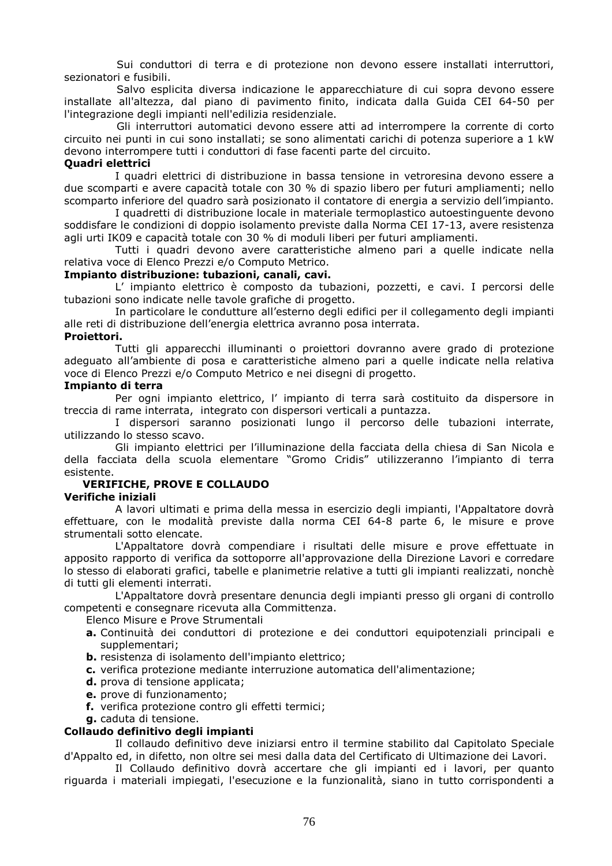Sui conduttori di terra e di protezione non devono essere installati interruttori, sezionatori e fusibili.

 Salvo esplicita diversa indicazione le apparecchiature di cui sopra devono essere installate all'altezza, dal piano di pavimento finito, indicata dalla Guida CEI 64-50 per l'integrazione degli impianti nell'edilizia residenziale.

 Gli interruttori automatici devono essere atti ad interrompere la corrente di corto circuito nei punti in cui sono installati; se sono alimentati carichi di potenza superiore a 1 kW devono interrompere tutti i conduttori di fase facenti parte del circuito.

## **Quadri elettrici**

I quadri elettrici di distribuzione in bassa tensione in vetroresina devono essere a due scomparti e avere capacità totale con 30 % di spazio libero per futuri ampliamenti; nello scomparto inferiore del quadro sarà posizionato il contatore di energia a servizio dell'impianto.

I quadretti di distribuzione locale in materiale termoplastico autoestinguente devono soddisfare le condizioni di doppio isolamento previste dalla Norma CEI 17-13, avere resistenza agli urti IK09 e capacità totale con 30 % di moduli liberi per futuri ampliamenti.

Tutti i quadri devono avere caratteristiche almeno pari a quelle indicate nella relativa voce di Elenco Prezzi e/o Computo Metrico.

#### **Impianto distribuzione: tubazioni, canali, cavi.**

L' impianto elettrico è composto da tubazioni, pozzetti, e cavi. I percorsi delle tubazioni sono indicate nelle tavole grafiche di progetto.

In particolare le condutture all'esterno degli edifici per il collegamento degli impianti alle reti di distribuzione dell'energia elettrica avranno posa interrata.

#### **Proiettori.**

Tutti gli apparecchi illuminanti o proiettori dovranno avere grado di protezione adeguato all'ambiente di posa e caratteristiche almeno pari a quelle indicate nella relativa voce di Elenco Prezzi e/o Computo Metrico e nei disegni di progetto.

#### **Impianto di terra**

Per ogni impianto elettrico, l' impianto di terra sarà costituito da dispersore in treccia di rame interrata, integrato con dispersori verticali a puntazza.

I dispersori saranno posizionati lungo il percorso delle tubazioni interrate, utilizzando lo stesso scavo.

Gli impianto elettrici per l'illuminazione della facciata della chiesa di San Nicola e della facciata della scuola elementare "Gromo Cridis" utilizzeranno l'impianto di terra esistente.

## **VERIFICHE, PROVE E COLLAUDO**

#### **Verifiche iniziali**

A lavori ultimati e prima della messa in esercizio degli impianti, l'Appaltatore dovrà effettuare, con le modalità previste dalla norma CEI 64-8 parte 6, le misure e prove strumentali sotto elencate.

L'Appaltatore dovrà compendiare i risultati delle misure e prove effettuate in apposito rapporto di verifica da sottoporre all'approvazione della Direzione Lavori e corredare lo stesso di elaborati grafici, tabelle e planimetrie relative a tutti gli impianti realizzati, nonchè di tutti gli elementi interrati.

L'Appaltatore dovrà presentare denuncia degli impianti presso gli organi di controllo competenti e consegnare ricevuta alla Committenza.

Elenco Misure e Prove Strumentali

- **a.** Continuità dei conduttori di protezione e dei conduttori equipotenziali principali e supplementari;
- **b.** resistenza di isolamento dell'impianto elettrico;
- **c.** verifica protezione mediante interruzione automatica dell'alimentazione;
- **d.** prova di tensione applicata;
- **e.** prove di funzionamento;
- **f.** verifica protezione contro gli effetti termici;
- **g.** caduta di tensione.

#### **Collaudo definitivo degli impianti**

Il collaudo definitivo deve iniziarsi entro il termine stabilito dal Capitolato Speciale d'Appalto ed, in difetto, non oltre sei mesi dalla data del Certificato di Ultimazione dei Lavori.

Il Collaudo definitivo dovrà accertare che gli impianti ed i lavori, per quanto riguarda i materiali impiegati, l'esecuzione e la funzionalità, siano in tutto corrispondenti a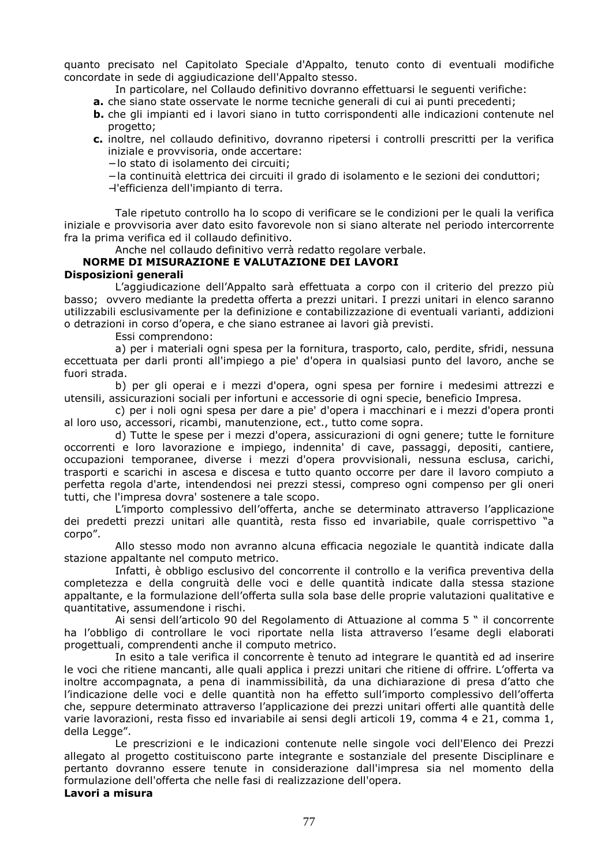quanto precisato nel Capitolato Speciale d'Appalto, tenuto conto di eventuali modifiche concordate in sede di aggiudicazione dell'Appalto stesso.

- In particolare, nel Collaudo definitivo dovranno effettuarsi le seguenti verifiche:
- **a.** che siano state osservate le norme tecniche generali di cui ai punti precedenti;
- **b.** che gli impianti ed i lavori siano in tutto corrispondenti alle indicazioni contenute nel progetto;
- **c.** inoltre, nel collaudo definitivo, dovranno ripetersi i controlli prescritti per la verifica iniziale e provvisoria, onde accertare:
	- − lo stato di isolamento dei circuiti;
	- − la continuità elettrica dei circuiti il grado di isolamento e le sezioni dei conduttori;
	- −l'efficienza dell'impianto di terra.

Tale ripetuto controllo ha lo scopo di verificare se le condizioni per le quali la verifica iniziale e provvisoria aver dato esito favorevole non si siano alterate nel periodo intercorrente fra la prima verifica ed il collaudo definitivo.

Anche nel collaudo definitivo verrà redatto regolare verbale.

#### **NORME DI MISURAZIONE E VALUTAZIONE DEI LAVORI Disposizioni generali**

L'aggiudicazione dell'Appalto sarà effettuata a corpo con il criterio del prezzo più basso; ovvero mediante la predetta offerta a prezzi unitari. I prezzi unitari in elenco saranno utilizzabili esclusivamente per la definizione e contabilizzazione di eventuali varianti, addizioni o detrazioni in corso d'opera, e che siano estranee ai lavori già previsti.

Essi comprendono:

a) per i materiali ogni spesa per la fornitura, trasporto, calo, perdite, sfridi, nessuna eccettuata per darli pronti all'impiego a pie' d'opera in qualsiasi punto del lavoro, anche se fuori strada.

b) per gli operai e i mezzi d'opera, ogni spesa per fornire i medesimi attrezzi e utensili, assicurazioni sociali per infortuni e accessorie di ogni specie, beneficio Impresa.

c) per i noli ogni spesa per dare a pie' d'opera i macchinari e i mezzi d'opera pronti al loro uso, accessori, ricambi, manutenzione, ect., tutto come sopra.

d) Tutte le spese per i mezzi d'opera, assicurazioni di ogni genere; tutte le forniture occorrenti e loro lavorazione e impiego, indennita' di cave, passaggi, depositi, cantiere, occupazioni temporanee, diverse i mezzi d'opera provvisionali, nessuna esclusa, carichi, trasporti e scarichi in ascesa e discesa e tutto quanto occorre per dare il lavoro compiuto a perfetta regola d'arte, intendendosi nei prezzi stessi, compreso ogni compenso per gli oneri tutti, che l'impresa dovra' sostenere a tale scopo.

L'importo complessivo dell'offerta, anche se determinato attraverso l'applicazione dei predetti prezzi unitari alle quantità, resta fisso ed invariabile, quale corrispettivo "a corpo".

Allo stesso modo non avranno alcuna efficacia negoziale le quantità indicate dalla stazione appaltante nel computo metrico.

Infatti, è obbligo esclusivo del concorrente il controllo e la verifica preventiva della completezza e della congruità delle voci e delle quantità indicate dalla stessa stazione appaltante, e la formulazione dell'offerta sulla sola base delle proprie valutazioni qualitative e quantitative, assumendone i rischi.

Ai sensi dell'articolo 90 del Regolamento di Attuazione al comma 5 " il concorrente ha l'obbligo di controllare le voci riportate nella lista attraverso l'esame degli elaborati progettuali, comprendenti anche il computo metrico.

In esito a tale verifica il concorrente è tenuto ad integrare le quantità ed ad inserire le voci che ritiene mancanti, alle quali applica i prezzi unitari che ritiene di offrire. L'offerta va inoltre accompagnata, a pena di inammissibilità, da una dichiarazione di presa d'atto che l'indicazione delle voci e delle quantità non ha effetto sull'importo complessivo dell'offerta che, seppure determinato attraverso l'applicazione dei prezzi unitari offerti alle quantità delle varie lavorazioni, resta fisso ed invariabile ai sensi degli articoli 19, comma 4 e 21, comma 1, della Legge".

Le prescrizioni e le indicazioni contenute nelle singole voci dell'Elenco dei Prezzi allegato al progetto costituiscono parte integrante e sostanziale del presente Disciplinare e pertanto dovranno essere tenute in considerazione dall'impresa sia nel momento della formulazione dell'offerta che nelle fasi di realizzazione dell'opera. **Lavori a misura**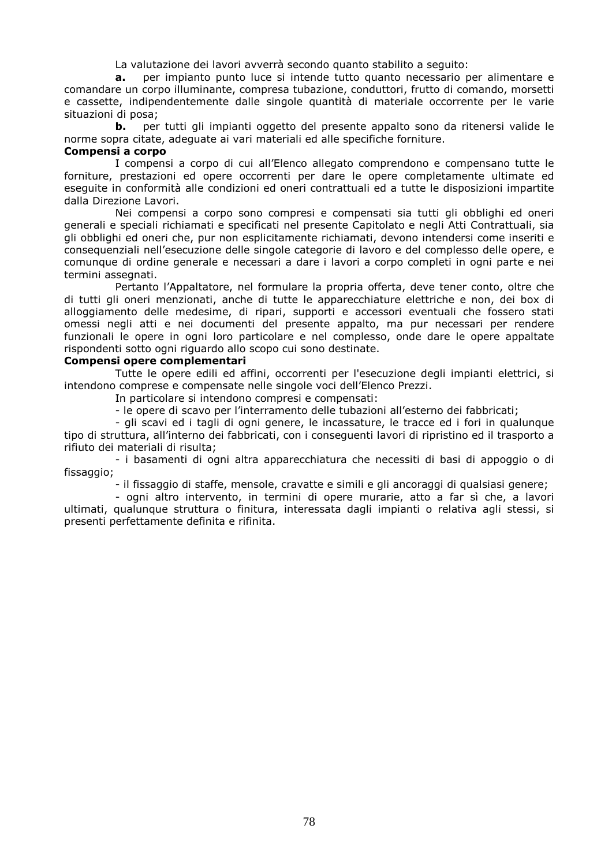La valutazione dei lavori avverrà secondo quanto stabilito a seguito:

**a.** per impianto punto luce si intende tutto quanto necessario per alimentare e comandare un corpo illuminante, compresa tubazione, conduttori, frutto di comando, morsetti e cassette, indipendentemente dalle singole quantità di materiale occorrente per le varie situazioni di posa;

**b.** per tutti gli impianti oggetto del presente appalto sono da ritenersi valide le norme sopra citate, adeguate ai vari materiali ed alle specifiche forniture.

#### **Compensi a corpo**

I compensi a corpo di cui all'Elenco allegato comprendono e compensano tutte le forniture, prestazioni ed opere occorrenti per dare le opere completamente ultimate ed eseguite in conformità alle condizioni ed oneri contrattuali ed a tutte le disposizioni impartite dalla Direzione Lavori.

Nei compensi a corpo sono compresi e compensati sia tutti gli obblighi ed oneri generali e speciali richiamati e specificati nel presente Capitolato e negli Atti Contrattuali, sia gli obblighi ed oneri che, pur non esplicitamente richiamati, devono intendersi come inseriti e consequenziali nell'esecuzione delle singole categorie di lavoro e del complesso delle opere, e comunque di ordine generale e necessari a dare i lavori a corpo completi in ogni parte e nei termini assegnati.

Pertanto l'Appaltatore, nel formulare la propria offerta, deve tener conto, oltre che di tutti gli oneri menzionati, anche di tutte le apparecchiature elettriche e non, dei box di alloggiamento delle medesime, di ripari, supporti e accessori eventuali che fossero stati omessi negli atti e nei documenti del presente appalto, ma pur necessari per rendere funzionali le opere in ogni loro particolare e nel complesso, onde dare le opere appaltate rispondenti sotto ogni riguardo allo scopo cui sono destinate.

#### **Compensi opere complementari**

Tutte le opere edili ed affini, occorrenti per l'esecuzione degli impianti elettrici, si intendono comprese e compensate nelle singole voci dell'Elenco Prezzi.

In particolare si intendono compresi e compensati:

- le opere di scavo per l'interramento delle tubazioni all'esterno dei fabbricati;

- gli scavi ed i tagli di ogni genere, le incassature, le tracce ed i fori in qualunque tipo di struttura, all'interno dei fabbricati, con i conseguenti lavori di ripristino ed il trasporto a rifiuto dei materiali di risulta;

- i basamenti di ogni altra apparecchiatura che necessiti di basi di appoggio o di fissaggio;

- il fissaggio di staffe, mensole, cravatte e simili e gli ancoraggi di qualsiasi genere;

- ogni altro intervento, in termini di opere murarie, atto a far sì che, a lavori ultimati, qualunque struttura o finitura, interessata dagli impianti o relativa agli stessi, si presenti perfettamente definita e rifinita.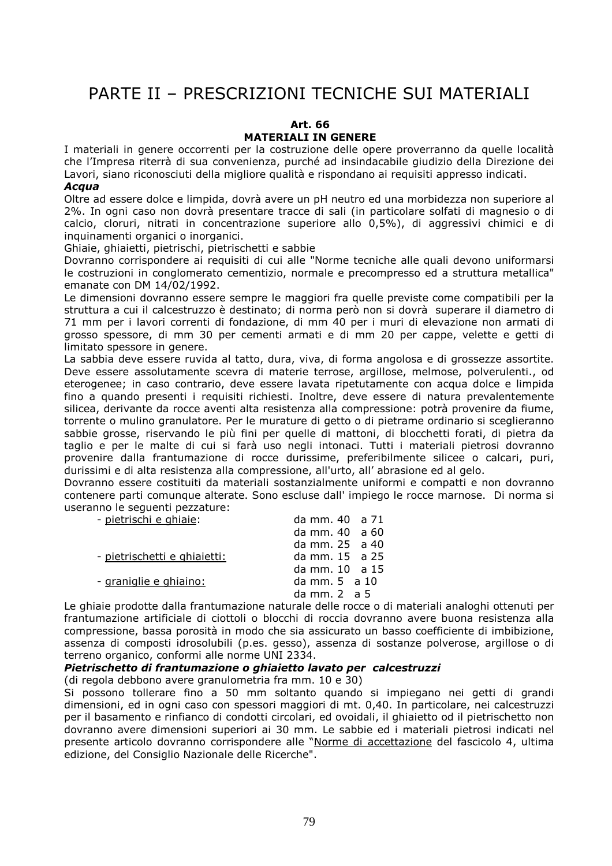# PARTE II – PRESCRIZIONI TECNICHE SUI MATERIALI

#### **Art. 66 MATERIALI IN GENERE**

I materiali in genere occorrenti per la costruzione delle opere proverranno da quelle località che l'Impresa riterrà di sua convenienza, purché ad insindacabile giudizio della Direzione dei Lavori, siano riconosciuti della migliore qualità e rispondano ai requisiti appresso indicati.

#### *Acqua*

Oltre ad essere dolce e limpida, dovrà avere un pH neutro ed una morbidezza non superiore al 2%. In ogni caso non dovrà presentare tracce di sali (in particolare solfati di magnesio o di calcio, cloruri, nitrati in concentrazione superiore allo 0,5%), di aggressivi chimici e di inquinamenti organici o inorganici.

Ghiaie, ghiaietti, pietrischi, pietrischetti e sabbie

Dovranno corrispondere ai requisiti di cui alle "Norme tecniche alle quali devono uniformarsi le costruzioni in conglomerato cementizio, normale e precompresso ed a struttura metallica" emanate con DM 14/02/1992.

Le dimensioni dovranno essere sempre le maggiori fra quelle previste come compatibili per la struttura a cui il calcestruzzo è destinato; di norma però non si dovrà superare il diametro di 71 mm per i lavori correnti di fondazione, di mm 40 per i muri di elevazione non armati di grosso spessore, di mm 30 per cementi armati e di mm 20 per cappe, velette e getti di limitato spessore in genere.

La sabbia deve essere ruvida al tatto, dura, viva, di forma angolosa e di grossezze assortite. Deve essere assolutamente scevra di materie terrose, argillose, melmose, polverulenti., od eterogenee; in caso contrario, deve essere lavata ripetutamente con acqua dolce e limpida fino a quando presenti i requisiti richiesti. Inoltre, deve essere di natura prevalentemente silicea, derivante da rocce aventi alta resistenza alla compressione: potrà provenire da fiume, torrente o mulino granulatore. Per le murature di getto o di pietrame ordinario si sceglieranno sabbie grosse, riservando le più fini per quelle di mattoni, di blocchetti forati, di pietra da taglio e per le malte di cui si farà uso negli intonaci. Tutti i materiali pietrosi dovranno provenire dalla frantumazione di rocce durissime, preferibilmente silicee o calcari, puri, durissimi e di alta resistenza alla compressione, all'urto, all' abrasione ed al gelo.

Dovranno essere costituiti da materiali sostanzialmente uniformi e compatti e non dovranno contenere parti comunque alterate. Sono escluse dall' impiego le rocce marnose. Di norma si useranno le seguenti pezzature:

| - pietrischi e ghiaie:       | da mm. 40 a 71            |
|------------------------------|---------------------------|
|                              | da mm. $40 \text{ a } 60$ |
|                              | da mm. 25 a 40            |
| - pietrischetti e ghiaietti: | da mm. 15 a 25            |
|                              | da mm. $10 \text{ a } 15$ |
| - graniglie e ghiaino:       | da mm. $5$ a 10           |
|                              | da mm. $2 \text{ a } 5$   |

Le ghiaie prodotte dalla frantumazione naturale delle rocce o di materiali analoghi ottenuti per frantumazione artificiale di ciottoli o blocchi di roccia dovranno avere buona resistenza alla compressione, bassa porosità in modo che sia assicurato un basso coefficiente di imbibizione, assenza di composti idrosolubili (p.es. gesso), assenza di sostanze polverose, argillose o di terreno organico, conformi alle norme UNI 2334.

#### *Pietrischetto di frantumazione o ghiaietto lavato per calcestruzzi*

(di regola debbono avere granulometria fra mm. 10 e 30)

Si possono tollerare fino a 50 mm soltanto quando si impiegano nei getti di grandi dimensioni, ed in ogni caso con spessori maggiori di mt. 0,40. In particolare, nei calcestruzzi per il basamento e rinfianco di condotti circolari, ed ovoidali, il ghiaietto od il pietrischetto non dovranno avere dimensioni superiori ai 30 mm. Le sabbie ed i materiali pietrosi indicati nel presente articolo dovranno corrispondere alle "Norme di accettazione del fascicolo 4, ultima edizione, del Consiglio Nazionale delle Ricerche".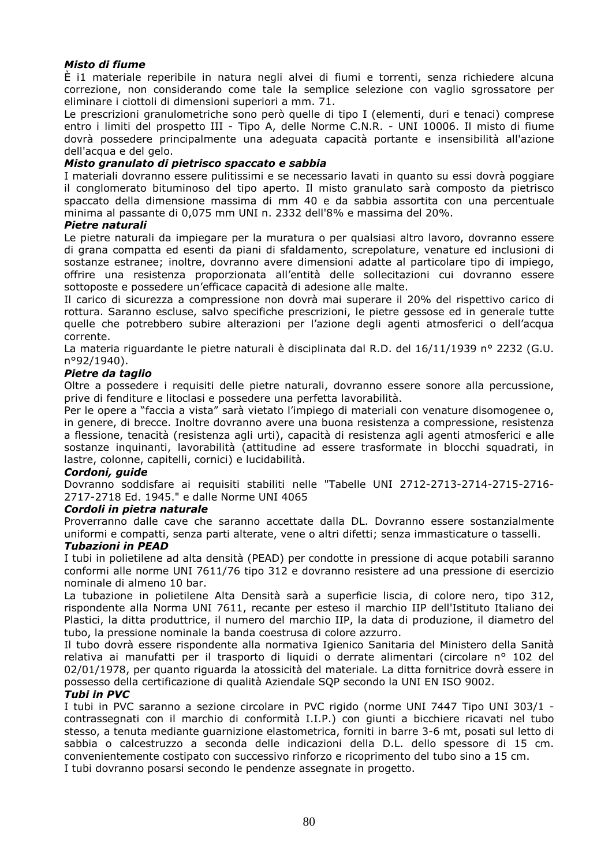## *Misto di fiume*

È i1 materiale reperibile in natura negli alvei di fiumi e torrenti, senza richiedere alcuna correzione, non considerando come tale la semplice selezione con vaglio sgrossatore per eliminare i ciottoli di dimensioni superiori a mm. 71.

Le prescrizioni granulometriche sono però quelle di tipo I (elementi, duri e tenaci) comprese entro i limiti del prospetto III - Tipo A, delle Norme C.N.R. - UNI 10006. Il misto di fiume dovrà possedere principalmente una adeguata capacità portante e insensibilità all'azione dell'acqua e del gelo.

#### *Misto granulato di pietrisco spaccato e sabbia*

I materiali dovranno essere pulitissimi e se necessario lavati in quanto su essi dovrà poggiare il conglomerato bituminoso del tipo aperto. Il misto granulato sarà composto da pietrisco spaccato della dimensione massima di mm 40 e da sabbia assortita con una percentuale minima al passante di 0,075 mm UNI n. 2332 dell'8% e massima del 20%.

#### *Pietre naturali*

Le pietre naturali da impiegare per la muratura o per qualsiasi altro lavoro, dovranno essere di grana compatta ed esenti da piani di sfaldamento, screpolature, venature ed inclusioni di sostanze estranee; inoltre, dovranno avere dimensioni adatte al particolare tipo di impiego, offrire una resistenza proporzionata all'entità delle sollecitazioni cui dovranno essere sottoposte e possedere un'efficace capacità di adesione alle malte.

Il carico di sicurezza a compressione non dovrà mai superare il 20% del rispettivo carico di rottura. Saranno escluse, salvo specifiche prescrizioni, le pietre gessose ed in generale tutte quelle che potrebbero subire alterazioni per l'azione degli agenti atmosferici o dell'acqua corrente.

La materia riguardante le pietre naturali è disciplinata dal R.D. del 16/11/1939 n° 2232 (G.U. n°92/1940).

#### *Pietre da taglio*

Oltre a possedere i requisiti delle pietre naturali, dovranno essere sonore alla percussione, prive di fenditure e litoclasi e possedere una perfetta lavorabilità.

Per le opere a "faccia a vista" sarà vietato l'impiego di materiali con venature disomogenee o, in genere, di brecce. Inoltre dovranno avere una buona resistenza a compressione, resistenza a flessione, tenacità (resistenza agli urti), capacità di resistenza agli agenti atmosferici e alle sostanze inquinanti, lavorabilità (attitudine ad essere trasformate in blocchi squadrati, in lastre, colonne, capitelli, cornici) e lucidabilità.

#### *Cordoni, guide*

Dovranno soddisfare ai requisiti stabiliti nelle "Tabelle UNI 2712-2713-2714-2715-2716- 2717-2718 Ed. 1945." e dalle Norme UNI 4065

#### *Cordoli in pietra naturale*

Proverranno dalle cave che saranno accettate dalla DL. Dovranno essere sostanzialmente uniformi e compatti, senza parti alterate, vene o altri difetti; senza immasticature o tasselli.

#### *Tubazioni in PEAD*

I tubi in polietilene ad alta densità (PEAD) per condotte in pressione di acque potabili saranno conformi alle norme UNI 7611/76 tipo 312 e dovranno resistere ad una pressione di esercizio nominale di almeno 10 bar.

La tubazione in polietilene Alta Densità sarà a superficie liscia, di colore nero, tipo 312, rispondente alla Norma UNI 7611, recante per esteso il marchio IIP dell'Istituto Italiano dei Plastici, la ditta produttrice, il numero del marchio IIP, la data di produzione, il diametro del tubo, la pressione nominale la banda coestrusa di colore azzurro.

Il tubo dovrà essere rispondente alla normativa Igienico Sanitaria del Ministero della Sanità relativa ai manufatti per il trasporto di liquidi o derrate alimentari (circolare n° 102 del 02/01/1978, per quanto riguarda la atossicità del materiale. La ditta fornitrice dovrà essere in possesso della certificazione di qualità Aziendale SQP secondo la UNI EN ISO 9002.

#### *Tubi in PVC*

I tubi in PVC saranno a sezione circolare in PVC rigido (norme UNI 7447 Tipo UNI 303/1 contrassegnati con il marchio di conformità I.I.P.) con giunti a bicchiere ricavati nel tubo stesso, a tenuta mediante guarnizione elastometrica, forniti in barre 3-6 mt, posati sul letto di sabbia o calcestruzzo a seconda delle indicazioni della D.L. dello spessore di 15 cm. convenientemente costipato con successivo rinforzo e ricoprimento del tubo sino a 15 cm. I tubi dovranno posarsi secondo le pendenze assegnate in progetto.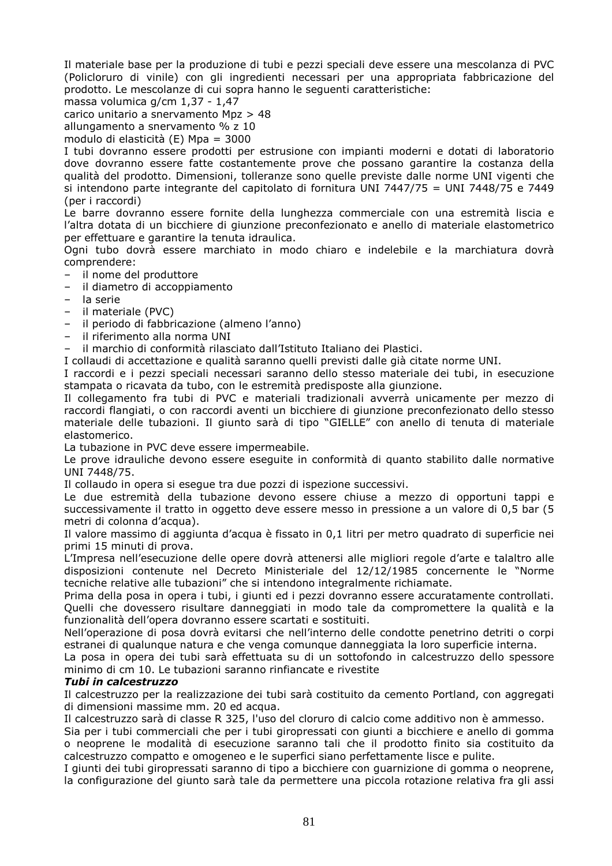Il materiale base per la produzione di tubi e pezzi speciali deve essere una mescolanza di PVC (Policloruro di vinile) con gli ingredienti necessari per una appropriata fabbricazione del prodotto. Le mescolanze di cui sopra hanno le seguenti caratteristiche:

massa volumica g/cm 1,37 - 1,47

carico unitario a snervamento Mpz > 48

allungamento a snervamento % z 10

modulo di elasticità (E) Mpa = 3000

I tubi dovranno essere prodotti per estrusione con impianti moderni e dotati di laboratorio dove dovranno essere fatte costantemente prove che possano garantire la costanza della qualità del prodotto. Dimensioni, tolleranze sono quelle previste dalle norme UNI vigenti che si intendono parte integrante del capitolato di fornitura UNI 7447/75 = UNI 7448/75 e 7449 (per i raccordi)

Le barre dovranno essere fornite della lunghezza commerciale con una estremità liscia e l'altra dotata di un bicchiere di giunzione preconfezionato e anello di materiale elastometrico per effettuare e garantire la tenuta idraulica.

Ogni tubo dovrà essere marchiato in modo chiaro e indelebile e la marchiatura dovrà comprendere:

- il nome del produttore
- il diametro di accoppiamento
- la serie
- il materiale (PVC)
- il periodo di fabbricazione (almeno l'anno)
- il riferimento alla norma UNI

– il marchio di conformità rilasciato dall'Istituto Italiano dei Plastici.

I collaudi di accettazione e qualità saranno quelli previsti dalle già citate norme UNI.

I raccordi e i pezzi speciali necessari saranno dello stesso materiale dei tubi, in esecuzione stampata o ricavata da tubo, con le estremità predisposte alla giunzione.

Il collegamento fra tubi di PVC e materiali tradizionali avverrà unicamente per mezzo di raccordi flangiati, o con raccordi aventi un bicchiere di giunzione preconfezionato dello stesso materiale delle tubazioni. Il giunto sarà di tipo "GIELLE" con anello di tenuta di materiale elastomerico.

La tubazione in PVC deve essere impermeabile.

Le prove idrauliche devono essere eseguite in conformità di quanto stabilito dalle normative UNI 7448/75.

Il collaudo in opera si esegue tra due pozzi di ispezione successivi.

Le due estremità della tubazione devono essere chiuse a mezzo di opportuni tappi e successivamente il tratto in oggetto deve essere messo in pressione a un valore di 0,5 bar (5 metri di colonna d'acqua).

Il valore massimo di aggiunta d'acqua è fissato in 0,1 litri per metro quadrato di superficie nei primi 15 minuti di prova.

L'Impresa nell'esecuzione delle opere dovrà attenersi alle migliori regole d'arte e talaltro alle disposizioni contenute nel Decreto Ministeriale del 12/12/1985 concernente le "Norme tecniche relative alle tubazioni" che si intendono integralmente richiamate.

Prima della posa in opera i tubi, i giunti ed i pezzi dovranno essere accuratamente controllati. Quelli che dovessero risultare danneggiati in modo tale da compromettere la qualità e la funzionalità dell'opera dovranno essere scartati e sostituiti.

Nell'operazione di posa dovrà evitarsi che nell'interno delle condotte penetrino detriti o corpi estranei di qualunque natura e che venga comunque danneggiata la loro superficie interna.

La posa in opera dei tubi sarà effettuata su di un sottofondo in calcestruzzo dello spessore minimo di cm 10. Le tubazioni saranno rinfiancate e rivestite

#### *Tubi in calcestruzzo*

Il calcestruzzo per la realizzazione dei tubi sarà costituito da cemento Portland, con aggregati di dimensioni massime mm. 20 ed acqua.

Il calcestruzzo sarà di classe R 325, l'uso del cloruro di calcio come additivo non è ammesso.

Sia per i tubi commerciali che per i tubi giropressati con giunti a bicchiere e anello di gomma o neoprene le modalità di esecuzione saranno tali che il prodotto finito sia costituito da calcestruzzo compatto e omogeneo e le superfici siano perfettamente lisce e pulite.

I giunti dei tubi giropressati saranno di tipo a bicchiere con guarnizione di gomma o neoprene, la configurazione del giunto sarà tale da permettere una piccola rotazione relativa fra gli assi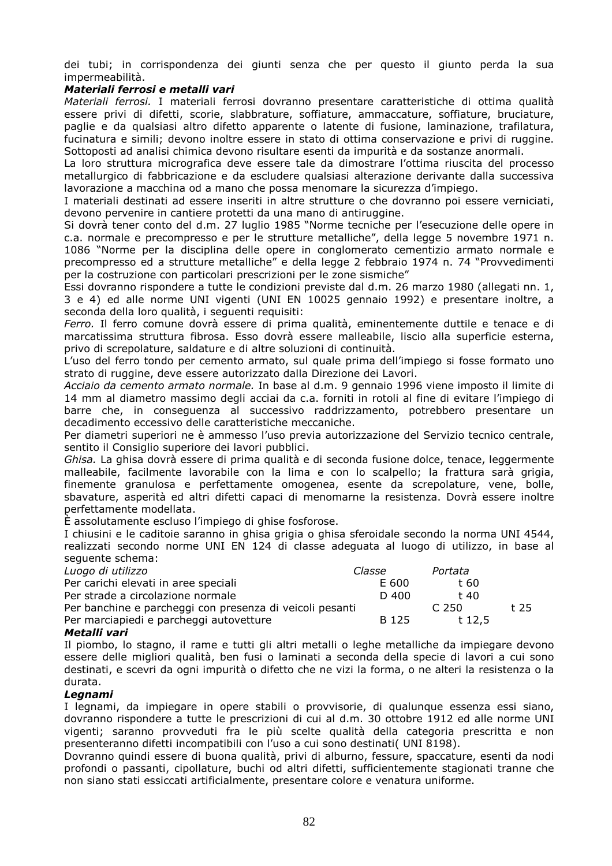dei tubi; in corrispondenza dei giunti senza che per questo il giunto perda la sua impermeabilità.

#### *Materiali ferrosi e metalli vari*

*Materiali ferrosi.* I materiali ferrosi dovranno presentare caratteristiche di ottima qualità essere privi di difetti, scorie, slabbrature, soffiature, ammaccature, soffiature, bruciature, paglie e da qualsiasi altro difetto apparente o latente di fusione, laminazione, trafilatura, fucinatura e simili; devono inoltre essere in stato di ottima conservazione e privi di ruggine. Sottoposti ad analisi chimica devono risultare esenti da impurità e da sostanze anormali.

La loro struttura micrografica deve essere tale da dimostrare l'ottima riuscita del processo metallurgico di fabbricazione e da escludere qualsiasi alterazione derivante dalla successiva lavorazione a macchina od a mano che possa menomare la sicurezza d'impiego.

I materiali destinati ad essere inseriti in altre strutture o che dovranno poi essere verniciati, devono pervenire in cantiere protetti da una mano di antiruggine.

Si dovrà tener conto del d.m. 27 luglio 1985 "Norme tecniche per l'esecuzione delle opere in c.a. normale e precompresso e per le strutture metalliche", della legge 5 novembre 1971 n. 1086 "Norme per la disciplina delle opere in conglomerato cementizio armato normale e precompresso ed a strutture metalliche" e della legge 2 febbraio 1974 n. 74 "Provvedimenti per la costruzione con particolari prescrizioni per le zone sismiche"

Essi dovranno rispondere a tutte le condizioni previste dal d.m. 26 marzo 1980 (allegati nn. 1, 3 e 4) ed alle norme UNI vigenti (UNI EN 10025 gennaio 1992) e presentare inoltre, a seconda della loro qualità, i seguenti requisiti:

*Ferro.* Il ferro comune dovrà essere di prima qualità, eminentemente duttile e tenace e di marcatissima struttura fibrosa. Esso dovrà essere malleabile, liscio alla superficie esterna, privo di screpolature, saldature e di altre soluzioni di continuità.

L'uso del ferro tondo per cemento armato, sul quale prima dell'impiego si fosse formato uno strato di ruggine, deve essere autorizzato dalla Direzione dei Lavori.

*Acciaio da cemento armato normale.* In base al d.m. 9 gennaio 1996 viene imposto il limite di 14 mm al diametro massimo degli acciai da c.a. forniti in rotoli al fine di evitare l'impiego di barre che, in conseguenza al successivo raddrizzamento, potrebbero presentare un decadimento eccessivo delle caratteristiche meccaniche.

Per diametri superiori ne è ammesso l'uso previa autorizzazione del Servizio tecnico centrale, sentito il Consiglio superiore dei lavori pubblici.

*Ghisa.* La ghisa dovrà essere di prima qualità e di seconda fusione dolce, tenace, leggermente malleabile, facilmente lavorabile con la lima e con lo scalpello; la frattura sarà grigia, finemente granulosa e perfettamente omogenea, esente da screpolature, vene, bolle, sbavature, asperità ed altri difetti capaci di menomarne la resistenza. Dovrà essere inoltre perfettamente modellata.

È assolutamente escluso l'impiego di ghise fosforose.

I chiusini e le caditoie saranno in ghisa grigia o ghisa sferoidale secondo la norma UNI 4544, realizzati secondo norme UNI EN 124 di classe adeguata al luogo di utilizzo, in base al seguente schema:

| Luogo di utilizzo                                        | Classe | Portata |      |
|----------------------------------------------------------|--------|---------|------|
| Per carichi elevati in aree speciali                     | E 600  | t 60    |      |
| Per strade a circolazione normale                        | D 400  | t 40    |      |
| Per banchine e parcheggi con presenza di veicoli pesanti |        | C.250   | t 25 |
| Per marciapiedi e parcheggi autovetture                  | B 125  | t 12,5  |      |
| -- - ---                                                 |        |         |      |

#### *Metalli vari*

Il piombo, lo stagno, il rame e tutti gli altri metalli o leghe metalliche da impiegare devono essere delle migliori qualità, ben fusi o laminati a seconda della specie di lavori a cui sono destinati, e scevri da ogni impurità o difetto che ne vizi la forma, o ne alteri la resistenza o la durata.

#### *Legnami*

I legnami, da impiegare in opere stabili o provvisorie, di qualunque essenza essi siano, dovranno rispondere a tutte le prescrizioni di cui al d.m. 30 ottobre 1912 ed alle norme UNI vigenti; saranno provveduti fra le più scelte qualità della categoria prescritta e non presenteranno difetti incompatibili con l'uso a cui sono destinati( UNI 8198).

Dovranno quindi essere di buona qualità, privi di alburno, fessure, spaccature, esenti da nodi profondi o passanti, cipollature, buchi od altri difetti, sufficientemente stagionati tranne che non siano stati essiccati artificialmente, presentare colore e venatura uniforme.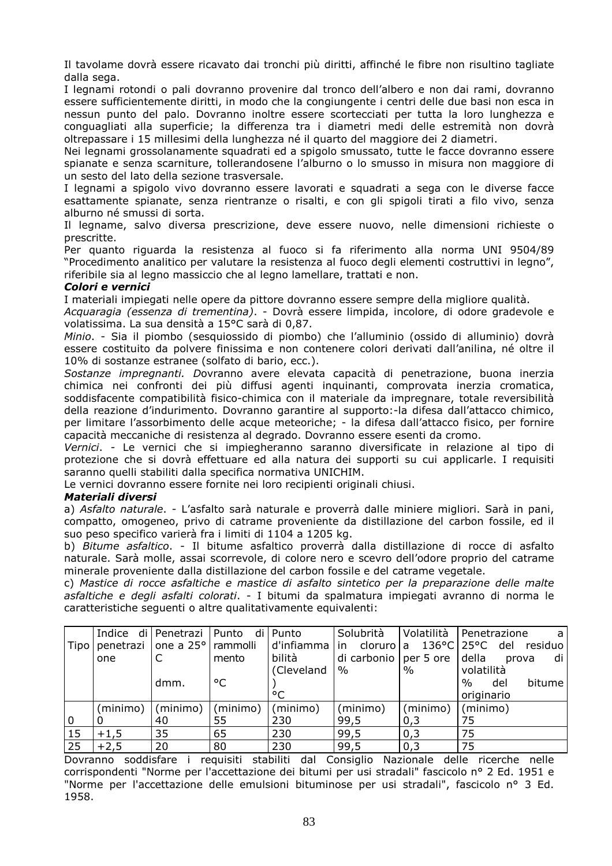Il tavolame dovrà essere ricavato dai tronchi più diritti, affinché le fibre non risultino tagliate dalla sega.

I legnami rotondi o pali dovranno provenire dal tronco dell'albero e non dai rami, dovranno essere sufficientemente diritti, in modo che la congiungente i centri delle due basi non esca in nessun punto del palo. Dovranno inoltre essere scortecciati per tutta la loro lunghezza e conguagliati alla superficie; la differenza tra i diametri medi delle estremità non dovrà oltrepassare i 15 millesimi della lunghezza né il quarto del maggiore dei 2 diametri.

Nei legnami grossolanamente squadrati ed a spigolo smussato, tutte le facce dovranno essere spianate e senza scarniture, tollerandosene l'alburno o lo smusso in misura non maggiore di un sesto del lato della sezione trasversale.

I legnami a spigolo vivo dovranno essere lavorati e squadrati a sega con le diverse facce esattamente spianate, senza rientranze o risalti, e con gli spigoli tirati a filo vivo, senza alburno né smussi di sorta.

Il legname, salvo diversa prescrizione, deve essere nuovo, nelle dimensioni richieste o prescritte.

Per quanto riguarda la resistenza al fuoco si fa riferimento alla norma UNI 9504/89 "Procedimento analitico per valutare la resistenza al fuoco degli elementi costruttivi in legno", riferibile sia al legno massiccio che al legno lamellare, trattati e non.

#### *Colori e vernici*

I materiali impiegati nelle opere da pittore dovranno essere sempre della migliore qualità.

*Acquaragia (essenza di trementina)*. - Dovrà essere limpida, incolore, di odore gradevole e volatissima. La sua densità a 15°C sarà di 0,87.

*Minio*. - Sia il piombo (sesquiossido di piombo) che l'alluminio (ossido di alluminio) dovrà essere costituito da polvere finissima e non contenere colori derivati dall'anilina, né oltre il 10% di sostanze estranee (solfato di bario, ecc.).

*Sostanze impregnanti. D*ovranno avere elevata capacità di penetrazione, buona inerzia chimica nei confronti dei più diffusi agenti inquinanti, comprovata inerzia cromatica, soddisfacente compatibilità fisico-chimica con il materiale da impregnare, totale reversibilità della reazione d'indurimento. Dovranno garantire al supporto:-la difesa dall'attacco chimico, per limitare l'assorbimento delle acque meteoriche; - la difesa dall'attacco fisico, per fornire capacità meccaniche di resistenza al degrado. Dovranno essere esenti da cromo.

*Vernici*. - Le vernici che si impiegheranno saranno diversificate in relazione al tipo di protezione che si dovrà effettuare ed alla natura dei supporti su cui applicarle. I requisiti saranno quelli stabiliti dalla specifica normativa UNICHIM.

Le vernici dovranno essere fornite nei loro recipienti originali chiusi.

#### *Materiali diversi*

a) *Asfalto naturale*. - L'asfalto sarà naturale e proverrà dalle miniere migliori. Sarà in pani, compatto, omogeneo, privo di catrame proveniente da distillazione del carbon fossile, ed il suo peso specifico varierà fra i limiti di 1104 a 1205 kg.

b) *Bitume asfaltico*. - Il bitume asfaltico proverrà dalla distillazione di rocce di asfalto naturale. Sarà molle, assai scorrevole, di colore nero e scevro dell'odore proprio del catrame minerale proveniente dalla distillazione del carbon fossile e del catrame vegetale.

c) *Mastice di rocce asfaltiche e mastice di asfalto sintetico per la preparazione delle malte asfaltiche e degli asfalti colorati*. - I bitumi da spalmatura impiegati avranno di norma le caratteristiche seguenti o altre qualitativamente equivalenti:

|             |          | Indice di   Penetrazi        | Punto    | di Punto     | Solubrità               |          | Volatilità   Penetrazione<br>a.                |
|-------------|----------|------------------------------|----------|--------------|-------------------------|----------|------------------------------------------------|
| Tipo I      |          | penetrazi one a 25° rammolli |          |              |                         |          | d'infiamma in cloruro a 136°C 25°C del residuo |
|             | one      |                              | mento    | bilità       | di carbonio   per 5 ore |          | della<br>di<br>prova                           |
|             |          |                              |          | (Cleveland   | $\%$                    | $\%$     | volatilità                                     |
|             |          | dmm.                         | °C       |              |                         |          | bitume <sup>1</sup><br>%<br>del                |
|             |          |                              |          | $^{\circ}$ C |                         |          | originario                                     |
|             | (minimo) | (minimo)                     | (minimo) | (minimo)     | (minimo)                | (minimo) | (minimo)                                       |
| $\mathbf 0$ |          | 40                           | 55       | 230          | 99,5                    | 0,3      | 75                                             |
| 15          | $+1,5$   | 35                           | 65       | 230          | 99,5                    | 0,3      | 75                                             |
| 25          | $+2,5$   | 20                           | 80       | 230          | 99,5                    | 0,3      | 75                                             |

Dovranno soddisfare i requisiti stabiliti dal Consiglio Nazionale delle ricerche nelle corrispondenti "Norme per l'accettazione dei bitumi per usi stradali" fascicolo n° 2 Ed. 1951 e "Norme per l'accettazione delle emulsioni bituminose per usi stradali", fascicolo n° 3 Ed. 1958.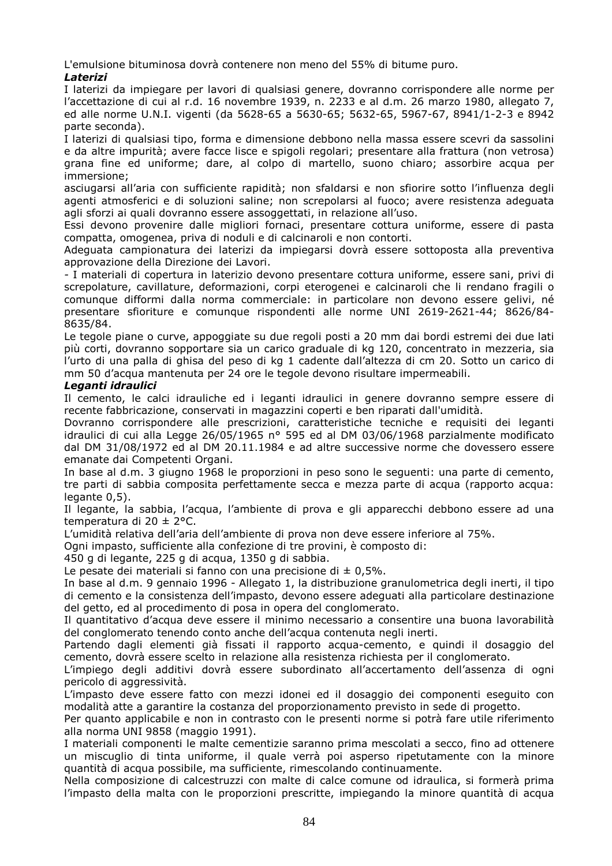L'emulsione bituminosa dovrà contenere non meno del 55% di bitume puro.

## *Laterizi*

I laterizi da impiegare per lavori di qualsiasi genere, dovranno corrispondere alle norme per l'accettazione di cui al r.d. 16 novembre 1939, n. 2233 e al d.m. 26 marzo 1980, allegato 7, ed alle norme U.N.I. vigenti (da 5628-65 a 5630-65; 5632-65, 5967-67, 8941/1-2-3 e 8942 parte seconda).

I laterizi di qualsiasi tipo, forma e dimensione debbono nella massa essere scevri da sassolini e da altre impurità; avere facce lisce e spigoli regolari; presentare alla frattura (non vetrosa) grana fine ed uniforme; dare, al colpo di martello, suono chiaro; assorbire acqua per immersione;

asciugarsi all'aria con sufficiente rapidità; non sfaldarsi e non sfiorire sotto l'influenza degli agenti atmosferici e di soluzioni saline; non screpolarsi al fuoco; avere resistenza adeguata agli sforzi ai quali dovranno essere assoggettati, in relazione all'uso.

Essi devono provenire dalle migliori fornaci, presentare cottura uniforme, essere di pasta compatta, omogenea, priva di noduli e di calcinaroli e non contorti.

Adeguata campionatura dei laterizi da impiegarsi dovrà essere sottoposta alla preventiva approvazione della Direzione dei Lavori.

*-* I materiali di copertura in laterizio devono presentare cottura uniforme, essere sani, privi di screpolature, cavillature, deformazioni, corpi eterogenei e calcinaroli che li rendano fragili o comunque difformi dalla norma commerciale: in particolare non devono essere gelivi, né presentare sfioriture e comunque rispondenti alle norme UNI 2619-2621-44; 8626/84- 8635/84.

Le tegole piane o curve, appoggiate su due regoli posti a 20 mm dai bordi estremi dei due lati più corti, dovranno sopportare sia un carico graduale di kg 120, concentrato in mezzeria, sia l'urto di una palla di ghisa del peso di kg 1 cadente dall'altezza di cm 20. Sotto un carico di mm 50 d'acqua mantenuta per 24 ore le tegole devono risultare impermeabili.

## *Leganti idraulici*

Il cemento, le calci idrauliche ed i leganti idraulici in genere dovranno sempre essere di recente fabbricazione, conservati in magazzini coperti e ben riparati dall'umidità.

Dovranno corrispondere alle prescrizioni, caratteristiche tecniche e requisiti dei leganti idraulici di cui alla Legge 26/05/1965 n° 595 ed al DM 03/06/1968 parzialmente modificato dal DM 31/08/1972 ed al DM 20.11.1984 e ad altre successive norme che dovessero essere emanate dai Competenti Organi.

In base al d.m. 3 giugno 1968 le proporzioni in peso sono le seguenti: una parte di cemento, tre parti di sabbia composita perfettamente secca e mezza parte di acqua (rapporto acqua: legante 0.5).

Il legante, la sabbia, l'acqua, l'ambiente di prova e gli apparecchi debbono essere ad una temperatura di 20 ± 2°C.

L'umidità relativa dell'aria dell'ambiente di prova non deve essere inferiore al 75%.

Ogni impasto, sufficiente alla confezione di tre provini, è composto di:

450 g di legante, 225 g di acqua, 1350 g di sabbia.

Le pesate dei materiali si fanno con una precisione di  $\pm$  0,5%.

In base al d.m. 9 gennaio 1996 - Allegato 1, la distribuzione granulometrica degli inerti, il tipo di cemento e la consistenza dell'impasto, devono essere adeguati alla particolare destinazione del getto, ed al procedimento di posa in opera del conglomerato.

Il quantitativo d'acqua deve essere il minimo necessario a consentire una buona lavorabilità del conglomerato tenendo conto anche dell'acqua contenuta negli inerti.

Partendo dagli elementi già fissati il rapporto acqua-cemento, e quindi il dosaggio del cemento, dovrà essere scelto in relazione alla resistenza richiesta per il conglomerato.

L'impiego degli additivi dovrà essere subordinato all'accertamento dell'assenza di ogni pericolo di aggressività.

L'impasto deve essere fatto con mezzi idonei ed il dosaggio dei componenti eseguito con modalità atte a garantire la costanza del proporzionamento previsto in sede di progetto.

Per quanto applicabile e non in contrasto con le presenti norme si potrà fare utile riferimento alla norma UNI 9858 (maggio 1991).

I materiali componenti le malte cementizie saranno prima mescolati a secco, fino ad ottenere un miscuglio di tinta uniforme, il quale verrà poi asperso ripetutamente con la minore quantità di acqua possibile, ma sufficiente, rimescolando continuamente.

Nella composizione di calcestruzzi con malte di calce comune od idraulica, si formerà prima l'impasto della malta con le proporzioni prescritte, impiegando la minore quantità di acqua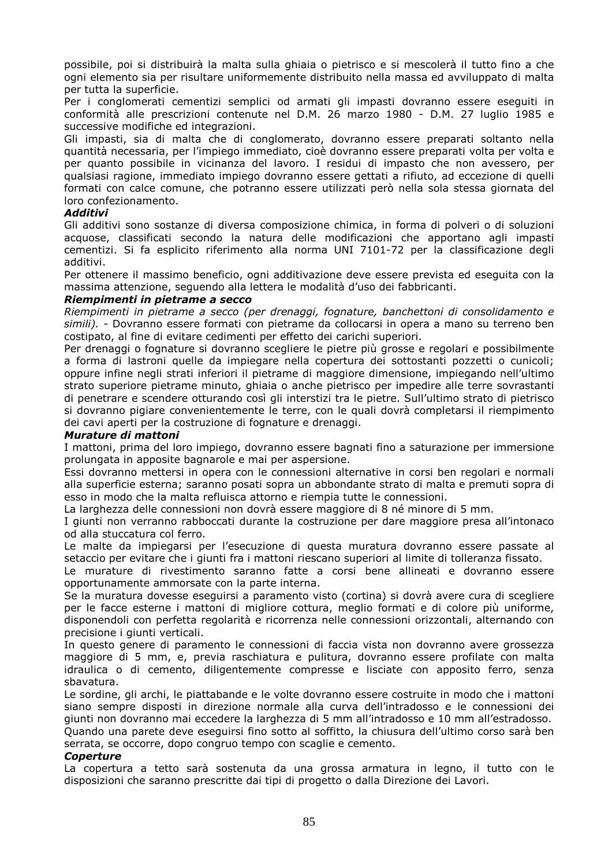possibile, poi si distribuirà la malta sulla ghiaia o pietrisco e si mescolerà il tutto fino a che ogni elemento sia per risultare uniformemente distribuito nella massa ed avviluppato di malta per tutta la superficie.

Per i conglomerati cementizi semplici od armati gli impasti dovranno essere eseguiti in conformità alle prescrizioni contenute nel D.M. 26 marzo 1980 - D.M. 27 luglio 1985 e successive modifiche ed integrazioni.

Gli impasti, sia di malta che di conglomerato, dovranno essere preparati soltanto nella quantità necessaria, per l'impiego immediato, cioè dovranno essere preparati volta per volta e per quanto possibile in vicinanza del lavoro. I residui di impasto che non avessero, per qualsiasi ragione, immediato impiego dovranno essere gettati a rifiuto, ad eccezione di quelli formati con calce comune, che potranno essere utilizzati però nella sola stessa giornata del loro confezionamento.

## *Additivi*

Gli additivi sono sostanze di diversa composizione chimica, in forma di polveri o di soluzioni acquose, classificati secondo la natura delle modificazioni che apportano agli impasti cementizi. Si fa esplicito riferimento alla norma UNI 7101-72 per la classificazione degli additivi.

Per ottenere il massimo beneficio, ogni additivazione deve essere prevista ed eseguita con la massima attenzione, seguendo alla lettera le modalità d'uso dei fabbricanti.

## *Riempimenti in pietrame a secco*

*Riempimenti in pietrame a secco (per drenaggi, fognature, banchettoni di consolidamento e simili).* - Dovranno essere formati con pietrame da collocarsi in opera a mano su terreno ben costipato, al fine di evitare cedimenti per effetto dei carichi superiori.

Per drenaggi o fognature si dovranno scegliere le pietre più grosse e regolari e possibilmente a forma di lastroni quelle da impiegare nella copertura dei sottostanti pozzetti o cunicoli; oppure infine negli strati inferiori il pietrame di maggiore dimensione, impiegando nell'ultimo strato superiore pietrame minuto, ghiaia o anche pietrisco per impedire alle terre sovrastanti di penetrare e scendere otturando così gli interstizi tra le pietre. Sull'ultimo strato di pietrisco si dovranno pigiare convenientemente le terre, con le quali dovrà completarsi il riempimento dei cavi aperti per la costruzione di fognature e drenaggi.

#### *Murature di mattoni*

I mattoni, prima del loro impiego, dovranno essere bagnati fino a saturazione per immersione prolungata in apposite bagnarole e mai per aspersione.

Essi dovranno mettersi in opera con le connessioni alternative in corsi ben regolari e normali alla superficie esterna; saranno posati sopra un abbondante strato di malta e premuti sopra di esso in modo che la malta refluisca attorno e riempia tutte le connessioni.

La larghezza delle connessioni non dovrà essere maggiore di 8 né minore di 5 mm.

I giunti non verranno rabboccati durante la costruzione per dare maggiore presa all'intonaco od alla stuccatura col ferro.

Le malte da impiegarsi per l'esecuzione di questa muratura dovranno essere passate al setaccio per evitare che i giunti fra i mattoni riescano superiori al limite di tolleranza fissato.

Le murature di rivestimento saranno fatte a corsi bene allineati e dovranno essere opportunamente ammorsate con la parte interna.

Se la muratura dovesse eseguirsi a paramento visto (cortina) si dovrà avere cura di scegliere per le facce esterne i mattoni di migliore cottura, meglio formati e di colore più uniforme, disponendoli con perfetta regolarità e ricorrenza nelle connessioni orizzontali, alternando con precisione i giunti verticali.

In questo genere di paramento le connessioni di faccia vista non dovranno avere grossezza maggiore di 5 mm, e, previa raschiatura e pulitura, dovranno essere profilate con malta idraulica o di cemento, diligentemente compresse e lisciate con apposito ferro, senza sbavatura.

Le sordine, gli archi, le piattabande e le volte dovranno essere costruite in modo che i mattoni siano sempre disposti in direzione normale alla curva dell'intradosso e le connessioni dei giunti non dovranno mai eccedere la larghezza di 5 mm all'intradosso e 10 mm all'estradosso. Quando una parete deve eseguirsi fino sotto al soffitto, la chiusura dell'ultimo corso sarà ben serrata, se occorre, dopo congruo tempo con scaglie e cemento.

#### *Coperture*

La copertura a tetto sarà sostenuta da una grossa armatura in legno, il tutto con le disposizioni che saranno prescritte dai tipi di progetto o dalla Direzione dei Lavori.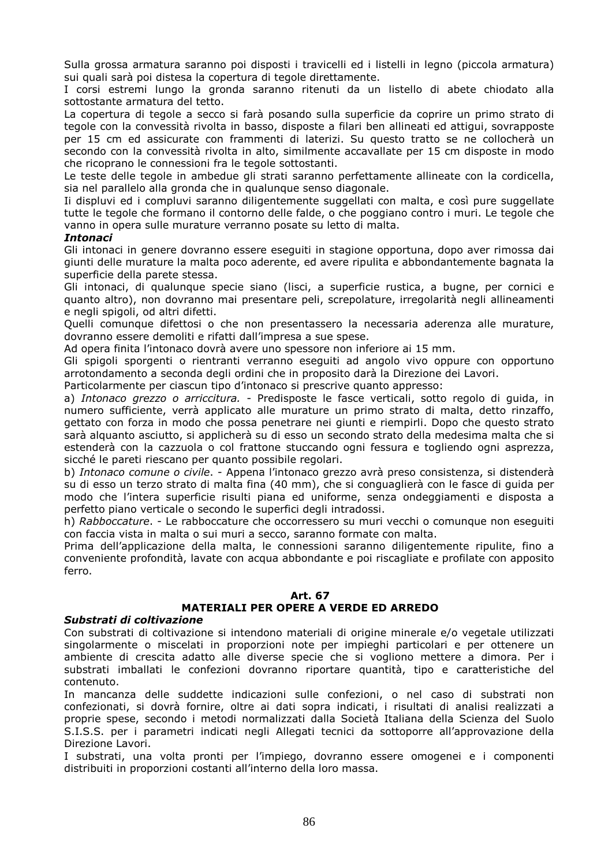Sulla grossa armatura saranno poi disposti i travicelli ed i listelli in legno (piccola armatura) sui quali sarà poi distesa la copertura di tegole direttamente.

I corsi estremi lungo la gronda saranno ritenuti da un listello di abete chiodato alla sottostante armatura del tetto.

La copertura di tegole a secco si farà posando sulla superficie da coprire un primo strato di tegole con la convessità rivolta in basso, disposte a filari ben allineati ed attigui, sovrapposte per 15 cm ed assicurate con frammenti di laterizi. Su questo tratto se ne collocherà un secondo con la convessità rivolta in alto, similmente accavallate per 15 cm disposte in modo che ricoprano le connessioni fra le tegole sottostanti.

Le teste delle tegole in ambedue gli strati saranno perfettamente allineate con la cordicella, sia nel parallelo alla gronda che in qualunque senso diagonale.

Ii displuvi ed i compluvi saranno diligentemente suggellati con malta, e così pure suggellate tutte le tegole che formano il contorno delle falde, o che poggiano contro i muri. Le tegole che vanno in opera sulle murature verranno posate su letto di malta.

#### *Intonaci*

Gli intonaci in genere dovranno essere eseguiti in stagione opportuna, dopo aver rimossa dai giunti delle murature la malta poco aderente, ed avere ripulita e abbondantemente bagnata la superficie della parete stessa.

Gli intonaci, di qualunque specie siano (lisci, a superficie rustica, a bugne, per cornici e quanto altro), non dovranno mai presentare peli, screpolature, irregolarità negli allineamenti e negli spigoli, od altri difetti.

Quelli comunque difettosi o che non presentassero la necessaria aderenza alle murature, dovranno essere demoliti e rifatti dall'impresa a sue spese.

Ad opera finita l'intonaco dovrà avere uno spessore non inferiore ai 15 mm.

Gli spigoli sporgenti o rientranti verranno eseguiti ad angolo vivo oppure con opportuno arrotondamento a seconda degli ordini che in proposito darà la Direzione dei Lavori.

Particolarmente per ciascun tipo d'intonaco si prescrive quanto appresso:

a) *Intonaco grezzo o arriccitura.* - Predisposte le fasce verticali, sotto regolo di guida, in numero sufficiente, verrà applicato alle murature un primo strato di malta, detto rinzaffo, gettato con forza in modo che possa penetrare nei giunti e riempirli. Dopo che questo strato sarà alquanto asciutto, si applicherà su di esso un secondo strato della medesima malta che si estenderà con la cazzuola o col frattone stuccando ogni fessura e togliendo ogni asprezza, sicché le pareti riescano per quanto possibile regolari.

b) *Intonaco comune o civile*. - Appena l'intonaco grezzo avrà preso consistenza, si distenderà su di esso un terzo strato di malta fina (40 mm), che si conguaglierà con le fasce di guida per modo che l'intera superficie risulti piana ed uniforme, senza ondeggiamenti e disposta a perfetto piano verticale o secondo le superfici degli intradossi.

h) *Rabboccature*. - Le rabboccature che occorressero su muri vecchi o comunque non eseguiti con faccia vista in malta o sui muri a secco, saranno formate con malta.

Prima dell'applicazione della malta, le connessioni saranno diligentemente ripulite, fino a conveniente profondità, lavate con acqua abbondante e poi riscagliate e profilate con apposito ferro.

#### **Art. 67**

## **MATERIALI PER OPERE A VERDE ED ARREDO**

#### *Substrati di coltivazione*

Con substrati di coltivazione si intendono materiali di origine minerale e/o vegetale utilizzati singolarmente o miscelati in proporzioni note per impieghi particolari e per ottenere un ambiente di crescita adatto alle diverse specie che si vogliono mettere a dimora. Per i substrati imballati le confezioni dovranno riportare quantità, tipo e caratteristiche del contenuto.

In mancanza delle suddette indicazioni sulle confezioni, o nel caso di substrati non confezionati, si dovrà fornire, oltre ai dati sopra indicati, i risultati di analisi realizzati a proprie spese, secondo i metodi normalizzati dalla Società Italiana della Scienza del Suolo S.I.S.S. per i parametri indicati negli Allegati tecnici da sottoporre all'approvazione della Direzione Lavori.

I substrati, una volta pronti per l'impiego, dovranno essere omogenei e i componenti distribuiti in proporzioni costanti all'interno della loro massa.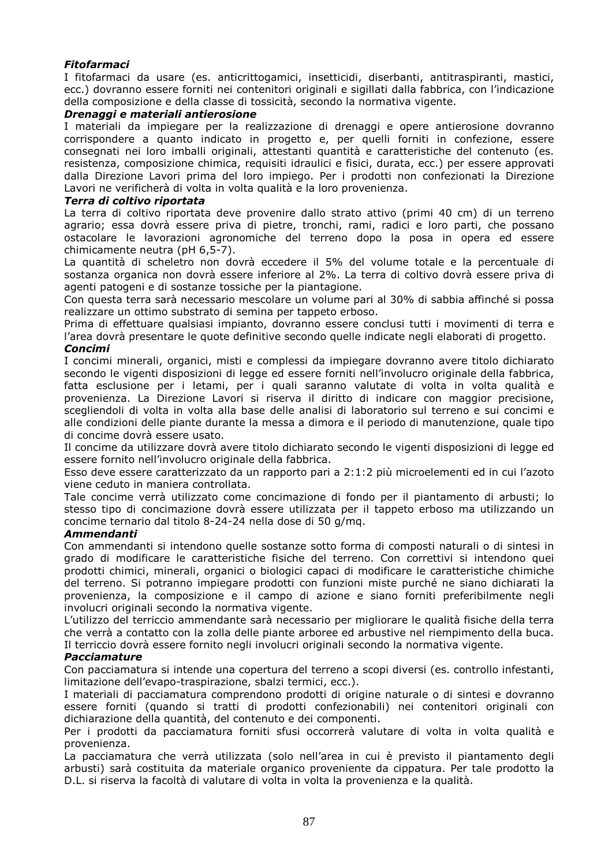## *Fitofarmaci*

I fitofarmaci da usare (es. anticrittogamici, insetticidi, diserbanti, antitraspiranti, mastici, ecc.) dovranno essere forniti nei contenitori originali e sigillati dalla fabbrica, con l'indicazione della composizione e della classe di tossicità, secondo la normativa vigente.

## *Drenaggi e materiali antierosione*

I materiali da impiegare per la realizzazione di drenaggi e opere antierosione dovranno corrispondere a quanto indicato in progetto e, per quelli forniti in confezione, essere consegnati nei loro imballi originali, attestanti quantità e caratteristiche del contenuto (es. resistenza, composizione chimica, requisiti idraulici e fisici, durata, ecc.) per essere approvati dalla Direzione Lavori prima del loro impiego. Per i prodotti non confezionati la Direzione Lavori ne verificherà di volta in volta qualità e la loro provenienza.

## *Terra di coltivo riportata*

La terra di coltivo riportata deve provenire dallo strato attivo (primi 40 cm) di un terreno agrario; essa dovrà essere priva di pietre, tronchi, rami, radici e loro parti, che possano ostacolare le lavorazioni agronomiche del terreno dopo la posa in opera ed essere chimicamente neutra (pH 6,5-7).

La quantità di scheletro non dovrà eccedere il 5% del volume totale e la percentuale di sostanza organica non dovrà essere inferiore al 2%. La terra di coltivo dovrà essere priva di agenti patogeni e di sostanze tossiche per la piantagione.

Con questa terra sarà necessario mescolare un volume pari al 30% di sabbia affinché si possa realizzare un ottimo substrato di semina per tappeto erboso.

Prima di effettuare qualsiasi impianto, dovranno essere conclusi tutti i movimenti di terra e l'area dovrà presentare le quote definitive secondo quelle indicate negli elaborati di progetto.

## *Concimi*

I concimi minerali, organici, misti e complessi da impiegare dovranno avere titolo dichiarato secondo le vigenti disposizioni di legge ed essere forniti nell'involucro originale della fabbrica, fatta esclusione per i letami, per i quali saranno valutate di volta in volta qualità e provenienza. La Direzione Lavori si riserva il diritto di indicare con maggior precisione, scegliendoli di volta in volta alla base delle analisi di laboratorio sul terreno e sui concimi e alle condizioni delle piante durante la messa a dimora e il periodo di manutenzione, quale tipo di concime dovrà essere usato.

Il concime da utilizzare dovrà avere titolo dichiarato secondo le vigenti disposizioni di legge ed essere fornito nell'involucro originale della fabbrica.

Esso deve essere caratterizzato da un rapporto pari a 2:1:2 più microelementi ed in cui l'azoto viene ceduto in maniera controllata.

Tale concime verrà utilizzato come concimazione di fondo per il piantamento di arbusti; lo stesso tipo di concimazione dovrà essere utilizzata per il tappeto erboso ma utilizzando un concime ternario dal titolo 8-24-24 nella dose di 50 g/mq.

#### *Ammendanti*

Con ammendanti si intendono quelle sostanze sotto forma di composti naturali o di sintesi in grado di modificare le caratteristiche fisiche del terreno. Con correttivi si intendono quei prodotti chimici, minerali, organici o biologici capaci di modificare le caratteristiche chimiche del terreno. Si potranno impiegare prodotti con funzioni miste purché ne siano dichiarati la provenienza, la composizione e il campo di azione e siano forniti preferibilmente negli involucri originali secondo la normativa vigente.

L'utilizzo del terriccio ammendante sarà necessario per migliorare le qualità fisiche della terra che verrà a contatto con la zolla delle piante arboree ed arbustive nel riempimento della buca. Il terriccio dovrà essere fornito negli involucri originali secondo la normativa vigente.

#### *Pacciamature*

Con pacciamatura si intende una copertura del terreno a scopi diversi (es. controllo infestanti, limitazione dell'evapo-traspirazione, sbalzi termici, ecc.).

I materiali di pacciamatura comprendono prodotti di origine naturale o di sintesi e dovranno essere forniti (quando si tratti di prodotti confezionabili) nei contenitori originali con dichiarazione della quantità, del contenuto e dei componenti.

Per i prodotti da pacciamatura forniti sfusi occorrerà valutare di volta in volta qualità e provenienza.

La pacciamatura che verrà utilizzata (solo nell'area in cui è previsto il piantamento degli arbusti) sarà costituita da materiale organico proveniente da cippatura. Per tale prodotto la D.L. si riserva la facoltà di valutare di volta in volta la provenienza e la qualità.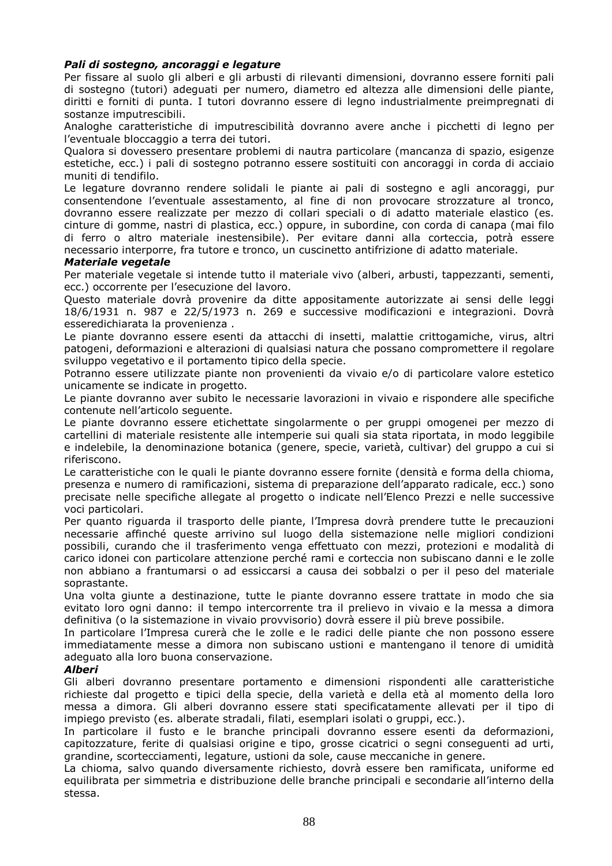## *Pali di sostegno, ancoraggi e legature*

Per fissare al suolo gli alberi e gli arbusti di rilevanti dimensioni, dovranno essere forniti pali di sostegno (tutori) adeguati per numero, diametro ed altezza alle dimensioni delle piante, diritti e forniti di punta. I tutori dovranno essere di legno industrialmente preimpregnati di sostanze imputrescibili.

Analoghe caratteristiche di imputrescibilità dovranno avere anche i picchetti di legno per l'eventuale bloccaggio a terra dei tutori.

Qualora si dovessero presentare problemi di nautra particolare (mancanza di spazio, esigenze estetiche, ecc.) i pali di sostegno potranno essere sostituiti con ancoraggi in corda di acciaio muniti di tendifilo.

Le legature dovranno rendere solidali le piante ai pali di sostegno e agli ancoraggi, pur consentendone l'eventuale assestamento, al fine di non provocare strozzature al tronco, dovranno essere realizzate per mezzo di collari speciali o di adatto materiale elastico (es. cinture di gomme, nastri di plastica, ecc.) oppure, in subordine, con corda di canapa (mai filo di ferro o altro materiale inestensibile). Per evitare danni alla corteccia, potrà essere necessario interporre, fra tutore e tronco, un cuscinetto antifrizione di adatto materiale.

#### *Materiale vegetale*

Per materiale vegetale si intende tutto il materiale vivo (alberi, arbusti, tappezzanti, sementi, ecc.) occorrente per l'esecuzione del lavoro.

Questo materiale dovrà provenire da ditte appositamente autorizzate ai sensi delle leggi 18/6/1931 n. 987 e 22/5/1973 n. 269 e successive modificazioni e integrazioni. Dovrà esseredichiarata la provenienza .

Le piante dovranno essere esenti da attacchi di insetti, malattie crittogamiche, virus, altri patogeni, deformazioni e alterazioni di qualsiasi natura che possano compromettere il regolare sviluppo vegetativo e il portamento tipico della specie.

Potranno essere utilizzate piante non provenienti da vivaio e/o di particolare valore estetico unicamente se indicate in progetto.

Le piante dovranno aver subito le necessarie lavorazioni in vivaio e rispondere alle specifiche contenute nell'articolo seguente.

Le piante dovranno essere etichettate singolarmente o per gruppi omogenei per mezzo di cartellini di materiale resistente alle intemperie sui quali sia stata riportata, in modo leggibile e indelebile, la denominazione botanica (genere, specie, varietà, cultivar) del gruppo a cui si riferiscono.

Le caratteristiche con le quali le piante dovranno essere fornite (densità e forma della chioma, presenza e numero di ramificazioni, sistema di preparazione dell'apparato radicale, ecc.) sono precisate nelle specifiche allegate al progetto o indicate nell'Elenco Prezzi e nelle successive voci particolari.

Per quanto riguarda il trasporto delle piante, l'Impresa dovrà prendere tutte le precauzioni necessarie affinché queste arrivino sul luogo della sistemazione nelle migliori condizioni possibili, curando che il trasferimento venga effettuato con mezzi, protezioni e modalità di carico idonei con particolare attenzione perché rami e corteccia non subiscano danni e le zolle non abbiano a frantumarsi o ad essiccarsi a causa dei sobbalzi o per il peso del materiale soprastante.

Una volta giunte a destinazione, tutte le piante dovranno essere trattate in modo che sia evitato loro ogni danno: il tempo intercorrente tra il prelievo in vivaio e la messa a dimora definitiva (o la sistemazione in vivaio provvisorio) dovrà essere il più breve possibile.

In particolare l'Impresa curerà che le zolle e le radici delle piante che non possono essere immediatamente messe a dimora non subiscano ustioni e mantengano il tenore di umidità adeguato alla loro buona conservazione.

#### *Alberi*

Gli alberi dovranno presentare portamento e dimensioni rispondenti alle caratteristiche richieste dal progetto e tipici della specie, della varietà e della età al momento della loro messa a dimora. Gli alberi dovranno essere stati specificatamente allevati per il tipo di impiego previsto (es. alberate stradali, filati, esemplari isolati o gruppi, ecc.).

In particolare il fusto e le branche principali dovranno essere esenti da deformazioni, capitozzature, ferite di qualsiasi origine e tipo, grosse cicatrici o segni conseguenti ad urti, grandine, scortecciamenti, legature, ustioni da sole, cause meccaniche in genere.

La chioma, salvo quando diversamente richiesto, dovrà essere ben ramificata, uniforme ed equilibrata per simmetria e distribuzione delle branche principali e secondarie all'interno della stessa.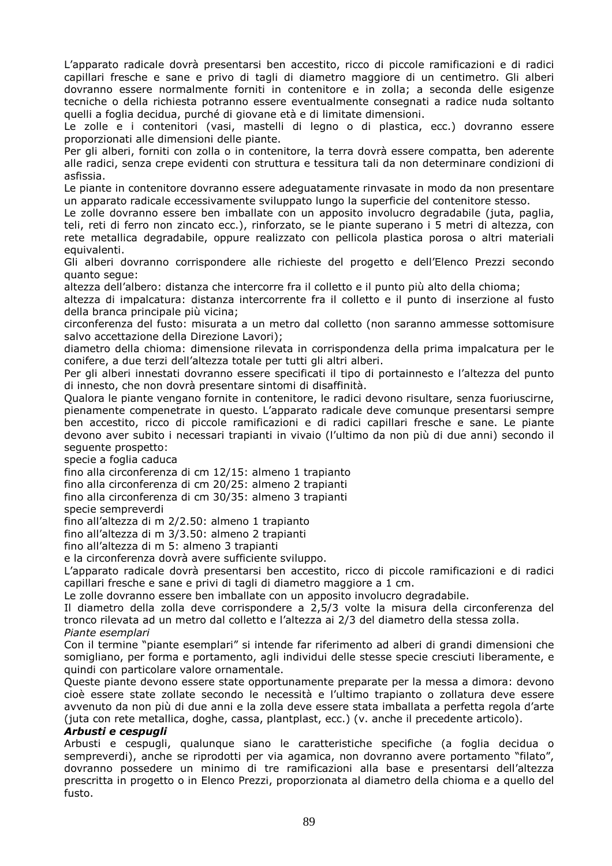L'apparato radicale dovrà presentarsi ben accestito, ricco di piccole ramificazioni e di radici capillari fresche e sane e privo di tagli di diametro maggiore di un centimetro. Gli alberi dovranno essere normalmente forniti in contenitore e in zolla; a seconda delle esigenze tecniche o della richiesta potranno essere eventualmente consegnati a radice nuda soltanto quelli a foglia decidua, purché di giovane età e di limitate dimensioni.

Le zolle e i contenitori (vasi, mastelli di legno o di plastica, ecc.) dovranno essere proporzionati alle dimensioni delle piante.

Per gli alberi, forniti con zolla o in contenitore, la terra dovrà essere compatta, ben aderente alle radici, senza crepe evidenti con struttura e tessitura tali da non determinare condizioni di asfissia.

Le piante in contenitore dovranno essere adeguatamente rinvasate in modo da non presentare un apparato radicale eccessivamente sviluppato lungo la superficie del contenitore stesso.

Le zolle dovranno essere ben imballate con un apposito involucro degradabile (juta, paglia, teli, reti di ferro non zincato ecc.), rinforzato, se le piante superano i 5 metri di altezza, con rete metallica degradabile, oppure realizzato con pellicola plastica porosa o altri materiali equivalenti.

Gli alberi dovranno corrispondere alle richieste del progetto e dell'Elenco Prezzi secondo quanto segue:

altezza dell'albero: distanza che intercorre fra il colletto e il punto più alto della chioma;

altezza di impalcatura: distanza intercorrente fra il colletto e il punto di inserzione al fusto della branca principale più vicina;

circonferenza del fusto: misurata a un metro dal colletto (non saranno ammesse sottomisure salvo accettazione della Direzione Lavori);

diametro della chioma: dimensione rilevata in corrispondenza della prima impalcatura per le conifere, a due terzi dell'altezza totale per tutti gli altri alberi.

Per gli alberi innestati dovranno essere specificati il tipo di portainnesto e l'altezza del punto di innesto, che non dovrà presentare sintomi di disaffinità.

Qualora le piante vengano fornite in contenitore, le radici devono risultare, senza fuoriuscirne, pienamente compenetrate in questo. L'apparato radicale deve comunque presentarsi sempre ben accestito, ricco di piccole ramificazioni e di radici capillari fresche e sane. Le piante devono aver subito i necessari trapianti in vivaio (l'ultimo da non più di due anni) secondo il seguente prospetto:

specie a foglia caduca

fino alla circonferenza di cm 12/15: almeno 1 trapianto

fino alla circonferenza di cm 20/25: almeno 2 trapianti

fino alla circonferenza di cm 30/35: almeno 3 trapianti

specie sempreverdi

fino all'altezza di m 2/2.50: almeno 1 trapianto

fino all'altezza di m 3/3.50: almeno 2 trapianti

fino all'altezza di m 5: almeno 3 trapianti

e la circonferenza dovrà avere sufficiente sviluppo.

L'apparato radicale dovrà presentarsi ben accestito, ricco di piccole ramificazioni e di radici capillari fresche e sane e privi di tagli di diametro maggiore a 1 cm.

Le zolle dovranno essere ben imballate con un apposito involucro degradabile.

Il diametro della zolla deve corrispondere a 2,5/3 volte la misura della circonferenza del tronco rilevata ad un metro dal colletto e l'altezza ai 2/3 del diametro della stessa zolla. *Piante esemplari* 

Con il termine "piante esemplari" si intende far riferimento ad alberi di grandi dimensioni che somigliano, per forma e portamento, agli individui delle stesse specie cresciuti liberamente, e quindi con particolare valore ornamentale.

Queste piante devono essere state opportunamente preparate per la messa a dimora: devono cioè essere state zollate secondo le necessità e l'ultimo trapianto o zollatura deve essere avvenuto da non più di due anni e la zolla deve essere stata imballata a perfetta regola d'arte (juta con rete metallica, doghe, cassa, plantplast, ecc.) (v. anche il precedente articolo).

#### *Arbusti e cespugli*

Arbusti e cespugli, qualunque siano le caratteristiche specifiche (a foglia decidua o sempreverdi), anche se riprodotti per via agamica, non dovranno avere portamento "filato", dovranno possedere un minimo di tre ramificazioni alla base e presentarsi dell'altezza prescritta in progetto o in Elenco Prezzi, proporzionata al diametro della chioma e a quello del fusto.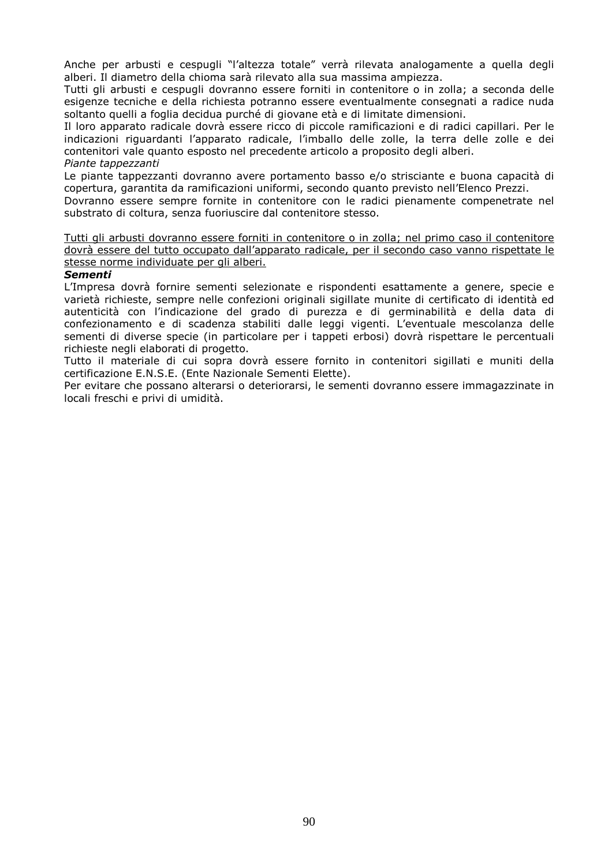Anche per arbusti e cespugli "l'altezza totale" verrà rilevata analogamente a quella degli alberi. Il diametro della chioma sarà rilevato alla sua massima ampiezza.

Tutti gli arbusti e cespugli dovranno essere forniti in contenitore o in zolla; a seconda delle esigenze tecniche e della richiesta potranno essere eventualmente consegnati a radice nuda soltanto quelli a foglia decidua purché di giovane età e di limitate dimensioni.

Il loro apparato radicale dovrà essere ricco di piccole ramificazioni e di radici capillari. Per le indicazioni riguardanti l'apparato radicale, l'imballo delle zolle, la terra delle zolle e dei contenitori vale quanto esposto nel precedente articolo a proposito degli alberi. *Piante tappezzanti* 

Le piante tappezzanti dovranno avere portamento basso e/o strisciante e buona capacità di copertura, garantita da ramificazioni uniformi, secondo quanto previsto nell'Elenco Prezzi.

Dovranno essere sempre fornite in contenitore con le radici pienamente compenetrate nel substrato di coltura, senza fuoriuscire dal contenitore stesso.

Tutti gli arbusti dovranno essere forniti in contenitore o in zolla; nel primo caso il contenitore dovrà essere del tutto occupato dall'apparato radicale, per il secondo caso vanno rispettate le stesse norme individuate per gli alberi.

#### *Sementi*

L'Impresa dovrà fornire sementi selezionate e rispondenti esattamente a genere, specie e varietà richieste, sempre nelle confezioni originali sigillate munite di certificato di identità ed autenticità con l'indicazione del grado di purezza e di germinabilità e della data di confezionamento e di scadenza stabiliti dalle leggi vigenti. L'eventuale mescolanza delle sementi di diverse specie (in particolare per i tappeti erbosi) dovrà rispettare le percentuali richieste negli elaborati di progetto.

Tutto il materiale di cui sopra dovrà essere fornito in contenitori sigillati e muniti della certificazione E.N.S.E. (Ente Nazionale Sementi Elette).

Per evitare che possano alterarsi o deteriorarsi, le sementi dovranno essere immagazzinate in locali freschi e privi di umidità.